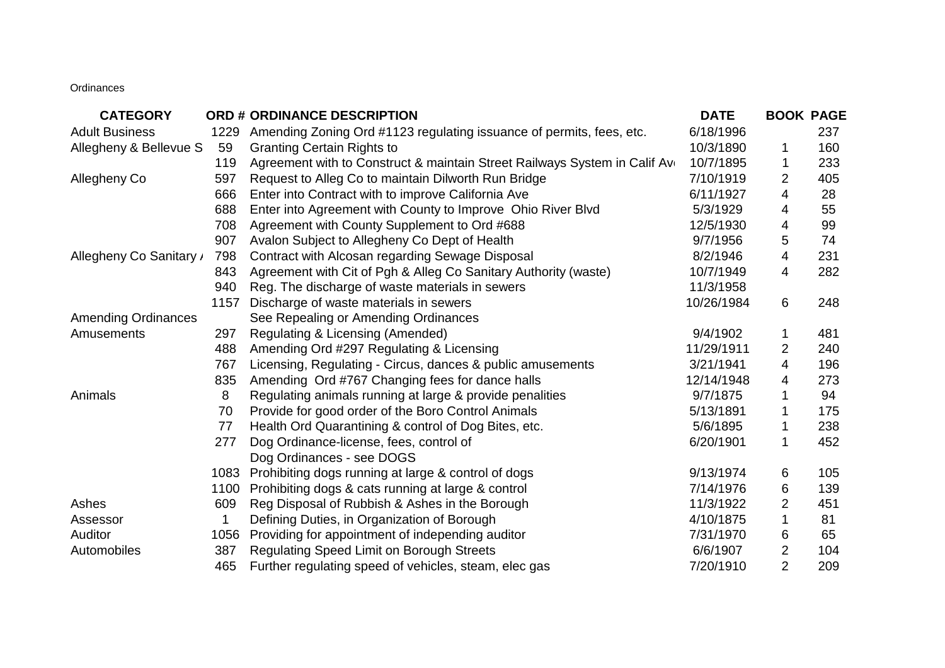## **Ordinances**

| <b>CATEGORY</b>            |      | <b>ORD # ORDINANCE DESCRIPTION</b>                                         | <b>DATE</b> |                | <b>BOOK PAGE</b> |
|----------------------------|------|----------------------------------------------------------------------------|-------------|----------------|------------------|
| <b>Adult Business</b>      | 1229 | Amending Zoning Ord #1123 regulating issuance of permits, fees, etc.       | 6/18/1996   |                | 237              |
| Allegheny & Bellevue S     | 59   | <b>Granting Certain Rights to</b>                                          | 10/3/1890   | 1              | 160              |
|                            | 119  | Agreement with to Construct & maintain Street Railways System in Calif Ave | 10/7/1895   | 1              | 233              |
| Allegheny Co               | 597  | Request to Alleg Co to maintain Dilworth Run Bridge                        | 7/10/1919   | 2              | 405              |
|                            | 666  | Enter into Contract with to improve California Ave                         | 6/11/1927   | 4              | 28               |
|                            | 688  | Enter into Agreement with County to Improve Ohio River Blvd                | 5/3/1929    | 4              | 55               |
|                            | 708  | Agreement with County Supplement to Ord #688                               | 12/5/1930   | 4              | 99               |
|                            | 907  | Avalon Subject to Allegheny Co Dept of Health                              | 9/7/1956    | 5              | 74               |
| Allegheny Co Sanitary /    | 798  | Contract with Alcosan regarding Sewage Disposal                            | 8/2/1946    | 4              | 231              |
|                            | 843  | Agreement with Cit of Pgh & Alleg Co Sanitary Authority (waste)            | 10/7/1949   | 4              | 282              |
|                            | 940  | Reg. The discharge of waste materials in sewers                            | 11/3/1958   |                |                  |
|                            | 1157 | Discharge of waste materials in sewers                                     | 10/26/1984  | 6              | 248              |
| <b>Amending Ordinances</b> |      | See Repealing or Amending Ordinances                                       |             |                |                  |
| Amusements                 | 297  | Regulating & Licensing (Amended)                                           | 9/4/1902    | 1              | 481              |
|                            | 488  | Amending Ord #297 Regulating & Licensing                                   | 11/29/1911  | $\overline{2}$ | 240              |
|                            | 767  | Licensing, Regulating - Circus, dances & public amusements                 | 3/21/1941   | 4              | 196              |
|                            | 835  | Amending Ord #767 Changing fees for dance halls                            | 12/14/1948  | 4              | 273              |
| Animals                    | 8    | Regulating animals running at large & provide penalities                   | 9/7/1875    | 1              | 94               |
|                            | 70   | Provide for good order of the Boro Control Animals                         | 5/13/1891   | 1              | 175              |
|                            | 77   | Health Ord Quarantining & control of Dog Bites, etc.                       | 5/6/1895    | 1              | 238              |
|                            | 277  | Dog Ordinance-license, fees, control of                                    | 6/20/1901   | 1              | 452              |
|                            |      | Dog Ordinances - see DOGS                                                  |             |                |                  |
|                            |      | 1083 Prohibiting dogs running at large & control of dogs                   | 9/13/1974   | 6              | 105              |
|                            | 1100 | Prohibiting dogs & cats running at large & control                         | 7/14/1976   | 6              | 139              |
| Ashes                      | 609  | Reg Disposal of Rubbish & Ashes in the Borough                             | 11/3/1922   | 2              | 451              |
| Assessor                   | 1    | Defining Duties, in Organization of Borough                                | 4/10/1875   | 1              | 81               |
| Auditor                    |      | 1056 Providing for appointment of independing auditor                      | 7/31/1970   | 6              | 65               |
| Automobiles                | 387  | Regulating Speed Limit on Borough Streets                                  | 6/6/1907    | $\overline{2}$ | 104              |
|                            | 465  | Further regulating speed of vehicles, steam, elec gas                      | 7/20/1910   | $\overline{2}$ | 209              |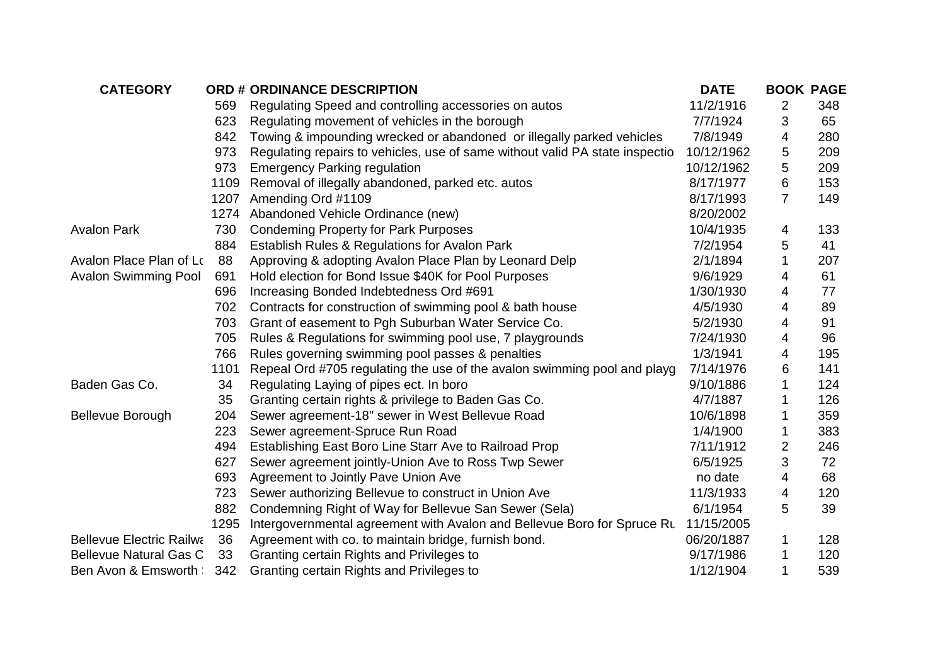| <b>CATEGORY</b>                 |      | <b>ORD # ORDINANCE DESCRIPTION</b>                                                 | <b>DATE</b> | <b>BOOK PAGE</b> |     |  |
|---------------------------------|------|------------------------------------------------------------------------------------|-------------|------------------|-----|--|
|                                 | 569  | Regulating Speed and controlling accessories on autos                              | 11/2/1916   | $\overline{2}$   | 348 |  |
|                                 | 623  | Regulating movement of vehicles in the borough                                     | 7/7/1924    | 3                | 65  |  |
|                                 | 842  | Towing & impounding wrecked or abandoned or illegally parked vehicles              | 7/8/1949    | 4                | 280 |  |
|                                 | 973  | Regulating repairs to vehicles, use of same without valid PA state inspection      | 10/12/1962  | 5                | 209 |  |
|                                 | 973  | <b>Emergency Parking regulation</b>                                                | 10/12/1962  | 5                | 209 |  |
|                                 | 1109 | Removal of illegally abandoned, parked etc. autos                                  | 8/17/1977   | 6                | 153 |  |
|                                 | 1207 | Amending Ord #1109                                                                 | 8/17/1993   | $\overline{7}$   | 149 |  |
|                                 |      | 1274 Abandoned Vehicle Ordinance (new)                                             | 8/20/2002   |                  |     |  |
| <b>Avalon Park</b>              | 730  | <b>Condeming Property for Park Purposes</b>                                        | 10/4/1935   | 4                | 133 |  |
|                                 | 884  | Establish Rules & Regulations for Avalon Park                                      | 7/2/1954    | 5                | 41  |  |
| Avalon Place Plan of Lo         | 88   | Approving & adopting Avalon Place Plan by Leonard Delp                             | 2/1/1894    |                  | 207 |  |
| <b>Avalon Swimming Pool</b>     | 691  | Hold election for Bond Issue \$40K for Pool Purposes                               | 9/6/1929    | 4                | 61  |  |
|                                 | 696  | Increasing Bonded Indebtedness Ord #691                                            | 1/30/1930   | 4                | 77  |  |
|                                 | 702  | Contracts for construction of swimming pool & bath house                           | 4/5/1930    | 4                | 89  |  |
|                                 | 703  | Grant of easement to Pgh Suburban Water Service Co.                                | 5/2/1930    | 4                | 91  |  |
|                                 | 705  | Rules & Regulations for swimming pool use, 7 playgrounds                           | 7/24/1930   | 4                | 96  |  |
|                                 | 766  | Rules governing swimming pool passes & penalties                                   | 1/3/1941    | 4                | 195 |  |
|                                 | 1101 | Repeal Ord #705 regulating the use of the avalon swimming pool and playg           | 7/14/1976   | 6                | 141 |  |
| Baden Gas Co.                   | 34   | Regulating Laying of pipes ect. In boro                                            | 9/10/1886   |                  | 124 |  |
|                                 | 35   | Granting certain rights & privilege to Baden Gas Co.                               | 4/7/1887    |                  | 126 |  |
| Bellevue Borough                | 204  | Sewer agreement-18" sewer in West Bellevue Road                                    | 10/6/1898   |                  | 359 |  |
|                                 | 223  | Sewer agreement-Spruce Run Road                                                    | 1/4/1900    |                  | 383 |  |
|                                 | 494  | Establishing East Boro Line Starr Ave to Railroad Prop                             | 7/11/1912   | $\overline{2}$   | 246 |  |
|                                 | 627  | Sewer agreement jointly-Union Ave to Ross Twp Sewer                                | 6/5/1925    | 3                | 72  |  |
|                                 | 693  | Agreement to Jointly Pave Union Ave                                                | no date     | 4                | 68  |  |
|                                 | 723  | Sewer authorizing Bellevue to construct in Union Ave                               | 11/3/1933   | 4                | 120 |  |
|                                 | 882  | Condemning Right of Way for Bellevue San Sewer (Sela)                              | 6/1/1954    | 5                | 39  |  |
|                                 | 1295 | Intergovernmental agreement with Avalon and Bellevue Boro for Spruce Ru 11/15/2005 |             |                  |     |  |
| <b>Bellevue Electric Railwa</b> | 36   | Agreement with co. to maintain bridge, furnish bond.                               | 06/20/1887  |                  | 128 |  |
| <b>Bellevue Natural Gas C</b>   | 33   | Granting certain Rights and Privileges to                                          | 9/17/1986   |                  | 120 |  |
| Ben Avon & Emsworth             | 342  | Granting certain Rights and Privileges to                                          | 1/12/1904   |                  | 539 |  |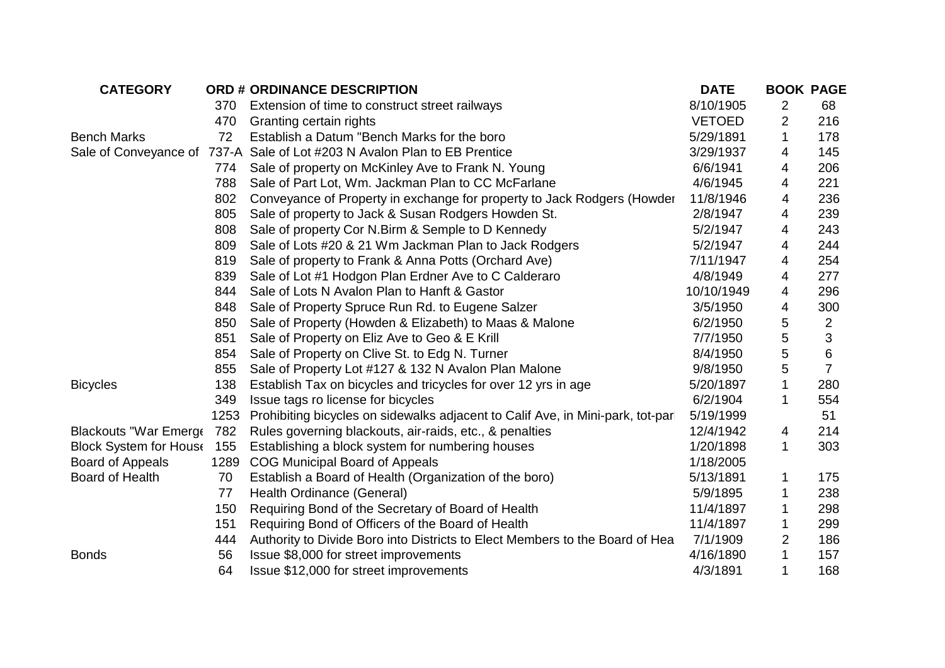| <b>CATEGORY</b>               |      | <b>ORD # ORDINANCE DESCRIPTION</b>                                              | <b>DATE</b>   | <b>BOOK PAGE</b> |                |
|-------------------------------|------|---------------------------------------------------------------------------------|---------------|------------------|----------------|
|                               | 370  | Extension of time to construct street railways                                  | 8/10/1905     | $\overline{2}$   | 68             |
|                               | 470  | Granting certain rights                                                         | <b>VETOED</b> | 2                | 216            |
| <b>Bench Marks</b>            | 72   | Establish a Datum "Bench Marks for the boro                                     | 5/29/1891     | 1                | 178            |
|                               |      | Sale of Conveyance of 737-A Sale of Lot #203 N Avalon Plan to EB Prentice       | 3/29/1937     | 4                | 145            |
|                               | 774  | Sale of property on McKinley Ave to Frank N. Young                              | 6/6/1941      | 4                | 206            |
|                               | 788  | Sale of Part Lot, Wm. Jackman Plan to CC McFarlane                              | 4/6/1945      | 4                | 221            |
|                               | 802  | Conveyance of Property in exchange for property to Jack Rodgers (Howder         | 11/8/1946     | 4                | 236            |
|                               | 805  | Sale of property to Jack & Susan Rodgers Howden St.                             | 2/8/1947      | 4                | 239            |
|                               | 808  | Sale of property Cor N.Birm & Semple to D Kennedy                               | 5/2/1947      | 4                | 243            |
|                               | 809  | Sale of Lots #20 & 21 Wm Jackman Plan to Jack Rodgers                           | 5/2/1947      | 4                | 244            |
|                               | 819  | Sale of property to Frank & Anna Potts (Orchard Ave)                            | 7/11/1947     | 4                | 254            |
|                               | 839  | Sale of Lot #1 Hodgon Plan Erdner Ave to C Calderaro                            | 4/8/1949      | 4                | 277            |
|                               | 844  | Sale of Lots N Avalon Plan to Hanft & Gastor                                    | 10/10/1949    | 4                | 296            |
|                               | 848  | Sale of Property Spruce Run Rd. to Eugene Salzer                                | 3/5/1950      | 4                | 300            |
|                               | 850  | Sale of Property (Howden & Elizabeth) to Maas & Malone                          | 6/2/1950      | 5                | 2              |
|                               | 851  | Sale of Property on Eliz Ave to Geo & E Krill                                   | 7/7/1950      | 5                | 3              |
|                               | 854  | Sale of Property on Clive St. to Edg N. Turner                                  | 8/4/1950      | 5                | 6              |
|                               | 855  | Sale of Property Lot #127 & 132 N Avalon Plan Malone                            | 9/8/1950      | 5                | $\overline{7}$ |
| <b>Bicycles</b>               | 138  | Establish Tax on bicycles and tricycles for over 12 yrs in age                  | 5/20/1897     | 1                | 280            |
|                               | 349  | Issue tags ro license for bicycles                                              | 6/2/1904      | 1                | 554            |
|                               | 1253 | Prohibiting bicycles on sidewalks adjacent to Calif Ave, in Mini-park, tot-parl | 5/19/1999     |                  | 51             |
| Blackouts "War Emerge         | 782  | Rules governing blackouts, air-raids, etc., & penalties                         | 12/4/1942     | 4                | 214            |
| <b>Block System for House</b> | 155  | Establishing a block system for numbering houses                                | 1/20/1898     | $\mathbf{1}$     | 303            |
| Board of Appeals              | 1289 | <b>COG Municipal Board of Appeals</b>                                           | 1/18/2005     |                  |                |
| Board of Health               | 70   | Establish a Board of Health (Organization of the boro)                          | 5/13/1891     | 1                | 175            |
|                               | 77   | Health Ordinance (General)                                                      | 5/9/1895      | 1                | 238            |
|                               | 150  | Requiring Bond of the Secretary of Board of Health                              | 11/4/1897     | 1                | 298            |
|                               | 151  | Requiring Bond of Officers of the Board of Health                               | 11/4/1897     | 1                | 299            |
|                               | 444  | Authority to Divide Boro into Districts to Elect Members to the Board of Hea    | 7/1/1909      | $\overline{2}$   | 186            |
| <b>Bonds</b>                  | 56   | Issue \$8,000 for street improvements                                           | 4/16/1890     | 1                | 157            |
|                               | 64   | Issue \$12,000 for street improvements                                          | 4/3/1891      | 1                | 168            |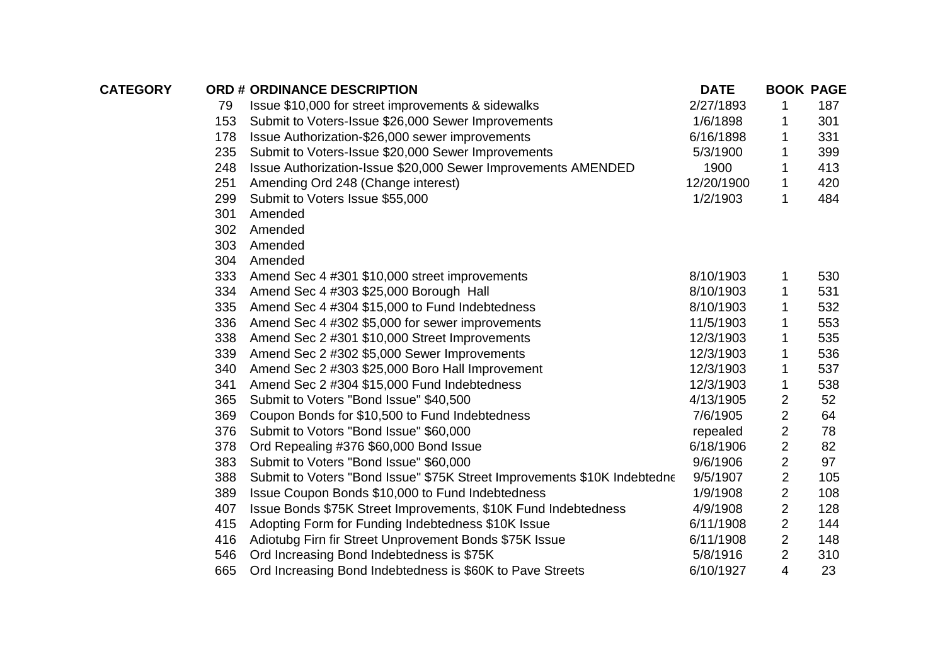| <b>CATEGORY</b> |     | <b>ORD # ORDINANCE DESCRIPTION</b>                                       | <b>DATE</b> |                | <b>BOOK PAGE</b> |
|-----------------|-----|--------------------------------------------------------------------------|-------------|----------------|------------------|
|                 | 79  | Issue \$10,000 for street improvements & sidewalks                       | 2/27/1893   |                | 187              |
|                 | 153 | Submit to Voters-Issue \$26,000 Sewer Improvements                       | 1/6/1898    |                | 301              |
|                 | 178 | Issue Authorization-\$26,000 sewer improvements                          | 6/16/1898   |                | 331              |
|                 | 235 | Submit to Voters-Issue \$20,000 Sewer Improvements                       | 5/3/1900    |                | 399              |
|                 | 248 | Issue Authorization-Issue \$20,000 Sewer Improvements AMENDED            | 1900        |                | 413              |
|                 | 251 | Amending Ord 248 (Change interest)                                       | 12/20/1900  |                | 420              |
|                 | 299 | Submit to Voters Issue \$55,000                                          | 1/2/1903    | 1              | 484              |
|                 | 301 | Amended                                                                  |             |                |                  |
|                 | 302 | Amended                                                                  |             |                |                  |
|                 | 303 | Amended                                                                  |             |                |                  |
|                 | 304 | Amended                                                                  |             |                |                  |
|                 | 333 | Amend Sec 4 #301 \$10,000 street improvements                            | 8/10/1903   |                | 530              |
|                 | 334 | Amend Sec 4 #303 \$25,000 Borough Hall                                   | 8/10/1903   |                | 531              |
|                 | 335 | Amend Sec 4 #304 \$15,000 to Fund Indebtedness                           | 8/10/1903   |                | 532              |
|                 | 336 | Amend Sec 4 #302 \$5,000 for sewer improvements                          | 11/5/1903   |                | 553              |
|                 | 338 | Amend Sec 2 #301 \$10,000 Street Improvements                            | 12/3/1903   |                | 535              |
|                 | 339 | Amend Sec 2 #302 \$5,000 Sewer Improvements                              | 12/3/1903   |                | 536              |
|                 | 340 | Amend Sec 2 #303 \$25,000 Boro Hall Improvement                          | 12/3/1903   |                | 537              |
|                 | 341 | Amend Sec 2 #304 \$15,000 Fund Indebtedness                              | 12/3/1903   |                | 538              |
|                 | 365 | Submit to Voters "Bond Issue" \$40,500                                   | 4/13/1905   | 2              | 52               |
|                 | 369 | Coupon Bonds for \$10,500 to Fund Indebtedness                           | 7/6/1905    | $\overline{2}$ | 64               |
|                 | 376 | Submit to Votors "Bond Issue" \$60,000                                   | repealed    | 2              | 78               |
|                 | 378 | Ord Repealing #376 \$60,000 Bond Issue                                   | 6/18/1906   | $\overline{2}$ | 82               |
|                 | 383 | Submit to Voters "Bond Issue" \$60,000                                   | 9/6/1906    | $\overline{2}$ | 97               |
|                 | 388 | Submit to Voters "Bond Issue" \$75K Street Improvements \$10K Indebtedne | 9/5/1907    | 2              | 105              |
|                 | 389 | Issue Coupon Bonds \$10,000 to Fund Indebtedness                         | 1/9/1908    | 2              | 108              |
|                 | 407 | Issue Bonds \$75K Street Improvements, \$10K Fund Indebtedness           | 4/9/1908    | 2              | 128              |
|                 | 415 | Adopting Form for Funding Indebtedness \$10K Issue                       | 6/11/1908   | $\overline{2}$ | 144              |
|                 | 416 | Adiotubg Firn fir Street Unprovement Bonds \$75K Issue                   | 6/11/1908   | $\overline{2}$ | 148              |
|                 | 546 | Ord Increasing Bond Indebtedness is \$75K                                | 5/8/1916    | 2              | 310              |
|                 | 665 | Ord Increasing Bond Indebtedness is \$60K to Pave Streets                | 6/10/1927   | 4              | 23               |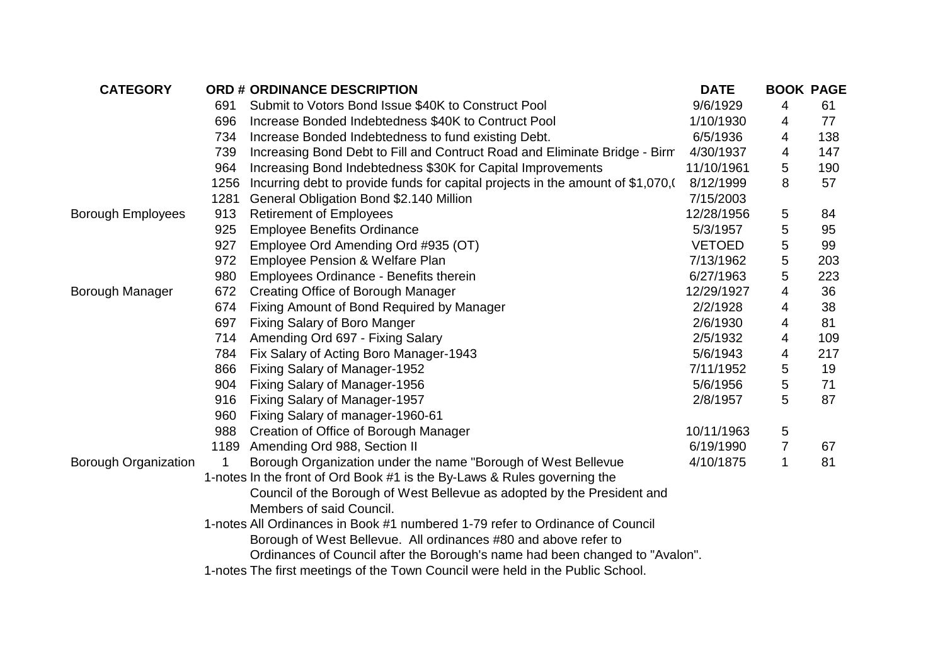| <b>CATEGORY</b>             |      | <b>ORD # ORDINANCE DESCRIPTION</b>                                              | <b>DATE</b>   |                | <b>BOOK PAGE</b> |
|-----------------------------|------|---------------------------------------------------------------------------------|---------------|----------------|------------------|
|                             | 691  | Submit to Votors Bond Issue \$40K to Construct Pool                             | 9/6/1929      | 4              | 61               |
|                             | 696  | Increase Bonded Indebtedness \$40K to Contruct Pool                             | 1/10/1930     | 4              | 77               |
|                             | 734  | Increase Bonded Indebtedness to fund existing Debt.                             | 6/5/1936      | 4              | 138              |
|                             | 739  | Increasing Bond Debt to Fill and Contruct Road and Eliminate Bridge - Birm      | 4/30/1937     | 4              | 147              |
|                             | 964  | Increasing Bond Indebtedness \$30K for Capital Improvements                     | 11/10/1961    | 5              | 190              |
|                             | 1256 | Incurring debt to provide funds for capital projects in the amount of \$1,070,( | 8/12/1999     | 8              | 57               |
|                             | 1281 | General Obligation Bond \$2.140 Million                                         | 7/15/2003     |                |                  |
| <b>Borough Employees</b>    | 913  | <b>Retirement of Employees</b>                                                  | 12/28/1956    | 5              | 84               |
|                             | 925  | <b>Employee Benefits Ordinance</b>                                              | 5/3/1957      | 5              | 95               |
|                             | 927  | Employee Ord Amending Ord #935 (OT)                                             | <b>VETOED</b> | 5              | 99               |
|                             | 972  | Employee Pension & Welfare Plan                                                 | 7/13/1962     | 5              | 203              |
|                             | 980  | Employees Ordinance - Benefits therein                                          | 6/27/1963     | 5              | 223              |
| Borough Manager             | 672  | Creating Office of Borough Manager                                              | 12/29/1927    | 4              | 36               |
|                             | 674  | Fixing Amount of Bond Required by Manager                                       | 2/2/1928      | 4              | 38               |
|                             | 697  | Fixing Salary of Boro Manger                                                    | 2/6/1930      | 4              | 81               |
|                             | 714  | Amending Ord 697 - Fixing Salary                                                | 2/5/1932      | 4              | 109              |
|                             | 784  | Fix Salary of Acting Boro Manager-1943                                          | 5/6/1943      | 4              | 217              |
|                             | 866  | Fixing Salary of Manager-1952                                                   | 7/11/1952     | 5              | 19               |
|                             | 904  | Fixing Salary of Manager-1956                                                   | 5/6/1956      | 5              | 71               |
|                             | 916  | <b>Fixing Salary of Manager-1957</b>                                            | 2/8/1957      | 5              | 87               |
|                             | 960  | Fixing Salary of manager-1960-61                                                |               |                |                  |
|                             | 988  | Creation of Office of Borough Manager                                           | 10/11/1963    | 5              |                  |
|                             |      | 1189 Amending Ord 988, Section II                                               | 6/19/1990     | $\overline{7}$ | 67               |
| <b>Borough Organization</b> |      | Borough Organization under the name "Borough of West Bellevue                   | 4/10/1875     | $\mathbf{1}$   | 81               |
|                             |      | 1-notes In the front of Ord Book #1 is the By-Laws & Rules governing the        |               |                |                  |
|                             |      | Council of the Borough of West Bellevue as adopted by the President and         |               |                |                  |
|                             |      | Members of said Council.                                                        |               |                |                  |
|                             |      | 1-notes All Ordinances in Book #1 numbered 1-79 refer to Ordinance of Council   |               |                |                  |
|                             |      | Borough of West Bellevue. All ordinances #80 and above refer to                 |               |                |                  |
|                             |      | Ordinances of Council after the Borough's name had been changed to "Avalon".    |               |                |                  |
|                             |      | 1-notes The first meetings of the Town Council were held in the Public School.  |               |                |                  |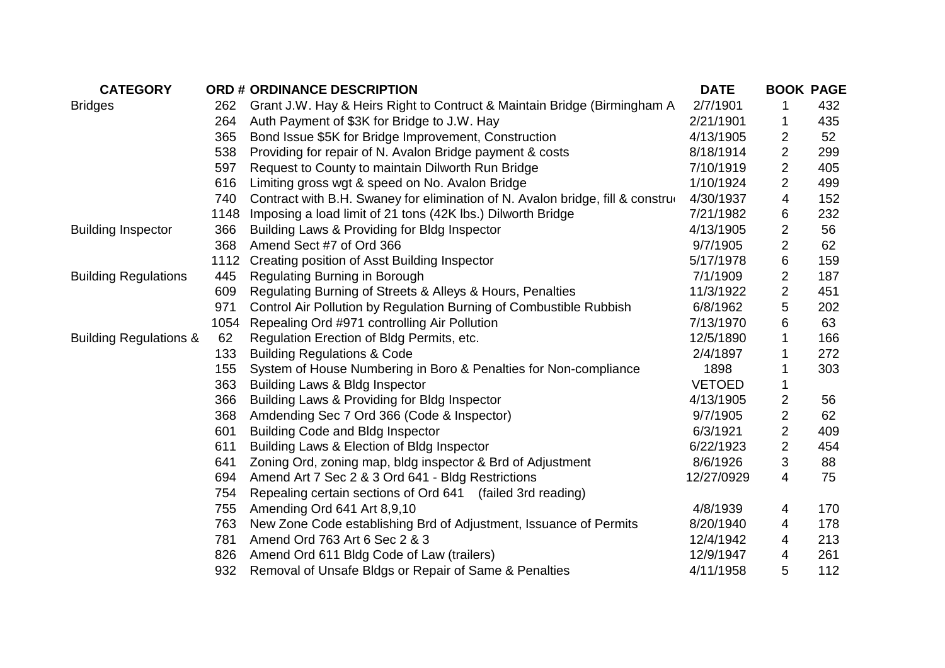| <b>CATEGORY</b>                   |      | <b>ORD # ORDINANCE DESCRIPTION</b>                                                 | <b>DATE</b>   |                | <b>BOOK PAGE</b> |
|-----------------------------------|------|------------------------------------------------------------------------------------|---------------|----------------|------------------|
| <b>Bridges</b>                    | 262  | Grant J.W. Hay & Heirs Right to Contruct & Maintain Bridge (Birmingham A           | 2/7/1901      |                | 432              |
|                                   |      | 264 Auth Payment of \$3K for Bridge to J.W. Hay                                    | 2/21/1901     |                | 435              |
|                                   | 365  | Bond Issue \$5K for Bridge Improvement, Construction                               | 4/13/1905     | 2              | 52               |
|                                   | 538  | Providing for repair of N. Avalon Bridge payment & costs                           | 8/18/1914     | $\overline{2}$ | 299              |
|                                   | 597  | Request to County to maintain Dilworth Run Bridge                                  | 7/10/1919     | $\overline{2}$ | 405              |
|                                   | 616  | Limiting gross wgt & speed on No. Avalon Bridge                                    | 1/10/1924     | $\overline{2}$ | 499              |
|                                   | 740  | Contract with B.H. Swaney for elimination of N. Avalon bridge, fill & construction | 4/30/1937     | 4              | 152              |
|                                   |      | 1148 Imposing a load limit of 21 tons (42K lbs.) Dilworth Bridge                   | 7/21/1982     | 6              | 232              |
| <b>Building Inspector</b>         | 366  | Building Laws & Providing for Bldg Inspector                                       | 4/13/1905     | $\overline{2}$ | 56               |
|                                   | 368  | Amend Sect #7 of Ord 366                                                           | 9/7/1905      | $\overline{2}$ | 62               |
|                                   |      | 1112 Creating position of Asst Building Inspector                                  | 5/17/1978     | 6              | 159              |
| <b>Building Regulations</b>       | 445  | Regulating Burning in Borough                                                      | 7/1/1909      | $\overline{2}$ | 187              |
|                                   | 609  | Regulating Burning of Streets & Alleys & Hours, Penalties                          | 11/3/1922     | $\overline{2}$ | 451              |
|                                   | 971  | Control Air Pollution by Regulation Burning of Combustible Rubbish                 | 6/8/1962      | 5              | 202              |
|                                   | 1054 | Repealing Ord #971 controlling Air Pollution                                       | 7/13/1970     | 6              | 63               |
| <b>Building Regulations &amp;</b> | 62   | Regulation Erection of Bldg Permits, etc.                                          | 12/5/1890     | 1              | 166              |
|                                   | 133  | <b>Building Regulations &amp; Code</b>                                             | 2/4/1897      | 1              | 272              |
|                                   | 155  | System of House Numbering in Boro & Penalties for Non-compliance                   | 1898          | 1              | 303              |
|                                   | 363  | Building Laws & Bldg Inspector                                                     | <b>VETOED</b> |                |                  |
|                                   | 366  | Building Laws & Providing for Bldg Inspector                                       | 4/13/1905     | $\overline{2}$ | 56               |
|                                   | 368  | Amdending Sec 7 Ord 366 (Code & Inspector)                                         | 9/7/1905      | $\overline{2}$ | 62               |
|                                   | 601  | <b>Building Code and Bldg Inspector</b>                                            | 6/3/1921      | $\overline{2}$ | 409              |
|                                   | 611  | Building Laws & Election of Bldg Inspector                                         | 6/22/1923     | $\overline{2}$ | 454              |
|                                   | 641  | Zoning Ord, zoning map, bldg inspector & Brd of Adjustment                         | 8/6/1926      | 3              | 88               |
|                                   | 694  | Amend Art 7 Sec 2 & 3 Ord 641 - Bldg Restrictions                                  | 12/27/0929    | $\overline{4}$ | 75               |
|                                   | 754  | Repealing certain sections of Ord 641 (failed 3rd reading)                         |               |                |                  |
|                                   | 755  | Amending Ord 641 Art 8,9,10                                                        | 4/8/1939      | 4              | 170              |
|                                   | 763  | New Zone Code establishing Brd of Adjustment, Issuance of Permits                  | 8/20/1940     | 4              | 178              |
|                                   | 781  | Amend Ord 763 Art 6 Sec 2 & 3                                                      | 12/4/1942     | 4              | 213              |
|                                   | 826  | Amend Ord 611 Bldg Code of Law (trailers)                                          | 12/9/1947     | 4              | 261              |
|                                   | 932  | Removal of Unsafe Bldgs or Repair of Same & Penalties                              | 4/11/1958     | 5              | 112              |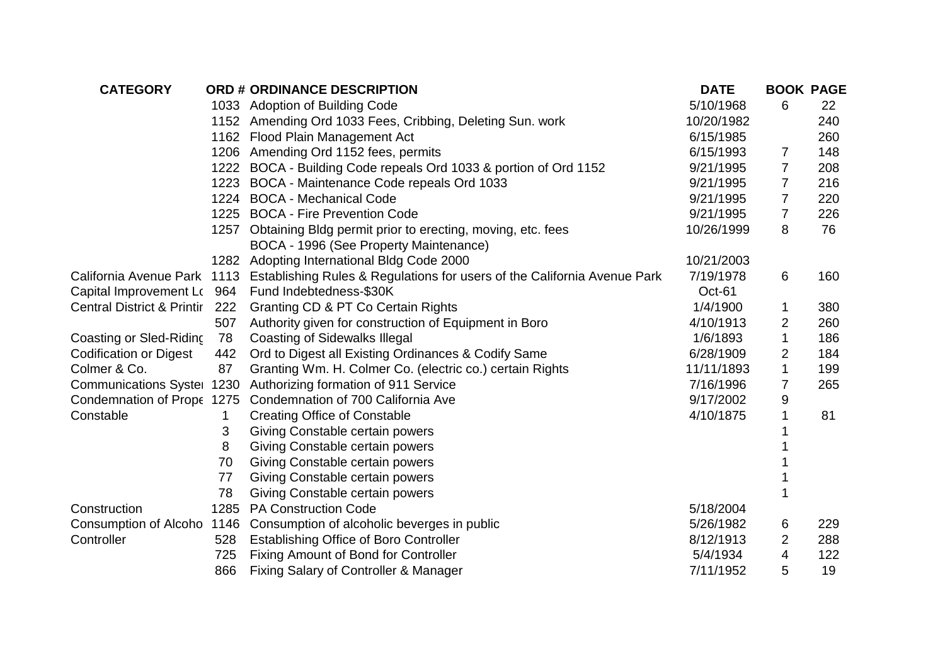| <b>CATEGORY</b>            |      | <b>ORD # ORDINANCE DESCRIPTION</b>                                                                   | <b>DATE</b> | <b>BOOK PAGE</b> |     |
|----------------------------|------|------------------------------------------------------------------------------------------------------|-------------|------------------|-----|
|                            |      | 1033 Adoption of Building Code                                                                       | 5/10/1968   | 6                | 22  |
|                            |      | 1152 Amending Ord 1033 Fees, Cribbing, Deleting Sun. work                                            | 10/20/1982  |                  | 240 |
|                            |      | 1162 Flood Plain Management Act                                                                      | 6/15/1985   |                  | 260 |
|                            | 1206 | Amending Ord 1152 fees, permits                                                                      | 6/15/1993   | 7                | 148 |
|                            | 1222 | BOCA - Building Code repeals Ord 1033 & portion of Ord 1152                                          | 9/21/1995   | 7                | 208 |
|                            | 1223 | BOCA - Maintenance Code repeals Ord 1033                                                             | 9/21/1995   | 7                | 216 |
|                            | 1224 | <b>BOCA - Mechanical Code</b>                                                                        | 9/21/1995   | $\overline{7}$   | 220 |
|                            | 1225 | <b>BOCA - Fire Prevention Code</b>                                                                   | 9/21/1995   | $\overline{7}$   | 226 |
|                            |      | 1257 Obtaining Bldg permit prior to erecting, moving, etc. fees                                      | 10/26/1999  | 8                | 76  |
|                            |      | BOCA - 1996 (See Property Maintenance)                                                               |             |                  |     |
|                            |      | 1282 Adopting International Bldg Code 2000                                                           | 10/21/2003  |                  |     |
|                            |      | California Avenue Park 1113 Establishing Rules & Regulations for users of the California Avenue Park | 7/19/1978   | 6                | 160 |
|                            |      | Capital Improvement Lo 964 Fund Indebtedness-\$30K                                                   | Oct-61      |                  |     |
| Central District & Printir | 222  | Granting CD & PT Co Certain Rights                                                                   | 1/4/1900    | 1                | 380 |
|                            | 507  | Authority given for construction of Equipment in Boro                                                | 4/10/1913   | $\overline{2}$   | 260 |
| Coasting or Sled-Riding    | 78   | <b>Coasting of Sidewalks Illegal</b>                                                                 | 1/6/1893    | 1                | 186 |
| Codification or Digest     | 442  | Ord to Digest all Existing Ordinances & Codify Same                                                  | 6/28/1909   | $\overline{2}$   | 184 |
| Colmer & Co.               | 87   | Granting Wm. H. Colmer Co. (electric co.) certain Rights                                             | 11/11/1893  | 1                | 199 |
| Communications Systel 1230 |      | Authorizing formation of 911 Service                                                                 | 7/16/1996   | 7                | 265 |
| Condemnation of Prope 1275 |      | Condemnation of 700 California Ave                                                                   | 9/17/2002   | 9                |     |
| Constable                  | 1    | <b>Creating Office of Constable</b>                                                                  | 4/10/1875   |                  | 81  |
|                            | 3    | Giving Constable certain powers                                                                      |             |                  |     |
|                            | 8    | Giving Constable certain powers                                                                      |             |                  |     |
|                            | 70   | Giving Constable certain powers                                                                      |             |                  |     |
|                            | 77   | Giving Constable certain powers                                                                      |             |                  |     |
|                            | 78   | Giving Constable certain powers                                                                      |             |                  |     |
| Construction               | 1285 | <b>PA Construction Code</b>                                                                          | 5/18/2004   |                  |     |
| Consumption of Alcoho 1146 |      | Consumption of alcoholic beverges in public                                                          | 5/26/1982   | 6                | 229 |
| Controller                 | 528  | <b>Establishing Office of Boro Controller</b>                                                        | 8/12/1913   | 2                | 288 |
|                            | 725  | Fixing Amount of Bond for Controller                                                                 | 5/4/1934    | 4                | 122 |
|                            | 866  | Fixing Salary of Controller & Manager                                                                | 7/11/1952   | 5                | 19  |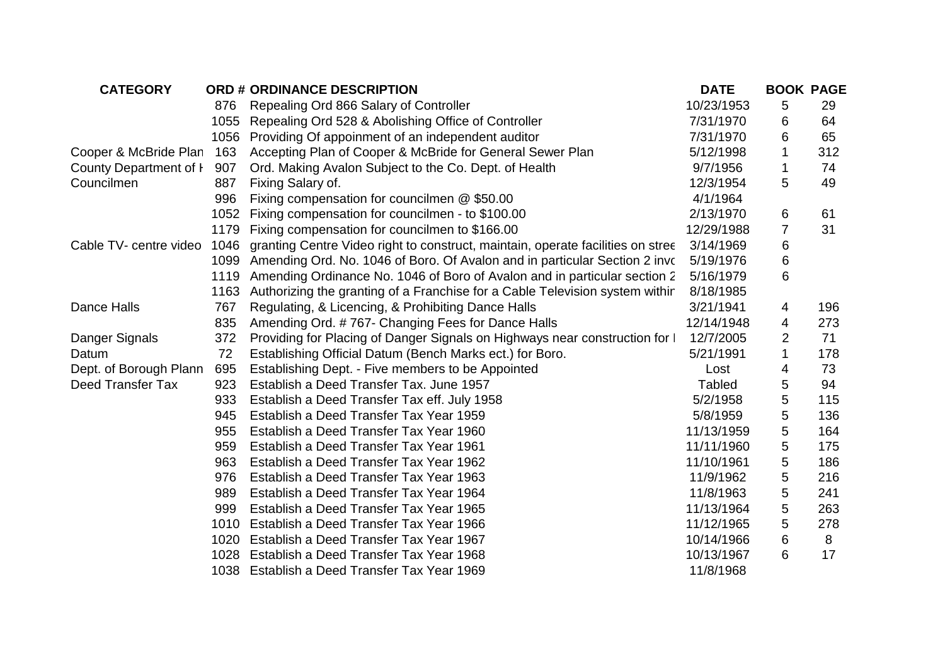| <b>CATEGORY</b>        |      | <b>ORD # ORDINANCE DESCRIPTION</b>                                                   | <b>DATE</b>   |   | <b>BOOK PAGE</b> |  |
|------------------------|------|--------------------------------------------------------------------------------------|---------------|---|------------------|--|
|                        | 876  | Repealing Ord 866 Salary of Controller                                               | 10/23/1953    | 5 | 29               |  |
|                        | 1055 | Repealing Ord 528 & Abolishing Office of Controller                                  | 7/31/1970     | 6 | 64               |  |
|                        | 1056 | Providing Of appoinment of an independent auditor                                    | 7/31/1970     | 6 | 65               |  |
| Cooper & McBride Plan  | 163  | Accepting Plan of Cooper & McBride for General Sewer Plan                            | 5/12/1998     |   | 312              |  |
| County Department of H | 907  | Ord. Making Avalon Subject to the Co. Dept. of Health                                | 9/7/1956      |   | 74               |  |
| Councilmen             | 887  | Fixing Salary of.                                                                    | 12/3/1954     | 5 | 49               |  |
|                        | 996  | Fixing compensation for councilmen @ \$50.00                                         | 4/1/1964      |   |                  |  |
|                        | 1052 | Fixing compensation for councilmen - to \$100.00                                     | 2/13/1970     | 6 | 61               |  |
|                        | 1179 | Fixing compensation for councilmen to \$166.00                                       | 12/29/1988    |   | 31               |  |
| Cable TV- centre video | 1046 | granting Centre Video right to construct, maintain, operate facilities on stree      | 3/14/1969     | 6 |                  |  |
|                        | 1099 | Amending Ord. No. 1046 of Boro. Of Avalon and in particular Section 2 inve 5/19/1976 |               | 6 |                  |  |
|                        | 1119 | Amending Ordinance No. 1046 of Boro of Avalon and in particular section 2            | 5/16/1979     | 6 |                  |  |
|                        | 1163 | Authorizing the granting of a Franchise for a Cable Television system within         | 8/18/1985     |   |                  |  |
| Dance Halls            | 767  | Regulating, & Licencing, & Prohibiting Dance Halls                                   | 3/21/1941     | 4 | 196              |  |
|                        | 835  | Amending Ord. #767- Changing Fees for Dance Halls                                    | 12/14/1948    | 4 | 273              |  |
| Danger Signals         | 372  | Providing for Placing of Danger Signals on Highways near construction for I          | 12/7/2005     |   | 71               |  |
| Datum                  | 72   | Establishing Official Datum (Bench Marks ect.) for Boro.                             | 5/21/1991     |   | 178              |  |
| Dept. of Borough Plann | 695  | Establishing Dept. - Five members to be Appointed                                    | Lost          |   | 73               |  |
| Deed Transfer Tax      | 923  | Establish a Deed Transfer Tax. June 1957                                             | <b>Tabled</b> | 5 | 94               |  |
|                        | 933  | Establish a Deed Transfer Tax eff. July 1958                                         | 5/2/1958      | 5 | 115              |  |
|                        | 945  | Establish a Deed Transfer Tax Year 1959                                              | 5/8/1959      | 5 | 136              |  |
|                        | 955  | Establish a Deed Transfer Tax Year 1960                                              | 11/13/1959    |   | 164              |  |
|                        | 959  | Establish a Deed Transfer Tax Year 1961                                              | 11/11/1960    | 5 | 175              |  |
|                        | 963  | Establish a Deed Transfer Tax Year 1962                                              | 11/10/1961    | 5 | 186              |  |
|                        | 976  | Establish a Deed Transfer Tax Year 1963                                              | 11/9/1962     | 5 | 216              |  |
|                        | 989  | Establish a Deed Transfer Tax Year 1964                                              | 11/8/1963     | 5 | 241              |  |
|                        | 999  | Establish a Deed Transfer Tax Year 1965                                              | 11/13/1964    |   | 263              |  |
|                        | 1010 | Establish a Deed Transfer Tax Year 1966                                              | 11/12/1965    | 5 | 278              |  |
|                        | 1020 | Establish a Deed Transfer Tax Year 1967                                              | 10/14/1966    | 6 | 8                |  |
|                        | 1028 | Establish a Deed Transfer Tax Year 1968                                              | 10/13/1967    | 6 | 17               |  |
|                        | 1038 | Establish a Deed Transfer Tax Year 1969                                              | 11/8/1968     |   |                  |  |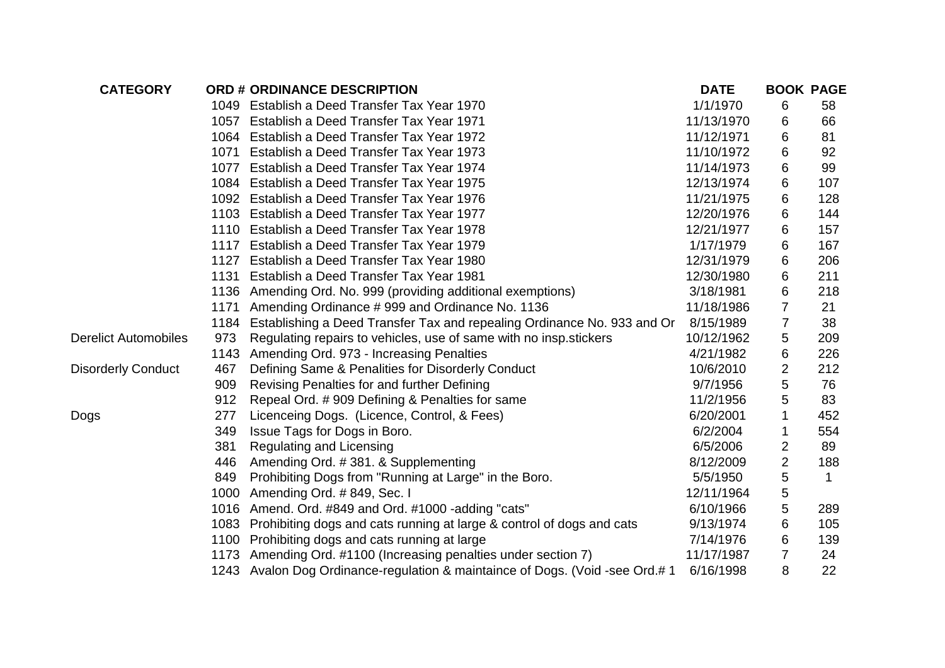| <b>CATEGORY</b>             |      | <b>ORD # ORDINANCE DESCRIPTION</b>                                          | <b>DATE</b> | <b>BOOK PAGE</b> |     |
|-----------------------------|------|-----------------------------------------------------------------------------|-------------|------------------|-----|
|                             |      | 1049 Establish a Deed Transfer Tax Year 1970                                | 1/1/1970    | 6                | 58  |
|                             |      | 1057 Establish a Deed Transfer Tax Year 1971                                | 11/13/1970  | 6                | 66  |
|                             |      | 1064 Establish a Deed Transfer Tax Year 1972                                | 11/12/1971  | 6                | 81  |
|                             | 1071 | Establish a Deed Transfer Tax Year 1973                                     | 11/10/1972  | 6                | 92  |
|                             |      | 1077 Establish a Deed Transfer Tax Year 1974                                | 11/14/1973  | 6                | 99  |
|                             |      | 1084 Establish a Deed Transfer Tax Year 1975                                | 12/13/1974  | 6                | 107 |
|                             |      | 1092 Establish a Deed Transfer Tax Year 1976                                | 11/21/1975  | 6                | 128 |
|                             |      | 1103 Establish a Deed Transfer Tax Year 1977                                | 12/20/1976  | 6                | 144 |
|                             |      | 1110 Establish a Deed Transfer Tax Year 1978                                | 12/21/1977  | 6                | 157 |
|                             | 1117 | Establish a Deed Transfer Tax Year 1979                                     | 1/17/1979   | 6                | 167 |
|                             |      | 1127 Establish a Deed Transfer Tax Year 1980                                | 12/31/1979  | 6                | 206 |
|                             | 1131 | Establish a Deed Transfer Tax Year 1981                                     | 12/30/1980  | 6                | 211 |
|                             | 1136 | Amending Ord. No. 999 (providing additional exemptions)                     | 3/18/1981   | 6                | 218 |
|                             | 1171 | Amending Ordinance #999 and Ordinance No. 1136                              | 11/18/1986  |                  | 21  |
|                             | 1184 | Establishing a Deed Transfer Tax and repealing Ordinance No. 933 and Or     | 8/15/1989   |                  | 38  |
| <b>Derelict Automobiles</b> | 973  | Regulating repairs to vehicles, use of same with no insp. stickers          | 10/12/1962  | 5                | 209 |
|                             | 1143 | Amending Ord. 973 - Increasing Penalties                                    | 4/21/1982   | 6                | 226 |
| <b>Disorderly Conduct</b>   | 467  | Defining Same & Penalities for Disorderly Conduct                           | 10/6/2010   | $\overline{2}$   | 212 |
|                             | 909  | Revising Penalties for and further Defining                                 | 9/7/1956    | 5                | 76  |
|                             | 912  | Repeal Ord. #909 Defining & Penalties for same                              | 11/2/1956   | 5                | 83  |
| Dogs                        | 277  | Licenceing Dogs. (Licence, Control, & Fees)                                 | 6/20/2001   |                  | 452 |
|                             | 349  | Issue Tags for Dogs in Boro.                                                | 6/2/2004    | 1                | 554 |
|                             | 381  | Regulating and Licensing                                                    | 6/5/2006    | $\overline{2}$   | 89  |
|                             | 446  | Amending Ord. #381. & Supplementing                                         | 8/12/2009   | $\overline{2}$   | 188 |
|                             | 849  | Prohibiting Dogs from "Running at Large" in the Boro.                       | 5/5/1950    | 5                | 1   |
|                             | 1000 | Amending Ord. #849, Sec. I                                                  | 12/11/1964  | 5                |     |
|                             | 1016 | Amend. Ord. #849 and Ord. #1000 -adding "cats"                              | 6/10/1966   | 5                | 289 |
|                             | 1083 | Prohibiting dogs and cats running at large & control of dogs and cats       | 9/13/1974   | 6                | 105 |
|                             | 1100 | Prohibiting dogs and cats running at large                                  | 7/14/1976   | 6                | 139 |
|                             |      | 1173 Amending Ord. #1100 (Increasing penalties under section 7)             | 11/17/1987  | 7                | 24  |
|                             |      | 1243 Avalon Dog Ordinance-regulation & maintaince of Dogs. (Void-see Ord.#1 | 6/16/1998   | 8                | 22  |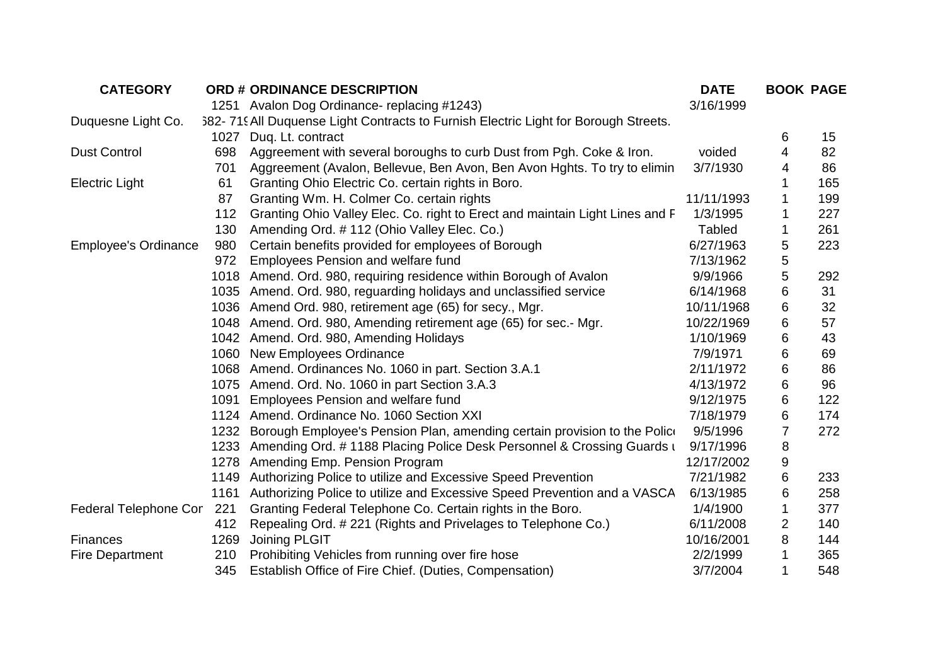| <b>CATEGORY</b>             |      | <b>ORD # ORDINANCE DESCRIPTION</b>                                                  | <b>DATE</b> | <b>BOOK PAGE</b> |     |
|-----------------------------|------|-------------------------------------------------------------------------------------|-------------|------------------|-----|
|                             |      | 1251 Avalon Dog Ordinance- replacing #1243)                                         | 3/16/1999   |                  |     |
| Duquesne Light Co.          |      | 382-719 All Duquense Light Contracts to Furnish Electric Light for Borough Streets. |             |                  |     |
|                             |      | 1027 Duq. Lt. contract                                                              |             | 6                | 15  |
| <b>Dust Control</b>         | 698  | Aggreement with several boroughs to curb Dust from Pgh. Coke & Iron.                | voided      | 4                | 82  |
|                             | 701  | Aggreement (Avalon, Bellevue, Ben Avon, Ben Avon Hghts. To try to elimin            | 3/7/1930    | 4                | 86  |
| <b>Electric Light</b>       | 61   | Granting Ohio Electric Co. certain rights in Boro.                                  |             |                  | 165 |
|                             | 87   | Granting Wm. H. Colmer Co. certain rights                                           | 11/11/1993  |                  | 199 |
|                             |      | 112 Granting Ohio Valley Elec. Co. right to Erect and maintain Light Lines and F    | 1/3/1995    |                  | 227 |
|                             | 130  | Amending Ord. #112 (Ohio Valley Elec. Co.)                                          | Tabled      | -1               | 261 |
| <b>Employee's Ordinance</b> | 980  | Certain benefits provided for employees of Borough                                  | 6/27/1963   | 5                | 223 |
|                             | 972  | <b>Employees Pension and welfare fund</b>                                           | 7/13/1962   | 5                |     |
|                             |      | 1018 Amend. Ord. 980, requiring residence within Borough of Avalon                  | 9/9/1966    | 5                | 292 |
|                             |      | 1035 Amend. Ord. 980, reguarding holidays and unclassified service                  | 6/14/1968   | 6                | 31  |
|                             |      | 1036 Amend Ord. 980, retirement age (65) for secy., Mgr.                            | 10/11/1968  | 6                | 32  |
|                             |      | 1048 Amend. Ord. 980, Amending retirement age (65) for sec.- Mgr.                   | 10/22/1969  | 6                | 57  |
|                             |      | 1042 Amend. Ord. 980, Amending Holidays                                             | 1/10/1969   | 6                | 43  |
|                             |      | 1060 New Employees Ordinance                                                        | 7/9/1971    | 6                | 69  |
|                             |      | 1068 Amend. Ordinances No. 1060 in part. Section 3.A.1                              | 2/11/1972   | 6                | 86  |
|                             |      | 1075 Amend. Ord. No. 1060 in part Section 3.A.3                                     | 4/13/1972   | 6                | 96  |
|                             |      | 1091 Employees Pension and welfare fund                                             | 9/12/1975   | 6                | 122 |
|                             |      | 1124 Amend. Ordinance No. 1060 Section XXI                                          | 7/18/1979   | 6                | 174 |
|                             |      | 1232 Borough Employee's Pension Plan, amending certain provision to the Police      | 9/5/1996    | $\overline{7}$   | 272 |
|                             |      | 1233 Amending Ord. #1188 Placing Police Desk Personnel & Crossing Guards u          | 9/17/1996   | 8                |     |
|                             |      | 1278 Amending Emp. Pension Program                                                  | 12/17/2002  | 9                |     |
|                             |      | 1149 Authorizing Police to utilize and Excessive Speed Prevention                   | 7/21/1982   | 6                | 233 |
|                             |      | 1161 Authorizing Police to utilize and Excessive Speed Prevention and a VASCA       | 6/13/1985   | 6                | 258 |
| Federal Telephone Cor       | 221  | Granting Federal Telephone Co. Certain rights in the Boro.                          | 1/4/1900    | $\mathbf 1$      | 377 |
|                             | 412  | Repealing Ord. #221 (Rights and Privelages to Telephone Co.)                        | 6/11/2008   | $\overline{2}$   | 140 |
| <b>Finances</b>             | 1269 | Joining PLGIT                                                                       | 10/16/2001  | 8                | 144 |
| <b>Fire Department</b>      | 210  | Prohibiting Vehicles from running over fire hose                                    | 2/2/1999    |                  | 365 |
|                             | 345  | Establish Office of Fire Chief. (Duties, Compensation)                              | 3/7/2004    | -1               | 548 |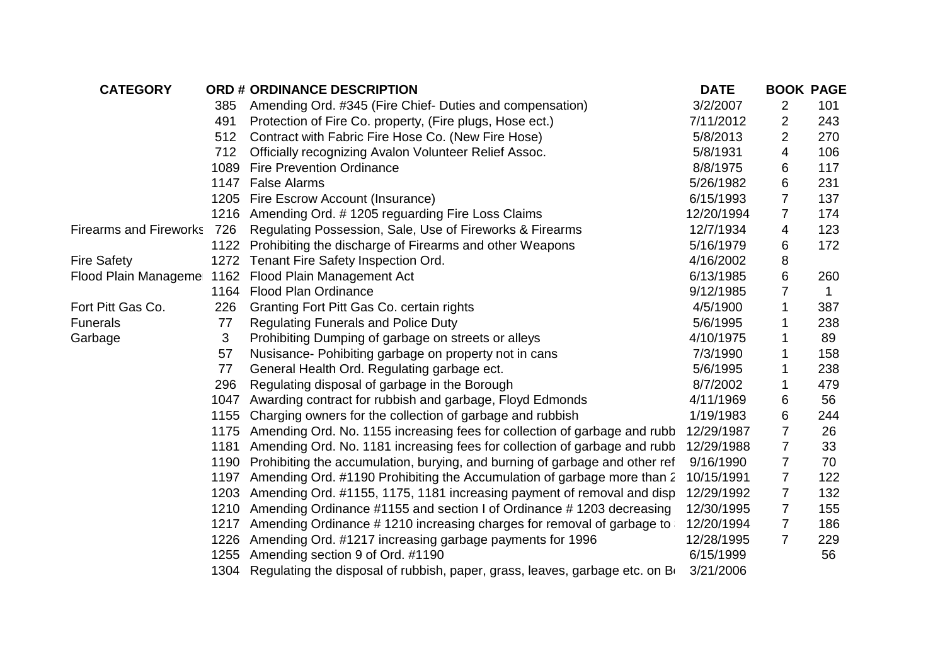| <b>CATEGORY</b>               |      | <b>ORD # ORDINANCE DESCRIPTION</b>                                                | <b>DATE</b> | <b>BOOK PAGE</b> |     |
|-------------------------------|------|-----------------------------------------------------------------------------------|-------------|------------------|-----|
|                               | 385  | Amending Ord. #345 (Fire Chief- Duties and compensation)                          | 3/2/2007    | $\overline{2}$   | 101 |
|                               | 491  | Protection of Fire Co. property, (Fire plugs, Hose ect.)                          | 7/11/2012   | $\overline{c}$   | 243 |
|                               | 512  | Contract with Fabric Fire Hose Co. (New Fire Hose)                                | 5/8/2013    | $\overline{2}$   | 270 |
|                               | 712  | Officially recognizing Avalon Volunteer Relief Assoc.                             | 5/8/1931    | 4                | 106 |
|                               | 1089 | <b>Fire Prevention Ordinance</b>                                                  | 8/8/1975    | 6                | 117 |
|                               | 1147 | <b>False Alarms</b>                                                               | 5/26/1982   | 6                | 231 |
|                               | 1205 | Fire Escrow Account (Insurance)                                                   | 6/15/1993   | $\overline{7}$   | 137 |
|                               | 1216 | Amending Ord. #1205 reguarding Fire Loss Claims                                   | 12/20/1994  | 7                | 174 |
| <b>Firearms and Fireworks</b> | 726  | Regulating Possession, Sale, Use of Fireworks & Firearms                          | 12/7/1934   | 4                | 123 |
|                               | 1122 | Prohibiting the discharge of Firearms and other Weapons                           | 5/16/1979   | 6                | 172 |
| <b>Fire Safety</b>            | 1272 | Tenant Fire Safety Inspection Ord.                                                | 4/16/2002   | 8                |     |
| <b>Flood Plain Manageme</b>   | 1162 | Flood Plain Management Act                                                        | 6/13/1985   | 6                | 260 |
|                               | 1164 | <b>Flood Plan Ordinance</b>                                                       | 9/12/1985   | $\overline{7}$   | 1   |
| Fort Pitt Gas Co.             | 226  | Granting Fort Pitt Gas Co. certain rights                                         | 4/5/1900    | 1                | 387 |
| <b>Funerals</b>               | 77   | <b>Regulating Funerals and Police Duty</b>                                        | 5/6/1995    |                  | 238 |
| Garbage                       | 3    | Prohibiting Dumping of garbage on streets or alleys                               | 4/10/1975   | 1                | 89  |
|                               | 57   | Nusisance- Pohibiting garbage on property not in cans                             | 7/3/1990    | 1                | 158 |
|                               | 77   | General Health Ord. Regulating garbage ect.                                       | 5/6/1995    | 1                | 238 |
|                               | 296  | Regulating disposal of garbage in the Borough                                     | 8/7/2002    | 1                | 479 |
|                               | 1047 | Awarding contract for rubbish and garbage, Floyd Edmonds                          | 4/11/1969   | 6                | 56  |
|                               | 1155 | Charging owners for the collection of garbage and rubbish                         | 1/19/1983   | 6                | 244 |
|                               | 1175 | Amending Ord. No. 1155 increasing fees for collection of garbage and rubb         | 12/29/1987  | 7                | 26  |
|                               | 1181 | Amending Ord. No. 1181 increasing fees for collection of garbage and rubb         | 12/29/1988  | $\overline{7}$   | 33  |
|                               | 1190 | Prohibiting the accumulation, burying, and burning of garbage and other ref       | 9/16/1990   | $\overline{7}$   | 70  |
|                               | 1197 | Amending Ord. #1190 Prohibiting the Accumulation of garbage more than 2           | 10/15/1991  | $\overline{7}$   | 122 |
|                               | 1203 | Amending Ord. #1155, 1175, 1181 increasing payment of removal and disp            | 12/29/1992  | $\overline{7}$   | 132 |
|                               | 1210 | Amending Ordinance #1155 and section I of Ordinance #1203 decreasing              | 12/30/1995  | $\overline{7}$   | 155 |
|                               | 1217 | Amending Ordinance #1210 increasing charges for removal of garbage to             | 12/20/1994  | $\overline{7}$   | 186 |
|                               | 1226 | Amending Ord. #1217 increasing garbage payments for 1996                          | 12/28/1995  | $\overline{7}$   | 229 |
|                               | 1255 | Amending section 9 of Ord. #1190                                                  | 6/15/1999   |                  | 56  |
|                               |      | 1304 Regulating the disposal of rubbish, paper, grass, leaves, garbage etc. on Bo | 3/21/2006   |                  |     |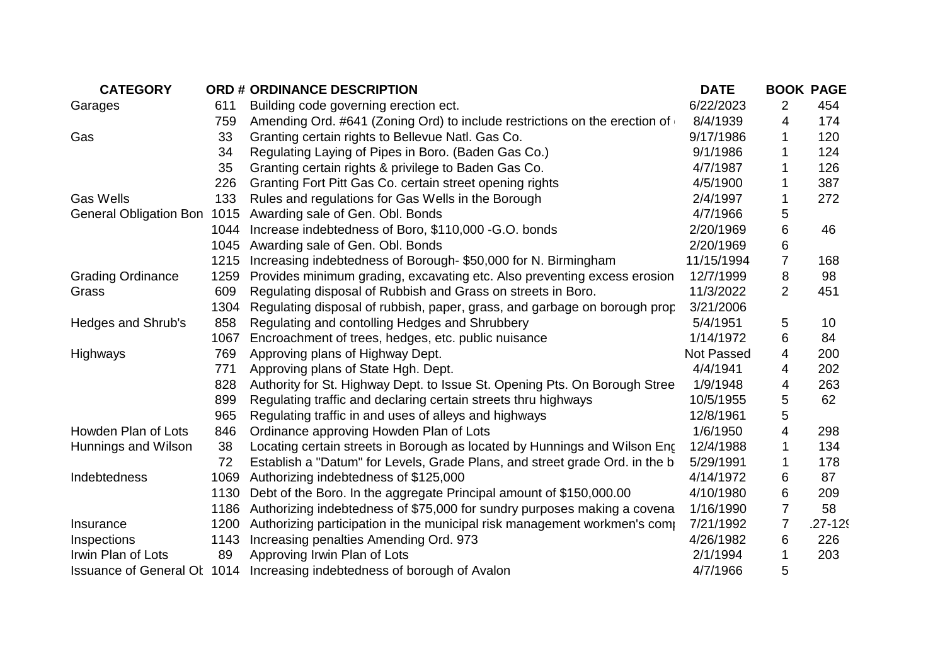| <b>CATEGORY</b>          |      | <b>ORD # ORDINANCE DESCRIPTION</b>                                             | <b>DATE</b>       |                | <b>BOOK PAGE</b> |  |
|--------------------------|------|--------------------------------------------------------------------------------|-------------------|----------------|------------------|--|
| Garages                  | 611  | Building code governing erection ect.                                          | 6/22/2023         | 2              | 454              |  |
|                          | 759  | Amending Ord. #641 (Zoning Ord) to include restrictions on the erection of     | 8/4/1939          | 4              | 174              |  |
| Gas                      | 33   | Granting certain rights to Bellevue Natl. Gas Co.                              | 9/17/1986         |                | 120              |  |
|                          | 34   | Regulating Laying of Pipes in Boro. (Baden Gas Co.)                            | 9/1/1986          |                | 124              |  |
|                          | 35   | Granting certain rights & privilege to Baden Gas Co.                           | 4/7/1987          |                | 126              |  |
|                          | 226  | Granting Fort Pitt Gas Co. certain street opening rights                       | 4/5/1900          |                | 387              |  |
| <b>Gas Wells</b>         | 133  | Rules and regulations for Gas Wells in the Borough                             | 2/4/1997          |                | 272              |  |
|                          |      | General Obligation Bon 1015 Awarding sale of Gen. Obl. Bonds                   | 4/7/1966          | 5              |                  |  |
|                          |      | 1044 Increase indebtedness of Boro, \$110,000 - G.O. bonds                     | 2/20/1969         | 6              | 46               |  |
|                          |      | 1045 Awarding sale of Gen. Obl. Bonds                                          | 2/20/1969         | 6              |                  |  |
|                          |      | 1215 Increasing indebtedness of Borough-\$50,000 for N. Birmingham             | 11/15/1994        | 7              | 168              |  |
| <b>Grading Ordinance</b> | 1259 | Provides minimum grading, excavating etc. Also preventing excess erosion       | 12/7/1999         | 8              | 98               |  |
| Grass                    | 609  | Regulating disposal of Rubbish and Grass on streets in Boro.                   | 11/3/2022         | $\overline{2}$ | 451              |  |
|                          |      | 1304 Regulating disposal of rubbish, paper, grass, and garbage on borough prop | 3/21/2006         |                |                  |  |
| Hedges and Shrub's       | 858  | Regulating and contolling Hedges and Shrubbery                                 | 5/4/1951          | 5              | 10               |  |
|                          | 1067 | Encroachment of trees, hedges, etc. public nuisance                            | 1/14/1972         | 6              | 84               |  |
| <b>Highways</b>          | 769  | Approving plans of Highway Dept.                                               | <b>Not Passed</b> | 4              | 200              |  |
|                          | 771  | Approving plans of State Hgh. Dept.                                            | 4/4/1941          | 4              | 202              |  |
|                          | 828  | Authority for St. Highway Dept. to Issue St. Opening Pts. On Borough Stree     | 1/9/1948          | 4              | 263              |  |
|                          | 899  | Regulating traffic and declaring certain streets thru highways                 | 10/5/1955         | 5              | 62               |  |
|                          | 965  | Regulating traffic in and uses of alleys and highways                          | 12/8/1961         | 5              |                  |  |
| Howden Plan of Lots      | 846  | Ordinance approving Howden Plan of Lots                                        | 1/6/1950          | 4              | 298              |  |
| Hunnings and Wilson      | 38   | Locating certain streets in Borough as located by Hunnings and Wilson Enc      | 12/4/1988         | 1              | 134              |  |
|                          | 72   | Establish a "Datum" for Levels, Grade Plans, and street grade Ord. in the b    | 5/29/1991         | 1              | 178              |  |
| Indebtedness             | 1069 | Authorizing indebtedness of \$125,000                                          | 4/14/1972         | 6              | 87               |  |
|                          |      | 1130 Debt of the Boro. In the aggregate Principal amount of \$150,000.00       | 4/10/1980         | 6              | 209              |  |
|                          |      | 1186 Authorizing indebtedness of \$75,000 for sundry purposes making a covena  | 1/16/1990         | 7              | 58               |  |
| Insurance                |      | 1200 Authorizing participation in the municipal risk management workmen's comp | 7/21/1992         | $\overline{7}$ | $ 27 - 12$       |  |
| Inspections              |      | 1143 Increasing penalties Amending Ord. 973                                    | 4/26/1982         | 6              | 226              |  |
| Irwin Plan of Lots       | 89   | Approving Irwin Plan of Lots                                                   | 2/1/1994          |                | 203              |  |
|                          |      | Issuance of General Ot 1014 Increasing indebtedness of borough of Avalon       | 4/7/1966          | 5              |                  |  |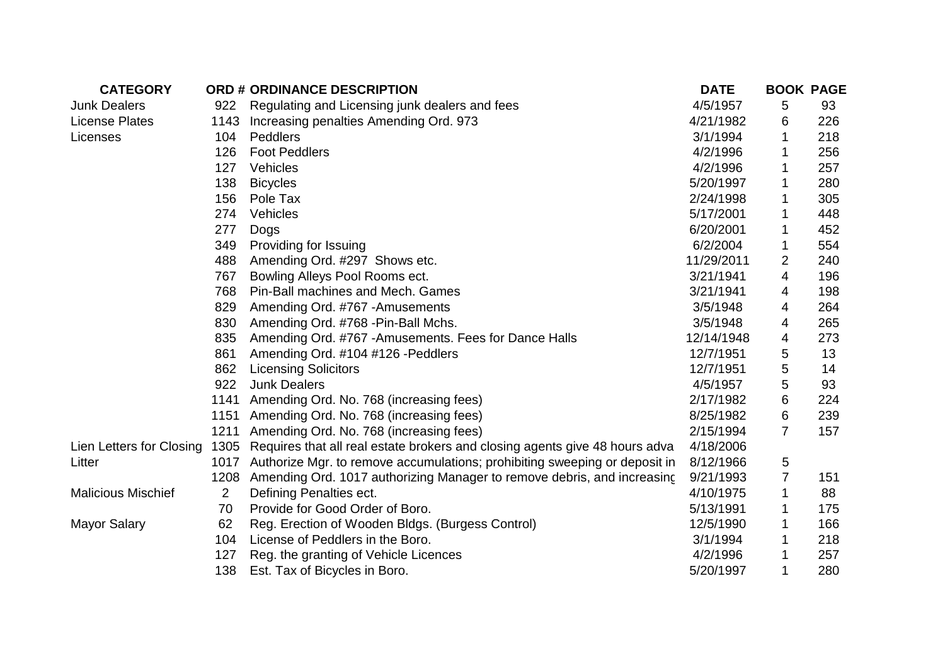| <b>CATEGORY</b>           |                | <b>ORD # ORDINANCE DESCRIPTION</b>                                           | <b>DATE</b> | <b>BOOK PAGE</b> |     |
|---------------------------|----------------|------------------------------------------------------------------------------|-------------|------------------|-----|
| <b>Junk Dealers</b>       | 922            | Regulating and Licensing junk dealers and fees                               | 4/5/1957    | 5                | 93  |
| <b>License Plates</b>     |                | 1143 Increasing penalties Amending Ord. 973                                  | 4/21/1982   | 6                | 226 |
| Licenses                  | 104            | Peddlers                                                                     | 3/1/1994    | 1                | 218 |
|                           | 126            | <b>Foot Peddlers</b>                                                         | 4/2/1996    |                  | 256 |
|                           | 127            | Vehicles                                                                     | 4/2/1996    | 1                | 257 |
|                           | 138            | <b>Bicycles</b>                                                              | 5/20/1997   | 1                | 280 |
|                           | 156            | Pole Tax                                                                     | 2/24/1998   | 1                | 305 |
|                           | 274            | Vehicles                                                                     | 5/17/2001   | 1                | 448 |
|                           | 277            | Dogs                                                                         | 6/20/2001   | 1                | 452 |
|                           | 349            | Providing for Issuing                                                        | 6/2/2004    | 1                | 554 |
|                           | 488            | Amending Ord. #297 Shows etc.                                                | 11/29/2011  | 2                | 240 |
|                           | 767            | Bowling Alleys Pool Rooms ect.                                               | 3/21/1941   | 4                | 196 |
|                           | 768            | Pin-Ball machines and Mech. Games                                            | 3/21/1941   | 4                | 198 |
|                           | 829            | Amending Ord. #767 - Amusements                                              | 3/5/1948    | 4                | 264 |
|                           | 830            | Amending Ord. #768 - Pin-Ball Mchs.                                          | 3/5/1948    | 4                | 265 |
|                           | 835            | Amending Ord. #767 - Amusements. Fees for Dance Halls                        | 12/14/1948  | 4                | 273 |
|                           | 861            | Amending Ord. #104 #126 - Peddlers                                           | 12/7/1951   | 5                | 13  |
|                           | 862            | <b>Licensing Solicitors</b>                                                  | 12/7/1951   | 5                | 14  |
|                           | 922            | <b>Junk Dealers</b>                                                          | 4/5/1957    | 5                | 93  |
|                           | 1141           | Amending Ord. No. 768 (increasing fees)                                      | 2/17/1982   | 6                | 224 |
|                           | 1151           | Amending Ord. No. 768 (increasing fees)                                      | 8/25/1982   | 6                | 239 |
|                           | 1211           | Amending Ord. No. 768 (increasing fees)                                      | 2/15/1994   | $\overline{7}$   | 157 |
| Lien Letters for Closing  | 1305           | Requires that all real estate brokers and closing agents give 48 hours adval | 4/18/2006   |                  |     |
| Litter                    | 1017           | Authorize Mgr. to remove accumulations; prohibiting sweeping or deposit in   | 8/12/1966   | 5                |     |
|                           | 1208           | Amending Ord. 1017 authorizing Manager to remove debris, and increasing      | 9/21/1993   | 7                | 151 |
| <b>Malicious Mischief</b> | $\overline{2}$ | Defining Penalties ect.                                                      | 4/10/1975   | 1                | 88  |
|                           | 70             | Provide for Good Order of Boro.                                              | 5/13/1991   |                  | 175 |
| <b>Mayor Salary</b>       | 62             | Reg. Erection of Wooden Bldgs. (Burgess Control)                             | 12/5/1990   |                  | 166 |
|                           | 104            | License of Peddlers in the Boro.                                             | 3/1/1994    | 1                | 218 |
|                           | 127            | Reg. the granting of Vehicle Licences                                        | 4/2/1996    | 1                | 257 |
|                           | 138            | Est. Tax of Bicycles in Boro.                                                | 5/20/1997   | 1                | 280 |
|                           |                |                                                                              |             |                  |     |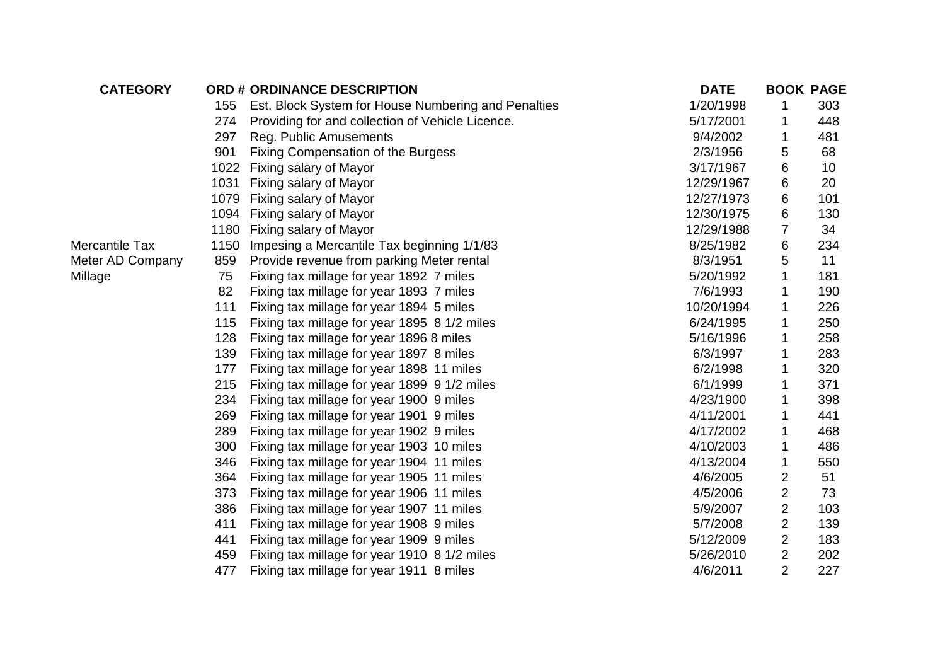| <b>CATEGORY</b>  |      | <b>ORD # ORDINANCE DESCRIPTION</b>                  | <b>DATE</b> |                | <b>BOOK PAGE</b> |
|------------------|------|-----------------------------------------------------|-------------|----------------|------------------|
|                  | 155  | Est. Block System for House Numbering and Penalties | 1/20/1998   | 1              | 303              |
|                  | 274  | Providing for and collection of Vehicle Licence.    | 5/17/2001   |                | 448              |
|                  | 297  | <b>Reg. Public Amusements</b>                       | 9/4/2002    |                | 481              |
|                  | 901  | <b>Fixing Compensation of the Burgess</b>           | 2/3/1956    | 5              | 68               |
|                  | 1022 | Fixing salary of Mayor                              | 3/17/1967   | 6              | 10               |
|                  | 1031 | Fixing salary of Mayor                              | 12/29/1967  | 6              | 20               |
|                  | 1079 | Fixing salary of Mayor                              | 12/27/1973  | 6              | 101              |
|                  | 1094 | Fixing salary of Mayor                              | 12/30/1975  | 6              | 130              |
|                  | 1180 | Fixing salary of Mayor                              | 12/29/1988  | 7              | 34               |
| Mercantile Tax   | 1150 | Impesing a Mercantile Tax beginning 1/1/83          | 8/25/1982   | 6              | 234              |
| Meter AD Company | 859  | Provide revenue from parking Meter rental           | 8/3/1951    | 5              | 11               |
| Millage          | 75   | Fixing tax millage for year 1892 7 miles            | 5/20/1992   |                | 181              |
|                  | 82   | Fixing tax millage for year 1893 7 miles            | 7/6/1993    |                | 190              |
|                  | 111  | Fixing tax millage for year 1894 5 miles            | 10/20/1994  |                | 226              |
|                  | 115  | Fixing tax millage for year 1895 8 1/2 miles        | 6/24/1995   |                | 250              |
|                  | 128  | Fixing tax millage for year 1896 8 miles            | 5/16/1996   |                | 258              |
|                  | 139  | Fixing tax millage for year 1897 8 miles            | 6/3/1997    | 1              | 283              |
|                  | 177  | Fixing tax millage for year 1898 11 miles           | 6/2/1998    | 1              | 320              |
|                  | 215  | Fixing tax millage for year 1899 9 1/2 miles        | 6/1/1999    |                | 371              |
|                  | 234  | Fixing tax millage for year 1900 9 miles            | 4/23/1900   |                | 398              |
|                  | 269  | Fixing tax millage for year 1901 9 miles            | 4/11/2001   |                | 441              |
|                  | 289  | Fixing tax millage for year 1902 9 miles            | 4/17/2002   |                | 468              |
|                  | 300  | Fixing tax millage for year 1903 10 miles           | 4/10/2003   | 1              | 486              |
|                  | 346  | Fixing tax millage for year 1904 11 miles           | 4/13/2004   |                | 550              |
|                  | 364  | Fixing tax millage for year 1905 11 miles           | 4/6/2005    | 2              | 51               |
|                  | 373  | Fixing tax millage for year 1906 11 miles           | 4/5/2006    | $\overline{2}$ | 73               |
|                  | 386  | Fixing tax millage for year 1907 11 miles           | 5/9/2007    | 2              | 103              |
|                  | 411  | Fixing tax millage for year 1908 9 miles            | 5/7/2008    | 2              | 139              |
|                  | 441  | Fixing tax millage for year 1909 9 miles            | 5/12/2009   | 2              | 183              |
|                  | 459  | Fixing tax millage for year 1910 8 1/2 miles        | 5/26/2010   | $\overline{2}$ | 202              |
|                  | 477  | Fixing tax millage for year 1911 8 miles            | 4/6/2011    | $\overline{2}$ | 227              |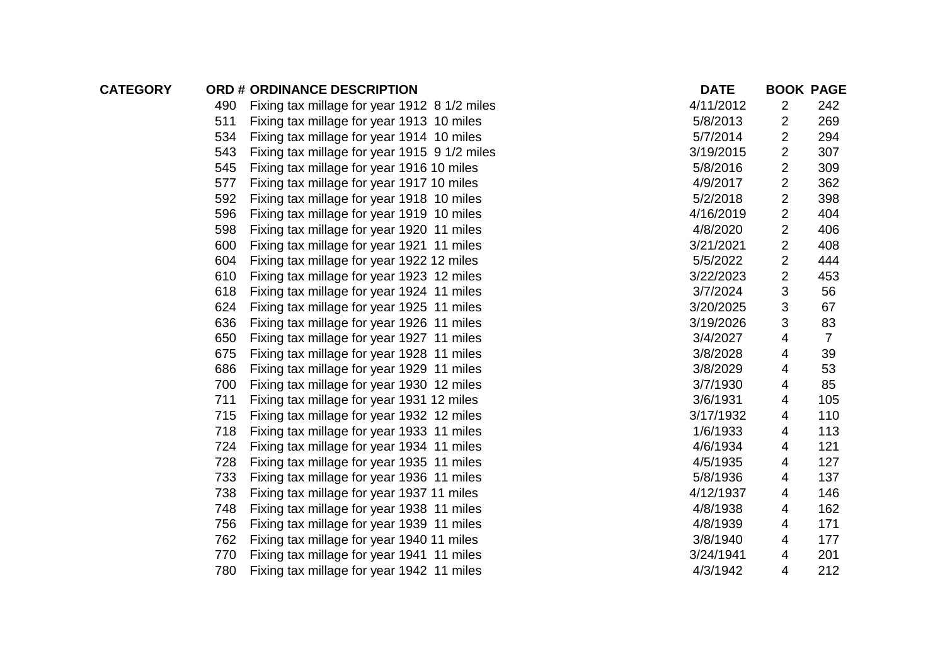| <b>CATEGORY</b> |     | <b>ORD # ORDINANCE DESCRIPTION</b>           | <b>DATE</b> |                | <b>BOOK PAGE</b> |
|-----------------|-----|----------------------------------------------|-------------|----------------|------------------|
|                 | 490 | Fixing tax millage for year 1912 8 1/2 miles | 4/11/2012   | 2              | 242              |
|                 | 511 | Fixing tax millage for year 1913 10 miles    | 5/8/2013    | 2              | 269              |
|                 | 534 | Fixing tax millage for year 1914 10 miles    | 5/7/2014    | 2              | 294              |
|                 | 543 | Fixing tax millage for year 1915 9 1/2 miles | 3/19/2015   | $\overline{2}$ | 307              |
|                 | 545 | Fixing tax millage for year 1916 10 miles    | 5/8/2016    | $\overline{2}$ | 309              |
|                 | 577 | Fixing tax millage for year 1917 10 miles    | 4/9/2017    | $\overline{2}$ | 362              |
|                 | 592 | Fixing tax millage for year 1918 10 miles    | 5/2/2018    | 2              | 398              |
|                 | 596 | Fixing tax millage for year 1919 10 miles    | 4/16/2019   | $\overline{2}$ | 404              |
|                 | 598 | Fixing tax millage for year 1920 11 miles    | 4/8/2020    | $\overline{2}$ | 406              |
|                 | 600 | Fixing tax millage for year 1921 11 miles    | 3/21/2021   | $\overline{2}$ | 408              |
|                 | 604 | Fixing tax millage for year 1922 12 miles    | 5/5/2022    | $\overline{2}$ | 444              |
|                 | 610 | Fixing tax millage for year 1923 12 miles    | 3/22/2023   | $\overline{2}$ | 453              |
|                 | 618 | Fixing tax millage for year 1924 11 miles    | 3/7/2024    | 3              | 56               |
|                 | 624 | Fixing tax millage for year 1925 11 miles    | 3/20/2025   | 3              | 67               |
|                 | 636 | Fixing tax millage for year 1926 11 miles    | 3/19/2026   | 3              | 83               |
|                 | 650 | Fixing tax millage for year 1927 11 miles    | 3/4/2027    | 4              | $\overline{7}$   |
|                 | 675 | Fixing tax millage for year 1928 11 miles    | 3/8/2028    | 4              | 39               |
|                 | 686 | Fixing tax millage for year 1929 11 miles    | 3/8/2029    | 4              | 53               |
|                 | 700 | Fixing tax millage for year 1930 12 miles    | 3/7/1930    | 4              | 85               |
|                 | 711 | Fixing tax millage for year 1931 12 miles    | 3/6/1931    | 4              | 105              |
|                 | 715 | Fixing tax millage for year 1932 12 miles    | 3/17/1932   | 4              | 110              |
|                 | 718 | Fixing tax millage for year 1933 11 miles    | 1/6/1933    | 4              | 113              |
|                 | 724 | Fixing tax millage for year 1934 11 miles    | 4/6/1934    | 4              | 121              |
|                 | 728 | Fixing tax millage for year 1935 11 miles    | 4/5/1935    | 4              | 127              |
|                 | 733 | Fixing tax millage for year 1936 11 miles    | 5/8/1936    | 4              | 137              |
|                 | 738 | Fixing tax millage for year 1937 11 miles    | 4/12/1937   | 4              | 146              |
|                 | 748 | Fixing tax millage for year 1938 11 miles    | 4/8/1938    | 4              | 162              |
|                 | 756 | Fixing tax millage for year 1939 11 miles    | 4/8/1939    | 4              | 171              |
|                 | 762 | Fixing tax millage for year 1940 11 miles    | 3/8/1940    | 4              | 177              |
|                 | 770 | Fixing tax millage for year 1941 11 miles    | 3/24/1941   | 4              | 201              |
|                 | 780 | Fixing tax millage for year 1942 11 miles    | 4/3/1942    | 4              | 212              |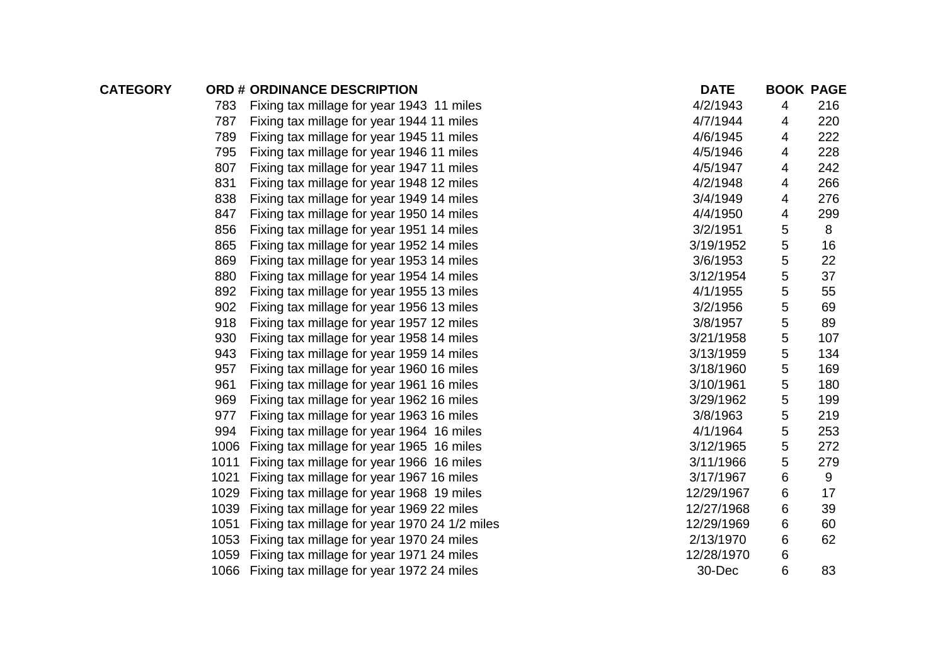| <b>CATEGORY</b> |      | <b>ORD # ORDINANCE DESCRIPTION</b>             | <b>DATE</b> | <b>BOOK PAGE</b> |     |
|-----------------|------|------------------------------------------------|-------------|------------------|-----|
|                 | 783  | Fixing tax millage for year 1943 11 miles      | 4/2/1943    | 4                | 216 |
|                 | 787  | Fixing tax millage for year 1944 11 miles      | 4/7/1944    | 4                | 220 |
|                 | 789  | Fixing tax millage for year 1945 11 miles      | 4/6/1945    | 4                | 222 |
|                 | 795  | Fixing tax millage for year 1946 11 miles      | 4/5/1946    | 4                | 228 |
|                 | 807  | Fixing tax millage for year 1947 11 miles      | 4/5/1947    | 4                | 242 |
|                 | 831  | Fixing tax millage for year 1948 12 miles      | 4/2/1948    | 4                | 266 |
|                 | 838  | Fixing tax millage for year 1949 14 miles      | 3/4/1949    | 4                | 276 |
|                 | 847  | Fixing tax millage for year 1950 14 miles      | 4/4/1950    | 4                | 299 |
|                 | 856  | Fixing tax millage for year 1951 14 miles      | 3/2/1951    | 5                | 8   |
|                 | 865  | Fixing tax millage for year 1952 14 miles      | 3/19/1952   | 5                | 16  |
|                 | 869  | Fixing tax millage for year 1953 14 miles      | 3/6/1953    | 5                | 22  |
|                 | 880  | Fixing tax millage for year 1954 14 miles      | 3/12/1954   | 5                | 37  |
|                 | 892  | Fixing tax millage for year 1955 13 miles      | 4/1/1955    | 5                | 55  |
|                 | 902  | Fixing tax millage for year 1956 13 miles      | 3/2/1956    | 5                | 69  |
|                 | 918  | Fixing tax millage for year 1957 12 miles      | 3/8/1957    | 5                | 89  |
|                 | 930  | Fixing tax millage for year 1958 14 miles      | 3/21/1958   | 5                | 107 |
|                 | 943  | Fixing tax millage for year 1959 14 miles      | 3/13/1959   | 5                | 134 |
|                 | 957  | Fixing tax millage for year 1960 16 miles      | 3/18/1960   | 5                | 169 |
|                 | 961  | Fixing tax millage for year 1961 16 miles      | 3/10/1961   | 5                | 180 |
|                 | 969  | Fixing tax millage for year 1962 16 miles      | 3/29/1962   | 5                | 199 |
|                 | 977  | Fixing tax millage for year 1963 16 miles      | 3/8/1963    | 5                | 219 |
|                 | 994  | Fixing tax millage for year 1964 16 miles      | 4/1/1964    | 5                | 253 |
|                 | 1006 | Fixing tax millage for year 1965 16 miles      | 3/12/1965   | 5                | 272 |
|                 | 1011 | Fixing tax millage for year 1966 16 miles      | 3/11/1966   | 5                | 279 |
|                 | 1021 | Fixing tax millage for year 1967 16 miles      | 3/17/1967   | 6                | 9   |
|                 | 1029 | Fixing tax millage for year 1968 19 miles      | 12/29/1967  | 6                | 17  |
|                 |      | 1039 Fixing tax millage for year 1969 22 miles | 12/27/1968  | 6                | 39  |
|                 | 1051 | Fixing tax millage for year 1970 24 1/2 miles  | 12/29/1969  | 6                | 60  |
|                 | 1053 | Fixing tax millage for year 1970 24 miles      | 2/13/1970   | 6                | 62  |
|                 | 1059 | Fixing tax millage for year 1971 24 miles      | 12/28/1970  | 6                |     |
|                 | 1066 | Fixing tax millage for year 1972 24 miles      | 30-Dec      | 6                | 83  |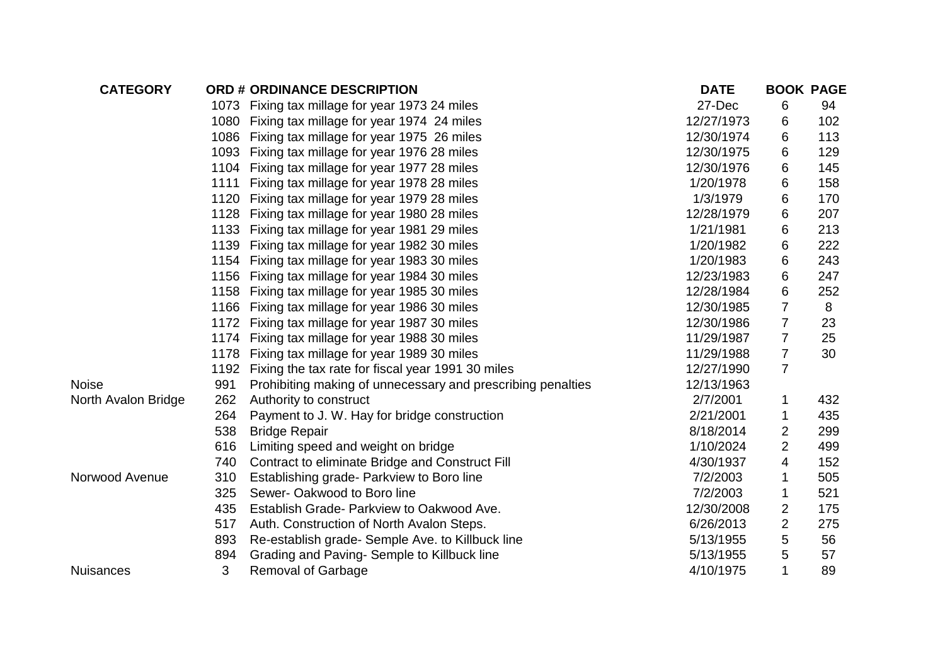| <b>CATEGORY</b>     |      | <b>ORD # ORDINANCE DESCRIPTION</b>                          | <b>DATE</b> | <b>BOOK PAGE</b> |     |
|---------------------|------|-------------------------------------------------------------|-------------|------------------|-----|
|                     | 1073 | Fixing tax millage for year 1973 24 miles                   | 27-Dec      | 6                | 94  |
|                     | 1080 | Fixing tax millage for year 1974 24 miles                   | 12/27/1973  | 6                | 102 |
|                     | 1086 | Fixing tax millage for year 1975 26 miles                   | 12/30/1974  | 6                | 113 |
|                     | 1093 | Fixing tax millage for year 1976 28 miles                   | 12/30/1975  | 6                | 129 |
|                     | 1104 | Fixing tax millage for year 1977 28 miles                   | 12/30/1976  | 6                | 145 |
|                     | 1111 | Fixing tax millage for year 1978 28 miles                   | 1/20/1978   | 6                | 158 |
|                     | 1120 | Fixing tax millage for year 1979 28 miles                   | 1/3/1979    | 6                | 170 |
|                     | 1128 | Fixing tax millage for year 1980 28 miles                   | 12/28/1979  | 6                | 207 |
|                     | 1133 | Fixing tax millage for year 1981 29 miles                   | 1/21/1981   | 6                | 213 |
|                     | 1139 | Fixing tax millage for year 1982 30 miles                   | 1/20/1982   | 6                | 222 |
|                     | 1154 | Fixing tax millage for year 1983 30 miles                   | 1/20/1983   | 6                | 243 |
|                     | 1156 | Fixing tax millage for year 1984 30 miles                   | 12/23/1983  | 6                | 247 |
|                     | 1158 | Fixing tax millage for year 1985 30 miles                   | 12/28/1984  | 6                | 252 |
|                     | 1166 | Fixing tax millage for year 1986 30 miles                   | 12/30/1985  | $\overline{7}$   | 8   |
|                     | 1172 | Fixing tax millage for year 1987 30 miles                   | 12/30/1986  | 7                | 23  |
|                     | 1174 | Fixing tax millage for year 1988 30 miles                   | 11/29/1987  | 7                | 25  |
|                     | 1178 | Fixing tax millage for year 1989 30 miles                   | 11/29/1988  | 7                | 30  |
|                     | 1192 | Fixing the tax rate for fiscal year 1991 30 miles           | 12/27/1990  | $\overline{7}$   |     |
| Noise               | 991  | Prohibiting making of unnecessary and prescribing penalties | 12/13/1963  |                  |     |
| North Avalon Bridge | 262  | Authority to construct                                      | 2/7/2001    | 1                | 432 |
|                     | 264  | Payment to J. W. Hay for bridge construction                | 2/21/2001   |                  | 435 |
|                     | 538  | <b>Bridge Repair</b>                                        | 8/18/2014   | 2                | 299 |
|                     | 616  | Limiting speed and weight on bridge                         | 1/10/2024   | $\overline{2}$   | 499 |
|                     | 740  | Contract to eliminate Bridge and Construct Fill             | 4/30/1937   | 4                | 152 |
| Norwood Avenue      | 310  | Establishing grade- Parkview to Boro line                   | 7/2/2003    |                  | 505 |
|                     | 325  | Sewer- Oakwood to Boro line                                 | 7/2/2003    | 1                | 521 |
|                     | 435  | Establish Grade- Parkview to Oakwood Ave.                   | 12/30/2008  | $\overline{2}$   | 175 |
|                     | 517  | Auth. Construction of North Avalon Steps.                   | 6/26/2013   | $\overline{2}$   | 275 |
|                     | 893  | Re-establish grade- Semple Ave. to Killbuck line            | 5/13/1955   | 5                | 56  |
|                     | 894  | Grading and Paving-Semple to Killbuck line                  | 5/13/1955   | 5                | 57  |
| Nuisances           | 3    | <b>Removal of Garbage</b>                                   | 4/10/1975   | 1                | 89  |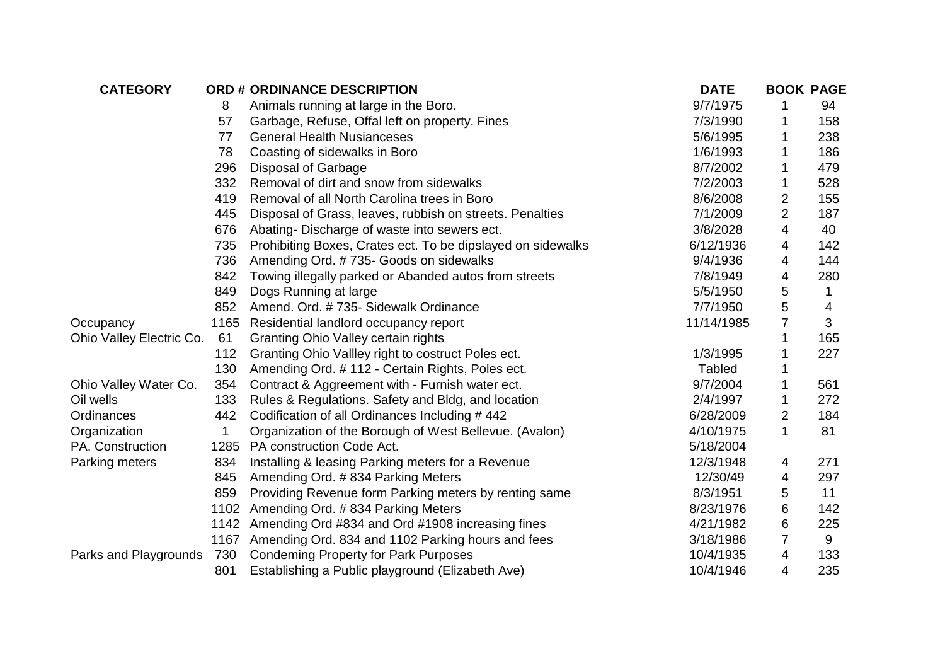| <b>CATEGORY</b>          |      | <b>ORD # ORDINANCE DESCRIPTION</b>                          | <b>DATE</b>   |                | <b>BOOK PAGE</b> |
|--------------------------|------|-------------------------------------------------------------|---------------|----------------|------------------|
|                          | 8    | Animals running at large in the Boro.                       | 9/7/1975      |                | 94               |
|                          | 57   | Garbage, Refuse, Offal left on property. Fines              | 7/3/1990      |                | 158              |
|                          | 77   | <b>General Health Nusianceses</b>                           | 5/6/1995      |                | 238              |
|                          | 78   | Coasting of sidewalks in Boro                               | 1/6/1993      |                | 186              |
|                          | 296  | Disposal of Garbage                                         | 8/7/2002      |                | 479              |
|                          | 332  | Removal of dirt and snow from sidewalks                     | 7/2/2003      |                | 528              |
|                          | 419  | Removal of all North Carolina trees in Boro                 | 8/6/2008      | 2              | 155              |
|                          | 445  | Disposal of Grass, leaves, rubbish on streets. Penalties    | 7/1/2009      | $\overline{2}$ | 187              |
|                          | 676  | Abating-Discharge of waste into sewers ect.                 | 3/8/2028      | 4              | 40               |
|                          | 735  | Prohibiting Boxes, Crates ect. To be dipslayed on sidewalks | 6/12/1936     | 4              | 142              |
|                          | 736  | Amending Ord. #735- Goods on sidewalks                      | 9/4/1936      | 4              | 144              |
|                          | 842  | Towing illegally parked or Abanded autos from streets       | 7/8/1949      | 4              | 280              |
|                          | 849  | Dogs Running at large                                       | 5/5/1950      | 5              | 1                |
|                          | 852  | Amend. Ord. #735- Sidewalk Ordinance                        | 7/7/1950      | 5              | 4                |
| Occupancy                | 1165 | Residential landlord occupancy report                       | 11/14/1985    |                | 3                |
| Ohio Valley Electric Co. | 61   | <b>Granting Ohio Valley certain rights</b>                  |               |                | 165              |
|                          | 112  | Granting Ohio Vallley right to costruct Poles ect.          | 1/3/1995      |                | 227              |
|                          | 130  | Amending Ord. #112 - Certain Rights, Poles ect.             | <b>Tabled</b> |                |                  |
| Ohio Valley Water Co.    | 354  | Contract & Aggreement with - Furnish water ect.             | 9/7/2004      |                | 561              |
| Oil wells                | 133  | Rules & Regulations. Safety and Bldg, and location          | 2/4/1997      |                | 272              |
| Ordinances               | 442  | Codification of all Ordinances Including #442               | 6/28/2009     | $\overline{2}$ | 184              |
| Organization             | 1    | Organization of the Borough of West Bellevue. (Avalon)      | 4/10/1975     | 1              | 81               |
| PA. Construction         | 1285 | PA construction Code Act.                                   | 5/18/2004     |                |                  |
| Parking meters           | 834  | Installing & leasing Parking meters for a Revenue           | 12/3/1948     | 4              | 271              |
|                          | 845  | Amending Ord. #834 Parking Meters                           | 12/30/49      | 4              | 297              |
|                          | 859  | Providing Revenue form Parking meters by renting same       | 8/3/1951      | 5              | 11               |
|                          | 1102 | Amending Ord. #834 Parking Meters                           | 8/23/1976     | 6              | 142              |
|                          | 1142 | Amending Ord #834 and Ord #1908 increasing fines            | 4/21/1982     | 6              | 225              |
|                          | 1167 | Amending Ord. 834 and 1102 Parking hours and fees           | 3/18/1986     | 7              | 9                |
| Parks and Playgrounds    | 730  | <b>Condeming Property for Park Purposes</b>                 | 10/4/1935     | 4              | 133              |
|                          | 801  | Establishing a Public playground (Elizabeth Ave)            | 10/4/1946     | 4              | 235              |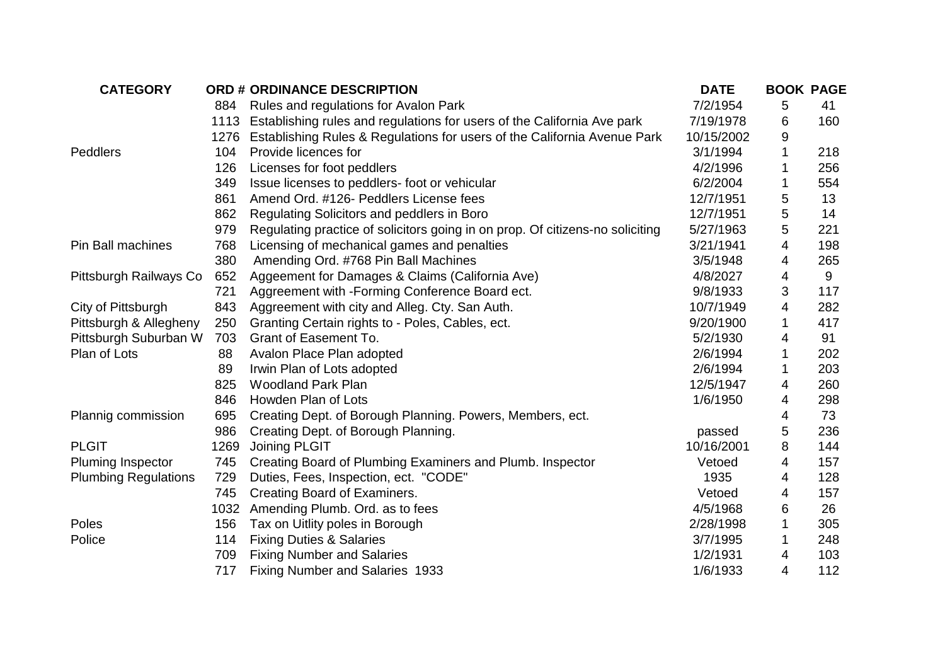| <b>CATEGORY</b>             |      | <b>ORD # ORDINANCE DESCRIPTION</b>                                            | <b>DATE</b> | <b>BOOK PAGE</b> |     |
|-----------------------------|------|-------------------------------------------------------------------------------|-------------|------------------|-----|
|                             | 884  | Rules and regulations for Avalon Park                                         | 7/2/1954    | 5                | 41  |
|                             | 1113 | Establishing rules and regulations for users of the California Ave park       | 7/19/1978   | 6                | 160 |
|                             | 1276 | Establishing Rules & Regulations for users of the California Avenue Park      | 10/15/2002  | 9                |     |
| Peddlers                    | 104  | Provide licences for                                                          | 3/1/1994    |                  | 218 |
|                             | 126  | Licenses for foot peddlers                                                    | 4/2/1996    |                  | 256 |
|                             | 349  | Issue licenses to peddlers- foot or vehicular                                 | 6/2/2004    |                  | 554 |
|                             | 861  | Amend Ord. #126- Peddlers License fees                                        | 12/7/1951   | 5                | 13  |
|                             | 862  | Regulating Solicitors and peddlers in Boro                                    | 12/7/1951   | 5                | 14  |
|                             | 979  | Regulating practice of solicitors going in on prop. Of citizens-no soliciting | 5/27/1963   | 5                | 221 |
| <b>Pin Ball machines</b>    | 768  | Licensing of mechanical games and penalties                                   | 3/21/1941   | 4                | 198 |
|                             | 380  | Amending Ord. #768 Pin Ball Machines                                          | 3/5/1948    | 4                | 265 |
| Pittsburgh Railways Co      | 652  | Aggeement for Damages & Claims (California Ave)                               | 4/8/2027    | 4                | 9   |
|                             | 721  | Aggreement with -Forming Conference Board ect.                                | 9/8/1933    | 3                | 117 |
| City of Pittsburgh          | 843  | Aggreement with city and Alleg. Cty. San Auth.                                | 10/7/1949   | 4                | 282 |
| Pittsburgh & Allegheny      | 250  | Granting Certain rights to - Poles, Cables, ect.                              | 9/20/1900   |                  | 417 |
| Pittsburgh Suburban W       | 703  | <b>Grant of Easement To.</b>                                                  | 5/2/1930    | 4                | 91  |
| Plan of Lots                | 88   | Avalon Place Plan adopted                                                     | 2/6/1994    |                  | 202 |
|                             | 89   | Irwin Plan of Lots adopted                                                    | 2/6/1994    |                  | 203 |
|                             | 825  | <b>Woodland Park Plan</b>                                                     | 12/5/1947   | 4                | 260 |
|                             | 846  | Howden Plan of Lots                                                           | 1/6/1950    | 4                | 298 |
| Plannig commission          | 695  | Creating Dept. of Borough Planning. Powers, Members, ect.                     |             | 4                | 73  |
|                             | 986  | Creating Dept. of Borough Planning.                                           | passed      | 5                | 236 |
| <b>PLGIT</b>                | 1269 | Joining PLGIT                                                                 | 10/16/2001  | 8                | 144 |
| <b>Pluming Inspector</b>    | 745  | Creating Board of Plumbing Examiners and Plumb. Inspector                     | Vetoed      | 4                | 157 |
| <b>Plumbing Regulations</b> | 729  | Duties, Fees, Inspection, ect. "CODE"                                         | 1935        | 4                | 128 |
|                             | 745  | Creating Board of Examiners.                                                  | Vetoed      | 4                | 157 |
|                             | 1032 | Amending Plumb. Ord. as to fees                                               | 4/5/1968    | 6                | 26  |
| Poles                       | 156  | Tax on Uitlity poles in Borough                                               | 2/28/1998   |                  | 305 |
| Police                      | 114  | <b>Fixing Duties &amp; Salaries</b>                                           | 3/7/1995    | 1                | 248 |
|                             | 709  | <b>Fixing Number and Salaries</b>                                             | 1/2/1931    | 4                | 103 |
|                             | 717  | <b>Fixing Number and Salaries 1933</b>                                        | 1/6/1933    | 4                | 112 |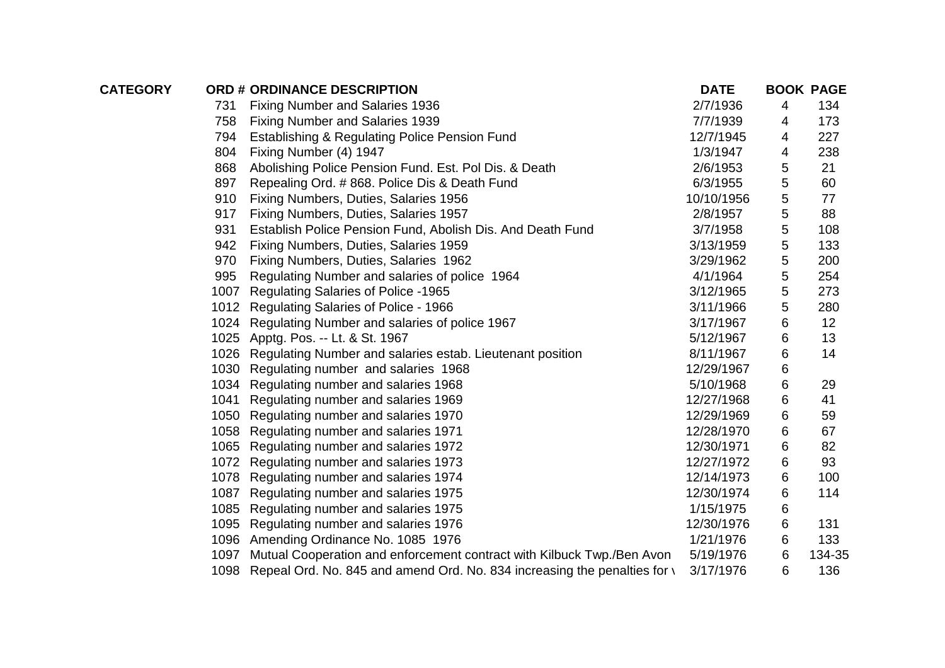| <b>CATEGORY</b> |      | <b>ORD # ORDINANCE DESCRIPTION</b>                                        | <b>DATE</b> |   | <b>BOOK PAGE</b> |
|-----------------|------|---------------------------------------------------------------------------|-------------|---|------------------|
|                 | 731  | <b>Fixing Number and Salaries 1936</b>                                    | 2/7/1936    | 4 | 134              |
|                 | 758  | <b>Fixing Number and Salaries 1939</b>                                    | 7/7/1939    | 4 | 173              |
|                 | 794  | Establishing & Regulating Police Pension Fund                             | 12/7/1945   | 4 | 227              |
|                 | 804  | Fixing Number (4) 1947                                                    | 1/3/1947    | 4 | 238              |
|                 | 868  | Abolishing Police Pension Fund. Est. Pol Dis. & Death                     | 2/6/1953    | 5 | 21               |
|                 | 897  | Repealing Ord. #868. Police Dis & Death Fund                              | 6/3/1955    | 5 | 60               |
|                 | 910  | Fixing Numbers, Duties, Salaries 1956                                     | 10/10/1956  | 5 | 77               |
|                 | 917  | Fixing Numbers, Duties, Salaries 1957                                     | 2/8/1957    | 5 | 88               |
|                 | 931  | Establish Police Pension Fund, Abolish Dis. And Death Fund                | 3/7/1958    | 5 | 108              |
|                 | 942  | Fixing Numbers, Duties, Salaries 1959                                     | 3/13/1959   | 5 | 133              |
|                 | 970  | Fixing Numbers, Duties, Salaries 1962                                     | 3/29/1962   | 5 | 200              |
|                 | 995  | Regulating Number and salaries of police 1964                             | 4/1/1964    | 5 | 254              |
|                 | 1007 | <b>Regulating Salaries of Police -1965</b>                                | 3/12/1965   | 5 | 273              |
|                 |      | 1012 Regulating Salaries of Police - 1966                                 | 3/11/1966   | 5 | 280              |
|                 | 1024 | Regulating Number and salaries of police 1967                             | 3/17/1967   | 6 | 12               |
|                 | 1025 | Apptg. Pos. -- Lt. & St. 1967                                             | 5/12/1967   | 6 | 13               |
|                 | 1026 | Regulating Number and salaries estab. Lieutenant position                 | 8/11/1967   | 6 | 14               |
|                 |      | 1030 Regulating number and salaries 1968                                  | 12/29/1967  | 6 |                  |
|                 |      | 1034 Regulating number and salaries 1968                                  | 5/10/1968   | 6 | 29               |
|                 |      | 1041 Regulating number and salaries 1969                                  | 12/27/1968  | 6 | 41               |
|                 |      | 1050 Regulating number and salaries 1970                                  | 12/29/1969  | 6 | 59               |
|                 |      | 1058 Regulating number and salaries 1971                                  | 12/28/1970  | 6 | 67               |
|                 |      | 1065 Regulating number and salaries 1972                                  | 12/30/1971  | 6 | 82               |
|                 |      | 1072 Regulating number and salaries 1973                                  | 12/27/1972  | 6 | 93               |
|                 |      | 1078 Regulating number and salaries 1974                                  | 12/14/1973  | 6 | 100              |
|                 |      | 1087 Regulating number and salaries 1975                                  | 12/30/1974  | 6 | 114              |
|                 | 1085 | Regulating number and salaries 1975                                       | 1/15/1975   | 6 |                  |
|                 |      | 1095 Regulating number and salaries 1976                                  | 12/30/1976  | 6 | 131              |
|                 |      | 1096 Amending Ordinance No. 1085 1976                                     | 1/21/1976   | 6 | 133              |
|                 | 1097 | Mutual Cooperation and enforcement contract with Kilbuck Twp./Ben Avon    | 5/19/1976   | 6 | 134-35           |
|                 | 1098 | Repeal Ord. No. 845 and amend Ord. No. 834 increasing the penalties for v | 3/17/1976   | 6 | 136              |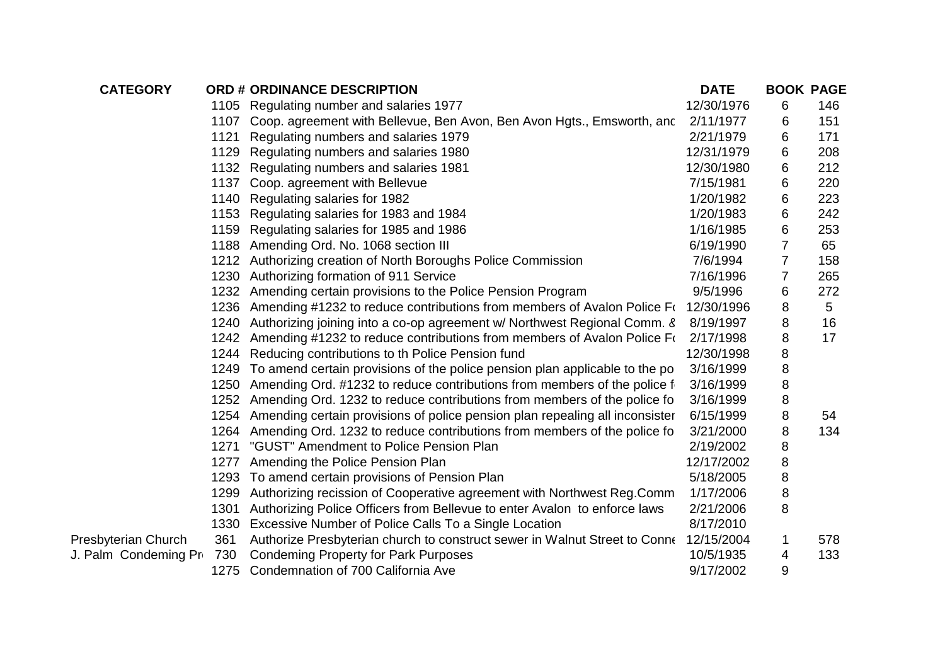| <b>CATEGORY</b>      |      | <b>ORD # ORDINANCE DESCRIPTION</b>                                           | <b>DATE</b> | <b>BOOK PAGE</b> |     |  |
|----------------------|------|------------------------------------------------------------------------------|-------------|------------------|-----|--|
|                      |      | 1105 Regulating number and salaries 1977                                     | 12/30/1976  | 6                | 146 |  |
|                      | 1107 | Coop. agreement with Bellevue, Ben Avon, Ben Avon Hgts., Emsworth, and       | 2/11/1977   | 6                | 151 |  |
|                      | 1121 | Regulating numbers and salaries 1979                                         | 2/21/1979   | 6                | 171 |  |
|                      | 1129 | Regulating numbers and salaries 1980                                         | 12/31/1979  | 6                | 208 |  |
|                      | 1132 | Regulating numbers and salaries 1981                                         | 12/30/1980  | 6                | 212 |  |
|                      |      | 1137 Coop. agreement with Bellevue                                           | 7/15/1981   | 6                | 220 |  |
|                      | 1140 | Regulating salaries for 1982                                                 | 1/20/1982   | 6                | 223 |  |
|                      |      | 1153 Regulating salaries for 1983 and 1984                                   | 1/20/1983   | 6                | 242 |  |
|                      | 1159 | Regulating salaries for 1985 and 1986                                        | 1/16/1985   | 6                | 253 |  |
|                      | 1188 | Amending Ord. No. 1068 section III                                           | 6/19/1990   | 7                | 65  |  |
|                      | 1212 | Authorizing creation of North Boroughs Police Commission                     | 7/6/1994    | 7                | 158 |  |
|                      | 1230 | Authorizing formation of 911 Service                                         | 7/16/1996   |                  | 265 |  |
|                      | 1232 | Amending certain provisions to the Police Pension Program                    | 9/5/1996    | 6                | 272 |  |
|                      | 1236 | Amending #1232 to reduce contributions from members of Avalon Police Form    | 12/30/1996  | 8                | 5   |  |
|                      | 1240 | Authorizing joining into a co-op agreement w/ Northwest Regional Comm. 8     | 8/19/1997   | 8                | 16  |  |
|                      | 1242 | Amending #1232 to reduce contributions from members of Avalon Police Fo      | 2/17/1998   | 8                | 17  |  |
|                      | 1244 | Reducing contributions to th Police Pension fund                             | 12/30/1998  | 8                |     |  |
|                      | 1249 | To amend certain provisions of the police pension plan applicable to the pol | 3/16/1999   | 8                |     |  |
|                      | 1250 | Amending Ord. #1232 to reduce contributions from members of the police for   | 3/16/1999   | 8                |     |  |
|                      | 1252 | Amending Ord. 1232 to reduce contributions from members of the police for    | 3/16/1999   | 8                |     |  |
|                      | 1254 | Amending certain provisions of police pension plan repealing all inconsister | 6/15/1999   | 8                | 54  |  |
|                      | 1264 | Amending Ord. 1232 to reduce contributions from members of the police for    | 3/21/2000   | 8                | 134 |  |
|                      | 1271 | "GUST" Amendment to Police Pension Plan                                      | 2/19/2002   | 8                |     |  |
|                      | 1277 | Amending the Police Pension Plan                                             | 12/17/2002  | 8                |     |  |
|                      | 1293 | To amend certain provisions of Pension Plan                                  | 5/18/2005   | 8                |     |  |
|                      | 1299 | Authorizing recission of Cooperative agreement with Northwest Reg.Comm       | 1/17/2006   | 8                |     |  |
|                      | 1301 | Authorizing Police Officers from Bellevue to enter Avalon to enforce laws    | 2/21/2006   | 8                |     |  |
|                      | 1330 | Excessive Number of Police Calls To a Single Location                        | 8/17/2010   |                  |     |  |
| Presbyterian Church  | 361  | Authorize Presbyterian church to construct sewer in Walnut Street to Conne   | 12/15/2004  | 1                | 578 |  |
| J. Palm Condeming Pr | 730  | <b>Condeming Property for Park Purposes</b>                                  | 10/5/1935   | 4                | 133 |  |
|                      | 1275 | Condemnation of 700 California Ave                                           | 9/17/2002   | 9                |     |  |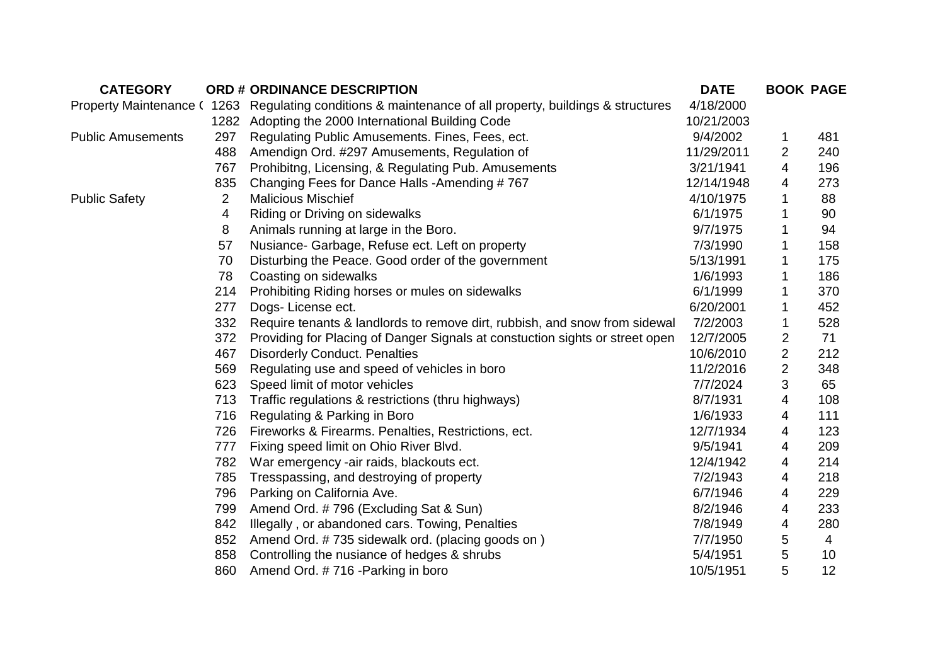| <b>CATEGORY</b>          |     | <b>ORD # ORDINANCE DESCRIPTION</b>                                                                     | <b>DATE</b> | <b>BOOK PAGE</b> |     |
|--------------------------|-----|--------------------------------------------------------------------------------------------------------|-------------|------------------|-----|
|                          |     | Property Maintenance (1263 Regulating conditions & maintenance of all property, buildings & structures | 4/18/2000   |                  |     |
|                          |     | 1282 Adopting the 2000 International Building Code                                                     | 10/21/2003  |                  |     |
| <b>Public Amusements</b> | 297 | Regulating Public Amusements. Fines, Fees, ect.                                                        | 9/4/2002    |                  | 481 |
|                          | 488 | Amendign Ord. #297 Amusements, Regulation of                                                           | 11/29/2011  | 2                | 240 |
|                          | 767 | Prohibitng, Licensing, & Regulating Pub. Amusements                                                    | 3/21/1941   | 4                | 196 |
|                          | 835 | Changing Fees for Dance Halls - Amending #767                                                          | 12/14/1948  | 4                | 273 |
| <b>Public Safety</b>     | 2   | <b>Malicious Mischief</b>                                                                              | 4/10/1975   |                  | 88  |
|                          | 4   | Riding or Driving on sidewalks                                                                         | 6/1/1975    |                  | 90  |
|                          | 8   | Animals running at large in the Boro.                                                                  | 9/7/1975    |                  | 94  |
|                          | 57  | Nusiance- Garbage, Refuse ect. Left on property                                                        | 7/3/1990    |                  | 158 |
|                          | 70  | Disturbing the Peace. Good order of the government                                                     | 5/13/1991   |                  | 175 |
|                          | 78  | Coasting on sidewalks                                                                                  | 1/6/1993    |                  | 186 |
|                          | 214 | Prohibiting Riding horses or mules on sidewalks                                                        | 6/1/1999    |                  | 370 |
|                          | 277 | Dogs-License ect.                                                                                      | 6/20/2001   |                  | 452 |
|                          | 332 | Require tenants & landlords to remove dirt, rubbish, and snow from sidewal                             | 7/2/2003    |                  | 528 |
|                          | 372 | Providing for Placing of Danger Signals at constuction sights or street open                           | 12/7/2005   | 2                | 71  |
|                          | 467 | <b>Disorderly Conduct. Penalties</b>                                                                   | 10/6/2010   | $\overline{2}$   | 212 |
|                          | 569 | Regulating use and speed of vehicles in boro                                                           | 11/2/2016   | $\overline{2}$   | 348 |
|                          | 623 | Speed limit of motor vehicles                                                                          | 7/7/2024    | 3                | 65  |
|                          | 713 | Traffic regulations & restrictions (thru highways)                                                     | 8/7/1931    | 4                | 108 |
|                          | 716 | Regulating & Parking in Boro                                                                           | 1/6/1933    | 4                | 111 |
|                          | 726 | Fireworks & Firearms. Penalties, Restrictions, ect.                                                    | 12/7/1934   | 4                | 123 |
|                          | 777 | Fixing speed limit on Ohio River Blvd.                                                                 | 9/5/1941    | 4                | 209 |
|                          | 782 | War emergency -air raids, blackouts ect.                                                               | 12/4/1942   | 4                | 214 |
|                          | 785 | Tresspassing, and destroying of property                                                               | 7/2/1943    | 4                | 218 |
|                          | 796 | Parking on California Ave.                                                                             | 6/7/1946    | 4                | 229 |
|                          | 799 | Amend Ord. #796 (Excluding Sat & Sun)                                                                  | 8/2/1946    | 4                | 233 |
|                          | 842 | Illegally, or abandoned cars. Towing, Penalties                                                        | 7/8/1949    | 4                | 280 |
|                          | 852 | Amend Ord. #735 sidewalk ord. (placing goods on)                                                       | 7/7/1950    | 5                | 4   |
|                          | 858 | Controlling the nusiance of hedges & shrubs                                                            | 5/4/1951    | 5                | 10  |
|                          | 860 | Amend Ord. #716 - Parking in boro                                                                      | 10/5/1951   | 5                | 12  |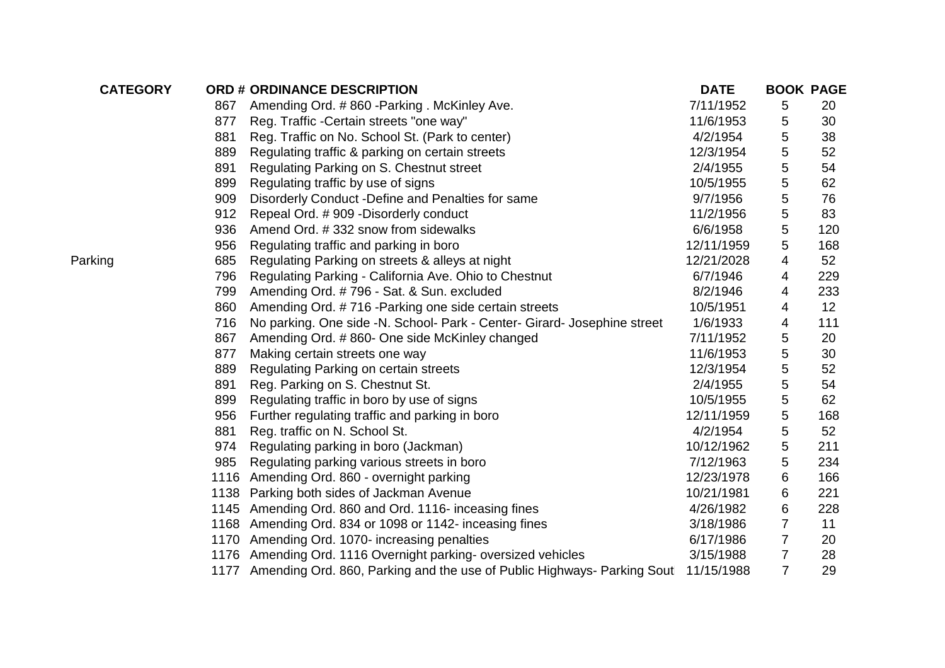| <b>CATEGORY</b> |      | <b>ORD # ORDINANCE DESCRIPTION</b>                                           | <b>DATE</b> |                | <b>BOOK PAGE</b> |  |
|-----------------|------|------------------------------------------------------------------------------|-------------|----------------|------------------|--|
|                 | 867  | Amending Ord. #860 - Parking. McKinley Ave.                                  | 7/11/1952   | 5              | 20               |  |
|                 | 877  | Reg. Traffic - Certain streets "one way"                                     | 11/6/1953   | 5              | 30               |  |
|                 | 881  | Reg. Traffic on No. School St. (Park to center)                              | 4/2/1954    | 5              | 38               |  |
|                 | 889  | Regulating traffic & parking on certain streets                              | 12/3/1954   | 5              | 52               |  |
|                 | 891  | Regulating Parking on S. Chestnut street                                     | 2/4/1955    | 5              | 54               |  |
|                 | 899  | Regulating traffic by use of signs                                           | 10/5/1955   | 5              | 62               |  |
|                 | 909  | Disorderly Conduct - Define and Penalties for same                           | 9/7/1956    | 5              | 76               |  |
|                 | 912  | Repeal Ord. #909 - Disorderly conduct                                        | 11/2/1956   | 5              | 83               |  |
|                 | 936  | Amend Ord. #332 snow from sidewalks                                          | 6/6/1958    | 5              | 120              |  |
|                 | 956  | Regulating traffic and parking in boro                                       | 12/11/1959  | 5              | 168              |  |
| Parking         | 685  | Regulating Parking on streets & alleys at night                              | 12/21/2028  | 4              | 52               |  |
|                 | 796  | Regulating Parking - California Ave. Ohio to Chestnut                        | 6/7/1946    | 4              | 229              |  |
|                 | 799  | Amending Ord. #796 - Sat. & Sun. excluded                                    | 8/2/1946    | 4              | 233              |  |
|                 | 860  | Amending Ord. #716 - Parking one side certain streets                        | 10/5/1951   | 4              | 12               |  |
|                 | 716  | No parking. One side -N. School- Park - Center- Girard- Josephine street     | 1/6/1933    | 4              | 111              |  |
|                 | 867  | Amending Ord. #860- One side McKinley changed                                | 7/11/1952   | 5              | 20               |  |
|                 | 877  | Making certain streets one way                                               | 11/6/1953   | 5              | 30               |  |
|                 | 889  | Regulating Parking on certain streets                                        | 12/3/1954   | 5              | 52               |  |
|                 | 891  | Reg. Parking on S. Chestnut St.                                              | 2/4/1955    | 5              | 54               |  |
|                 | 899  | Regulating traffic in boro by use of signs                                   | 10/5/1955   | 5              | 62               |  |
|                 | 956  | Further regulating traffic and parking in boro                               | 12/11/1959  | 5              | 168              |  |
|                 | 881  | Reg. traffic on N. School St.                                                | 4/2/1954    | 5              | 52               |  |
|                 | 974  | Regulating parking in boro (Jackman)                                         | 10/12/1962  | 5              | 211              |  |
|                 | 985  | Regulating parking various streets in boro                                   | 7/12/1963   | 5              | 234              |  |
|                 |      | 1116 Amending Ord. 860 - overnight parking                                   | 12/23/1978  | 6              | 166              |  |
|                 |      | 1138 Parking both sides of Jackman Avenue                                    | 10/21/1981  | 6              | 221              |  |
|                 | 1145 | Amending Ord. 860 and Ord. 1116- inceasing fines                             | 4/26/1982   | 6              | 228              |  |
|                 |      | 1168 Amending Ord. 834 or 1098 or 1142- inceasing fines                      | 3/18/1986   | 7              | 11               |  |
|                 | 1170 | Amending Ord. 1070- increasing penalties                                     | 6/17/1986   | $\overline{7}$ | 20               |  |
|                 | 1176 | Amending Ord. 1116 Overnight parking- oversized vehicles                     | 3/15/1988   | $\overline{7}$ | 28               |  |
|                 |      | 1177 Amending Ord. 860, Parking and the use of Public Highways- Parking Sout | 11/15/1988  | 7              | 29               |  |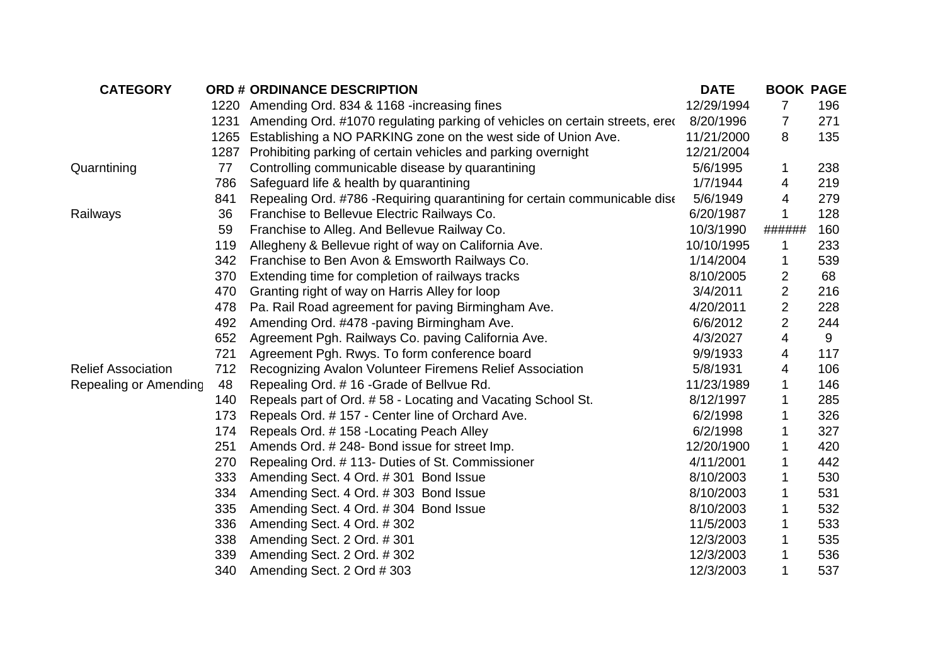| <b>CATEGORY</b>           |      | <b>ORD # ORDINANCE DESCRIPTION</b>                                          | <b>DATE</b> | <b>BOOK PAGE</b> |     |  |
|---------------------------|------|-----------------------------------------------------------------------------|-------------|------------------|-----|--|
|                           | 1220 | Amending Ord. 834 & 1168 - increasing fines                                 | 12/29/1994  | 7                | 196 |  |
|                           | 1231 | Amending Ord. #1070 regulating parking of vehicles on certain streets, erec | 8/20/1996   |                  | 271 |  |
|                           | 1265 | Establishing a NO PARKING zone on the west side of Union Ave.               | 11/21/2000  | 8                | 135 |  |
|                           | 1287 | Prohibiting parking of certain vehicles and parking overnight               | 12/21/2004  |                  |     |  |
| Quarntining               | 77   | Controlling communicable disease by quarantining                            | 5/6/1995    | 1                | 238 |  |
|                           | 786  | Safeguard life & health by quarantining                                     | 1/7/1944    | 4                | 219 |  |
|                           | 841  | Repealing Ord. #786 - Requiring quarantining for certain communicable disc  | 5/6/1949    | 4                | 279 |  |
| Railways                  | 36   | Franchise to Bellevue Electric Railways Co.                                 | 6/20/1987   |                  | 128 |  |
|                           | 59   | Franchise to Alleg. And Bellevue Railway Co.                                | 10/3/1990   | ######           | 160 |  |
|                           | 119  | Allegheny & Bellevue right of way on California Ave.                        | 10/10/1995  | 1                | 233 |  |
|                           | 342  | Franchise to Ben Avon & Emsworth Railways Co.                               | 1/14/2004   |                  | 539 |  |
|                           | 370  | Extending time for completion of railways tracks                            | 8/10/2005   | $\overline{2}$   | 68  |  |
|                           | 470  | Granting right of way on Harris Alley for loop                              | 3/4/2011    | $\overline{2}$   | 216 |  |
|                           | 478  | Pa. Rail Road agreement for paving Birmingham Ave.                          | 4/20/2011   | $\overline{2}$   | 228 |  |
|                           | 492  | Amending Ord. #478 -paving Birmingham Ave.                                  | 6/6/2012    | 2                | 244 |  |
|                           | 652  | Agreement Pgh. Railways Co. paving California Ave.                          | 4/3/2027    | 4                | 9   |  |
|                           | 721  | Agreement Pgh. Rwys. To form conference board                               | 9/9/1933    | 4                | 117 |  |
| <b>Relief Association</b> | 712  | Recognizing Avalon Volunteer Firemens Relief Association                    | 5/8/1931    | 4                | 106 |  |
| Repealing or Amending     | 48   | Repealing Ord. #16 - Grade of Bellvue Rd.                                   | 11/23/1989  |                  | 146 |  |
|                           | 140  | Repeals part of Ord. #58 - Locating and Vacating School St.                 | 8/12/1997   |                  | 285 |  |
|                           | 173  | Repeals Ord. #157 - Center line of Orchard Ave.                             | 6/2/1998    |                  | 326 |  |
|                           | 174  | Repeals Ord. # 158 - Locating Peach Alley                                   | 6/2/1998    |                  | 327 |  |
|                           | 251  | Amends Ord. # 248- Bond issue for street Imp.                               | 12/20/1900  |                  | 420 |  |
|                           | 270  | Repealing Ord. #113- Duties of St. Commissioner                             | 4/11/2001   |                  | 442 |  |
|                           | 333  | Amending Sect. 4 Ord. #301 Bond Issue                                       | 8/10/2003   |                  | 530 |  |
|                           | 334  | Amending Sect. 4 Ord. #303 Bond Issue                                       | 8/10/2003   |                  | 531 |  |
|                           | 335  | Amending Sect. 4 Ord. #304 Bond Issue                                       | 8/10/2003   |                  | 532 |  |
|                           | 336  | Amending Sect. 4 Ord. #302                                                  | 11/5/2003   |                  | 533 |  |
|                           | 338  | Amending Sect. 2 Ord. #301                                                  | 12/3/2003   |                  | 535 |  |
|                           | 339  | Amending Sect. 2 Ord. #302                                                  | 12/3/2003   |                  | 536 |  |
|                           | 340  | Amending Sect. 2 Ord # 303                                                  | 12/3/2003   |                  | 537 |  |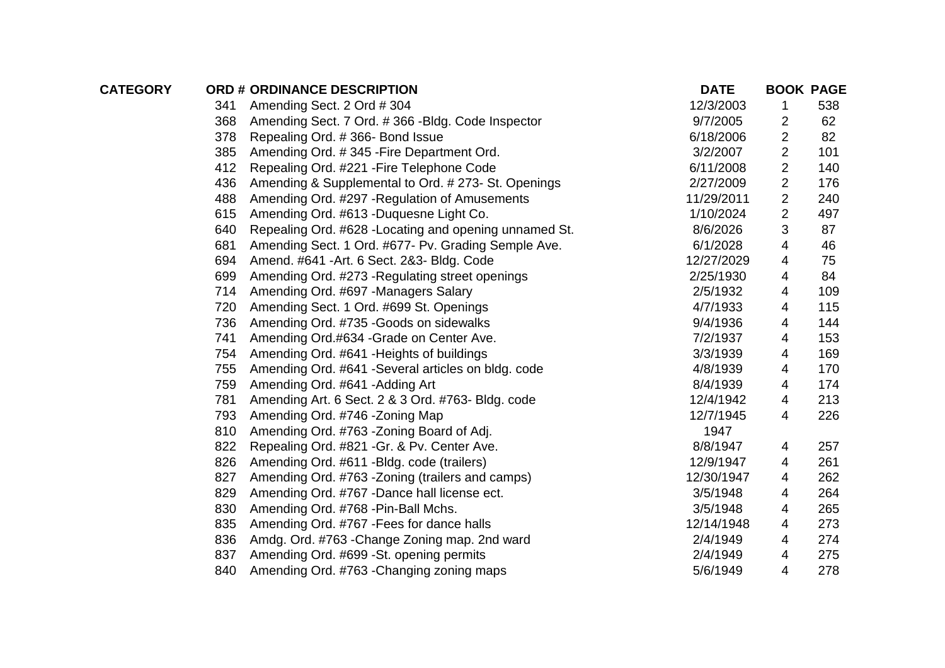| <b>CATEGORY</b> |     | <b>ORD # ORDINANCE DESCRIPTION</b>                     | <b>DATE</b> |                | <b>BOOK PAGE</b> |
|-----------------|-----|--------------------------------------------------------|-------------|----------------|------------------|
|                 | 341 | Amending Sect. 2 Ord # 304                             | 12/3/2003   |                | 538              |
|                 | 368 | Amending Sect. 7 Ord. # 366 - Bldg. Code Inspector     | 9/7/2005    | 2              | 62               |
|                 | 378 | Repealing Ord. #366- Bond Issue                        | 6/18/2006   | 2              | 82               |
|                 | 385 | Amending Ord. #345 - Fire Department Ord.              | 3/2/2007    | 2              | 101              |
|                 | 412 | Repealing Ord. #221 - Fire Telephone Code              | 6/11/2008   | $\overline{2}$ | 140              |
|                 | 436 | Amending & Supplemental to Ord. # 273- St. Openings    | 2/27/2009   | $\overline{2}$ | 176              |
|                 | 488 | Amending Ord. #297 - Regulation of Amusements          | 11/29/2011  | $\overline{2}$ | 240              |
|                 | 615 | Amending Ord. #613 -Duquesne Light Co.                 | 1/10/2024   | $\overline{2}$ | 497              |
|                 | 640 | Repealing Ord. #628 - Locating and opening unnamed St. | 8/6/2026    | 3              | 87               |
|                 | 681 | Amending Sect. 1 Ord. #677- Pv. Grading Semple Ave.    | 6/1/2028    | 4              | 46               |
|                 | 694 | Amend. #641 - Art. 6 Sect. 2&3- Bldg. Code             | 12/27/2029  | 4              | 75               |
|                 | 699 | Amending Ord. #273 - Regulating street openings        | 2/25/1930   | 4              | 84               |
|                 | 714 | Amending Ord. #697 -Managers Salary                    | 2/5/1932    | 4              | 109              |
|                 | 720 | Amending Sect. 1 Ord. #699 St. Openings                | 4/7/1933    | 4              | 115              |
|                 | 736 | Amending Ord. #735 - Goods on sidewalks                | 9/4/1936    | 4              | 144              |
|                 | 741 | Amending Ord.#634 - Grade on Center Ave.               | 7/2/1937    | 4              | 153              |
|                 | 754 | Amending Ord. #641 - Heights of buildings              | 3/3/1939    | 4              | 169              |
|                 | 755 | Amending Ord. #641 -Several articles on bldg. code     | 4/8/1939    | 4              | 170              |
|                 | 759 | Amending Ord. #641 -Adding Art                         | 8/4/1939    | 4              | 174              |
|                 | 781 | Amending Art. 6 Sect. 2 & 3 Ord. #763- Bldg. code      | 12/4/1942   | 4              | 213              |
|                 | 793 | Amending Ord. #746 - Zoning Map                        | 12/7/1945   | 4              | 226              |
|                 | 810 | Amending Ord. #763 - Zoning Board of Adj.              | 1947        |                |                  |
|                 | 822 | Repealing Ord. #821 - Gr. & Pv. Center Ave.            | 8/8/1947    | 4              | 257              |
|                 | 826 | Amending Ord. #611 - Bldg. code (trailers)             | 12/9/1947   | 4              | 261              |
|                 | 827 | Amending Ord. #763 - Zoning (trailers and camps)       | 12/30/1947  | 4              | 262              |
|                 | 829 | Amending Ord. #767 - Dance hall license ect.           | 3/5/1948    | 4              | 264              |
|                 | 830 | Amending Ord. #768 - Pin-Ball Mchs.                    | 3/5/1948    | 4              | 265              |
|                 | 835 | Amending Ord. #767 - Fees for dance halls              | 12/14/1948  | 4              | 273              |
|                 | 836 | Amdg. Ord. #763 - Change Zoning map. 2nd ward          | 2/4/1949    | 4              | 274              |
|                 | 837 | Amending Ord. #699 -St. opening permits                | 2/4/1949    | 4              | 275              |
|                 | 840 | Amending Ord. #763 - Changing zoning maps              | 5/6/1949    | 4              | 278              |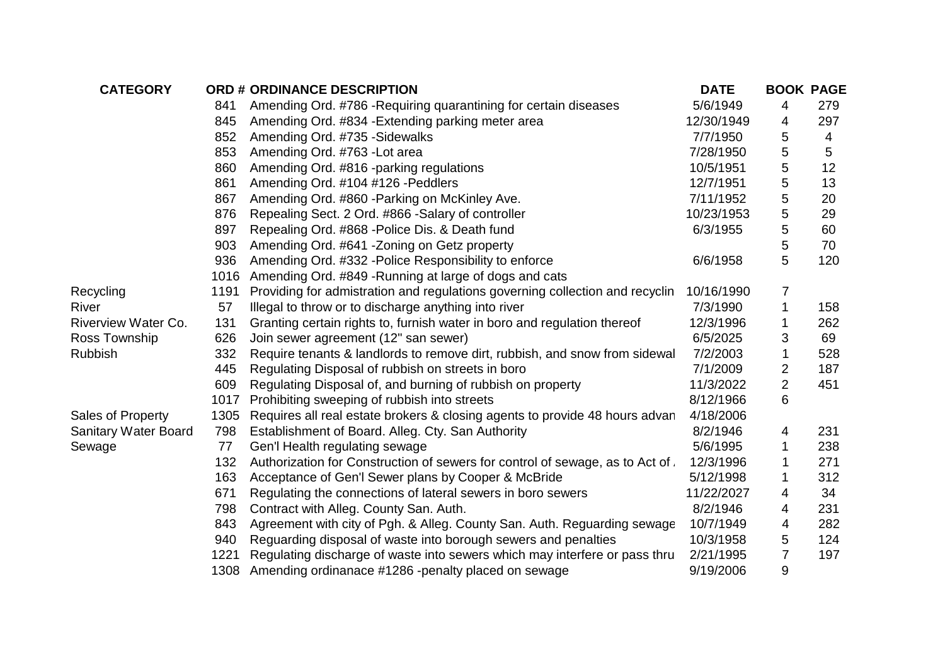| <b>CATEGORY</b>      |      | <b>ORD # ORDINANCE DESCRIPTION</b>                                           | <b>DATE</b> | <b>BOOK PAGE</b> |     |  |
|----------------------|------|------------------------------------------------------------------------------|-------------|------------------|-----|--|
|                      | 841  | Amending Ord. #786 - Requiring quarantining for certain diseases             | 5/6/1949    | 4                | 279 |  |
|                      | 845  | Amending Ord. #834 - Extending parking meter area                            | 12/30/1949  | 4                | 297 |  |
|                      | 852  | Amending Ord. #735 - Sidewalks                                               | 7/7/1950    | 5                | 4   |  |
|                      | 853  | Amending Ord. #763 - Lot area                                                | 7/28/1950   | 5                | 5   |  |
|                      | 860  | Amending Ord. #816 -parking regulations                                      | 10/5/1951   | 5                | 12  |  |
|                      | 861  | Amending Ord. #104 #126 - Peddlers                                           | 12/7/1951   | 5                | 13  |  |
|                      | 867  | Amending Ord. #860 - Parking on McKinley Ave.                                | 7/11/1952   | 5                | 20  |  |
|                      | 876  | Repealing Sect. 2 Ord. #866 -Salary of controller                            | 10/23/1953  | $\sqrt{5}$       | 29  |  |
|                      | 897  | Repealing Ord. #868 - Police Dis. & Death fund                               | 6/3/1955    | 5                | 60  |  |
|                      | 903  | Amending Ord. #641 - Zoning on Getz property                                 |             | 5                | 70  |  |
|                      | 936  | Amending Ord. #332 - Police Responsibility to enforce                        | 6/6/1958    | 5                | 120 |  |
|                      | 1016 | Amending Ord. #849 - Running at large of dogs and cats                       |             |                  |     |  |
| Recycling            | 1191 | Providing for admistration and regulations governing collection and recyclin | 10/16/1990  | 7                |     |  |
| River                | 57   | Illegal to throw or to discharge anything into river                         | 7/3/1990    |                  | 158 |  |
| Riverview Water Co.  | 131  | Granting certain rights to, furnish water in boro and regulation thereof     | 12/3/1996   |                  | 262 |  |
| Ross Township        | 626  | Join sewer agreement (12" san sewer)                                         | 6/5/2025    | 3                | 69  |  |
| Rubbish              | 332  | Require tenants & landlords to remove dirt, rubbish, and snow from sidewal   | 7/2/2003    | $\mathbf 1$      | 528 |  |
|                      | 445  | Regulating Disposal of rubbish on streets in boro                            | 7/1/2009    | $\overline{2}$   | 187 |  |
|                      | 609  | Regulating Disposal of, and burning of rubbish on property                   | 11/3/2022   | $\overline{2}$   | 451 |  |
|                      | 1017 | Prohibiting sweeping of rubbish into streets                                 | 8/12/1966   | 6                |     |  |
| Sales of Property    | 1305 | Requires all real estate brokers & closing agents to provide 48 hours advan  | 4/18/2006   |                  |     |  |
| Sanitary Water Board | 798  | Establishment of Board. Alleg. Cty. San Authority                            | 8/2/1946    | 4                | 231 |  |
| Sewage               | 77   | Gen'l Health regulating sewage                                               | 5/6/1995    |                  | 238 |  |
|                      | 132  | Authorization for Construction of sewers for control of sewage, as to Act of | 12/3/1996   |                  | 271 |  |
|                      | 163  | Acceptance of Gen'l Sewer plans by Cooper & McBride                          | 5/12/1998   |                  | 312 |  |
|                      | 671  | Regulating the connections of lateral sewers in boro sewers                  | 11/22/2027  | 4                | 34  |  |
|                      | 798  | Contract with Alleg. County San. Auth.                                       | 8/2/1946    | 4                | 231 |  |
|                      | 843  | Agreement with city of Pgh. & Alleg. County San. Auth. Reguarding sewage     | 10/7/1949   | 4                | 282 |  |
|                      | 940  | Reguarding disposal of waste into borough sewers and penalties               | 10/3/1958   | 5                | 124 |  |
|                      | 1221 | Regulating discharge of waste into sewers which may interfere or pass thru   | 2/21/1995   | $\overline{7}$   | 197 |  |
|                      |      | 1308 Amending ordinanace #1286 -penalty placed on sewage                     | 9/19/2006   | 9                |     |  |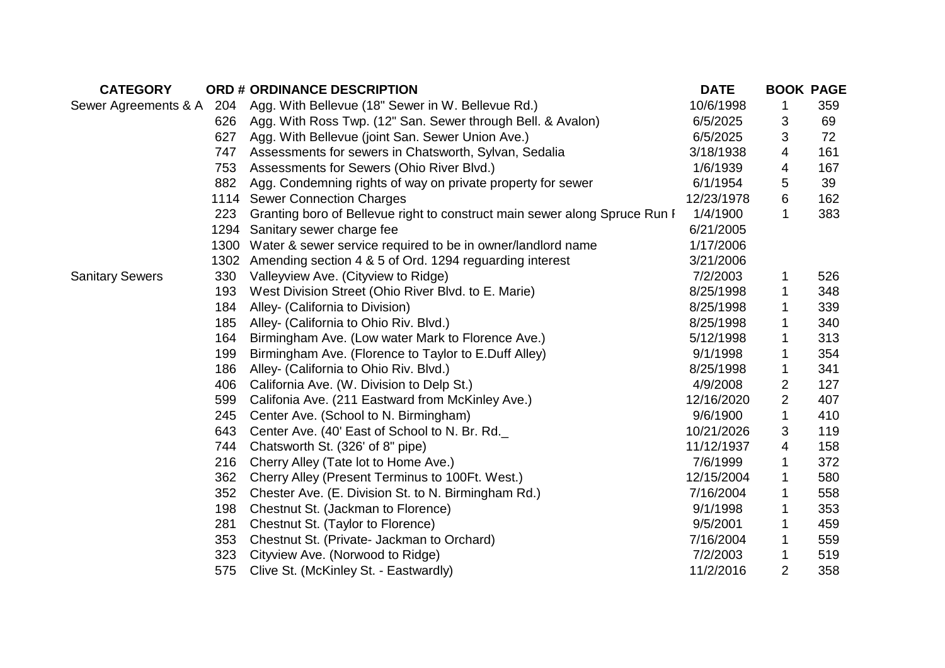| <b>CATEGORY</b>        |     | <b>ORD # ORDINANCE DESCRIPTION</b>                                             | <b>DATE</b> |                | <b>BOOK PAGE</b> |
|------------------------|-----|--------------------------------------------------------------------------------|-------------|----------------|------------------|
|                        |     | Sewer Agreements & A 204 Agg. With Bellevue (18" Sewer in W. Bellevue Rd.)     | 10/6/1998   | 1              | 359              |
|                        | 626 | Agg. With Ross Twp. (12" San. Sewer through Bell. & Avalon)                    | 6/5/2025    | 3              | 69               |
|                        | 627 | Agg. With Bellevue (joint San. Sewer Union Ave.)                               | 6/5/2025    | 3              | 72               |
|                        |     | 747 Assessments for sewers in Chatsworth, Sylvan, Sedalia                      | 3/18/1938   | 4              | 161              |
|                        |     | 753 Assessments for Sewers (Ohio River Blvd.)                                  | 1/6/1939    | 4              | 167              |
|                        | 882 | Agg. Condemning rights of way on private property for sewer                    | 6/1/1954    | 5              | 39               |
|                        |     | 1114 Sewer Connection Charges                                                  | 12/23/1978  | 6              | 162              |
|                        |     | 223 Granting boro of Bellevue right to construct main sewer along Spruce Run F | 1/4/1900    | 1              | 383              |
|                        |     | 1294 Sanitary sewer charge fee                                                 | 6/21/2005   |                |                  |
|                        |     | 1300 Water & sewer service required to be in owner/landlord name               | 1/17/2006   |                |                  |
|                        |     | 1302 Amending section 4 & 5 of Ord. 1294 reguarding interest                   | 3/21/2006   |                |                  |
| <b>Sanitary Sewers</b> | 330 | Valleyview Ave. (Cityview to Ridge)                                            | 7/2/2003    | 1              | 526              |
|                        | 193 | West Division Street (Ohio River Blvd. to E. Marie)                            | 8/25/1998   | 1              | 348              |
|                        | 184 | Alley- (California to Division)                                                | 8/25/1998   |                | 339              |
|                        | 185 | Alley- (California to Ohio Riv. Blvd.)                                         | 8/25/1998   | 1              | 340              |
|                        | 164 | Birmingham Ave. (Low water Mark to Florence Ave.)                              | 5/12/1998   | 1              | 313              |
|                        | 199 | Birmingham Ave. (Florence to Taylor to E.Duff Alley)                           | 9/1/1998    | 1              | 354              |
|                        | 186 | Alley- (California to Ohio Riv. Blvd.)                                         | 8/25/1998   | 1              | 341              |
|                        | 406 | California Ave. (W. Division to Delp St.)                                      | 4/9/2008    | 2              | 127              |
|                        | 599 | Califonia Ave. (211 Eastward from McKinley Ave.)                               | 12/16/2020  | $\overline{2}$ | 407              |
|                        | 245 | Center Ave. (School to N. Birmingham)                                          | 9/6/1900    | 1              | 410              |
|                        | 643 | Center Ave. (40' East of School to N. Br. Rd.                                  | 10/21/2026  | 3              | 119              |
|                        | 744 | Chatsworth St. (326' of 8" pipe)                                               | 11/12/1937  | 4              | 158              |
|                        | 216 | Cherry Alley (Tate lot to Home Ave.)                                           | 7/6/1999    | 1              | 372              |
|                        | 362 | Cherry Alley (Present Terminus to 100Ft. West.)                                | 12/15/2004  | 1              | 580              |
|                        | 352 | Chester Ave. (E. Division St. to N. Birmingham Rd.)                            | 7/16/2004   | 1              | 558              |
|                        | 198 | Chestnut St. (Jackman to Florence)                                             | 9/1/1998    | 1              | 353              |
|                        | 281 | Chestnut St. (Taylor to Florence)                                              | 9/5/2001    | 1              | 459              |
|                        | 353 | Chestnut St. (Private- Jackman to Orchard)                                     | 7/16/2004   | 1              | 559              |
|                        | 323 | Cityview Ave. (Norwood to Ridge)                                               | 7/2/2003    | 1              | 519              |
|                        | 575 | Clive St. (McKinley St. - Eastwardly)                                          | 11/2/2016   | $\overline{2}$ | 358              |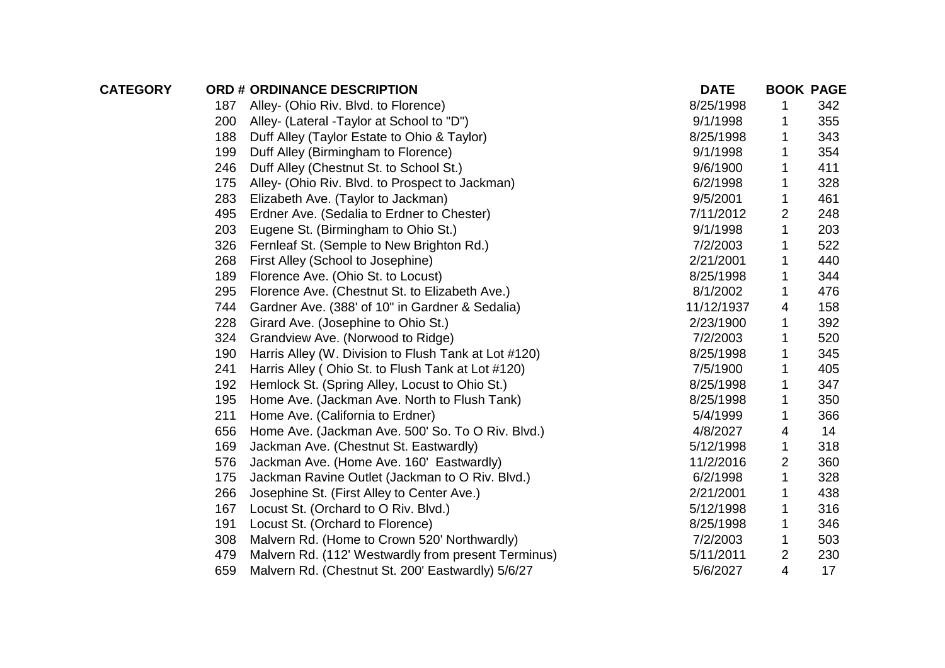| <b>CATEGORY</b> |     | <b>ORD # ORDINANCE DESCRIPTION</b>                   |            |   | <b>BOOK PAGE</b> |
|-----------------|-----|------------------------------------------------------|------------|---|------------------|
|                 | 187 | Alley- (Ohio Riv. Blvd. to Florence)                 | 8/25/1998  |   | 342              |
|                 | 200 | Alley- (Lateral -Taylor at School to "D")            | 9/1/1998   |   | 355              |
|                 | 188 | Duff Alley (Taylor Estate to Ohio & Taylor)          | 8/25/1998  |   | 343              |
|                 | 199 | Duff Alley (Birmingham to Florence)                  | 9/1/1998   |   | 354              |
|                 | 246 | Duff Alley (Chestnut St. to School St.)              | 9/6/1900   |   | 411              |
|                 | 175 | Alley- (Ohio Riv. Blvd. to Prospect to Jackman)      | 6/2/1998   |   | 328              |
|                 | 283 | Elizabeth Ave. (Taylor to Jackman)                   | 9/5/2001   |   | 461              |
|                 | 495 | Erdner Ave. (Sedalia to Erdner to Chester)           | 7/11/2012  | 2 | 248              |
|                 | 203 | Eugene St. (Birmingham to Ohio St.)                  | 9/1/1998   |   | 203              |
|                 | 326 | Fernleaf St. (Semple to New Brighton Rd.)            | 7/2/2003   |   | 522              |
|                 | 268 | First Alley (School to Josephine)                    | 2/21/2001  |   | 440              |
|                 | 189 | Florence Ave. (Ohio St. to Locust)                   | 8/25/1998  |   | 344              |
|                 | 295 | Florence Ave. (Chestnut St. to Elizabeth Ave.)       | 8/1/2002   |   | 476              |
|                 | 744 | Gardner Ave. (388' of 10" in Gardner & Sedalia)      | 11/12/1937 | 4 | 158              |
|                 | 228 | Girard Ave. (Josephine to Ohio St.)                  | 2/23/1900  |   | 392              |
|                 | 324 | Grandview Ave. (Norwood to Ridge)                    | 7/2/2003   |   | 520              |
|                 | 190 | Harris Alley (W. Division to Flush Tank at Lot #120) | 8/25/1998  |   | 345              |
|                 | 241 | Harris Alley (Ohio St. to Flush Tank at Lot #120)    | 7/5/1900   |   | 405              |
|                 | 192 | Hemlock St. (Spring Alley, Locust to Ohio St.)       | 8/25/1998  |   | 347              |
|                 | 195 | Home Ave. (Jackman Ave. North to Flush Tank)         | 8/25/1998  |   | 350              |
|                 | 211 | Home Ave. (California to Erdner)                     | 5/4/1999   |   | 366              |
|                 | 656 | Home Ave. (Jackman Ave. 500' So. To O Riv. Blvd.)    | 4/8/2027   | 4 | 14               |
|                 | 169 | Jackman Ave. (Chestnut St. Eastwardly)               | 5/12/1998  |   | 318              |
|                 | 576 | Jackman Ave. (Home Ave. 160' Eastwardly)             | 11/2/2016  | 2 | 360              |
|                 | 175 | Jackman Ravine Outlet (Jackman to O Riv. Blvd.)      | 6/2/1998   |   | 328              |
|                 | 266 | Josephine St. (First Alley to Center Ave.)           | 2/21/2001  |   | 438              |
|                 | 167 | Locust St. (Orchard to O Riv. Blvd.)                 | 5/12/1998  |   | 316              |
|                 | 191 | Locust St. (Orchard to Florence)                     | 8/25/1998  |   | 346              |
|                 | 308 | Malvern Rd. (Home to Crown 520' Northwardly)         | 7/2/2003   |   | 503              |
|                 | 479 | Malvern Rd. (112' Westwardly from present Terminus)  | 5/11/2011  | 2 | 230              |
|                 | 659 | Malvern Rd. (Chestnut St. 200' Eastwardly) 5/6/27    | 5/6/2027   | 4 | 17               |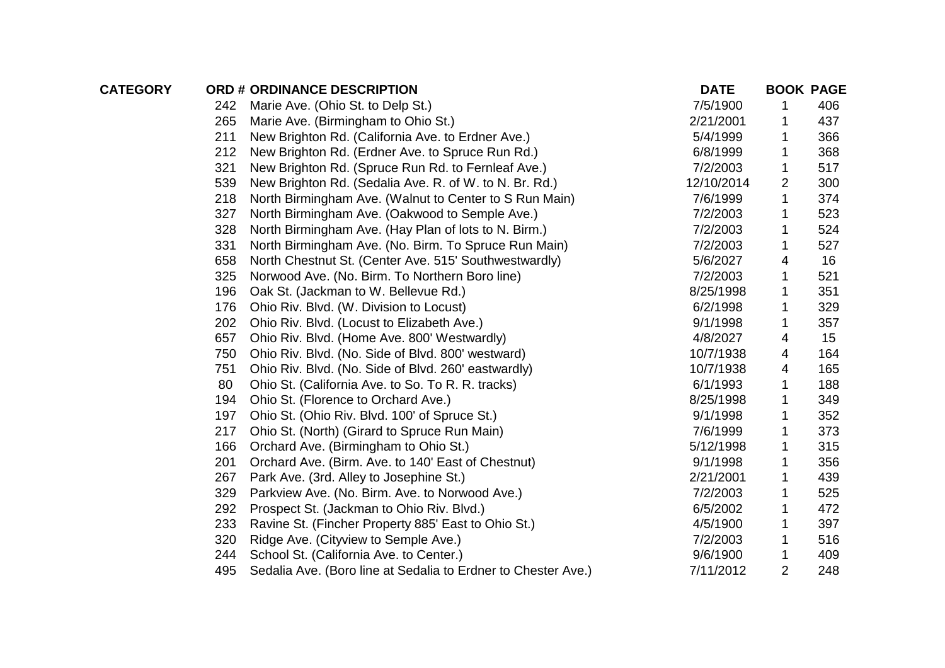| <b>CATEGORY</b> |     | <b>ORD # ORDINANCE DESCRIPTION</b>                            | <b>DATE</b> |                | <b>BOOK PAGE</b> |
|-----------------|-----|---------------------------------------------------------------|-------------|----------------|------------------|
|                 | 242 | Marie Ave. (Ohio St. to Delp St.)                             | 7/5/1900    |                | 406              |
|                 | 265 | Marie Ave. (Birmingham to Ohio St.)                           | 2/21/2001   |                | 437              |
|                 | 211 | New Brighton Rd. (California Ave. to Erdner Ave.)             | 5/4/1999    |                | 366              |
|                 | 212 | New Brighton Rd. (Erdner Ave. to Spruce Run Rd.)              | 6/8/1999    |                | 368              |
|                 | 321 | New Brighton Rd. (Spruce Run Rd. to Fernleaf Ave.)            | 7/2/2003    |                | 517              |
|                 | 539 | New Brighton Rd. (Sedalia Ave. R. of W. to N. Br. Rd.)        | 12/10/2014  | $\overline{2}$ | 300              |
|                 | 218 | North Birmingham Ave. (Walnut to Center to S Run Main)        | 7/6/1999    |                | 374              |
|                 | 327 | North Birmingham Ave. (Oakwood to Semple Ave.)                | 7/2/2003    |                | 523              |
|                 | 328 | North Birmingham Ave. (Hay Plan of lots to N. Birm.)          | 7/2/2003    |                | 524              |
|                 | 331 | North Birmingham Ave. (No. Birm. To Spruce Run Main)          | 7/2/2003    |                | 527              |
|                 | 658 | North Chestnut St. (Center Ave. 515' Southwestwardly)         | 5/6/2027    | 4              | 16               |
|                 | 325 | Norwood Ave. (No. Birm. To Northern Boro line)                | 7/2/2003    |                | 521              |
|                 | 196 | Oak St. (Jackman to W. Bellevue Rd.)                          | 8/25/1998   |                | 351              |
|                 | 176 | Ohio Riv. Blvd. (W. Division to Locust)                       | 6/2/1998    |                | 329              |
|                 | 202 | Ohio Riv. Blvd. (Locust to Elizabeth Ave.)                    | 9/1/1998    |                | 357              |
|                 | 657 | Ohio Riv. Blvd. (Home Ave. 800' Westwardly)                   | 4/8/2027    | 4              | 15               |
|                 | 750 | Ohio Riv. Blvd. (No. Side of Blvd. 800' westward)             | 10/7/1938   | 4              | 164              |
|                 | 751 | Ohio Riv. Blvd. (No. Side of Blvd. 260' eastwardly)           | 10/7/1938   | 4              | 165              |
|                 | 80  | Ohio St. (California Ave. to So. To R. R. tracks)             | 6/1/1993    |                | 188              |
|                 | 194 | Ohio St. (Florence to Orchard Ave.)                           | 8/25/1998   |                | 349              |
|                 | 197 | Ohio St. (Ohio Riv. Blvd. 100' of Spruce St.)                 | 9/1/1998    |                | 352              |
|                 | 217 | Ohio St. (North) (Girard to Spruce Run Main)                  | 7/6/1999    |                | 373              |
|                 | 166 | Orchard Ave. (Birmingham to Ohio St.)                         | 5/12/1998   |                | 315              |
|                 | 201 | Orchard Ave. (Birm. Ave. to 140' East of Chestnut)            | 9/1/1998    |                | 356              |
|                 | 267 | Park Ave. (3rd. Alley to Josephine St.)                       | 2/21/2001   |                | 439              |
|                 | 329 | Parkview Ave. (No. Birm. Ave. to Norwood Ave.)                | 7/2/2003    |                | 525              |
|                 | 292 | Prospect St. (Jackman to Ohio Riv. Blvd.)                     | 6/5/2002    |                | 472              |
|                 | 233 | Ravine St. (Fincher Property 885' East to Ohio St.)           | 4/5/1900    |                | 397              |
|                 | 320 | Ridge Ave. (Cityview to Semple Ave.)                          | 7/2/2003    |                | 516              |
|                 | 244 | School St. (California Ave. to Center.)                       | 9/6/1900    |                | 409              |
|                 | 495 | Sedalia Ave. (Boro line at Sedalia to Erdner to Chester Ave.) | 7/11/2012   | 2              | 248              |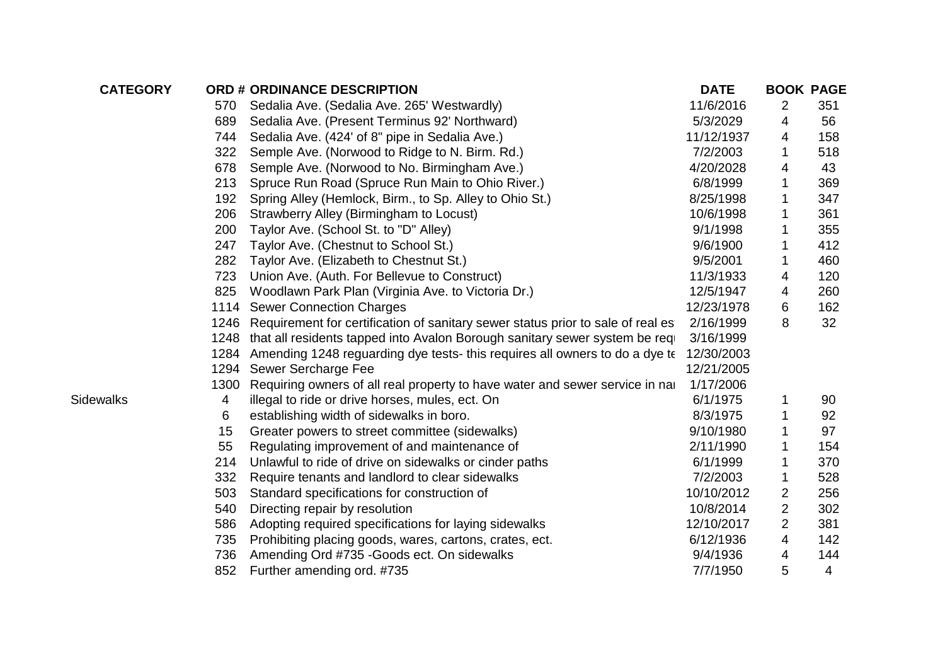| <b>CATEGORY</b>  |      | <b>ORD # ORDINANCE DESCRIPTION</b>                                              | <b>DATE</b> | <b>BOOK PAGE</b> |     |
|------------------|------|---------------------------------------------------------------------------------|-------------|------------------|-----|
|                  | 570  | Sedalia Ave. (Sedalia Ave. 265' Westwardly)                                     | 11/6/2016   | 2                | 351 |
|                  | 689  | Sedalia Ave. (Present Terminus 92' Northward)                                   | 5/3/2029    | 4                | 56  |
|                  | 744  | Sedalia Ave. (424' of 8" pipe in Sedalia Ave.)                                  | 11/12/1937  | 4                | 158 |
|                  | 322  | Semple Ave. (Norwood to Ridge to N. Birm. Rd.)                                  | 7/2/2003    |                  | 518 |
|                  | 678  | Semple Ave. (Norwood to No. Birmingham Ave.)                                    | 4/20/2028   | 4                | 43  |
|                  | 213  | Spruce Run Road (Spruce Run Main to Ohio River.)                                | 6/8/1999    |                  | 369 |
|                  | 192  | Spring Alley (Hemlock, Birm., to Sp. Alley to Ohio St.)                         | 8/25/1998   | 1                | 347 |
|                  | 206  | Strawberry Alley (Birmingham to Locust)                                         | 10/6/1998   |                  | 361 |
|                  | 200  | Taylor Ave. (School St. to "D" Alley)                                           | 9/1/1998    |                  | 355 |
|                  | 247  | Taylor Ave. (Chestnut to School St.)                                            | 9/6/1900    | 1                | 412 |
|                  | 282  | Taylor Ave. (Elizabeth to Chestnut St.)                                         | 9/5/2001    | 1                | 460 |
|                  | 723  | Union Ave. (Auth. For Bellevue to Construct)                                    | 11/3/1933   | 4                | 120 |
|                  | 825  | Woodlawn Park Plan (Virginia Ave. to Victoria Dr.)                              | 12/5/1947   | 4                | 260 |
|                  | 1114 | <b>Sewer Connection Charges</b>                                                 | 12/23/1978  | 6                | 162 |
|                  | 1246 | Requirement for certification of sanitary sewer status prior to sale of real es | 2/16/1999   | 8                | 32  |
|                  | 1248 | that all residents tapped into Avalon Borough sanitary sewer system be requ     | 3/16/1999   |                  |     |
|                  | 1284 | Amending 1248 reguarding dye tests-this requires all owners to do a dye to      | 12/30/2003  |                  |     |
|                  | 1294 | Sewer Sercharge Fee                                                             | 12/21/2005  |                  |     |
|                  | 1300 | Requiring owners of all real property to have water and sewer service in nar    | 1/17/2006   |                  |     |
| <b>Sidewalks</b> | 4    | illegal to ride or drive horses, mules, ect. On                                 | 6/1/1975    | 1                | 90  |
|                  | 6    | establishing width of sidewalks in boro.                                        | 8/3/1975    |                  | 92  |
|                  | 15   | Greater powers to street committee (sidewalks)                                  | 9/10/1980   |                  | 97  |
|                  | 55   | Regulating improvement of and maintenance of                                    | 2/11/1990   | 1                | 154 |
|                  | 214  | Unlawful to ride of drive on sidewalks or cinder paths                          | 6/1/1999    |                  | 370 |
|                  | 332  | Require tenants and landlord to clear sidewalks                                 | 7/2/2003    | 1                | 528 |
|                  | 503  | Standard specifications for construction of                                     | 10/10/2012  | 2                | 256 |
|                  | 540  | Directing repair by resolution                                                  | 10/8/2014   | 2                | 302 |
|                  | 586  | Adopting required specifications for laying sidewalks                           | 12/10/2017  | 2                | 381 |
|                  | 735  | Prohibiting placing goods, wares, cartons, crates, ect.                         | 6/12/1936   | 4                | 142 |
|                  | 736  | Amending Ord #735 - Goods ect. On sidewalks                                     | 9/4/1936    | 4                | 144 |
|                  | 852  | Further amending ord. #735                                                      | 7/7/1950    | 5                | 4   |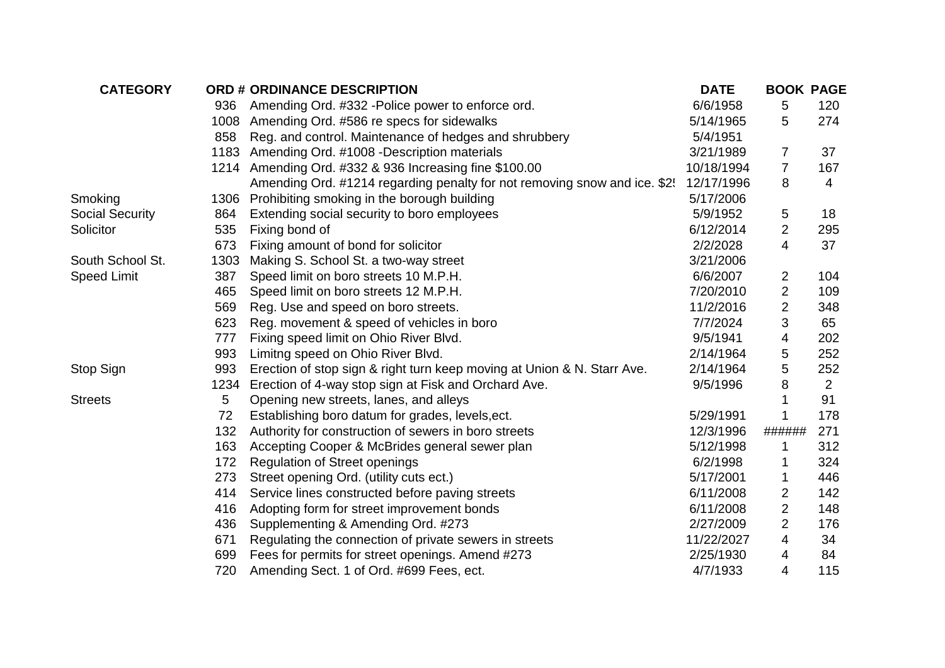| <b>CATEGORY</b>        |      | <b>ORD # ORDINANCE DESCRIPTION</b>                                        | <b>DATE</b> | <b>BOOK PAGE</b> |                |
|------------------------|------|---------------------------------------------------------------------------|-------------|------------------|----------------|
|                        | 936  | Amending Ord. #332 - Police power to enforce ord.                         | 6/6/1958    | 5                | 120            |
|                        | 1008 | Amending Ord. #586 re specs for sidewalks                                 | 5/14/1965   | 5                | 274            |
|                        | 858  | Reg. and control. Maintenance of hedges and shrubbery                     | 5/4/1951    |                  |                |
|                        | 1183 | Amending Ord. #1008 -Description materials                                | 3/21/1989   | 7                | 37             |
|                        |      | 1214 Amending Ord. #332 & 936 Increasing fine \$100.00                    | 10/18/1994  | 7                | 167            |
|                        |      | Amending Ord. #1214 regarding penalty for not removing snow and ice. \$2! | 12/17/1996  | 8                | 4              |
| Smoking                | 1306 | Prohibiting smoking in the borough building                               | 5/17/2006   |                  |                |
| <b>Social Security</b> | 864  | Extending social security to boro employees                               | 5/9/1952    | 5                | 18             |
| Solicitor              | 535  | Fixing bond of                                                            | 6/12/2014   | 2                | 295            |
|                        | 673  | Fixing amount of bond for solicitor                                       | 2/2/2028    | 4                | 37             |
| South School St.       | 1303 | Making S. School St. a two-way street                                     | 3/21/2006   |                  |                |
| <b>Speed Limit</b>     | 387  | Speed limit on boro streets 10 M.P.H.                                     | 6/6/2007    | 2                | 104            |
|                        | 465  | Speed limit on boro streets 12 M.P.H.                                     | 7/20/2010   | $\overline{2}$   | 109            |
|                        | 569  | Reg. Use and speed on boro streets.                                       | 11/2/2016   | $\overline{c}$   | 348            |
|                        | 623  | Reg. movement & speed of vehicles in boro                                 | 7/7/2024    | 3                | 65             |
|                        | 777  | Fixing speed limit on Ohio River Blvd.                                    | 9/5/1941    | 4                | 202            |
|                        | 993  | Limitng speed on Ohio River Blvd.                                         | 2/14/1964   | 5                | 252            |
| Stop Sign              | 993  | Erection of stop sign & right turn keep moving at Union & N. Starr Ave.   | 2/14/1964   | 5.               | 252            |
|                        | 1234 | Erection of 4-way stop sign at Fisk and Orchard Ave.                      | 9/5/1996    | 8                | $\overline{2}$ |
| <b>Streets</b>         | 5    | Opening new streets, lanes, and alleys                                    |             |                  | 91             |
|                        | 72   | Establishing boro datum for grades, levels, ect.                          | 5/29/1991   |                  | 178            |
|                        | 132  | Authority for construction of sewers in boro streets                      | 12/3/1996   | ######           | 271            |
|                        | 163  | Accepting Cooper & McBrides general sewer plan                            | 5/12/1998   |                  | 312            |
|                        | 172  | Regulation of Street openings                                             | 6/2/1998    |                  | 324            |
|                        | 273  | Street opening Ord. (utility cuts ect.)                                   | 5/17/2001   |                  | 446            |
|                        | 414  | Service lines constructed before paving streets                           | 6/11/2008   | 2                | 142            |
|                        | 416  | Adopting form for street improvement bonds                                | 6/11/2008   | $\overline{2}$   | 148            |
|                        | 436  | Supplementing & Amending Ord. #273                                        | 2/27/2009   | $\overline{2}$   | 176            |
|                        | 671  | Regulating the connection of private sewers in streets                    | 11/22/2027  | 4                | 34             |
|                        | 699  | Fees for permits for street openings. Amend #273                          | 2/25/1930   | 4                | 84             |
|                        | 720  | Amending Sect. 1 of Ord. #699 Fees, ect.                                  | 4/7/1933    | 4                | 115            |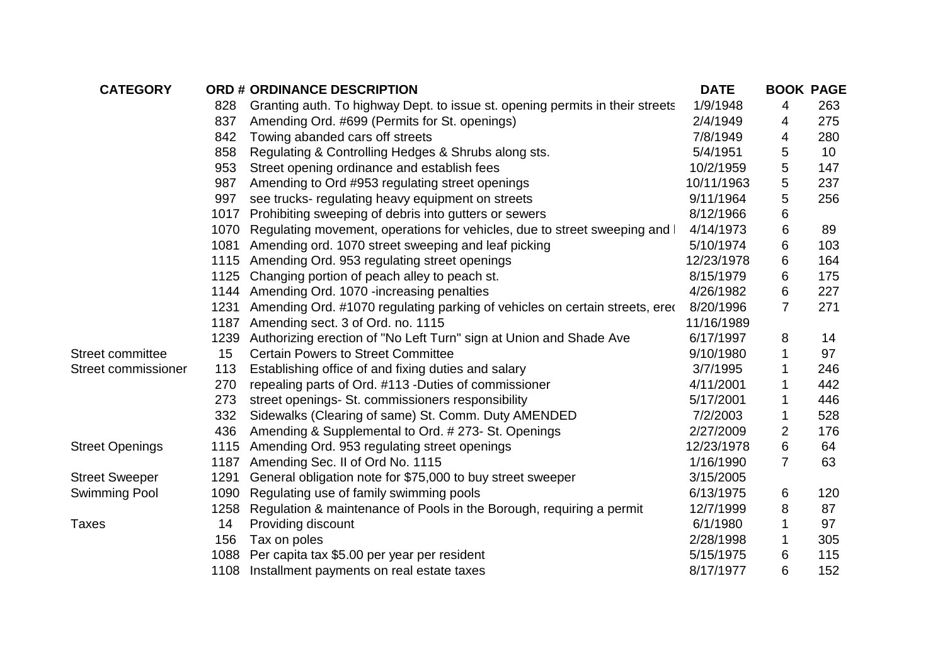| <b>CATEGORY</b>         |      | <b>ORD # ORDINANCE DESCRIPTION</b>                                            | <b>DATE</b> | <b>BOOK PAGE</b> |     |  |
|-------------------------|------|-------------------------------------------------------------------------------|-------------|------------------|-----|--|
|                         | 828  | Granting auth. To highway Dept. to issue st. opening permits in their streets | 1/9/1948    | 4                | 263 |  |
|                         | 837  | Amending Ord. #699 (Permits for St. openings)                                 | 2/4/1949    | 4                | 275 |  |
|                         | 842  | Towing abanded cars off streets                                               | 7/8/1949    | 4                | 280 |  |
|                         | 858  | Regulating & Controlling Hedges & Shrubs along sts.                           | 5/4/1951    | 5                | 10  |  |
|                         | 953  | Street opening ordinance and establish fees                                   | 10/2/1959   | 5                | 147 |  |
|                         | 987  | Amending to Ord #953 regulating street openings                               | 10/11/1963  | 5                | 237 |  |
|                         | 997  | see trucks- regulating heavy equipment on streets                             | 9/11/1964   | 5                | 256 |  |
|                         | 1017 | Prohibiting sweeping of debris into gutters or sewers                         | 8/12/1966   | 6                |     |  |
|                         | 1070 | Regulating movement, operations for vehicles, due to street sweeping and I    | 4/14/1973   | 6                | 89  |  |
|                         | 1081 | Amending ord. 1070 street sweeping and leaf picking                           | 5/10/1974   | 6                | 103 |  |
|                         | 1115 | Amending Ord. 953 regulating street openings                                  | 12/23/1978  | 6                | 164 |  |
|                         | 1125 | Changing portion of peach alley to peach st.                                  | 8/15/1979   | 6                | 175 |  |
|                         |      | 1144 Amending Ord. 1070 - increasing penalties                                | 4/26/1982   | 6                | 227 |  |
|                         | 1231 | Amending Ord. #1070 regulating parking of vehicles on certain streets, erec-  | 8/20/1996   |                  | 271 |  |
|                         | 1187 | Amending sect. 3 of Ord. no. 1115                                             | 11/16/1989  |                  |     |  |
|                         | 1239 | Authorizing erection of "No Left Turn" sign at Union and Shade Ave            | 6/17/1997   | 8                | 14  |  |
| <b>Street committee</b> | 15   | <b>Certain Powers to Street Committee</b>                                     | 9/10/1980   |                  | 97  |  |
| Street commissioner     | 113  | Establishing office of and fixing duties and salary                           | 3/7/1995    |                  | 246 |  |
|                         | 270  | repealing parts of Ord. #113 -Duties of commissioner                          | 4/11/2001   |                  | 442 |  |
|                         | 273  | street openings- St. commissioners responsibility                             | 5/17/2001   |                  | 446 |  |
|                         | 332  | Sidewalks (Clearing of same) St. Comm. Duty AMENDED                           | 7/2/2003    |                  | 528 |  |
|                         | 436  | Amending & Supplemental to Ord. # 273- St. Openings                           | 2/27/2009   | $\overline{2}$   | 176 |  |
| <b>Street Openings</b>  | 1115 | Amending Ord. 953 regulating street openings                                  | 12/23/1978  | 6                | 64  |  |
|                         | 1187 | Amending Sec. II of Ord No. 1115                                              | 1/16/1990   |                  | 63  |  |
| <b>Street Sweeper</b>   | 1291 | General obligation note for \$75,000 to buy street sweeper                    | 3/15/2005   |                  |     |  |
| Swimming Pool           | 1090 | Regulating use of family swimming pools                                       | 6/13/1975   | 6                | 120 |  |
|                         | 1258 | Regulation & maintenance of Pools in the Borough, requiring a permit          | 12/7/1999   | 8                | 87  |  |
| Taxes                   | 14   | Providing discount                                                            | 6/1/1980    |                  | 97  |  |
|                         | 156  | Tax on poles                                                                  | 2/28/1998   |                  | 305 |  |
|                         | 1088 | Per capita tax \$5.00 per year per resident                                   | 5/15/1975   | 6                | 115 |  |
|                         | 1108 | Installment payments on real estate taxes                                     | 8/17/1977   | 6                | 152 |  |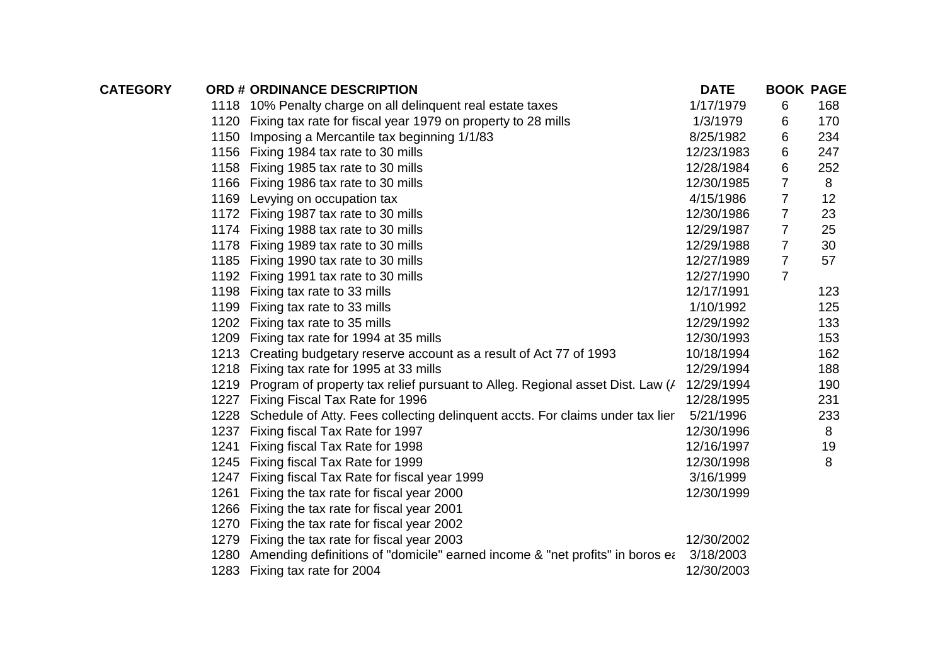| <b>CATEGORY</b> |      | <b>ORD # ORDINANCE DESCRIPTION</b>                                                 | <b>DATE</b> | <b>BOOK PAGE</b> |     |  |
|-----------------|------|------------------------------------------------------------------------------------|-------------|------------------|-----|--|
|                 |      | 1118 10% Penalty charge on all delinquent real estate taxes                        | 1/17/1979   | 6                | 168 |  |
|                 |      | 1120 Fixing tax rate for fiscal year 1979 on property to 28 mills                  | 1/3/1979    | 6                | 170 |  |
|                 | 1150 | Imposing a Mercantile tax beginning 1/1/83                                         | 8/25/1982   | 6                | 234 |  |
|                 |      | 1156 Fixing 1984 tax rate to 30 mills                                              | 12/23/1983  | 6                | 247 |  |
|                 |      | 1158 Fixing 1985 tax rate to 30 mills                                              | 12/28/1984  | 6                | 252 |  |
|                 |      | 1166 Fixing 1986 tax rate to 30 mills                                              | 12/30/1985  | 7                | 8   |  |
|                 |      | 1169 Levying on occupation tax                                                     | 4/15/1986   | 7                | 12  |  |
|                 |      | 1172 Fixing 1987 tax rate to 30 mills                                              | 12/30/1986  | 7                | 23  |  |
|                 |      | 1174 Fixing 1988 tax rate to 30 mills                                              | 12/29/1987  | 7                | 25  |  |
|                 |      | 1178 Fixing 1989 tax rate to 30 mills                                              | 12/29/1988  | 7                | 30  |  |
|                 |      | 1185 Fixing 1990 tax rate to 30 mills                                              | 12/27/1989  | 7                | 57  |  |
|                 |      | 1192 Fixing 1991 tax rate to 30 mills                                              | 12/27/1990  | $\overline{7}$   |     |  |
|                 |      | 1198 Fixing tax rate to 33 mills                                                   | 12/17/1991  |                  | 123 |  |
|                 |      | 1199 Fixing tax rate to 33 mills                                                   | 1/10/1992   |                  | 125 |  |
|                 |      | 1202 Fixing tax rate to 35 mills                                                   | 12/29/1992  |                  | 133 |  |
|                 |      | 1209 Fixing tax rate for 1994 at 35 mills                                          | 12/30/1993  |                  | 153 |  |
|                 |      | 1213 Creating budgetary reserve account as a result of Act 77 of 1993              | 10/18/1994  |                  | 162 |  |
|                 |      | 1218 Fixing tax rate for 1995 at 33 mills                                          | 12/29/1994  |                  | 188 |  |
|                 |      | 1219 Program of property tax relief pursuant to Alleg. Regional asset Dist. Law (/ | 12/29/1994  |                  | 190 |  |
|                 |      | 1227 Fixing Fiscal Tax Rate for 1996                                               | 12/28/1995  |                  | 231 |  |
|                 |      | 1228 Schedule of Atty. Fees collecting delinquent accts. For claims under tax lier | 5/21/1996   |                  | 233 |  |
|                 |      | 1237 Fixing fiscal Tax Rate for 1997                                               | 12/30/1996  |                  | 8   |  |
|                 | 1241 | Fixing fiscal Tax Rate for 1998                                                    | 12/16/1997  |                  | 19  |  |
|                 |      | 1245 Fixing fiscal Tax Rate for 1999                                               | 12/30/1998  |                  | 8   |  |
|                 |      | 1247 Fixing fiscal Tax Rate for fiscal year 1999                                   | 3/16/1999   |                  |     |  |
|                 | 1261 | Fixing the tax rate for fiscal year 2000                                           | 12/30/1999  |                  |     |  |
|                 | 1266 | Fixing the tax rate for fiscal year 2001                                           |             |                  |     |  |
|                 | 1270 | Fixing the tax rate for fiscal year 2002                                           |             |                  |     |  |
|                 | 1279 | Fixing the tax rate for fiscal year 2003                                           | 12/30/2002  |                  |     |  |
|                 | 1280 | Amending definitions of "domicile" earned income & "net profits" in boros early    | 3/18/2003   |                  |     |  |
|                 |      | 1283 Fixing tax rate for 2004                                                      | 12/30/2003  |                  |     |  |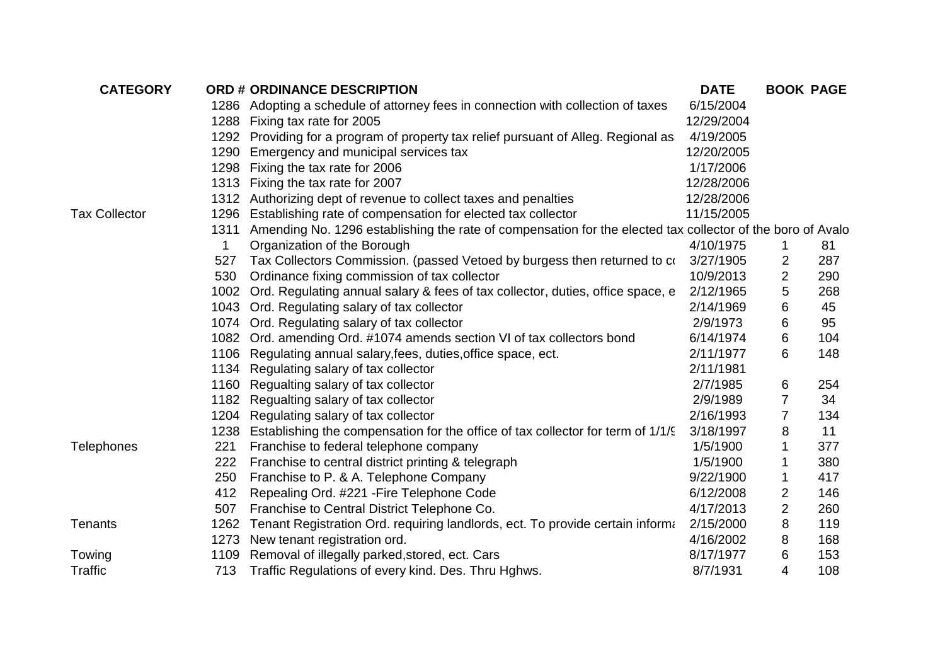| <b>CATEGORY</b>      |      | <b>ORD # ORDINANCE DESCRIPTION</b>                                                                         | <b>DATE</b> | <b>BOOK PAGE</b> |     |
|----------------------|------|------------------------------------------------------------------------------------------------------------|-------------|------------------|-----|
|                      |      | 1286 Adopting a schedule of attorney fees in connection with collection of taxes                           | 6/15/2004   |                  |     |
|                      | 1288 | Fixing tax rate for 2005                                                                                   | 12/29/2004  |                  |     |
|                      |      | 1292 Providing for a program of property tax relief pursuant of Alleg. Regional as                         | 4/19/2005   |                  |     |
|                      | 1290 | Emergency and municipal services tax                                                                       | 12/20/2005  |                  |     |
|                      | 1298 | Fixing the tax rate for 2006                                                                               | 1/17/2006   |                  |     |
|                      | 1313 | Fixing the tax rate for 2007                                                                               | 12/28/2006  |                  |     |
|                      |      | 1312 Authorizing dept of revenue to collect taxes and penalties                                            | 12/28/2006  |                  |     |
| <b>Tax Collector</b> | 1296 | Establishing rate of compensation for elected tax collector                                                | 11/15/2005  |                  |     |
|                      | 1311 | Amending No. 1296 establishing the rate of compensation for the elected tax collector of the boro of Avalo |             |                  |     |
|                      | 1    | Organization of the Borough                                                                                | 4/10/1975   |                  | 81  |
|                      | 527  | Tax Collectors Commission. (passed Vetoed by burgess then returned to co                                   | 3/27/1905   | 2                | 287 |
|                      | 530  | Ordinance fixing commission of tax collector                                                               | 10/9/2013   | $\overline{2}$   | 290 |
|                      |      | 1002 Ord. Regulating annual salary & fees of tax collector, duties, office space, e                        | 2/12/1965   | 5                | 268 |
|                      |      | 1043 Ord. Regulating salary of tax collector                                                               | 2/14/1969   | 6                | 45  |
|                      |      | 1074 Ord. Regulating salary of tax collector                                                               | 2/9/1973    | 6                | 95  |
|                      | 1082 | Ord. amending Ord. #1074 amends section VI of tax collectors bond                                          | 6/14/1974   | 6                | 104 |
|                      | 1106 | Regulating annual salary, fees, duties, office space, ect.                                                 | 2/11/1977   | 6                | 148 |
|                      |      | 1134 Regulating salary of tax collector                                                                    | 2/11/1981   |                  |     |
|                      | 1160 | Regualting salary of tax collector                                                                         | 2/7/1985    | 6                | 254 |
|                      |      | 1182 Regualting salary of tax collector                                                                    | 2/9/1989    | $\overline{7}$   | 34  |
|                      |      | 1204 Regulating salary of tax collector                                                                    | 2/16/1993   | 7                | 134 |
|                      | 1238 | Establishing the compensation for the office of tax collector for term of 1/1/9                            | 3/18/1997   | 8                | 11  |
| Telephones           | 221  | Franchise to federal telephone company                                                                     | 1/5/1900    |                  | 377 |
|                      | 222  | Franchise to central district printing & telegraph                                                         | 1/5/1900    |                  | 380 |
|                      | 250  | Franchise to P. & A. Telephone Company                                                                     | 9/22/1900   | 1                | 417 |
|                      | 412  | Repealing Ord. #221 - Fire Telephone Code                                                                  | 6/12/2008   | $\overline{2}$   | 146 |
|                      | 507  | Franchise to Central District Telephone Co.                                                                | 4/17/2013   | $\overline{2}$   | 260 |
| <b>Tenants</b>       | 1262 | Tenant Registration Ord. requiring landlords, ect. To provide certain informa                              | 2/15/2000   | 8                | 119 |
|                      | 1273 | New tenant registration ord.                                                                               | 4/16/2002   | 8                | 168 |
| Towing               | 1109 | Removal of illegally parked, stored, ect. Cars                                                             | 8/17/1977   | 6                | 153 |
| Traffic              | 713  | Traffic Regulations of every kind. Des. Thru Hghws.                                                        | 8/7/1931    | 4                | 108 |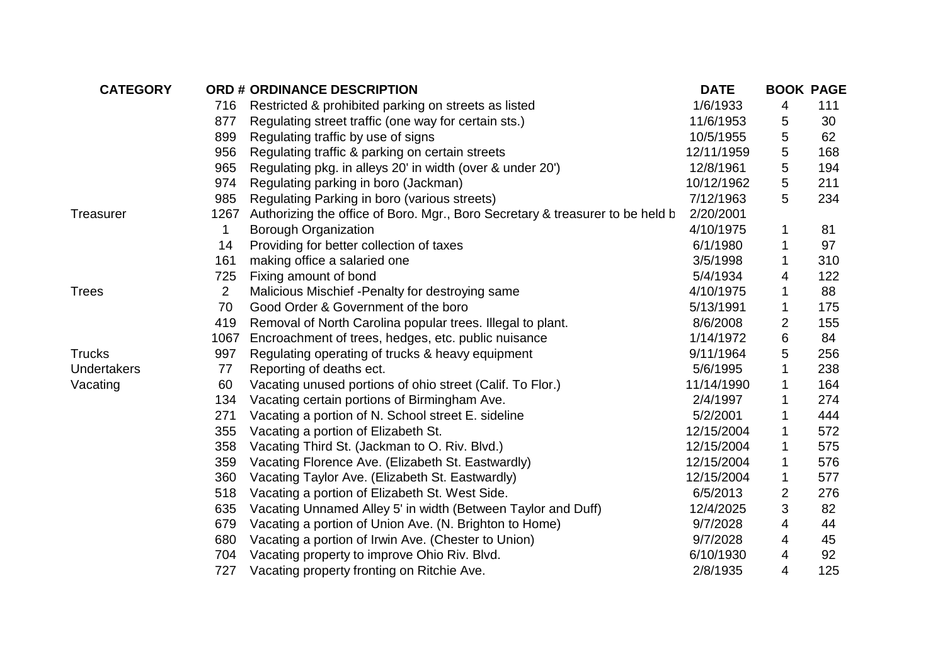| <b>CATEGORY</b>  |      | <b>ORD # ORDINANCE DESCRIPTION</b>                                                 | <b>DATE</b> |                | <b>BOOK PAGE</b> |
|------------------|------|------------------------------------------------------------------------------------|-------------|----------------|------------------|
|                  | 716  | Restricted & prohibited parking on streets as listed                               | 1/6/1933    | 4              | 111              |
|                  | 877  | Regulating street traffic (one way for certain sts.)                               | 11/6/1953   | 5              | 30               |
|                  | 899  | Regulating traffic by use of signs                                                 | 10/5/1955   | 5              | 62               |
|                  | 956  | Regulating traffic & parking on certain streets                                    | 12/11/1959  | 5              | 168              |
|                  | 965  | Regulating pkg. in alleys 20' in width (over & under 20')                          | 12/8/1961   | 5              | 194              |
|                  | 974  | Regulating parking in boro (Jackman)                                               | 10/12/1962  | 5              | 211              |
|                  | 985  | Regulating Parking in boro (various streets)                                       | 7/12/1963   | 5              | 234              |
| <b>Treasurer</b> |      | 1267 Authorizing the office of Boro. Mgr., Boro Secretary & treasurer to be held b | 2/20/2001   |                |                  |
|                  | 1    | <b>Borough Organization</b>                                                        | 4/10/1975   | 1              | 81               |
|                  | 14   | Providing for better collection of taxes                                           | 6/1/1980    | 1              | 97               |
|                  | 161  | making office a salaried one                                                       | 3/5/1998    | 1              | 310              |
|                  | 725  | Fixing amount of bond                                                              | 5/4/1934    | 4              | 122              |
| <b>Trees</b>     | 2    | Malicious Mischief - Penalty for destroying same                                   | 4/10/1975   | 1              | 88               |
|                  | 70   | Good Order & Government of the boro                                                | 5/13/1991   | 1              | 175              |
|                  | 419  | Removal of North Carolina popular trees. Illegal to plant.                         | 8/6/2008    | $\overline{2}$ | 155              |
|                  | 1067 | Encroachment of trees, hedges, etc. public nuisance                                | 1/14/1972   | 6              | 84               |
| <b>Trucks</b>    | 997  | Regulating operating of trucks & heavy equipment                                   | 9/11/1964   | 5              | 256              |
| Undertakers      | 77   | Reporting of deaths ect.                                                           | 5/6/1995    | 1              | 238              |
| Vacating         | 60   | Vacating unused portions of ohio street (Calif. To Flor.)                          | 11/14/1990  | 1              | 164              |
|                  | 134  | Vacating certain portions of Birmingham Ave.                                       | 2/4/1997    |                | 274              |
|                  | 271  | Vacating a portion of N. School street E. sideline                                 | 5/2/2001    |                | 444              |
|                  | 355  | Vacating a portion of Elizabeth St.                                                | 12/15/2004  | 1              | 572              |
|                  | 358  | Vacating Third St. (Jackman to O. Riv. Blvd.)                                      | 12/15/2004  | 1              | 575              |
|                  | 359  | Vacating Florence Ave. (Elizabeth St. Eastwardly)                                  | 12/15/2004  | 1              | 576              |
|                  | 360  | Vacating Taylor Ave. (Elizabeth St. Eastwardly)                                    | 12/15/2004  | 1              | 577              |
|                  | 518  | Vacating a portion of Elizabeth St. West Side.                                     | 6/5/2013    | $\overline{2}$ | 276              |
|                  | 635  | Vacating Unnamed Alley 5' in width (Between Taylor and Duff)                       | 12/4/2025   | 3              | 82               |
|                  | 679  | Vacating a portion of Union Ave. (N. Brighton to Home)                             | 9/7/2028    | 4              | 44               |
|                  | 680  | Vacating a portion of Irwin Ave. (Chester to Union)                                | 9/7/2028    | 4              | 45               |
|                  | 704  | Vacating property to improve Ohio Riv. Blvd.                                       | 6/10/1930   | 4              | 92               |
|                  | 727  | Vacating property fronting on Ritchie Ave.                                         | 2/8/1935    | 4              | 125              |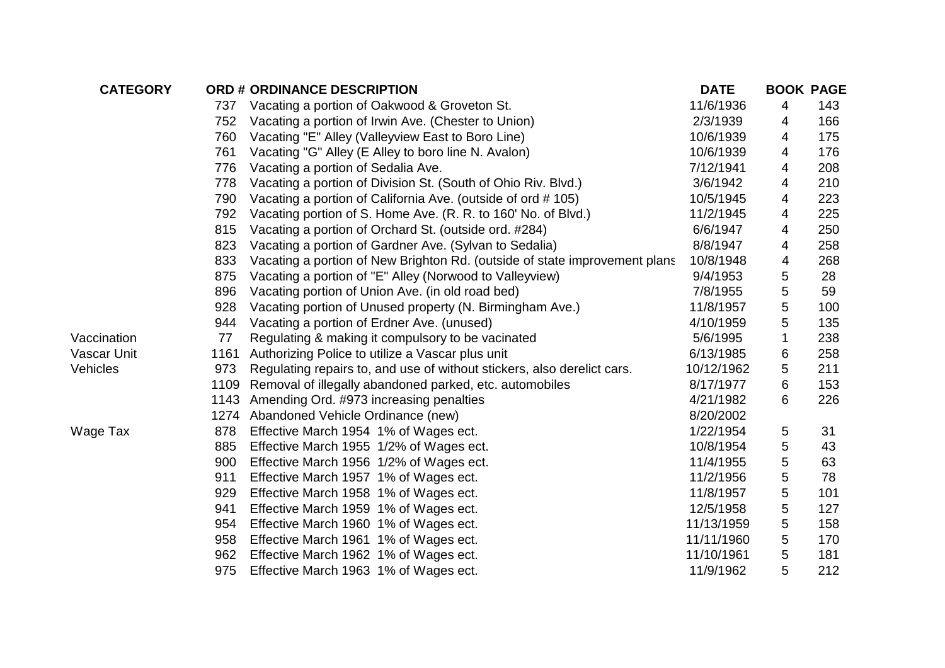| <b>CATEGORY</b> |      | <b>ORD # ORDINANCE DESCRIPTION</b>                                         | <b>DATE</b> |   | <b>BOOK PAGE</b> |
|-----------------|------|----------------------------------------------------------------------------|-------------|---|------------------|
|                 | 737  | Vacating a portion of Oakwood & Groveton St.                               | 11/6/1936   | 4 | 143              |
|                 | 752  | Vacating a portion of Irwin Ave. (Chester to Union)                        | 2/3/1939    | 4 | 166              |
|                 | 760  | Vacating "E" Alley (Valleyview East to Boro Line)                          | 10/6/1939   | 4 | 175              |
|                 | 761  | Vacating "G" Alley (E Alley to boro line N. Avalon)                        | 10/6/1939   | 4 | 176              |
|                 | 776  | Vacating a portion of Sedalia Ave.                                         | 7/12/1941   | 4 | 208              |
|                 | 778  | Vacating a portion of Division St. (South of Ohio Riv. Blvd.)              | 3/6/1942    | 4 | 210              |
|                 | 790  | Vacating a portion of California Ave. (outside of ord #105)                | 10/5/1945   | 4 | 223              |
|                 | 792  | Vacating portion of S. Home Ave. (R. R. to 160' No. of Blvd.)              | 11/2/1945   | 4 | 225              |
|                 | 815  | Vacating a portion of Orchard St. (outside ord. #284)                      | 6/6/1947    | 4 | 250              |
|                 | 823  | Vacating a portion of Gardner Ave. (Sylvan to Sedalia)                     | 8/8/1947    | 4 | 258              |
|                 | 833  | Vacating a portion of New Brighton Rd. (outside of state improvement plans | 10/8/1948   | 4 | 268              |
|                 | 875  | Vacating a portion of "E" Alley (Norwood to Valleyview)                    | 9/4/1953    | 5 | 28               |
|                 | 896  | Vacating portion of Union Ave. (in old road bed)                           | 7/8/1955    | 5 | 59               |
|                 | 928  | Vacating portion of Unused property (N. Birmingham Ave.)                   | 11/8/1957   | 5 | 100              |
|                 | 944  | Vacating a portion of Erdner Ave. (unused)                                 | 4/10/1959   | 5 | 135              |
| Vaccination     | 77   | Regulating & making it compulsory to be vacinated                          | 5/6/1995    | 1 | 238              |
| Vascar Unit     | 1161 | Authorizing Police to utilize a Vascar plus unit                           | 6/13/1985   | 6 | 258              |
| Vehicles        | 973  | Regulating repairs to, and use of without stickers, also derelict cars.    | 10/12/1962  | 5 | 211              |
|                 |      | 1109 Removal of illegally abandoned parked, etc. automobiles               | 8/17/1977   | 6 | 153              |
|                 |      | 1143 Amending Ord. #973 increasing penalties                               | 4/21/1982   | 6 | 226              |
|                 |      | 1274 Abandoned Vehicle Ordinance (new)                                     | 8/20/2002   |   |                  |
| Wage Tax        | 878  | Effective March 1954 1% of Wages ect.                                      | 1/22/1954   | 5 | 31               |
|                 | 885  | Effective March 1955 1/2% of Wages ect.                                    | 10/8/1954   | 5 | 43               |
|                 | 900  | Effective March 1956 1/2% of Wages ect.                                    | 11/4/1955   | 5 | 63               |
|                 | 911  | Effective March 1957 1% of Wages ect.                                      | 11/2/1956   | 5 | 78               |
|                 | 929  | Effective March 1958 1% of Wages ect.                                      | 11/8/1957   | 5 | 101              |
|                 | 941  | Effective March 1959 1% of Wages ect.                                      | 12/5/1958   | 5 | 127              |
|                 | 954  | Effective March 1960 1% of Wages ect.                                      | 11/13/1959  | 5 | 158              |
|                 | 958  | Effective March 1961 1% of Wages ect.                                      | 11/11/1960  | 5 | 170              |
|                 | 962  | Effective March 1962 1% of Wages ect.                                      | 11/10/1961  | 5 | 181              |
|                 | 975  | Effective March 1963 1% of Wages ect.                                      | 11/9/1962   | 5 | 212              |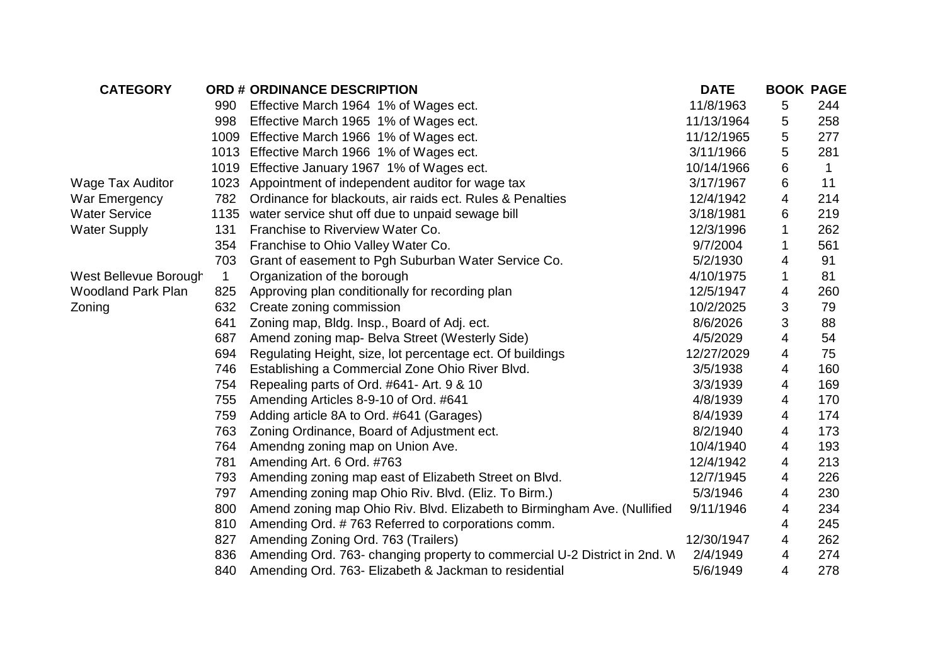| <b>CATEGORY</b>       |              | <b>ORD # ORDINANCE DESCRIPTION</b>                                        | <b>DATE</b> | <b>BOOK PAGE</b> |     |
|-----------------------|--------------|---------------------------------------------------------------------------|-------------|------------------|-----|
|                       | 990          | Effective March 1964 1% of Wages ect.                                     | 11/8/1963   | 5                | 244 |
|                       | 998          | Effective March 1965 1% of Wages ect.                                     | 11/13/1964  | 5                | 258 |
|                       | 1009         | Effective March 1966 1% of Wages ect.                                     | 11/12/1965  | 5                | 277 |
|                       | 1013         | Effective March 1966 1% of Wages ect.                                     | 3/11/1966   | 5                | 281 |
|                       | 1019         | Effective January 1967 1% of Wages ect.                                   | 10/14/1966  | 6                | 1   |
| Wage Tax Auditor      | 1023         | Appointment of independent auditor for wage tax                           | 3/17/1967   | 6                | 11  |
| War Emergency         | 782          | Ordinance for blackouts, air raids ect. Rules & Penalties                 | 12/4/1942   | 4                | 214 |
| Water Service         | 1135         | water service shut off due to unpaid sewage bill                          | 3/18/1981   | 6                | 219 |
| Water Supply          | 131          | Franchise to Riverview Water Co.                                          | 12/3/1996   |                  | 262 |
|                       | 354          | Franchise to Ohio Valley Water Co.                                        | 9/7/2004    |                  | 561 |
|                       | 703          | Grant of easement to Pgh Suburban Water Service Co.                       | 5/2/1930    | 4                | 91  |
| West Bellevue Borough | $\mathbf{1}$ | Organization of the borough                                               | 4/10/1975   |                  | 81  |
| Woodland Park Plan    | 825          | Approving plan conditionally for recording plan                           | 12/5/1947   | 4                | 260 |
| Zoning                | 632          | Create zoning commission                                                  | 10/2/2025   | 3                | 79  |
|                       | 641          | Zoning map, Bldg. Insp., Board of Adj. ect.                               | 8/6/2026    | 3                | 88  |
|                       | 687          | Amend zoning map- Belva Street (Westerly Side)                            | 4/5/2029    | 4                | 54  |
|                       | 694          | Regulating Height, size, lot percentage ect. Of buildings                 | 12/27/2029  | 4                | 75  |
|                       | 746          | Establishing a Commercial Zone Ohio River Blvd.                           | 3/5/1938    | 4                | 160 |
|                       | 754          | Repealing parts of Ord. #641- Art. 9 & 10                                 | 3/3/1939    | 4                | 169 |
|                       | 755          | Amending Articles 8-9-10 of Ord. #641                                     | 4/8/1939    | 4                | 170 |
|                       | 759          | Adding article 8A to Ord. #641 (Garages)                                  | 8/4/1939    | 4                | 174 |
|                       | 763          | Zoning Ordinance, Board of Adjustment ect.                                | 8/2/1940    | 4                | 173 |
|                       | 764          | Amendng zoning map on Union Ave.                                          | 10/4/1940   | 4                | 193 |
|                       | 781          | Amending Art. 6 Ord. #763                                                 | 12/4/1942   | 4                | 213 |
|                       | 793          | Amending zoning map east of Elizabeth Street on Blvd.                     | 12/7/1945   | 4                | 226 |
|                       | 797          | Amending zoning map Ohio Riv. Blvd. (Eliz. To Birm.)                      | 5/3/1946    | 4                | 230 |
|                       | 800          | Amend zoning map Ohio Riv. Blvd. Elizabeth to Birmingham Ave. (Nullified  | 9/11/1946   | 4                | 234 |
|                       | 810          | Amending Ord. #763 Referred to corporations comm.                         |             | 4                | 245 |
|                       | 827          | Amending Zoning Ord. 763 (Trailers)                                       | 12/30/1947  | 4                | 262 |
|                       | 836          | Amending Ord. 763- changing property to commercial U-2 District in 2nd. W | 2/4/1949    | 4                | 274 |
|                       | 840          | Amending Ord. 763- Elizabeth & Jackman to residential                     | 5/6/1949    | 4                | 278 |
|                       |              |                                                                           |             |                  |     |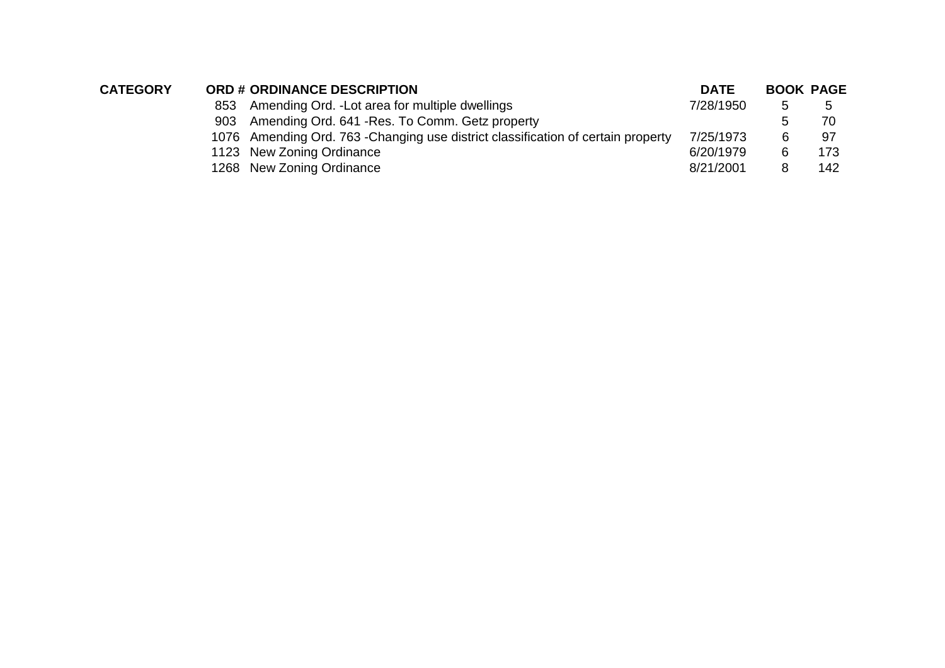| <b>CATEGORY</b> | <b>ORD # ORDINANCE DESCRIPTION</b> |                                                                                   |           | <b>BOOK PAGE</b> |     |
|-----------------|------------------------------------|-----------------------------------------------------------------------------------|-----------|------------------|-----|
|                 | 853                                | Amending Ord. - Lot area for multiple dwellings                                   | 7/28/1950 | 5                | 5   |
|                 |                                    | 903 Amending Ord. 641 - Res. To Comm. Getz property                               |           |                  | 70  |
|                 |                                    | 1076 Amending Ord. 763 - Changing use district classification of certain property | 7/25/1973 | 6                | 97  |
|                 |                                    | 1123 New Zoning Ordinance                                                         | 6/20/1979 | 6                | 173 |
|                 |                                    | 1268 New Zoning Ordinance                                                         | 8/21/2001 |                  | 142 |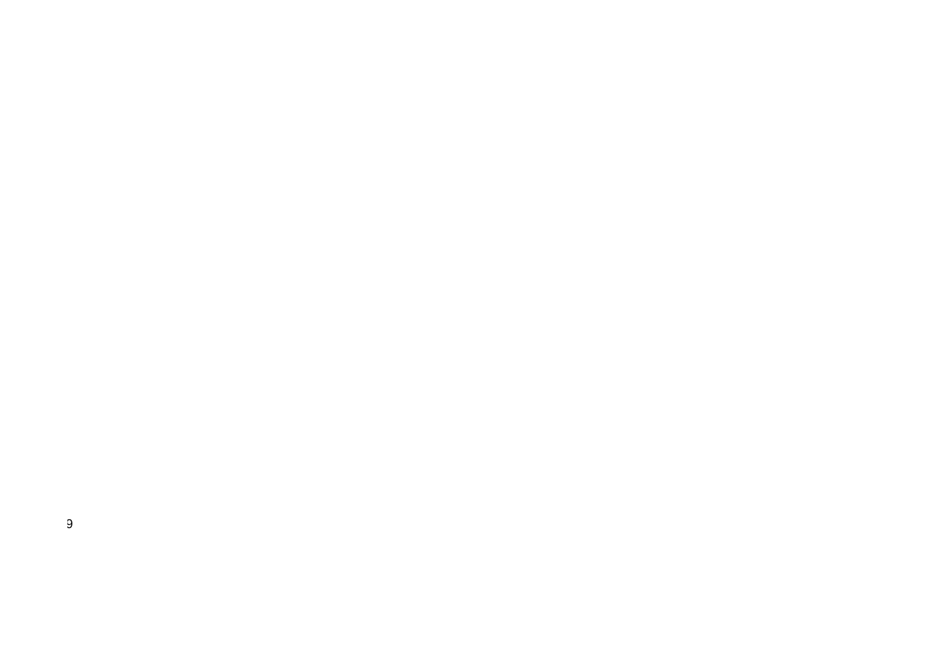127-129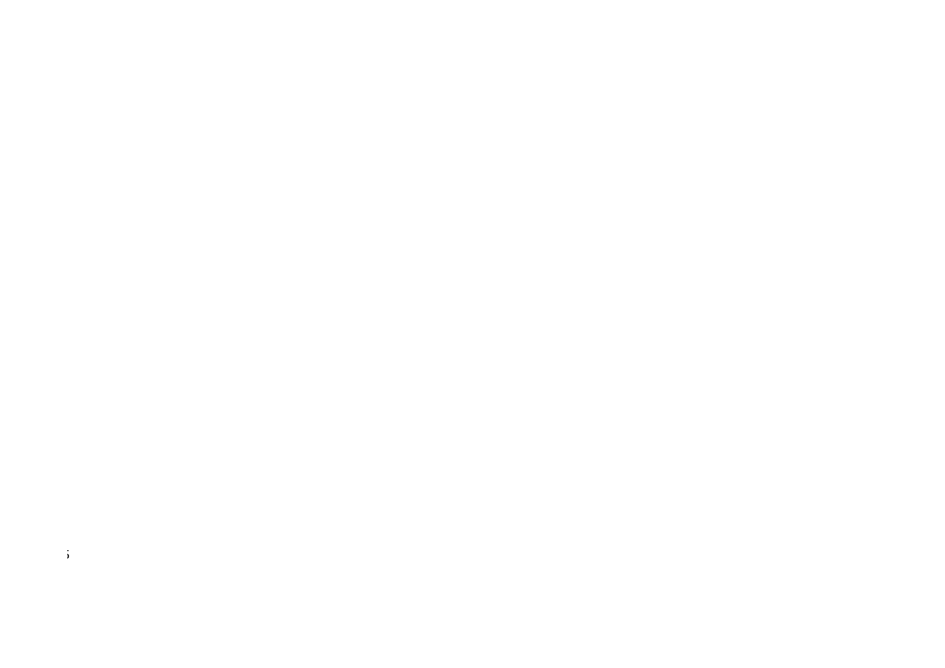$\mathbf{5}$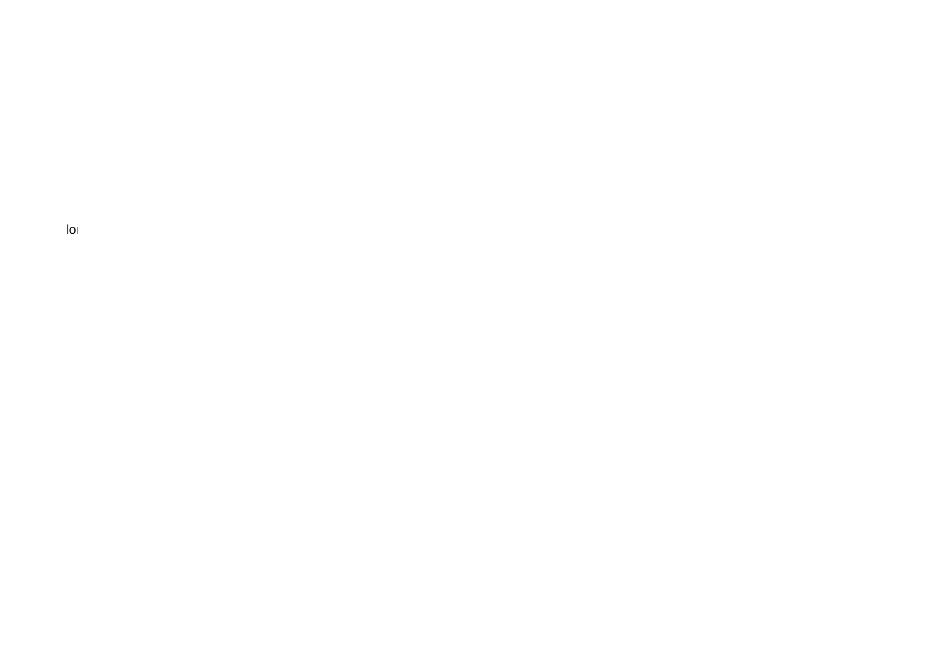$\overline{a}$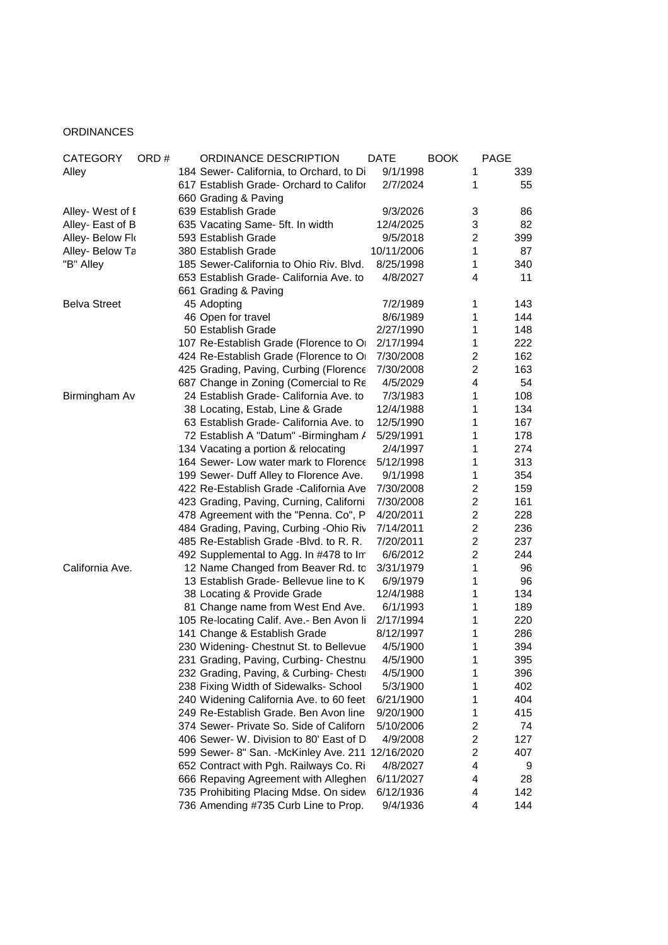## ORDINANCES

| <b>CATEGORY</b>     | ORD# | ORDINANCE DESCRIPTION                    | <b>DATE</b> | <b>BOOK</b> | <b>PAGE</b>    |     |
|---------------------|------|------------------------------------------|-------------|-------------|----------------|-----|
| Alley               |      | 184 Sewer- California, to Orchard, to Di | 9/1/1998    |             | 1              | 339 |
|                     |      | 617 Establish Grade- Orchard to Califor  | 2/7/2024    |             | 1              | 55  |
|                     |      | 660 Grading & Paving                     |             |             |                |     |
| Alley-West of I     |      | 639 Establish Grade                      | 9/3/2026    |             | 3              | 86  |
| Alley-East of B     |      | 635 Vacating Same- 5ft. In width         | 12/4/2025   |             | 3              | 82  |
| Alley- Below Flo    |      | 593 Establish Grade                      | 9/5/2018    |             | $\overline{c}$ | 399 |
| Alley- Below Ta     |      | 380 Establish Grade                      | 10/11/2006  |             | 1              | 87  |
| "B" Alley           |      | 185 Sewer-California to Ohio Riv. Blvd.  | 8/25/1998   |             | 1              | 340 |
|                     |      | 653 Establish Grade- California Ave. to  | 4/8/2027    |             | 4              | 11  |
|                     |      | 661 Grading & Paving                     |             |             |                |     |
| <b>Belva Street</b> |      | 45 Adopting                              | 7/2/1989    |             | 1              | 143 |
|                     |      | 46 Open for travel                       | 8/6/1989    |             | 1              | 144 |
|                     |      | 50 Establish Grade                       | 2/27/1990   |             | 1              | 148 |
|                     |      | 107 Re-Establish Grade (Florence to Or   | 2/17/1994   |             | 1              | 222 |
|                     |      | 424 Re-Establish Grade (Florence to Or   | 7/30/2008   |             | $\overline{c}$ | 162 |
|                     |      | 425 Grading, Paving, Curbing (Florence   | 7/30/2008   |             | $\overline{c}$ | 163 |
|                     |      | 687 Change in Zoning (Comercial to Re    | 4/5/2029    |             | 4              | 54  |
| Birmingham Av       |      | 24 Establish Grade- California Ave. to   | 7/3/1983    |             | 1              | 108 |
|                     |      | 38 Locating, Estab, Line & Grade         | 12/4/1988   |             | 1              | 134 |
|                     |      | 63 Establish Grade- California Ave. to   | 12/5/1990   |             | 1              | 167 |
|                     |      | 72 Establish A "Datum" - Birmingham A    | 5/29/1991   |             | 1              | 178 |
|                     |      | 134 Vacating a portion & relocating      | 2/4/1997    |             | 1              | 274 |
|                     |      | 164 Sewer- Low water mark to Florence    | 5/12/1998   |             | 1              | 313 |
|                     |      | 199 Sewer- Duff Alley to Florence Ave.   | 9/1/1998    |             | 1              | 354 |
|                     |      | 422 Re-Establish Grade -California Ave   | 7/30/2008   |             | $\overline{c}$ | 159 |
|                     |      | 423 Grading, Paving, Curning, Californi  | 7/30/2008   |             | $\overline{2}$ | 161 |
|                     |      | 478 Agreement with the "Penna. Co", P    | 4/20/2011   |             | $\overline{2}$ | 228 |
|                     |      | 484 Grading, Paving, Curbing -Ohio Riv   | 7/14/2011   |             | $\overline{c}$ | 236 |
|                     |      | 485 Re-Establish Grade -Blvd. to R. R.   | 7/20/2011   |             | $\overline{c}$ | 237 |
|                     |      | 492 Supplemental to Agg. In #478 to Im   | 6/6/2012    |             | $\overline{2}$ | 244 |
| California Ave.     |      | 12 Name Changed from Beaver Rd. to       | 3/31/1979   |             | 1              | 96  |
|                     |      | 13 Establish Grade- Bellevue line to Ki  | 6/9/1979    |             | 1              | 96  |
|                     |      | 38 Locating & Provide Grade              | 12/4/1988   |             | 1              | 134 |
|                     |      | 81 Change name from West End Ave.        | 6/1/1993    |             | 1              | 189 |
|                     |      | 105 Re-locating Calif. Ave.- Ben Avon li | 2/17/1994   |             | 1              | 220 |
|                     |      | 141 Change & Establish Grade             | 8/12/1997   |             | 1              | 286 |
|                     |      | 230 Widening- Chestnut St. to Bellevue   | 4/5/1900    |             | 1              | 394 |
|                     |      | 231 Grading, Paving, Curbing- Chestnu    | 4/5/1900    |             | 1              | 395 |
|                     |      | 232 Grading, Paving, & Curbing- Chesti   | 4/5/1900    |             | 1              | 396 |
|                     |      | 238 Fixing Width of Sidewalks- School    | 5/3/1900    |             | 1              | 402 |
|                     |      | 240 Widening California Ave. to 60 feet  | 6/21/1900   |             | 1              | 404 |
|                     |      | 249 Re-Establish Grade. Ben Avon line    | 9/20/1900   |             | 1              | 415 |
|                     |      | 374 Sewer- Private So. Side of Californi | 5/10/2006   |             | 2              | 74  |
|                     |      | 406 Sewer- W. Division to 80' East of D  | 4/9/2008    |             | $\overline{c}$ | 127 |
|                     |      | 599 Sewer- 8" San. - McKinley Ave. 211   | 12/16/2020  |             | $\overline{2}$ | 407 |
|                     |      | 652 Contract with Pgh. Railways Co. Ri   | 4/8/2027    |             | 4              | 9   |
|                     |      | 666 Repaving Agreement with Alleghen     | 6/11/2027   |             | 4              | 28  |
|                     |      | 735 Prohibiting Placing Mdse. On sidew   | 6/12/1936   |             | 4              | 142 |
|                     |      | 736 Amending #735 Curb Line to Prop.     | 9/4/1936    |             | 4              | 144 |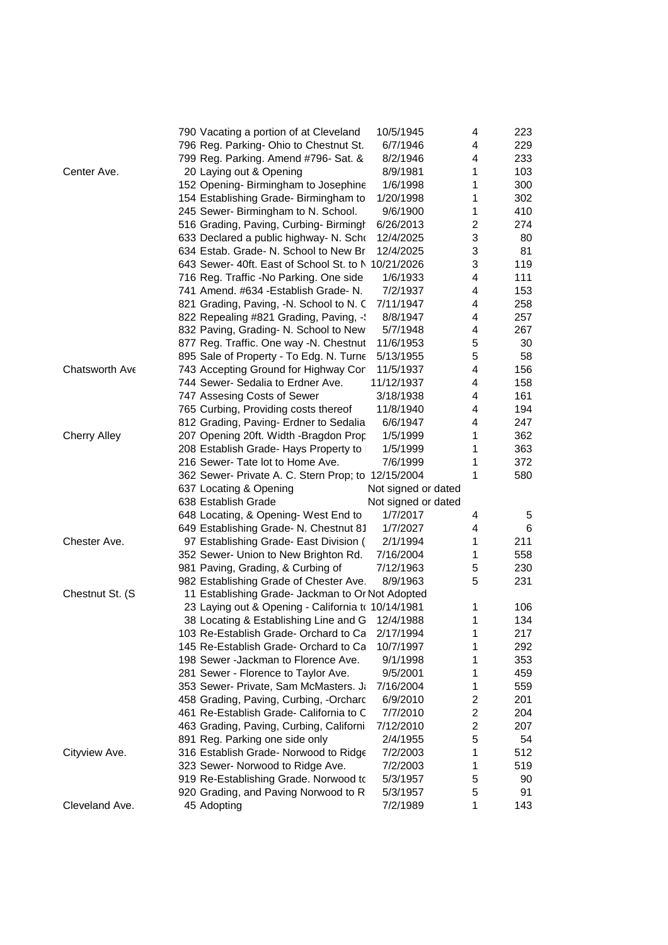|                     | 790 Vacating a portion of at Cleveland              | 10/5/1945           | 4              | 223 |
|---------------------|-----------------------------------------------------|---------------------|----------------|-----|
|                     | 796 Reg. Parking- Ohio to Chestnut St.              | 6/7/1946            | 4              | 229 |
|                     | 799 Reg. Parking. Amend #796- Sat. &                | 8/2/1946            | 4              | 233 |
| Center Ave.         | 20 Laying out & Opening                             | 8/9/1981            | 1              | 103 |
|                     | 152 Opening- Birmingham to Josephine                | 1/6/1998            | 1              | 300 |
|                     | 154 Establishing Grade- Birmingham to               | 1/20/1998           | 1              | 302 |
|                     | 245 Sewer- Birmingham to N. School.                 | 9/6/1900            | 1              | 410 |
|                     | 516 Grading, Paving, Curbing-Birmingh               | 6/26/2013           | $\overline{c}$ | 274 |
|                     | 633 Declared a public highway- N. Scho              | 12/4/2025           | 3              | 80  |
|                     | 634 Estab. Grade- N. School to New Br               | 12/4/2025           | 3              | 81  |
|                     | 643 Sewer- 40ft. East of School St. to N 10/21/2026 |                     | 3              | 119 |
|                     | 716 Reg. Traffic -No Parking. One side              | 1/6/1933            | 4              | 111 |
|                     | 741 Amend. #634 - Establish Grade- N.               | 7/2/1937            | 4              | 153 |
|                     | 821 Grading, Paving, -N. School to N. C             | 7/11/1947           | 4              | 258 |
|                     | 822 Repealing #821 Grading, Paving, -               | 8/8/1947            | 4              | 257 |
|                     | 832 Paving, Grading- N. School to New               | 5/7/1948            | 4              | 267 |
|                     | 877 Reg. Traffic. One way -N. Chestnut              | 11/6/1953           | 5              | 30  |
|                     | 895 Sale of Property - To Edg. N. Turne             | 5/13/1955           | 5              | 58  |
| Chatsworth Ave      | 743 Accepting Ground for Highway Con                | 11/5/1937           | 4              | 156 |
|                     | 744 Sewer- Sedalia to Erdner Ave.                   | 11/12/1937          | 4              | 158 |
|                     | 747 Assesing Costs of Sewer                         | 3/18/1938           | 4              | 161 |
|                     | 765 Curbing, Providing costs thereof                | 11/8/1940           | 4              | 194 |
|                     | 812 Grading, Paving- Erdner to Sedalia              | 6/6/1947            | 4              | 247 |
| <b>Cherry Alley</b> | 207 Opening 20ft. Width -Bragdon Prop               | 1/5/1999            | 1              | 362 |
|                     | 208 Establish Grade- Hays Property to I             | 1/5/1999            | 1              | 363 |
|                     | 216 Sewer- Tate lot to Home Ave.                    | 7/6/1999            | 1              | 372 |
|                     | 362 Sewer- Private A. C. Stern Prop; to 12/15/2004  |                     | 1              | 580 |
|                     | 637 Locating & Opening                              | Not signed or dated |                |     |
|                     | 638 Establish Grade                                 | Not signed or dated |                |     |
|                     | 648 Locating, & Opening- West End to                | 1/7/2017            | 4              | 5   |
|                     | 649 Establishing Grade- N. Chestnut 81              | 1/7/2027            | 4              | 6   |
| Chester Ave.        | 97 Establishing Grade- East Division (              | 2/1/1994            | $\mathbf{1}$   | 211 |
|                     | 352 Sewer- Union to New Brighton Rd.                | 7/16/2004           | 1              | 558 |
|                     | 981 Paving, Grading, & Curbing of                   | 7/12/1963           | 5              | 230 |
|                     | 982 Establishing Grade of Chester Ave.              | 8/9/1963            | 5              | 231 |
| Chestnut St. (S     | 11 Establishing Grade- Jackman to Or Not Adopted    |                     |                |     |
|                     | 23 Laying out & Opening - California to 10/14/1981  |                     | 1              | 106 |
|                     | 38 Locating & Establishing Line and G 12/4/1988     |                     | 1              | 134 |
|                     | 103 Re-Establish Grade- Orchard to Ca               | 2/17/1994           | 1              | 217 |
|                     | 145 Re-Establish Grade- Orchard to Ca               | 10/7/1997           | 1              | 292 |
|                     | 198 Sewer - Jackman to Florence Ave.                | 9/1/1998            | 1              | 353 |
|                     | 281 Sewer - Florence to Taylor Ave.                 | 9/5/2001            | 1              | 459 |
|                     | 353 Sewer- Private, Sam McMasters. Ja               | 7/16/2004           | 1              | 559 |
|                     | 458 Grading, Paving, Curbing, -Orcharc              | 6/9/2010            | 2              | 201 |
|                     | 461 Re-Establish Grade- California to C             | 7/7/2010            | $\overline{2}$ | 204 |
|                     | 463 Grading, Paving, Curbing, Californi             | 7/12/2010           | $\overline{2}$ | 207 |
|                     | 891 Reg. Parking one side only                      | 2/4/1955            | 5              | 54  |
| Cityview Ave.       | 316 Establish Grade- Norwood to Ridge               | 7/2/2003            | 1              | 512 |
|                     | 323 Sewer- Norwood to Ridge Ave.                    | 7/2/2003            | 1              | 519 |
|                     | 919 Re-Establishing Grade. Norwood tc               | 5/3/1957            | 5              | 90  |
|                     | 920 Grading, and Paving Norwood to R                | 5/3/1957            | 5              | 91  |
| Cleveland Ave.      | 45 Adopting                                         | 7/2/1989            | 1              | 143 |
|                     |                                                     |                     |                |     |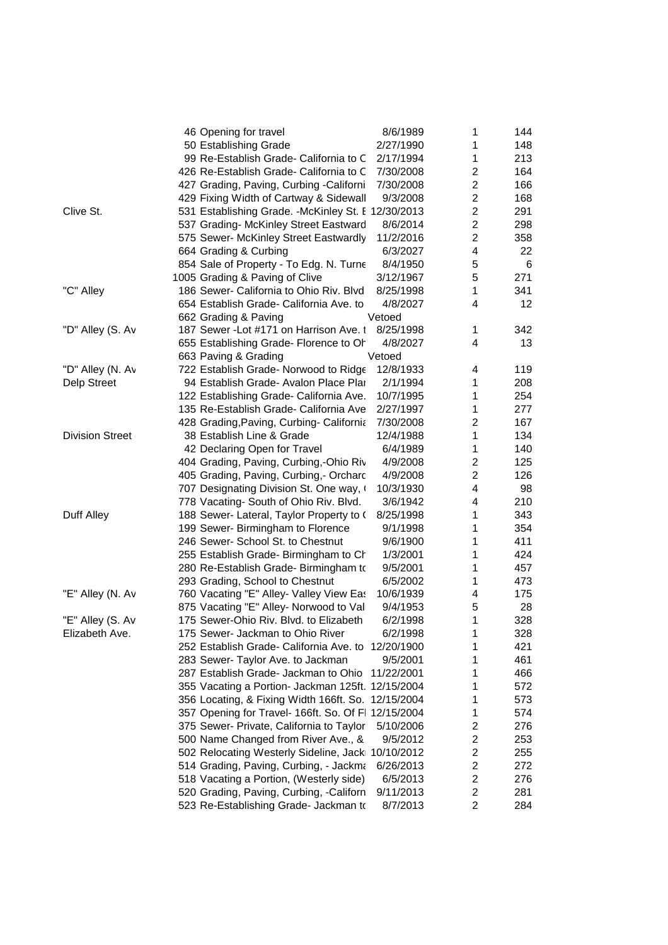|                        | 46 Opening for travel                               | 8/6/1989   | 1                                         | 144 |
|------------------------|-----------------------------------------------------|------------|-------------------------------------------|-----|
|                        | 50 Establishing Grade                               | 2/27/1990  | 1                                         | 148 |
|                        | 99 Re-Establish Grade- California to C              | 2/17/1994  | 1                                         | 213 |
|                        | 426 Re-Establish Grade- California to C             | 7/30/2008  | 2                                         | 164 |
|                        | 427 Grading, Paving, Curbing -Californi             | 7/30/2008  | $\overline{c}$                            | 166 |
|                        | 429 Fixing Width of Cartway & Sidewall              | 9/3/2008   | $\overline{c}$                            | 168 |
| Clive St.              | 531 Establishing Grade. - McKinley St. E 12/30/2013 |            | $\overline{c}$                            | 291 |
|                        | 537 Grading- McKinley Street Eastward               | 8/6/2014   | $\overline{c}$                            | 298 |
|                        | 575 Sewer- McKinley Street Eastwardly               | 11/2/2016  | $\overline{c}$                            | 358 |
|                        | 664 Grading & Curbing                               | 6/3/2027   | 4                                         | 22  |
|                        | 854 Sale of Property - To Edg. N. Turne             | 8/4/1950   | 5                                         | 6   |
|                        | 1005 Grading & Paving of Clive                      | 3/12/1967  | 5                                         | 271 |
| "C" Alley              | 186 Sewer- California to Ohio Riv. Blvd             | 8/25/1998  | 1                                         | 341 |
|                        | 654 Establish Grade- California Ave. to             | 4/8/2027   | 4                                         | 12  |
|                        | 662 Grading & Paving                                | Vetoed     |                                           |     |
| "D" Alley (S. Av       | 187 Sewer - Lot #171 on Harrison Ave. t             | 8/25/1998  | 1                                         | 342 |
|                        | 655 Establishing Grade- Florence to Oh              | 4/8/2027   | 4                                         | 13  |
|                        | 663 Paving & Grading                                | Vetoed     |                                           |     |
| "D" Alley (N. Av       | 722 Establish Grade- Norwood to Ridge               | 12/8/1933  | 4                                         | 119 |
| <b>Delp Street</b>     | 94 Establish Grade- Avalon Place Plar               | 2/1/1994   | 1                                         | 208 |
|                        | 122 Establishing Grade- California Ave.             | 10/7/1995  | 1                                         | 254 |
|                        | 135 Re-Establish Grade- California Ave              | 2/27/1997  | 1                                         | 277 |
|                        | 428 Grading, Paving, Curbing- California            | 7/30/2008  | $\overline{2}$                            | 167 |
| <b>Division Street</b> | 38 Establish Line & Grade                           | 12/4/1988  | 1                                         | 134 |
|                        | 42 Declaring Open for Travel                        | 6/4/1989   | 1                                         | 140 |
|                        | 404 Grading, Paving, Curbing,-Ohio Riv              | 4/9/2008   | $\overline{2}$                            | 125 |
|                        | 405 Grading, Paving, Curbing,- Orcharc              | 4/9/2008   | $\overline{2}$                            | 126 |
|                        | 707 Designating Division St. One way, I             | 10/3/1930  | 4                                         | 98  |
|                        | 778 Vacating- South of Ohio Riv. Blvd.              | 3/6/1942   | 4                                         | 210 |
| Duff Alley             | 188 Sewer- Lateral, Taylor Property to (            | 8/25/1998  | 1                                         | 343 |
|                        | 199 Sewer- Birmingham to Florence                   | 9/1/1998   | 1                                         | 354 |
|                        | 246 Sewer- School St. to Chestnut                   | 9/6/1900   | 1                                         | 411 |
|                        | 255 Establish Grade- Birmingham to Ch               | 1/3/2001   | 1                                         | 424 |
|                        | 280 Re-Establish Grade- Birmingham to               | 9/5/2001   | 1                                         | 457 |
|                        | 293 Grading, School to Chestnut                     | 6/5/2002   | 1                                         | 473 |
| "E" Alley (N. Av       | 760 Vacating "E" Alley- Valley View Eas             | 10/6/1939  | 4                                         | 175 |
|                        | 875 Vacating "E" Alley- Norwood to Vall             | 9/4/1953   | 5                                         | 28  |
| "E" Alley (S. Av       | 175 Sewer-Ohio Riv. Blvd. to Elizabeth              | 6/2/1998   | 1                                         | 328 |
| Elizabeth Ave.         | 175 Sewer- Jackman to Ohio River                    | 6/2/1998   | 1                                         | 328 |
|                        | 252 Establish Grade- California Ave. to 12/20/1900  |            | 1                                         | 421 |
|                        | 283 Sewer- Taylor Ave. to Jackman                   | 9/5/2001   | 1                                         | 461 |
|                        | 287 Establish Grade- Jackman to Ohio                | 11/22/2001 | 1                                         | 466 |
|                        | 355 Vacating a Portion- Jackman 125ft. 12/15/2004   |            | 1                                         | 572 |
|                        |                                                     |            | 1                                         | 573 |
|                        | 356 Locating, & Fixing Width 166ft. So. 12/15/2004  |            | 1                                         | 574 |
|                        | 357 Opening for Travel- 166ft. So. Of FI 12/15/2004 |            |                                           |     |
|                        | 375 Sewer- Private, California to Taylor            | 5/10/2006  | 2                                         | 276 |
|                        | 500 Name Changed from River Ave., &                 | 9/5/2012   | $\overline{\mathbf{c}}$<br>$\overline{c}$ | 253 |
|                        | 502 Relocating Westerly Sideline, Jack 10/10/2012   |            |                                           | 255 |
|                        | 514 Grading, Paving, Curbing, - Jackma              | 6/26/2013  | 2                                         | 272 |
|                        | 518 Vacating a Portion, (Westerly side)             | 6/5/2013   | 2                                         | 276 |
|                        | 520 Grading, Paving, Curbing, -Californ             | 9/11/2013  | 2                                         | 281 |
|                        | 523 Re-Establishing Grade- Jackman to               | 8/7/2013   | 2                                         | 284 |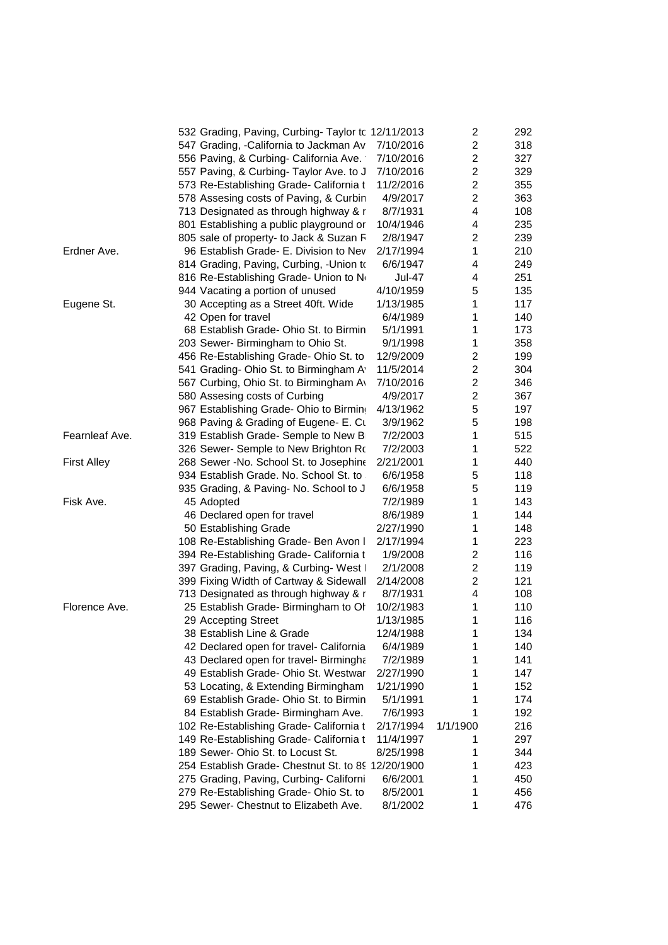|                    | 532 Grading, Paving, Curbing-Taylor tc 12/11/2013                                 |                      | $\overline{c}$          | 292        |  |
|--------------------|-----------------------------------------------------------------------------------|----------------------|-------------------------|------------|--|
|                    | 547 Grading, -California to Jackman Av                                            | 7/10/2016            | $\overline{\mathbf{c}}$ | 318        |  |
|                    | 556 Paving, & Curbing- California Ave.                                            | 7/10/2016            | $\overline{\mathbf{c}}$ | 327        |  |
|                    | 557 Paving, & Curbing- Taylor Ave. to J                                           | 7/10/2016            | $\overline{c}$          | 329        |  |
|                    | 573 Re-Establishing Grade- California t                                           | 11/2/2016            | $\overline{\mathbf{c}}$ | 355        |  |
|                    | 578 Assesing costs of Paving, & Curbin                                            | 4/9/2017             | $\overline{\mathbf{c}}$ | 363        |  |
|                    | 713 Designated as through highway & r                                             | 8/7/1931             | 4                       | 108        |  |
|                    | 801 Establishing a public playground or                                           | 10/4/1946            | 4                       | 235        |  |
|                    | 805 sale of property- to Jack & Suzan R                                           | 2/8/1947             | 2                       | 239        |  |
| Erdner Ave.        | 96 Establish Grade- E. Division to Nev                                            | 2/17/1994            | 1                       | 210        |  |
|                    | 814 Grading, Paving, Curbing, -Union to                                           | 6/6/1947             | 4                       | 249        |  |
|                    | 816 Re-Establishing Grade- Union to No                                            | <b>Jul-47</b>        | 4                       | 251        |  |
|                    | 944 Vacating a portion of unused                                                  | 4/10/1959            | 5                       | 135        |  |
| Eugene St.         | 30 Accepting as a Street 40ft. Wide                                               | 1/13/1985            | 1                       | 117        |  |
|                    | 42 Open for travel                                                                | 6/4/1989             | 1                       | 140        |  |
|                    | 68 Establish Grade- Ohio St. to Birmin                                            | 5/1/1991             | 1                       | 173        |  |
|                    | 203 Sewer- Birmingham to Ohio St.                                                 | 9/1/1998             | 1                       | 358        |  |
|                    | 456 Re-Establishing Grade- Ohio St. to                                            | 12/9/2009            | 2                       | 199        |  |
|                    | 541 Grading- Ohio St. to Birmingham A                                             | 11/5/2014            | $\overline{\mathbf{c}}$ | 304        |  |
|                    | 567 Curbing, Ohio St. to Birmingham Av                                            | 7/10/2016            | 2                       | 346        |  |
|                    | 580 Assesing costs of Curbing                                                     | 4/9/2017             | 2                       | 367        |  |
|                    | 967 Establishing Grade- Ohio to Birming                                           | 4/13/1962            | 5                       | 197        |  |
|                    | 968 Paving & Grading of Eugene- E. Cu                                             | 3/9/1962             | 5                       | 198        |  |
| Fearnleaf Ave.     | 319 Establish Grade- Semple to New B                                              | 7/2/2003             | 1                       | 515        |  |
|                    | 326 Sewer- Semple to New Brighton Ro                                              | 7/2/2003             | 1                       | 522        |  |
| <b>First Alley</b> | 268 Sewer - No. School St. to Josephine                                           | 2/21/2001            | 1                       | 440        |  |
|                    | 934 Establish Grade. No. School St. to                                            | 6/6/1958             | 5                       | 118        |  |
|                    | 935 Grading, & Paving- No. School to J                                            | 6/6/1958             | 5                       | 119        |  |
| Fisk Ave.          | 45 Adopted                                                                        | 7/2/1989             | 1                       | 143        |  |
|                    | 46 Declared open for travel                                                       | 8/6/1989             | 1                       | 144        |  |
|                    | 50 Establishing Grade                                                             | 2/27/1990            | 1                       | 148        |  |
|                    | 108 Re-Establishing Grade- Ben Avon I                                             | 2/17/1994            | 1                       | 223        |  |
|                    | 394 Re-Establishing Grade- California t                                           | 1/9/2008             | 2                       | 116        |  |
|                    | 397 Grading, Paving, & Curbing-West I                                             | 2/1/2008             | 2                       | 119        |  |
|                    | 399 Fixing Width of Cartway & Sidewall                                            | 2/14/2008            | 2                       | 121        |  |
|                    | 713 Designated as through highway & r                                             | 8/7/1931             | 4                       | 108        |  |
| Florence Ave.      | 25 Establish Grade- Birmingham to Or                                              | 10/2/1983            | 1                       | 110        |  |
|                    | 29 Accepting Street                                                               | 1/13/1985            | 1                       | 116        |  |
|                    | 38 Establish Line & Grade                                                         | 12/4/1988            | 1                       | 134        |  |
|                    | 42 Declared open for travel- California                                           | 6/4/1989             | 1                       | 140        |  |
|                    | 43 Declared open for travel- Birmingha                                            | 7/2/1989             | 1                       | 141        |  |
|                    | 49 Establish Grade- Ohio St. Westwar                                              | 2/27/1990            | 1                       | 147        |  |
|                    | 53 Locating, & Extending Birmingham                                               | 1/21/1990            | 1                       | 152        |  |
|                    | 69 Establish Grade- Ohio St. to Birmin                                            | 5/1/1991             | 1                       | 174        |  |
|                    | 84 Establish Grade- Birmingham Ave.                                               | 7/6/1993             | 1                       | 192        |  |
|                    | 102 Re-Establishing Grade- California t                                           |                      | 1/1/1900                | 216        |  |
|                    | 149 Re-Establishing Grade- California t                                           | 2/17/1994            |                         | 297        |  |
|                    | 189 Sewer- Ohio St. to Locust St.                                                 | 11/4/1997            | 1                       | 344        |  |
|                    | 254 Establish Grade- Chestnut St. to 89 12/20/1900                                | 8/25/1998            | 1                       |            |  |
|                    |                                                                                   |                      | 1                       | 423        |  |
|                    | 275 Grading, Paving, Curbing- Californi<br>279 Re-Establishing Grade- Ohio St. to | 6/6/2001<br>8/5/2001 | 1<br>1                  | 450<br>456 |  |
|                    | 295 Sewer- Chestnut to Elizabeth Ave.                                             | 8/1/2002             | 1                       | 476        |  |
|                    |                                                                                   |                      |                         |            |  |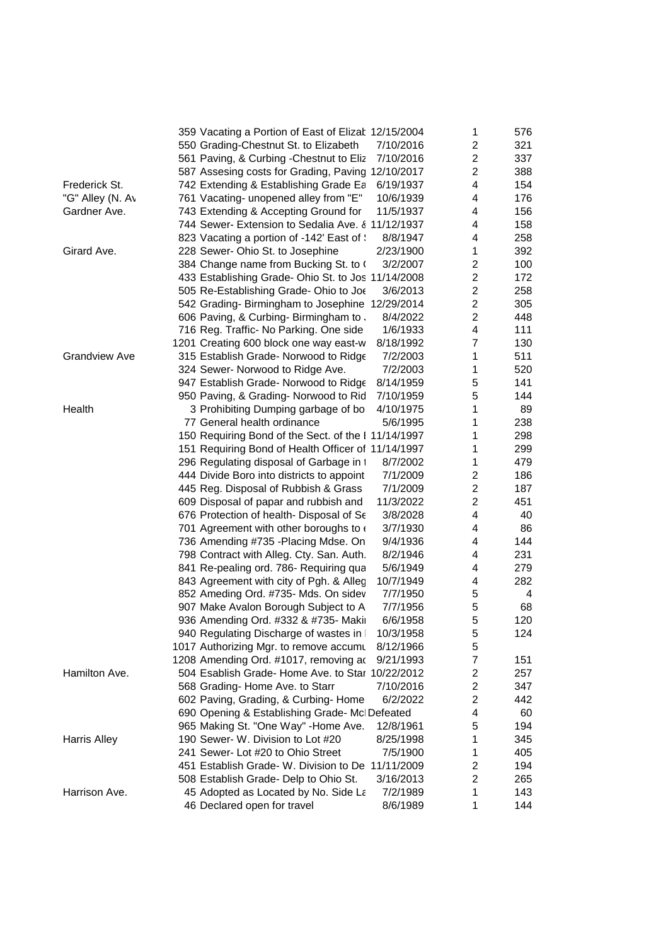|                      | 359 Vacating a Portion of East of Elizal: 12/15/2004                                                      | 1 | 576 |  |
|----------------------|-----------------------------------------------------------------------------------------------------------|---|-----|--|
|                      | 550 Grading-Chestnut St. to Elizabeth<br>7/10/2016                                                        | 2 | 321 |  |
|                      | 561 Paving, & Curbing - Chestnut to Eliz 7/10/2016                                                        | 2 | 337 |  |
|                      | 587 Assesing costs for Grading, Paving 12/10/2017                                                         | 2 | 388 |  |
| Frederick St.        | 742 Extending & Establishing Grade Ea<br>6/19/1937                                                        | 4 | 154 |  |
| "G" Alley (N. Av     | 761 Vacating- unopened alley from "E"<br>10/6/1939                                                        | 4 | 176 |  |
| Gardner Ave.         | 743 Extending & Accepting Ground for<br>11/5/1937                                                         | 4 | 156 |  |
|                      | 744 Sewer- Extension to Sedalia Ave. 8 11/12/1937                                                         | 4 | 158 |  |
|                      | 8/8/1947<br>823 Vacating a portion of -142' East of \$                                                    | 4 | 258 |  |
| Girard Ave.          | 2/23/1900<br>228 Sewer- Ohio St. to Josephine                                                             |   | 392 |  |
|                      | 3/2/2007<br>384 Change name from Bucking St. to (                                                         | 2 | 100 |  |
|                      | 433 Establishing Grade- Ohio St. to Jos 11/14/2008                                                        | 2 | 172 |  |
|                      | 505 Re-Establishing Grade- Ohio to Joe<br>3/6/2013                                                        | 2 | 258 |  |
|                      | 542 Grading-Birmingham to Josephine 12/29/2014                                                            | 2 | 305 |  |
|                      | 606 Paving, & Curbing-Birmingham to.<br>8/4/2022                                                          | 2 | 448 |  |
|                      | 716 Reg. Traffic- No Parking. One side<br>1/6/1933                                                        | 4 | 111 |  |
|                      | 8/18/1992<br>1201 Creating 600 block one way east-w                                                       |   | 130 |  |
| <b>Grandview Ave</b> | 315 Establish Grade- Norwood to Ridge<br>7/2/2003                                                         |   | 511 |  |
|                      | 7/2/2003<br>324 Sewer- Norwood to Ridge Ave.                                                              | 1 | 520 |  |
|                      | 947 Establish Grade-Norwood to Ridge<br>8/14/1959                                                         | 5 | 141 |  |
|                      | 950 Paving, & Grading- Norwood to Rid<br>7/10/1959                                                        | 5 | 144 |  |
| Health               | 4/10/1975<br>3 Prohibiting Dumping garbage of bo                                                          |   | 89  |  |
|                      | 5/6/1995<br>77 General health ordinance                                                                   |   | 238 |  |
|                      |                                                                                                           |   | 298 |  |
|                      | 150 Requiring Bond of the Sect. of the I 11/14/1997<br>151 Requiring Bond of Health Officer of 11/14/1997 |   | 299 |  |
|                      |                                                                                                           |   | 479 |  |
|                      | 296 Regulating disposal of Garbage in 1<br>8/7/2002                                                       |   |     |  |
|                      | 7/1/2009<br>444 Divide Boro into districts to appoint                                                     | 2 | 186 |  |
|                      | 7/1/2009<br>445 Reg. Disposal of Rubbish & Grass                                                          | 2 | 187 |  |
|                      | 11/3/2022<br>609 Disposal of papar and rubbish and                                                        | 2 | 451 |  |
|                      | 3/8/2028<br>676 Protection of health- Disposal of Se                                                      | 4 | 40  |  |
|                      | 3/7/1930<br>701 Agreement with other boroughs to $\epsilon$                                               | 4 | 86  |  |
|                      | 9/4/1936<br>736 Amending #735 - Placing Mdse. On                                                          | 4 | 144 |  |
|                      | 8/2/1946<br>798 Contract with Alleg. Cty. San. Auth.                                                      | 4 | 231 |  |
|                      | 5/6/1949<br>841 Re-pealing ord. 786- Requiring qua                                                        | 4 | 279 |  |
|                      | 10/7/1949<br>843 Agreement with city of Pgh. & Alleg                                                      | 4 | 282 |  |
|                      | 7/7/1950<br>852 Ameding Ord. #735- Mds. On sidev                                                          | 5 | 4   |  |
|                      | 907 Make Avalon Borough Subject to A<br>7/7/1956                                                          | 5 | 68  |  |
|                      | 936 Amending Ord. #332 & #735- Makir<br>6/6/1958                                                          | 5 | 120 |  |
|                      | 940 Regulating Discharge of wastes in I<br>10/3/1958                                                      | 5 | 124 |  |
|                      | 1017 Authorizing Mgr. to remove accumu<br>8/12/1966                                                       | 5 |     |  |
|                      | 1208 Amending Ord. #1017, removing ac<br>9/21/1993                                                        |   | 151 |  |
| Hamilton Ave.        | 504 Esablish Grade- Home Ave. to Star 10/22/2012                                                          | 2 | 257 |  |
|                      | 568 Grading- Home Ave. to Starr<br>7/10/2016                                                              | 2 | 347 |  |
|                      | 602 Paving, Grading, & Curbing-Home<br>6/2/2022                                                           | 2 | 442 |  |
|                      | 690 Opening & Establishing Grade-McIDefeated                                                              | 4 | 60  |  |
|                      | 965 Making St. "One Way" - Home Ave.<br>12/8/1961                                                         | 5 | 194 |  |
| <b>Harris Alley</b>  | 190 Sewer- W. Division to Lot #20<br>8/25/1998                                                            |   | 345 |  |
|                      | 241 Sewer- Lot #20 to Ohio Street<br>7/5/1900                                                             |   | 405 |  |
|                      | 451 Establish Grade- W. Division to Del 11/11/2009                                                        | 2 | 194 |  |
|                      | 3/16/2013<br>508 Establish Grade- Delp to Ohio St.                                                        | 2 | 265 |  |
| Harrison Ave.        | 7/2/1989<br>45 Adopted as Located by No. Side La                                                          |   | 143 |  |
|                      | 46 Declared open for travel<br>8/6/1989                                                                   |   | 144 |  |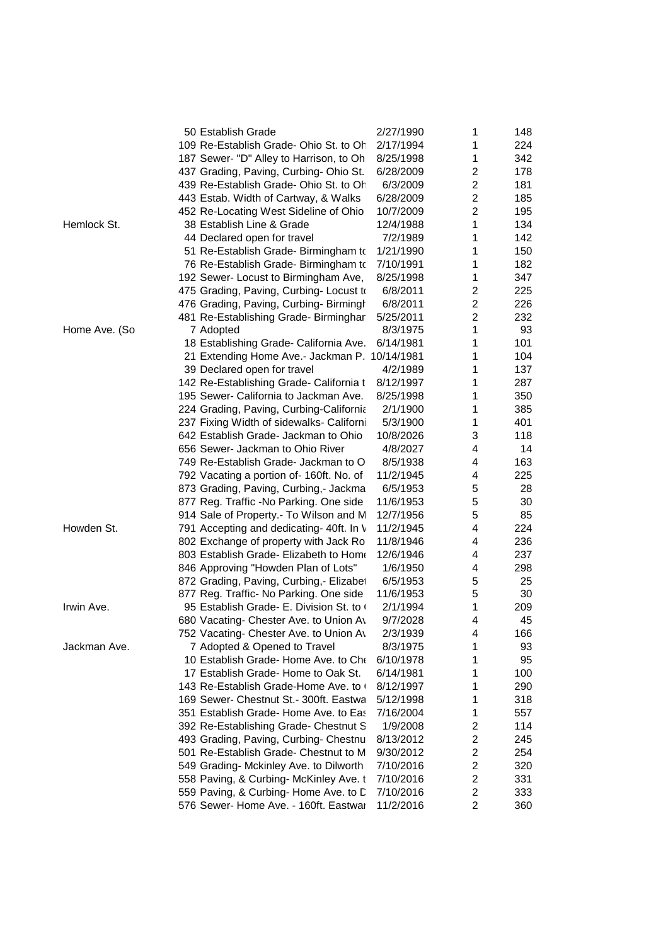|               | 50 Establish Grade                            | 2/27/1990 | 1                       | 148 |
|---------------|-----------------------------------------------|-----------|-------------------------|-----|
|               | 109 Re-Establish Grade- Ohio St. to Oh        | 2/17/1994 | 1                       | 224 |
|               | 187 Sewer- "D" Alley to Harrison, to Ohi      | 8/25/1998 | 1                       | 342 |
|               | 437 Grading, Paving, Curbing-Ohio St.         | 6/28/2009 | 2                       | 178 |
|               | 439 Re-Establish Grade- Ohio St. to Oh        | 6/3/2009  | $\overline{c}$          | 181 |
|               | 443 Estab. Width of Cartway, & Walks          | 6/28/2009 | 2                       | 185 |
|               | 452 Re-Locating West Sideline of Ohio         | 10/7/2009 | $\overline{c}$          | 195 |
| Hemlock St.   | 38 Establish Line & Grade                     | 12/4/1988 | 1                       | 134 |
|               | 44 Declared open for travel                   | 7/2/1989  | 1                       | 142 |
|               | 51 Re-Establish Grade- Birmingham to          | 1/21/1990 | 1                       | 150 |
|               | 76 Re-Establish Grade- Birmingham to          | 7/10/1991 | 1                       | 182 |
|               | 192 Sewer- Locust to Birmingham Ave,          | 8/25/1998 | 1                       | 347 |
|               | 475 Grading, Paving, Curbing-Locust to        | 6/8/2011  | 2                       | 225 |
|               | 476 Grading, Paving, Curbing-Birmingh         | 6/8/2011  | 2                       | 226 |
|               | 481 Re-Establishing Grade- Birminghar         | 5/25/2011 | $\overline{2}$          | 232 |
| Home Ave. (So | 7 Adopted                                     | 8/3/1975  | 1                       | 93  |
|               | 18 Establishing Grade- California Ave.        | 6/14/1981 | 1                       | 101 |
|               | 21 Extending Home Ave.- Jackman P. 10/14/1981 |           | 1                       | 104 |
|               | 39 Declared open for travel                   | 4/2/1989  | 1                       | 137 |
|               | 142 Re-Establishing Grade- California t       | 8/12/1997 | 1                       | 287 |
|               | 195 Sewer- California to Jackman Ave.         | 8/25/1998 | 1                       | 350 |
|               | 224 Grading, Paving, Curbing-California       | 2/1/1900  | 1                       | 385 |
|               | 237 Fixing Width of sidewalks- Californi      | 5/3/1900  | 1                       | 401 |
|               | 642 Establish Grade- Jackman to Ohio          | 10/8/2026 | 3                       | 118 |
|               | 656 Sewer- Jackman to Ohio River              | 4/8/2027  | 4                       | 14  |
|               | 749 Re-Establish Grade- Jackman to O          | 8/5/1938  | 4                       | 163 |
|               | 792 Vacating a portion of- 160ft. No. of      | 11/2/1945 | 4                       | 225 |
|               | 873 Grading, Paving, Curbing,- Jackma         | 6/5/1953  | 5                       | 28  |
|               | 877 Reg. Traffic -No Parking. One side        | 11/6/1953 | 5                       | 30  |
|               | 914 Sale of Property.- To Wilson and M        | 12/7/1956 | 5                       | 85  |
| Howden St.    | 791 Accepting and dedicating- 40ft. In V      | 11/2/1945 | 4                       | 224 |
|               | 802 Exchange of property with Jack Ro         | 11/8/1946 | 4                       | 236 |
|               | 803 Establish Grade- Elizabeth to Home        | 12/6/1946 | 4                       | 237 |
|               | 846 Approving "Howden Plan of Lots"           | 1/6/1950  | 4                       | 298 |
|               | 872 Grading, Paving, Curbing,- Elizabet       | 6/5/1953  | 5                       | 25  |
|               | 877 Reg. Traffic- No Parking. One side        | 11/6/1953 | 5                       | 30  |
| Irwin Ave.    | 95 Establish Grade- E. Division St. to (      | 2/1/1994  | 1                       | 209 |
|               | 680 Vacating- Chester Ave. to Union Av        | 9/7/2028  | 4                       | 45  |
|               | 752 Vacating- Chester Ave. to Union Av        | 2/3/1939  | 4                       | 166 |
| Jackman Ave.  | 7 Adopted & Opened to Travel                  | 8/3/1975  | 1                       | 93  |
|               | 10 Establish Grade-Home Ave. to Che           | 6/10/1978 | 1                       | 95  |
|               | 17 Establish Grade-Home to Oak St.            | 6/14/1981 | 1                       | 100 |
|               | 143 Re-Establish Grade-Home Ave. to (         | 8/12/1997 | 1                       | 290 |
|               | 169 Sewer- Chestnut St.- 300ft. Eastwa        | 5/12/1998 | 1                       | 318 |
|               | 351 Establish Grade- Home Ave. to Eas         | 7/16/2004 | 1                       | 557 |
|               | 392 Re-Establishing Grade- Chestnut S         | 1/9/2008  | $\overline{\mathbf{c}}$ | 114 |
|               | 493 Grading, Paving, Curbing- Chestnu         | 8/13/2012 | $\overline{c}$          | 245 |
|               | 501 Re-Establish Grade- Chestnut to M         | 9/30/2012 | 2                       | 254 |
|               | 549 Grading- Mckinley Ave. to Dilworth        | 7/10/2016 | $\overline{c}$          | 320 |
|               | 558 Paving, & Curbing- McKinley Ave. t        | 7/10/2016 | 2                       | 331 |
|               | 559 Paving, & Curbing- Home Ave. to D         | 7/10/2016 | 2                       | 333 |
|               | 576 Sewer- Home Ave. - 160ft. Eastwar         | 11/2/2016 | $\overline{c}$          | 360 |
|               |                                               |           |                         |     |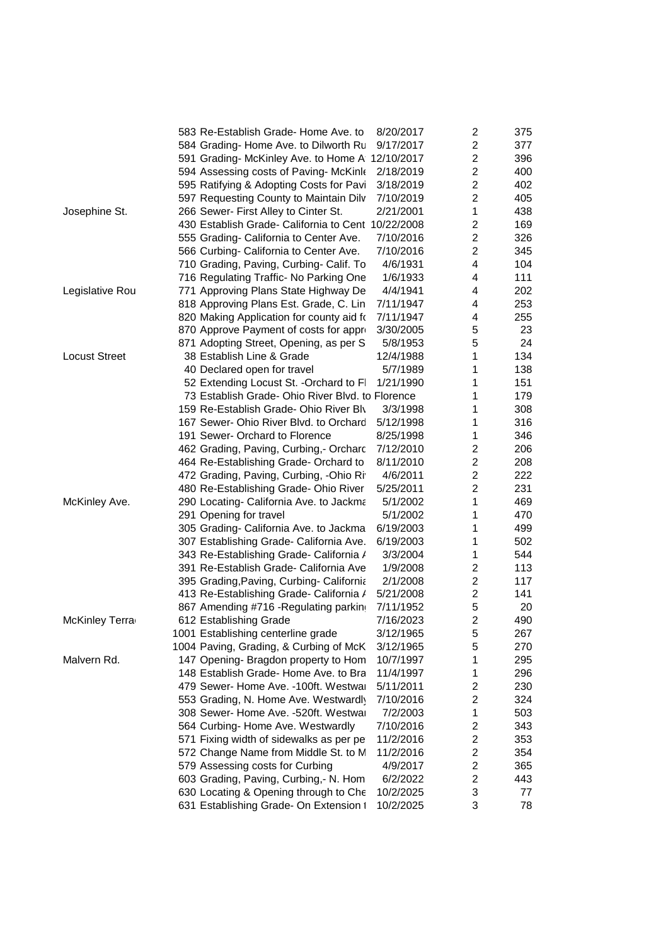|                       | 583 Re-Establish Grade- Home Ave. to               | 8/20/2017 | 2              | 375 |
|-----------------------|----------------------------------------------------|-----------|----------------|-----|
|                       | 584 Grading- Home Ave. to Dilworth Ru              | 9/17/2017 | 2              | 377 |
|                       | 591 Grading- McKinley Ave. to Home A 12/10/2017    |           | 2              | 396 |
|                       | 594 Assessing costs of Paving- McKinle             | 2/18/2019 | 2              | 400 |
|                       | 595 Ratifying & Adopting Costs for Pavi            | 3/18/2019 | 2              | 402 |
|                       | 597 Requesting County to Maintain Dilv             | 7/10/2019 | $\overline{c}$ | 405 |
| Josephine St.         | 266 Sewer- First Alley to Cinter St.               | 2/21/2001 | 1              | 438 |
|                       | 430 Establish Grade- California to Cent 10/22/2008 |           | 2              | 169 |
|                       | 555 Grading- California to Center Ave.             | 7/10/2016 | 2              | 326 |
|                       | 566 Curbing- California to Center Ave.             | 7/10/2016 | 2              | 345 |
|                       | 710 Grading, Paving, Curbing- Calif. To            | 4/6/1931  | 4              | 104 |
|                       | 716 Regulating Traffic- No Parking One             | 1/6/1933  | 4              | 111 |
| Legislative Rou       | 771 Approving Plans State Highway De               | 4/4/1941  | 4              | 202 |
|                       | 818 Approving Plans Est. Grade, C. Lin             | 7/11/1947 | 4              | 253 |
|                       | 820 Making Application for county aid fo           | 7/11/1947 | 4              | 255 |
|                       | 870 Approve Payment of costs for appro             | 3/30/2005 | 5              | 23  |
|                       | 871 Adopting Street, Opening, as per S             | 5/8/1953  | 5              | 24  |
| <b>Locust Street</b>  | 38 Establish Line & Grade                          | 12/4/1988 | 1              | 134 |
|                       | 40 Declared open for travel                        | 5/7/1989  | 1              | 138 |
|                       | 52 Extending Locust St. - Orchard to FI            | 1/21/1990 | 1              | 151 |
|                       | 73 Establish Grade- Ohio River Blvd. to Florence   |           | 1              | 179 |
|                       | 159 Re-Establish Grade- Ohio River Blv             | 3/3/1998  | 1              | 308 |
|                       | 167 Sewer- Ohio River Blvd. to Orchard             | 5/12/1998 | 1              | 316 |
|                       | 191 Sewer- Orchard to Florence                     | 8/25/1998 | 1              | 346 |
|                       | 462 Grading, Paving, Curbing,- Orcharc             | 7/12/2010 | 2              | 206 |
|                       | 464 Re-Establishing Grade- Orchard to              | 8/11/2010 | 2              | 208 |
|                       | 472 Grading, Paving, Curbing, -Ohio Riv            | 4/6/2011  | 2              | 222 |
|                       | 480 Re-Establishing Grade- Ohio River              | 5/25/2011 | $\overline{c}$ | 231 |
| McKinley Ave.         | 290 Locating- California Ave. to Jackma            | 5/1/2002  | 1              | 469 |
|                       | 291 Opening for travel                             | 5/1/2002  | 1              | 470 |
|                       | 305 Grading- California Ave. to Jackma             | 6/19/2003 | 1              | 499 |
|                       | 307 Establishing Grade- California Ave.            | 6/19/2003 | 1              | 502 |
|                       | 343 Re-Establishing Grade- California /            | 3/3/2004  | 1              | 544 |
|                       | 391 Re-Establish Grade- California Ave             | 1/9/2008  | 2              | 113 |
|                       | 395 Grading, Paving, Curbing- California           | 2/1/2008  | 2              | 117 |
|                       | 413 Re-Establishing Grade- California /            | 5/21/2008 | $\overline{c}$ | 141 |
|                       | 867 Amending #716 - Regulating parking             | 7/11/1952 | 5              | 20  |
| <b>McKinley Terra</b> | 612 Establishing Grade                             | 7/16/2023 | 2              | 490 |
|                       | 1001 Establishing centerline grade                 | 3/12/1965 | 5              | 267 |
|                       | 1004 Paving, Grading, & Curbing of McK             | 3/12/1965 | 5              | 270 |
| Malvern Rd.           | 147 Opening- Bragdon property to Hom               | 10/7/1997 | 1              | 295 |
|                       | 148 Establish Grade-Home Ave. to Bra               | 11/4/1997 | 1              | 296 |
|                       | 479 Sewer- Home Ave. -100ft. Westwar               | 5/11/2011 | 2              | 230 |
|                       |                                                    |           | 2              | 324 |
|                       | 553 Grading, N. Home Ave. Westwardly               | 7/10/2016 |                | 503 |
|                       | 308 Sewer- Home Ave. -520ft. Westwai               | 7/2/2003  | 1              |     |
|                       | 564 Curbing- Home Ave. Westwardly                  | 7/10/2016 | 2              | 343 |
|                       | 571 Fixing width of sidewalks as per pe            | 11/2/2016 | 2              | 353 |
|                       | 572 Change Name from Middle St. to M               | 11/2/2016 | 2              | 354 |
|                       | 579 Assessing costs for Curbing                    | 4/9/2017  | 2              | 365 |
|                       | 603 Grading, Paving, Curbing,- N. Hom              | 6/2/2022  | 2              | 443 |
|                       | 630 Locating & Opening through to Che              | 10/2/2025 | 3              | 77  |
|                       | 631 Establishing Grade- On Extension t             | 10/2/2025 | 3              | 78  |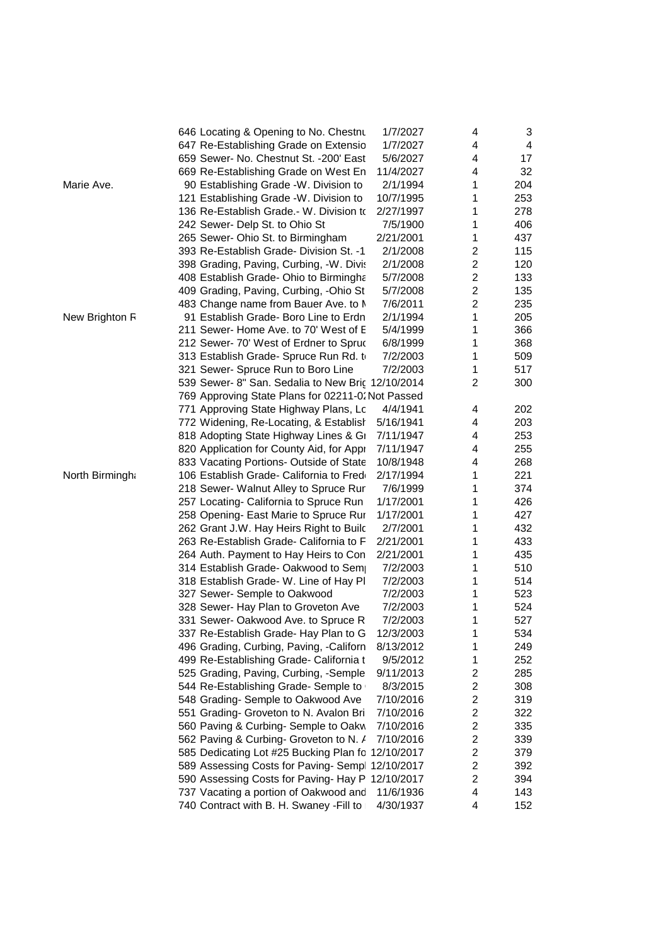|                 | 646 Locating & Opening to No. Chestnu             | 1/7/2027               | 4                       | 3          |
|-----------------|---------------------------------------------------|------------------------|-------------------------|------------|
|                 | 647 Re-Establishing Grade on Extensio             | 1/7/2027               | 4                       | 4          |
|                 | 659 Sewer- No. Chestnut St. - 200' East           | 5/6/2027               | 4                       | 17         |
|                 | 669 Re-Establishing Grade on West En              | 11/4/2027              | 4                       | 32         |
| Marie Ave.      | 90 Establishing Grade -W. Division to             | 2/1/1994               | 1                       | 204        |
|                 | 121 Establishing Grade -W. Division to            | 10/7/1995              | 1                       | 253        |
|                 | 136 Re-Establish Grade.- W. Division to           | 2/27/1997              | 1                       | 278        |
|                 | 242 Sewer- Delp St. to Ohio St                    | 7/5/1900               | 1                       | 406        |
|                 | 265 Sewer- Ohio St. to Birmingham                 | 2/21/2001              | 1                       | 437        |
|                 | 393 Re-Establish Grade- Division St. -1           | 2/1/2008               | 2                       | 115        |
|                 |                                                   | 2/1/2008               | $\overline{\mathbf{c}}$ | 120        |
|                 | 398 Grading, Paving, Curbing, -W. Divis           |                        | $\overline{\mathbf{c}}$ |            |
|                 | 408 Establish Grade- Ohio to Birmingha            | 5/7/2008               |                         | 133        |
|                 | 409 Grading, Paving, Curbing, -Ohio St.           | 5/7/2008               | 2                       | 135        |
|                 | 483 Change name from Bauer Ave. to M              | 7/6/2011               | 2                       | 235        |
| New Brighton R  | 91 Establish Grade- Boro Line to Erdn             | 2/1/1994               | 1                       | 205        |
|                 | 211 Sewer-Home Ave. to 70' West of E              | 5/4/1999               | 1                       | 366        |
|                 | 212 Sewer- 70' West of Erdner to Spruc            | 6/8/1999               | 1                       | 368        |
|                 | 313 Establish Grade- Spruce Run Rd. to            | 7/2/2003               | 1                       | 509        |
|                 | 321 Sewer- Spruce Run to Boro Line                | 7/2/2003               | 1                       | 517        |
|                 | 539 Sewer- 8" San. Sedalia to New Bric 12/10/2014 |                        | $\overline{c}$          | 300        |
|                 | 769 Approving State Plans for 02211-02 Not Passed |                        |                         |            |
|                 | 771 Approving State Highway Plans, Lo             | 4/4/1941               | 4                       | 202        |
|                 | 772 Widening, Re-Locating, & Establish            | 5/16/1941              | 4                       | 203        |
|                 | 818 Adopting State Highway Lines & Gr             | 7/11/1947              | 4                       | 253        |
|                 | 820 Application for County Aid, for Appr          | 7/11/1947              | 4                       | 255        |
|                 | 833 Vacating Portions- Outside of State           | 10/8/1948              | 4                       | 268        |
| North Birmingh: | 106 Establish Grade- California to Frede          | 2/17/1994              | 1                       | 221        |
|                 | 218 Sewer- Walnut Alley to Spruce Rur             | 7/6/1999               | 1                       | 374        |
|                 | 257 Locating- California to Spruce Run            | 1/17/2001              | 1                       | 426        |
|                 | 258 Opening- East Marie to Spruce Rur             | 1/17/2001              | 1                       | 427        |
|                 | 262 Grant J.W. Hay Heirs Right to Builc           | 2/7/2001               | 1                       | 432        |
|                 | 263 Re-Establish Grade- California to F           | 2/21/2001              | 1                       | 433        |
|                 | 264 Auth. Payment to Hay Heirs to Con             | 2/21/2001              | 1                       | 435        |
|                 | 314 Establish Grade- Oakwood to Sem               | 7/2/2003               | 1                       | 510        |
|                 | 318 Establish Grade- W. Line of Hay PI            | 7/2/2003               | 1                       | 514        |
|                 | 327 Sewer- Semple to Oakwood                      | 7/2/2003               | 1                       | 523        |
|                 | 328 Sewer- Hay Plan to Groveton Ave               | 7/2/2003               | 1                       | 524        |
|                 | 331 Sewer- Oakwood Ave. to Spruce R               | 7/2/2003               | 1                       | 527        |
|                 |                                                   |                        |                         |            |
|                 | 337 Re-Establish Grade- Hay Plan to G             | 12/3/2003<br>8/13/2012 | 1                       | 534<br>249 |
|                 | 496 Grading, Curbing, Paving, -Californ           |                        | 1                       |            |
|                 | 499 Re-Establishing Grade- California t           | 9/5/2012               | 1                       | 252        |
|                 | 525 Grading, Paving, Curbing, -Semple             | 9/11/2013              | 2                       | 285        |
|                 | 544 Re-Establishing Grade- Semple to              | 8/3/2015               | 2                       | 308        |
|                 | 548 Grading- Semple to Oakwood Ave                | 7/10/2016              | 2                       | 319        |
|                 | 551 Grading- Groveton to N. Avalon Bri-           | 7/10/2016              | $\overline{\mathbf{c}}$ | 322        |
|                 | 560 Paving & Curbing- Semple to Oakw              | 7/10/2016              | $\overline{\mathbf{c}}$ | 335        |
|                 | 562 Paving & Curbing- Groveton to N. A            | 7/10/2016              | $\overline{c}$          | 339        |
|                 | 585 Dedicating Lot #25 Bucking Plan fo 12/10/2017 |                        | $\overline{\mathbf{c}}$ | 379        |
|                 | 589 Assessing Costs for Paving- Sempl 12/10/2017  |                        | $\overline{\mathbf{c}}$ | 392        |
|                 | 590 Assessing Costs for Paving- Hay P 12/10/2017  |                        | 2                       | 394        |
|                 | 737 Vacating a portion of Oakwood and             | 11/6/1936              | 4                       | 143        |
|                 | 740 Contract with B. H. Swaney - Fill to          | 4/30/1937              | 4                       | 152        |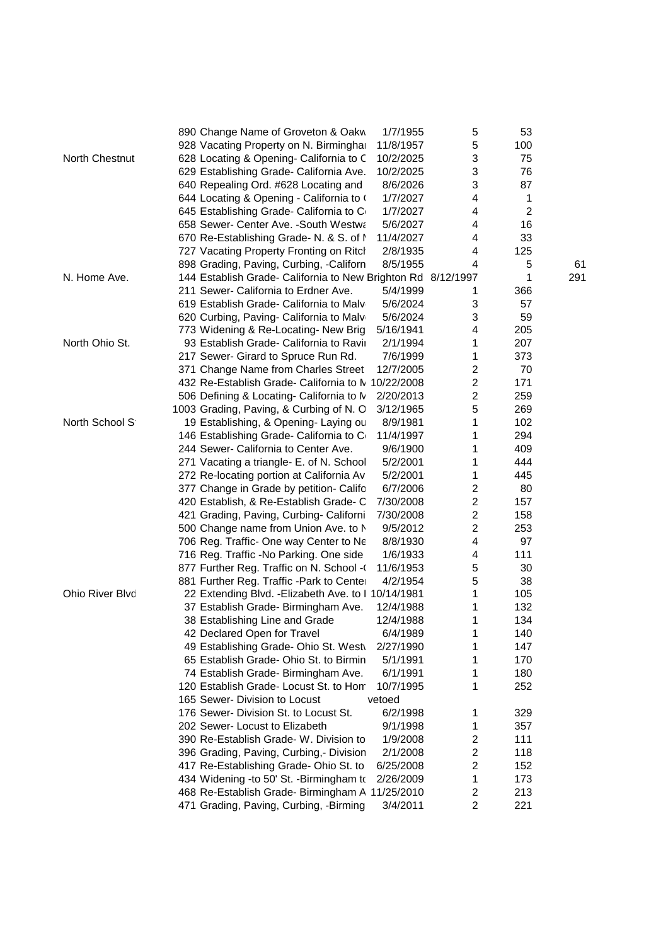|                        | 890 Change Name of Groveton & Oakw                           | 1/7/1955  | 5                       | 53  |     |
|------------------------|--------------------------------------------------------------|-----------|-------------------------|-----|-----|
|                        | 928 Vacating Property on N. Birminghai                       | 11/8/1957 | 5                       | 100 |     |
| <b>North Chestnut</b>  | 628 Locating & Opening- California to C                      | 10/2/2025 | 3                       | 75  |     |
|                        | 629 Establishing Grade- California Ave.                      | 10/2/2025 | 3                       | 76  |     |
|                        | 640 Repealing Ord. #628 Locating and                         | 8/6/2026  | 3                       | 87  |     |
|                        | 644 Locating & Opening - California to (                     | 1/7/2027  | 4                       | 1   |     |
|                        | 645 Establishing Grade- California to Co                     | 1/7/2027  | 4                       | 2   |     |
|                        | 658 Sewer- Center Ave. - South Westwa                        | 5/6/2027  | 4                       | 16  |     |
|                        | 670 Re-Establishing Grade- N. & S. of M                      | 11/4/2027 | 4                       | 33  |     |
|                        | 727 Vacating Property Fronting on Ritch                      | 2/8/1935  | 4                       | 125 |     |
|                        | 898 Grading, Paving, Curbing, -Californ                      | 8/5/1955  | 4                       | 5   | 61  |
| N. Home Ave.           | 144 Establish Grade- California to New Brighton Rd 8/12/1997 |           |                         | 1   | 291 |
|                        | 211 Sewer- California to Erdner Ave.                         | 5/4/1999  | 1                       | 366 |     |
|                        | 619 Establish Grade- California to Malvi                     | 5/6/2024  | 3                       | 57  |     |
|                        | 620 Curbing, Paving- California to Malvi                     | 5/6/2024  | 3                       | 59  |     |
|                        | 773 Widening & Re-Locating- New Brig                         | 5/16/1941 | 4                       | 205 |     |
| North Ohio St.         | 93 Establish Grade- California to Ravir                      | 2/1/1994  | 1                       | 207 |     |
|                        | 217 Sewer- Girard to Spruce Run Rd.                          | 7/6/1999  | 1                       | 373 |     |
|                        | 371 Change Name from Charles Street                          | 12/7/2005 | $\boldsymbol{2}$        | 70  |     |
|                        | 432 Re-Establish Grade- California to N 10/22/2008           |           | $\overline{c}$          | 171 |     |
|                        | 506 Defining & Locating- California to M                     | 2/20/2013 | $\overline{c}$          | 259 |     |
|                        | 1003 Grading, Paving, & Curbing of N. O                      | 3/12/1965 | 5                       | 269 |     |
| North School S         | 19 Establishing, & Opening- Laying ou                        | 8/9/1981  | 1                       | 102 |     |
|                        | 146 Establishing Grade- California to Co                     | 11/4/1997 | 1                       | 294 |     |
|                        | 244 Sewer- California to Center Ave.                         | 9/6/1900  | 1                       | 409 |     |
|                        | 271 Vacating a triangle- E. of N. School                     | 5/2/2001  | 1                       | 444 |     |
|                        | 272 Re-locating portion at California Av                     | 5/2/2001  | 1                       | 445 |     |
|                        | 377 Change in Grade by petition- Califo                      | 6/7/2006  | 2                       | 80  |     |
|                        | 420 Establish, & Re-Establish Grade- C                       | 7/30/2008 | $\overline{2}$          | 157 |     |
|                        | 421 Grading, Paving, Curbing-Californi                       | 7/30/2008 | $\overline{2}$          | 158 |     |
|                        | 500 Change name from Union Ave. to N                         | 9/5/2012  | $\overline{2}$          | 253 |     |
|                        | 706 Reg. Traffic- One way Center to Ne                       | 8/8/1930  | 4                       | 97  |     |
|                        | 716 Reg. Traffic -No Parking. One side                       | 1/6/1933  | 4                       | 111 |     |
|                        | 877 Further Reg. Traffic on N. School -(                     | 11/6/1953 | 5                       | 30  |     |
|                        | 881 Further Reg. Traffic - Park to Center                    | 4/2/1954  | 5                       | 38  |     |
| <b>Ohio River Blvc</b> | 22 Extending Blvd. - Elizabeth Ave. to I 10/14/1981          |           | 1                       | 105 |     |
|                        | 37 Establish Grade- Birmingham Ave.                          | 12/4/1988 | 1                       | 132 |     |
|                        | 38 Establishing Line and Grade                               | 12/4/1988 | 1                       | 134 |     |
|                        | 42 Declared Open for Travel                                  | 6/4/1989  | 1                       | 140 |     |
|                        | 49 Establishing Grade- Ohio St. Westv                        | 2/27/1990 | 1                       | 147 |     |
|                        | 65 Establish Grade- Ohio St. to Birmin                       | 5/1/1991  | 1                       | 170 |     |
|                        | 74 Establish Grade- Birmingham Ave.                          | 6/1/1991  | 1                       | 180 |     |
|                        | 120 Establish Grade-Locust St. to Hom                        | 10/7/1995 | 1                       | 252 |     |
|                        | 165 Sewer- Division to Locust                                | vetoed    |                         |     |     |
|                        | 176 Sewer- Division St. to Locust St.                        | 6/2/1998  | 1                       | 329 |     |
|                        | 202 Sewer- Locust to Elizabeth                               | 9/1/1998  | 1                       | 357 |     |
|                        | 390 Re-Establish Grade- W. Division to                       | 1/9/2008  | $\overline{\mathbf{c}}$ | 111 |     |
|                        | 396 Grading, Paving, Curbing,- Division                      | 2/1/2008  | $\overline{c}$          | 118 |     |
|                        | 417 Re-Establishing Grade- Ohio St. to                       | 6/25/2008 | 2                       | 152 |     |
|                        | 434 Widening -to 50' St. - Birmingham to                     | 2/26/2009 | 1                       | 173 |     |
|                        | 468 Re-Establish Grade- Birmingham A 11/25/2010              |           | 2                       | 213 |     |
|                        | 471 Grading, Paving, Curbing, -Birming                       | 3/4/2011  | $\overline{c}$          | 221 |     |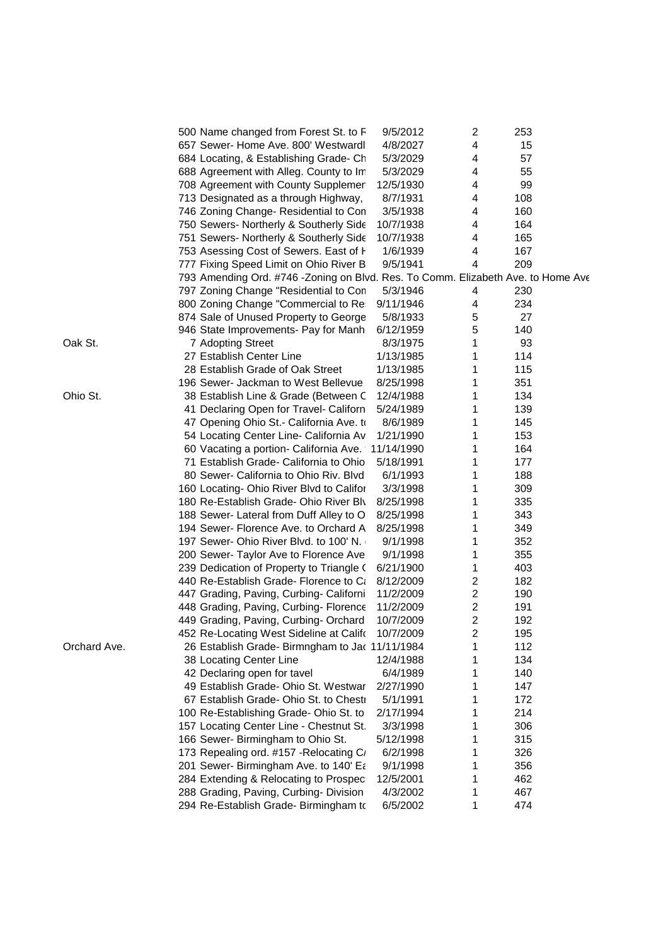|              | 500 Name changed from Forest St. to R                                            | 9/5/2012  | 2                       | 253 |  |
|--------------|----------------------------------------------------------------------------------|-----------|-------------------------|-----|--|
|              | 657 Sewer- Home Ave. 800' Westwardl                                              | 4/8/2027  | 4                       | 15  |  |
|              | 684 Locating, & Establishing Grade-Ch                                            | 5/3/2029  | 4                       | 57  |  |
|              | 688 Agreement with Alleg. County to Im                                           | 5/3/2029  | 4                       | 55  |  |
|              | 708 Agreement with County Supplemen                                              | 12/5/1930 | 4                       | 99  |  |
|              | 713 Designated as a through Highway,                                             | 8/7/1931  | 4                       | 108 |  |
|              | 746 Zoning Change- Residential to Con                                            | 3/5/1938  | 4                       | 160 |  |
|              | 750 Sewers- Northerly & Southerly Side                                           | 10/7/1938 | 4                       | 164 |  |
|              | 751 Sewers- Northerly & Southerly Side                                           | 10/7/1938 | 4                       | 165 |  |
|              | 753 Asessing Cost of Sewers. East of F                                           | 1/6/1939  | 4                       | 167 |  |
|              | 777 Fixing Speed Limit on Ohio River B                                           | 9/5/1941  | 4                       | 209 |  |
|              | 793 Amending Ord. #746 -Zoning on Blvd. Res. To Comm. Elizabeth Ave. to Home Ave |           |                         |     |  |
|              | 797 Zoning Change "Residential to Con                                            | 5/3/1946  | 4                       | 230 |  |
|              | 800 Zoning Change "Commercial to Re:                                             | 9/11/1946 | 4                       | 234 |  |
|              | 874 Sale of Unused Property to George                                            | 5/8/1933  | 5                       | 27  |  |
|              | 946 State Improvements- Pay for Manh                                             | 6/12/1959 | 5                       | 140 |  |
| Oak St.      | 7 Adopting Street                                                                | 8/3/1975  | 1                       | 93  |  |
|              | 27 Establish Center Line                                                         | 1/13/1985 | 1                       | 114 |  |
|              | 28 Establish Grade of Oak Street                                                 | 1/13/1985 | 1                       | 115 |  |
|              | 196 Sewer- Jackman to West Bellevue                                              | 8/25/1998 | 1                       | 351 |  |
| Ohio St.     | 38 Establish Line & Grade (Between C                                             | 12/4/1988 | 1                       | 134 |  |
|              | 41 Declaring Open for Travel- Californ                                           | 5/24/1989 | 1                       | 139 |  |
|              | 47 Opening Ohio St.- California Ave. to                                          | 8/6/1989  | 1                       | 145 |  |
|              | 54 Locating Center Line- California Av                                           | 1/21/1990 | 1                       | 153 |  |
|              | 60 Vacating a portion- California Ave. 11/14/1990                                |           | 1                       | 164 |  |
|              | 71 Establish Grade- California to Ohio                                           | 5/18/1991 | 1                       | 177 |  |
|              | 80 Sewer- California to Ohio Riv. Blvd                                           | 6/1/1993  | 1                       | 188 |  |
|              | 160 Locating- Ohio River Blvd to Califor                                         | 3/3/1998  | 1                       | 309 |  |
|              | 180 Re-Establish Grade- Ohio River Blv                                           | 8/25/1998 | 1                       | 335 |  |
|              | 188 Sewer- Lateral from Duff Alley to O                                          | 8/25/1998 | 1                       | 343 |  |
|              | 194 Sewer- Florence Ave. to Orchard A                                            | 8/25/1998 | 1                       | 349 |  |
|              | 197 Sewer- Ohio River Blvd. to 100' N.                                           | 9/1/1998  | 1                       | 352 |  |
|              | 200 Sewer- Taylor Ave to Florence Ave                                            | 9/1/1998  | 1                       | 355 |  |
|              | 239 Dedication of Property to Triangle (                                         | 6/21/1900 | 1                       | 403 |  |
|              | 440 Re-Establish Grade- Florence to Ca                                           | 8/12/2009 | $\overline{\mathbf{c}}$ | 182 |  |
|              | 447 Grading, Paving, Curbing-Californi                                           | 11/2/2009 | $\overline{\mathbf{c}}$ | 190 |  |
|              | 448 Grading, Paving, Curbing- Florence                                           | 11/2/2009 | $\overline{2}$          | 191 |  |
|              | 449 Grading, Paving, Curbing-Orchard                                             | 10/7/2009 | 2                       | 192 |  |
|              | 452 Re-Locating West Sideline at Calif  10/7/2009                                |           | 2                       | 195 |  |
| Orchard Ave. | 26 Establish Grade- Birmngham to Jac 11/11/1984                                  |           | 1                       | 112 |  |
|              | 38 Locating Center Line                                                          | 12/4/1988 | 1                       | 134 |  |
|              | 42 Declaring open for tavel                                                      | 6/4/1989  | 1                       | 140 |  |
|              | 49 Establish Grade- Ohio St. Westwar                                             | 2/27/1990 | 1                       | 147 |  |
|              | 67 Establish Grade- Ohio St. to Chestr                                           | 5/1/1991  | 1                       | 172 |  |
|              | 100 Re-Establishing Grade- Ohio St. to                                           | 2/17/1994 | 1                       | 214 |  |
|              | 157 Locating Center Line - Chestnut St.                                          | 3/3/1998  | 1                       | 306 |  |
|              | 166 Sewer- Birmingham to Ohio St.                                                | 5/12/1998 | 1                       | 315 |  |
|              | 173 Repealing ord. #157 - Relocating C/                                          | 6/2/1998  | 1                       | 326 |  |
|              | 201 Sewer- Birmingham Ave. to 140' Ea                                            | 9/1/1998  | 1                       | 356 |  |
|              | 284 Extending & Relocating to Prospec                                            | 12/5/2001 | 1                       | 462 |  |
|              | 288 Grading, Paving, Curbing- Division                                           | 4/3/2002  | 1                       | 467 |  |
|              | 294 Re-Establish Grade- Birmingham to                                            | 6/5/2002  | 1                       | 474 |  |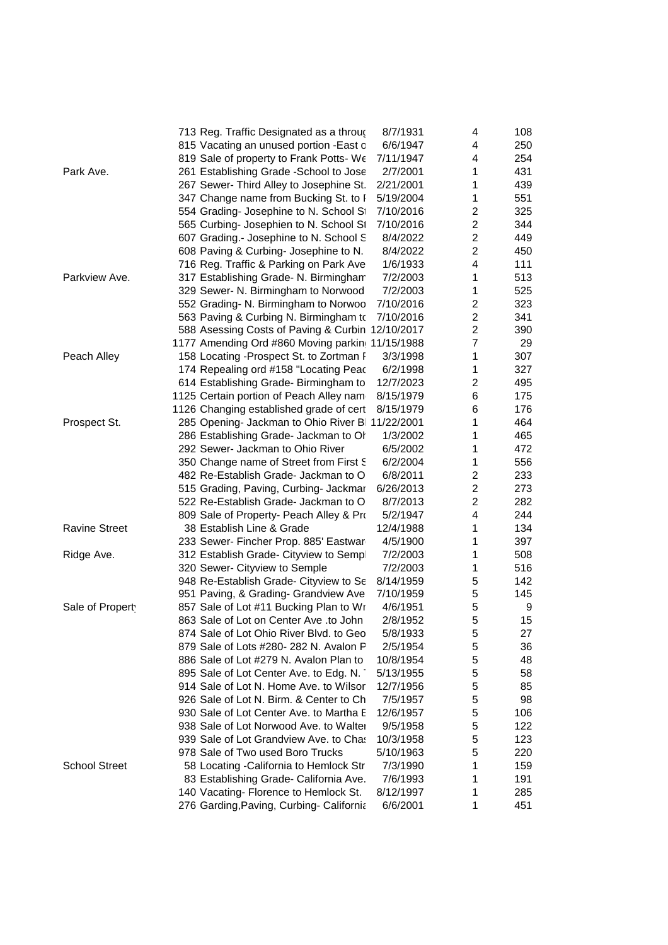| 108<br>815 Vacating an unused portion - East o<br>6/6/1947<br>4<br>250<br>819 Sale of property to Frank Potts- We<br>7/11/1947<br>4<br>254<br>261 Establishing Grade - School to Jose<br>2/7/2001<br>431<br>1<br>267 Sewer- Third Alley to Josephine St.<br>2/21/2001<br>439<br>1<br>347 Change name from Bucking St. to I<br>5/19/2004<br>551<br>1<br>2<br>554 Grading- Josephine to N. School St<br>7/10/2016<br>325<br>2<br>344<br>565 Curbing- Josephien to N. School St<br>7/10/2016<br>2<br>449<br>607 Grading - Josephine to N. School S<br>8/4/2022<br>2<br>608 Paving & Curbing- Josephine to N.<br>8/4/2022<br>450<br>716 Reg. Traffic & Parking on Park Ave<br>1/6/1933<br>4<br>111<br>513<br>317 Establishing Grade- N. Birmingham<br>7/2/2003<br>1<br>329 Sewer- N. Birmingham to Norwood<br>7/2/2003<br>525<br>1<br>$\overline{\mathbf{c}}$<br>323<br>552 Grading- N. Birmingham to Norwoo<br>7/10/2016<br>2<br>563 Paving & Curbing N. Birmingham to<br>341<br>7/10/2016<br>$\overline{c}$<br>390<br>588 Asessing Costs of Paving & Curbin 12/10/2017<br>7<br>1177 Amending Ord #860 Moving parking 11/15/1988<br>29<br>307<br>158 Locating - Prospect St. to Zortman F<br>3/3/1998<br>1<br>327<br>174 Repealing ord #158 "Locating Peac<br>6/2/1998<br>1<br>2<br>495<br>614 Establishing Grade- Birmingham to<br>12/7/2023<br>6<br>175<br>1125 Certain portion of Peach Alley nam<br>8/15/1979<br>176<br>1126 Changing established grade of cert<br>8/15/1979<br>6<br>464<br>Prospect St.<br>285 Opening- Jackman to Ohio River B  11/22/2001<br>1<br>465<br>286 Establishing Grade- Jackman to Or<br>1/3/2002<br>1<br>472<br>292 Sewer- Jackman to Ohio River<br>6/5/2002<br>1<br>350 Change name of Street from First S<br>6/2/2004<br>1<br>556<br>$\overline{c}$<br>233<br>482 Re-Establish Grade- Jackman to O<br>6/8/2011<br>$\overline{\mathbf{c}}$<br>515 Grading, Paving, Curbing- Jackmar<br>6/26/2013<br>273<br>2<br>522 Re-Establish Grade- Jackman to O<br>282<br>8/7/2013<br>809 Sale of Property- Peach Alley & Pro<br>5/2/1947<br>4<br>244<br><b>Ravine Street</b><br>38 Establish Line & Grade<br>134<br>12/4/1988<br>1<br>397<br>233 Sewer- Fincher Prop. 885' Eastwar<br>4/5/1900<br>1<br>508<br>312 Establish Grade- Cityview to Sempl<br>7/2/2003<br>Ridge Ave.<br>1<br>320 Sewer- Cityview to Semple<br>516<br>7/2/2003<br>1<br>948 Re-Establish Grade- Cityview to Se<br>8/14/1959<br>5<br>142<br>951 Paving, & Grading- Grandview Ave<br>5<br>145<br>7/10/1959<br>Sale of Propert<br>857 Sale of Lot #11 Bucking Plan to Wr<br>5<br>9<br>4/6/1951<br>5<br>863 Sale of Lot on Center Ave .to John<br>2/8/1952<br>15<br>874 Sale of Lot Ohio River Blvd. to Geo<br>5/8/1933<br>27<br>5<br>879 Sale of Lots #280- 282 N. Avalon P<br>2/5/1954<br>5<br>36<br>886 Sale of Lot #279 N. Avalon Plan to<br>10/8/1954<br>5<br>48<br>895 Sale of Lot Center Ave. to Edg. N.<br>5/13/1955<br>5<br>58<br>5<br>914 Sale of Lot N. Home Ave. to Wilsor<br>85<br>12/7/1956<br>5<br>926 Sale of Lot N. Birm. & Center to Ch<br>98<br>7/5/1957<br>5<br>930 Sale of Lot Center Ave. to Martha E<br>106<br>12/6/1957<br>5<br>938 Sale of Lot Norwood Ave. to Walter<br>9/5/1958<br>122<br>5<br>939 Sale of Lot Grandview Ave. to Chas<br>10/3/1958<br>123<br>5<br>978 Sale of Two used Boro Trucks<br>220<br>5/10/1963<br>58 Locating - California to Hemlock Str<br>7/3/1990<br>159<br>1<br>83 Establishing Grade- California Ave.<br>7/6/1993<br>191<br>1 | Park Ave.<br>Parkview Ave.<br>Peach Alley                       |  |
|---------------------------------------------------------------------------------------------------------------------------------------------------------------------------------------------------------------------------------------------------------------------------------------------------------------------------------------------------------------------------------------------------------------------------------------------------------------------------------------------------------------------------------------------------------------------------------------------------------------------------------------------------------------------------------------------------------------------------------------------------------------------------------------------------------------------------------------------------------------------------------------------------------------------------------------------------------------------------------------------------------------------------------------------------------------------------------------------------------------------------------------------------------------------------------------------------------------------------------------------------------------------------------------------------------------------------------------------------------------------------------------------------------------------------------------------------------------------------------------------------------------------------------------------------------------------------------------------------------------------------------------------------------------------------------------------------------------------------------------------------------------------------------------------------------------------------------------------------------------------------------------------------------------------------------------------------------------------------------------------------------------------------------------------------------------------------------------------------------------------------------------------------------------------------------------------------------------------------------------------------------------------------------------------------------------------------------------------------------------------------------------------------------------------------------------------------------------------------------------------------------------------------------------------------------------------------------------------------------------------------------------------------------------------------------------------------------------------------------------------------------------------------------------------------------------------------------------------------------------------------------------------------------------------------------------------------------------------------------------------------------------------------------------------------------------------------------------------------------------------------------------------------------------------------------------------------------------------------------------------------------------------------------------------------------------------------------------------------------------------------------------------------------------------------------------------------------------------------------|-----------------------------------------------------------------|--|
|                                                                                                                                                                                                                                                                                                                                                                                                                                                                                                                                                                                                                                                                                                                                                                                                                                                                                                                                                                                                                                                                                                                                                                                                                                                                                                                                                                                                                                                                                                                                                                                                                                                                                                                                                                                                                                                                                                                                                                                                                                                                                                                                                                                                                                                                                                                                                                                                                                                                                                                                                                                                                                                                                                                                                                                                                                                                                                                                                                                                                                                                                                                                                                                                                                                                                                                                                                                                                                                                                 |                                                                 |  |
|                                                                                                                                                                                                                                                                                                                                                                                                                                                                                                                                                                                                                                                                                                                                                                                                                                                                                                                                                                                                                                                                                                                                                                                                                                                                                                                                                                                                                                                                                                                                                                                                                                                                                                                                                                                                                                                                                                                                                                                                                                                                                                                                                                                                                                                                                                                                                                                                                                                                                                                                                                                                                                                                                                                                                                                                                                                                                                                                                                                                                                                                                                                                                                                                                                                                                                                                                                                                                                                                                 |                                                                 |  |
|                                                                                                                                                                                                                                                                                                                                                                                                                                                                                                                                                                                                                                                                                                                                                                                                                                                                                                                                                                                                                                                                                                                                                                                                                                                                                                                                                                                                                                                                                                                                                                                                                                                                                                                                                                                                                                                                                                                                                                                                                                                                                                                                                                                                                                                                                                                                                                                                                                                                                                                                                                                                                                                                                                                                                                                                                                                                                                                                                                                                                                                                                                                                                                                                                                                                                                                                                                                                                                                                                 |                                                                 |  |
|                                                                                                                                                                                                                                                                                                                                                                                                                                                                                                                                                                                                                                                                                                                                                                                                                                                                                                                                                                                                                                                                                                                                                                                                                                                                                                                                                                                                                                                                                                                                                                                                                                                                                                                                                                                                                                                                                                                                                                                                                                                                                                                                                                                                                                                                                                                                                                                                                                                                                                                                                                                                                                                                                                                                                                                                                                                                                                                                                                                                                                                                                                                                                                                                                                                                                                                                                                                                                                                                                 |                                                                 |  |
|                                                                                                                                                                                                                                                                                                                                                                                                                                                                                                                                                                                                                                                                                                                                                                                                                                                                                                                                                                                                                                                                                                                                                                                                                                                                                                                                                                                                                                                                                                                                                                                                                                                                                                                                                                                                                                                                                                                                                                                                                                                                                                                                                                                                                                                                                                                                                                                                                                                                                                                                                                                                                                                                                                                                                                                                                                                                                                                                                                                                                                                                                                                                                                                                                                                                                                                                                                                                                                                                                 |                                                                 |  |
|                                                                                                                                                                                                                                                                                                                                                                                                                                                                                                                                                                                                                                                                                                                                                                                                                                                                                                                                                                                                                                                                                                                                                                                                                                                                                                                                                                                                                                                                                                                                                                                                                                                                                                                                                                                                                                                                                                                                                                                                                                                                                                                                                                                                                                                                                                                                                                                                                                                                                                                                                                                                                                                                                                                                                                                                                                                                                                                                                                                                                                                                                                                                                                                                                                                                                                                                                                                                                                                                                 |                                                                 |  |
|                                                                                                                                                                                                                                                                                                                                                                                                                                                                                                                                                                                                                                                                                                                                                                                                                                                                                                                                                                                                                                                                                                                                                                                                                                                                                                                                                                                                                                                                                                                                                                                                                                                                                                                                                                                                                                                                                                                                                                                                                                                                                                                                                                                                                                                                                                                                                                                                                                                                                                                                                                                                                                                                                                                                                                                                                                                                                                                                                                                                                                                                                                                                                                                                                                                                                                                                                                                                                                                                                 |                                                                 |  |
|                                                                                                                                                                                                                                                                                                                                                                                                                                                                                                                                                                                                                                                                                                                                                                                                                                                                                                                                                                                                                                                                                                                                                                                                                                                                                                                                                                                                                                                                                                                                                                                                                                                                                                                                                                                                                                                                                                                                                                                                                                                                                                                                                                                                                                                                                                                                                                                                                                                                                                                                                                                                                                                                                                                                                                                                                                                                                                                                                                                                                                                                                                                                                                                                                                                                                                                                                                                                                                                                                 |                                                                 |  |
|                                                                                                                                                                                                                                                                                                                                                                                                                                                                                                                                                                                                                                                                                                                                                                                                                                                                                                                                                                                                                                                                                                                                                                                                                                                                                                                                                                                                                                                                                                                                                                                                                                                                                                                                                                                                                                                                                                                                                                                                                                                                                                                                                                                                                                                                                                                                                                                                                                                                                                                                                                                                                                                                                                                                                                                                                                                                                                                                                                                                                                                                                                                                                                                                                                                                                                                                                                                                                                                                                 |                                                                 |  |
|                                                                                                                                                                                                                                                                                                                                                                                                                                                                                                                                                                                                                                                                                                                                                                                                                                                                                                                                                                                                                                                                                                                                                                                                                                                                                                                                                                                                                                                                                                                                                                                                                                                                                                                                                                                                                                                                                                                                                                                                                                                                                                                                                                                                                                                                                                                                                                                                                                                                                                                                                                                                                                                                                                                                                                                                                                                                                                                                                                                                                                                                                                                                                                                                                                                                                                                                                                                                                                                                                 |                                                                 |  |
|                                                                                                                                                                                                                                                                                                                                                                                                                                                                                                                                                                                                                                                                                                                                                                                                                                                                                                                                                                                                                                                                                                                                                                                                                                                                                                                                                                                                                                                                                                                                                                                                                                                                                                                                                                                                                                                                                                                                                                                                                                                                                                                                                                                                                                                                                                                                                                                                                                                                                                                                                                                                                                                                                                                                                                                                                                                                                                                                                                                                                                                                                                                                                                                                                                                                                                                                                                                                                                                                                 |                                                                 |  |
|                                                                                                                                                                                                                                                                                                                                                                                                                                                                                                                                                                                                                                                                                                                                                                                                                                                                                                                                                                                                                                                                                                                                                                                                                                                                                                                                                                                                                                                                                                                                                                                                                                                                                                                                                                                                                                                                                                                                                                                                                                                                                                                                                                                                                                                                                                                                                                                                                                                                                                                                                                                                                                                                                                                                                                                                                                                                                                                                                                                                                                                                                                                                                                                                                                                                                                                                                                                                                                                                                 |                                                                 |  |
|                                                                                                                                                                                                                                                                                                                                                                                                                                                                                                                                                                                                                                                                                                                                                                                                                                                                                                                                                                                                                                                                                                                                                                                                                                                                                                                                                                                                                                                                                                                                                                                                                                                                                                                                                                                                                                                                                                                                                                                                                                                                                                                                                                                                                                                                                                                                                                                                                                                                                                                                                                                                                                                                                                                                                                                                                                                                                                                                                                                                                                                                                                                                                                                                                                                                                                                                                                                                                                                                                 |                                                                 |  |
|                                                                                                                                                                                                                                                                                                                                                                                                                                                                                                                                                                                                                                                                                                                                                                                                                                                                                                                                                                                                                                                                                                                                                                                                                                                                                                                                                                                                                                                                                                                                                                                                                                                                                                                                                                                                                                                                                                                                                                                                                                                                                                                                                                                                                                                                                                                                                                                                                                                                                                                                                                                                                                                                                                                                                                                                                                                                                                                                                                                                                                                                                                                                                                                                                                                                                                                                                                                                                                                                                 |                                                                 |  |
|                                                                                                                                                                                                                                                                                                                                                                                                                                                                                                                                                                                                                                                                                                                                                                                                                                                                                                                                                                                                                                                                                                                                                                                                                                                                                                                                                                                                                                                                                                                                                                                                                                                                                                                                                                                                                                                                                                                                                                                                                                                                                                                                                                                                                                                                                                                                                                                                                                                                                                                                                                                                                                                                                                                                                                                                                                                                                                                                                                                                                                                                                                                                                                                                                                                                                                                                                                                                                                                                                 |                                                                 |  |
|                                                                                                                                                                                                                                                                                                                                                                                                                                                                                                                                                                                                                                                                                                                                                                                                                                                                                                                                                                                                                                                                                                                                                                                                                                                                                                                                                                                                                                                                                                                                                                                                                                                                                                                                                                                                                                                                                                                                                                                                                                                                                                                                                                                                                                                                                                                                                                                                                                                                                                                                                                                                                                                                                                                                                                                                                                                                                                                                                                                                                                                                                                                                                                                                                                                                                                                                                                                                                                                                                 |                                                                 |  |
|                                                                                                                                                                                                                                                                                                                                                                                                                                                                                                                                                                                                                                                                                                                                                                                                                                                                                                                                                                                                                                                                                                                                                                                                                                                                                                                                                                                                                                                                                                                                                                                                                                                                                                                                                                                                                                                                                                                                                                                                                                                                                                                                                                                                                                                                                                                                                                                                                                                                                                                                                                                                                                                                                                                                                                                                                                                                                                                                                                                                                                                                                                                                                                                                                                                                                                                                                                                                                                                                                 |                                                                 |  |
|                                                                                                                                                                                                                                                                                                                                                                                                                                                                                                                                                                                                                                                                                                                                                                                                                                                                                                                                                                                                                                                                                                                                                                                                                                                                                                                                                                                                                                                                                                                                                                                                                                                                                                                                                                                                                                                                                                                                                                                                                                                                                                                                                                                                                                                                                                                                                                                                                                                                                                                                                                                                                                                                                                                                                                                                                                                                                                                                                                                                                                                                                                                                                                                                                                                                                                                                                                                                                                                                                 |                                                                 |  |
|                                                                                                                                                                                                                                                                                                                                                                                                                                                                                                                                                                                                                                                                                                                                                                                                                                                                                                                                                                                                                                                                                                                                                                                                                                                                                                                                                                                                                                                                                                                                                                                                                                                                                                                                                                                                                                                                                                                                                                                                                                                                                                                                                                                                                                                                                                                                                                                                                                                                                                                                                                                                                                                                                                                                                                                                                                                                                                                                                                                                                                                                                                                                                                                                                                                                                                                                                                                                                                                                                 |                                                                 |  |
|                                                                                                                                                                                                                                                                                                                                                                                                                                                                                                                                                                                                                                                                                                                                                                                                                                                                                                                                                                                                                                                                                                                                                                                                                                                                                                                                                                                                                                                                                                                                                                                                                                                                                                                                                                                                                                                                                                                                                                                                                                                                                                                                                                                                                                                                                                                                                                                                                                                                                                                                                                                                                                                                                                                                                                                                                                                                                                                                                                                                                                                                                                                                                                                                                                                                                                                                                                                                                                                                                 |                                                                 |  |
|                                                                                                                                                                                                                                                                                                                                                                                                                                                                                                                                                                                                                                                                                                                                                                                                                                                                                                                                                                                                                                                                                                                                                                                                                                                                                                                                                                                                                                                                                                                                                                                                                                                                                                                                                                                                                                                                                                                                                                                                                                                                                                                                                                                                                                                                                                                                                                                                                                                                                                                                                                                                                                                                                                                                                                                                                                                                                                                                                                                                                                                                                                                                                                                                                                                                                                                                                                                                                                                                                 |                                                                 |  |
|                                                                                                                                                                                                                                                                                                                                                                                                                                                                                                                                                                                                                                                                                                                                                                                                                                                                                                                                                                                                                                                                                                                                                                                                                                                                                                                                                                                                                                                                                                                                                                                                                                                                                                                                                                                                                                                                                                                                                                                                                                                                                                                                                                                                                                                                                                                                                                                                                                                                                                                                                                                                                                                                                                                                                                                                                                                                                                                                                                                                                                                                                                                                                                                                                                                                                                                                                                                                                                                                                 |                                                                 |  |
|                                                                                                                                                                                                                                                                                                                                                                                                                                                                                                                                                                                                                                                                                                                                                                                                                                                                                                                                                                                                                                                                                                                                                                                                                                                                                                                                                                                                                                                                                                                                                                                                                                                                                                                                                                                                                                                                                                                                                                                                                                                                                                                                                                                                                                                                                                                                                                                                                                                                                                                                                                                                                                                                                                                                                                                                                                                                                                                                                                                                                                                                                                                                                                                                                                                                                                                                                                                                                                                                                 |                                                                 |  |
|                                                                                                                                                                                                                                                                                                                                                                                                                                                                                                                                                                                                                                                                                                                                                                                                                                                                                                                                                                                                                                                                                                                                                                                                                                                                                                                                                                                                                                                                                                                                                                                                                                                                                                                                                                                                                                                                                                                                                                                                                                                                                                                                                                                                                                                                                                                                                                                                                                                                                                                                                                                                                                                                                                                                                                                                                                                                                                                                                                                                                                                                                                                                                                                                                                                                                                                                                                                                                                                                                 |                                                                 |  |
|                                                                                                                                                                                                                                                                                                                                                                                                                                                                                                                                                                                                                                                                                                                                                                                                                                                                                                                                                                                                                                                                                                                                                                                                                                                                                                                                                                                                                                                                                                                                                                                                                                                                                                                                                                                                                                                                                                                                                                                                                                                                                                                                                                                                                                                                                                                                                                                                                                                                                                                                                                                                                                                                                                                                                                                                                                                                                                                                                                                                                                                                                                                                                                                                                                                                                                                                                                                                                                                                                 |                                                                 |  |
|                                                                                                                                                                                                                                                                                                                                                                                                                                                                                                                                                                                                                                                                                                                                                                                                                                                                                                                                                                                                                                                                                                                                                                                                                                                                                                                                                                                                                                                                                                                                                                                                                                                                                                                                                                                                                                                                                                                                                                                                                                                                                                                                                                                                                                                                                                                                                                                                                                                                                                                                                                                                                                                                                                                                                                                                                                                                                                                                                                                                                                                                                                                                                                                                                                                                                                                                                                                                                                                                                 |                                                                 |  |
|                                                                                                                                                                                                                                                                                                                                                                                                                                                                                                                                                                                                                                                                                                                                                                                                                                                                                                                                                                                                                                                                                                                                                                                                                                                                                                                                                                                                                                                                                                                                                                                                                                                                                                                                                                                                                                                                                                                                                                                                                                                                                                                                                                                                                                                                                                                                                                                                                                                                                                                                                                                                                                                                                                                                                                                                                                                                                                                                                                                                                                                                                                                                                                                                                                                                                                                                                                                                                                                                                 |                                                                 |  |
|                                                                                                                                                                                                                                                                                                                                                                                                                                                                                                                                                                                                                                                                                                                                                                                                                                                                                                                                                                                                                                                                                                                                                                                                                                                                                                                                                                                                                                                                                                                                                                                                                                                                                                                                                                                                                                                                                                                                                                                                                                                                                                                                                                                                                                                                                                                                                                                                                                                                                                                                                                                                                                                                                                                                                                                                                                                                                                                                                                                                                                                                                                                                                                                                                                                                                                                                                                                                                                                                                 |                                                                 |  |
|                                                                                                                                                                                                                                                                                                                                                                                                                                                                                                                                                                                                                                                                                                                                                                                                                                                                                                                                                                                                                                                                                                                                                                                                                                                                                                                                                                                                                                                                                                                                                                                                                                                                                                                                                                                                                                                                                                                                                                                                                                                                                                                                                                                                                                                                                                                                                                                                                                                                                                                                                                                                                                                                                                                                                                                                                                                                                                                                                                                                                                                                                                                                                                                                                                                                                                                                                                                                                                                                                 |                                                                 |  |
|                                                                                                                                                                                                                                                                                                                                                                                                                                                                                                                                                                                                                                                                                                                                                                                                                                                                                                                                                                                                                                                                                                                                                                                                                                                                                                                                                                                                                                                                                                                                                                                                                                                                                                                                                                                                                                                                                                                                                                                                                                                                                                                                                                                                                                                                                                                                                                                                                                                                                                                                                                                                                                                                                                                                                                                                                                                                                                                                                                                                                                                                                                                                                                                                                                                                                                                                                                                                                                                                                 |                                                                 |  |
|                                                                                                                                                                                                                                                                                                                                                                                                                                                                                                                                                                                                                                                                                                                                                                                                                                                                                                                                                                                                                                                                                                                                                                                                                                                                                                                                                                                                                                                                                                                                                                                                                                                                                                                                                                                                                                                                                                                                                                                                                                                                                                                                                                                                                                                                                                                                                                                                                                                                                                                                                                                                                                                                                                                                                                                                                                                                                                                                                                                                                                                                                                                                                                                                                                                                                                                                                                                                                                                                                 |                                                                 |  |
|                                                                                                                                                                                                                                                                                                                                                                                                                                                                                                                                                                                                                                                                                                                                                                                                                                                                                                                                                                                                                                                                                                                                                                                                                                                                                                                                                                                                                                                                                                                                                                                                                                                                                                                                                                                                                                                                                                                                                                                                                                                                                                                                                                                                                                                                                                                                                                                                                                                                                                                                                                                                                                                                                                                                                                                                                                                                                                                                                                                                                                                                                                                                                                                                                                                                                                                                                                                                                                                                                 |                                                                 |  |
|                                                                                                                                                                                                                                                                                                                                                                                                                                                                                                                                                                                                                                                                                                                                                                                                                                                                                                                                                                                                                                                                                                                                                                                                                                                                                                                                                                                                                                                                                                                                                                                                                                                                                                                                                                                                                                                                                                                                                                                                                                                                                                                                                                                                                                                                                                                                                                                                                                                                                                                                                                                                                                                                                                                                                                                                                                                                                                                                                                                                                                                                                                                                                                                                                                                                                                                                                                                                                                                                                 |                                                                 |  |
|                                                                                                                                                                                                                                                                                                                                                                                                                                                                                                                                                                                                                                                                                                                                                                                                                                                                                                                                                                                                                                                                                                                                                                                                                                                                                                                                                                                                                                                                                                                                                                                                                                                                                                                                                                                                                                                                                                                                                                                                                                                                                                                                                                                                                                                                                                                                                                                                                                                                                                                                                                                                                                                                                                                                                                                                                                                                                                                                                                                                                                                                                                                                                                                                                                                                                                                                                                                                                                                                                 |                                                                 |  |
|                                                                                                                                                                                                                                                                                                                                                                                                                                                                                                                                                                                                                                                                                                                                                                                                                                                                                                                                                                                                                                                                                                                                                                                                                                                                                                                                                                                                                                                                                                                                                                                                                                                                                                                                                                                                                                                                                                                                                                                                                                                                                                                                                                                                                                                                                                                                                                                                                                                                                                                                                                                                                                                                                                                                                                                                                                                                                                                                                                                                                                                                                                                                                                                                                                                                                                                                                                                                                                                                                 |                                                                 |  |
|                                                                                                                                                                                                                                                                                                                                                                                                                                                                                                                                                                                                                                                                                                                                                                                                                                                                                                                                                                                                                                                                                                                                                                                                                                                                                                                                                                                                                                                                                                                                                                                                                                                                                                                                                                                                                                                                                                                                                                                                                                                                                                                                                                                                                                                                                                                                                                                                                                                                                                                                                                                                                                                                                                                                                                                                                                                                                                                                                                                                                                                                                                                                                                                                                                                                                                                                                                                                                                                                                 |                                                                 |  |
|                                                                                                                                                                                                                                                                                                                                                                                                                                                                                                                                                                                                                                                                                                                                                                                                                                                                                                                                                                                                                                                                                                                                                                                                                                                                                                                                                                                                                                                                                                                                                                                                                                                                                                                                                                                                                                                                                                                                                                                                                                                                                                                                                                                                                                                                                                                                                                                                                                                                                                                                                                                                                                                                                                                                                                                                                                                                                                                                                                                                                                                                                                                                                                                                                                                                                                                                                                                                                                                                                 |                                                                 |  |
|                                                                                                                                                                                                                                                                                                                                                                                                                                                                                                                                                                                                                                                                                                                                                                                                                                                                                                                                                                                                                                                                                                                                                                                                                                                                                                                                                                                                                                                                                                                                                                                                                                                                                                                                                                                                                                                                                                                                                                                                                                                                                                                                                                                                                                                                                                                                                                                                                                                                                                                                                                                                                                                                                                                                                                                                                                                                                                                                                                                                                                                                                                                                                                                                                                                                                                                                                                                                                                                                                 |                                                                 |  |
|                                                                                                                                                                                                                                                                                                                                                                                                                                                                                                                                                                                                                                                                                                                                                                                                                                                                                                                                                                                                                                                                                                                                                                                                                                                                                                                                                                                                                                                                                                                                                                                                                                                                                                                                                                                                                                                                                                                                                                                                                                                                                                                                                                                                                                                                                                                                                                                                                                                                                                                                                                                                                                                                                                                                                                                                                                                                                                                                                                                                                                                                                                                                                                                                                                                                                                                                                                                                                                                                                 |                                                                 |  |
|                                                                                                                                                                                                                                                                                                                                                                                                                                                                                                                                                                                                                                                                                                                                                                                                                                                                                                                                                                                                                                                                                                                                                                                                                                                                                                                                                                                                                                                                                                                                                                                                                                                                                                                                                                                                                                                                                                                                                                                                                                                                                                                                                                                                                                                                                                                                                                                                                                                                                                                                                                                                                                                                                                                                                                                                                                                                                                                                                                                                                                                                                                                                                                                                                                                                                                                                                                                                                                                                                 |                                                                 |  |
|                                                                                                                                                                                                                                                                                                                                                                                                                                                                                                                                                                                                                                                                                                                                                                                                                                                                                                                                                                                                                                                                                                                                                                                                                                                                                                                                                                                                                                                                                                                                                                                                                                                                                                                                                                                                                                                                                                                                                                                                                                                                                                                                                                                                                                                                                                                                                                                                                                                                                                                                                                                                                                                                                                                                                                                                                                                                                                                                                                                                                                                                                                                                                                                                                                                                                                                                                                                                                                                                                 |                                                                 |  |
|                                                                                                                                                                                                                                                                                                                                                                                                                                                                                                                                                                                                                                                                                                                                                                                                                                                                                                                                                                                                                                                                                                                                                                                                                                                                                                                                                                                                                                                                                                                                                                                                                                                                                                                                                                                                                                                                                                                                                                                                                                                                                                                                                                                                                                                                                                                                                                                                                                                                                                                                                                                                                                                                                                                                                                                                                                                                                                                                                                                                                                                                                                                                                                                                                                                                                                                                                                                                                                                                                 |                                                                 |  |
|                                                                                                                                                                                                                                                                                                                                                                                                                                                                                                                                                                                                                                                                                                                                                                                                                                                                                                                                                                                                                                                                                                                                                                                                                                                                                                                                                                                                                                                                                                                                                                                                                                                                                                                                                                                                                                                                                                                                                                                                                                                                                                                                                                                                                                                                                                                                                                                                                                                                                                                                                                                                                                                                                                                                                                                                                                                                                                                                                                                                                                                                                                                                                                                                                                                                                                                                                                                                                                                                                 |                                                                 |  |
|                                                                                                                                                                                                                                                                                                                                                                                                                                                                                                                                                                                                                                                                                                                                                                                                                                                                                                                                                                                                                                                                                                                                                                                                                                                                                                                                                                                                                                                                                                                                                                                                                                                                                                                                                                                                                                                                                                                                                                                                                                                                                                                                                                                                                                                                                                                                                                                                                                                                                                                                                                                                                                                                                                                                                                                                                                                                                                                                                                                                                                                                                                                                                                                                                                                                                                                                                                                                                                                                                 |                                                                 |  |
|                                                                                                                                                                                                                                                                                                                                                                                                                                                                                                                                                                                                                                                                                                                                                                                                                                                                                                                                                                                                                                                                                                                                                                                                                                                                                                                                                                                                                                                                                                                                                                                                                                                                                                                                                                                                                                                                                                                                                                                                                                                                                                                                                                                                                                                                                                                                                                                                                                                                                                                                                                                                                                                                                                                                                                                                                                                                                                                                                                                                                                                                                                                                                                                                                                                                                                                                                                                                                                                                                 |                                                                 |  |
|                                                                                                                                                                                                                                                                                                                                                                                                                                                                                                                                                                                                                                                                                                                                                                                                                                                                                                                                                                                                                                                                                                                                                                                                                                                                                                                                                                                                                                                                                                                                                                                                                                                                                                                                                                                                                                                                                                                                                                                                                                                                                                                                                                                                                                                                                                                                                                                                                                                                                                                                                                                                                                                                                                                                                                                                                                                                                                                                                                                                                                                                                                                                                                                                                                                                                                                                                                                                                                                                                 |                                                                 |  |
|                                                                                                                                                                                                                                                                                                                                                                                                                                                                                                                                                                                                                                                                                                                                                                                                                                                                                                                                                                                                                                                                                                                                                                                                                                                                                                                                                                                                                                                                                                                                                                                                                                                                                                                                                                                                                                                                                                                                                                                                                                                                                                                                                                                                                                                                                                                                                                                                                                                                                                                                                                                                                                                                                                                                                                                                                                                                                                                                                                                                                                                                                                                                                                                                                                                                                                                                                                                                                                                                                 |                                                                 |  |
|                                                                                                                                                                                                                                                                                                                                                                                                                                                                                                                                                                                                                                                                                                                                                                                                                                                                                                                                                                                                                                                                                                                                                                                                                                                                                                                                                                                                                                                                                                                                                                                                                                                                                                                                                                                                                                                                                                                                                                                                                                                                                                                                                                                                                                                                                                                                                                                                                                                                                                                                                                                                                                                                                                                                                                                                                                                                                                                                                                                                                                                                                                                                                                                                                                                                                                                                                                                                                                                                                 | <b>School Street</b>                                            |  |
|                                                                                                                                                                                                                                                                                                                                                                                                                                                                                                                                                                                                                                                                                                                                                                                                                                                                                                                                                                                                                                                                                                                                                                                                                                                                                                                                                                                                                                                                                                                                                                                                                                                                                                                                                                                                                                                                                                                                                                                                                                                                                                                                                                                                                                                                                                                                                                                                                                                                                                                                                                                                                                                                                                                                                                                                                                                                                                                                                                                                                                                                                                                                                                                                                                                                                                                                                                                                                                                                                 |                                                                 |  |
|                                                                                                                                                                                                                                                                                                                                                                                                                                                                                                                                                                                                                                                                                                                                                                                                                                                                                                                                                                                                                                                                                                                                                                                                                                                                                                                                                                                                                                                                                                                                                                                                                                                                                                                                                                                                                                                                                                                                                                                                                                                                                                                                                                                                                                                                                                                                                                                                                                                                                                                                                                                                                                                                                                                                                                                                                                                                                                                                                                                                                                                                                                                                                                                                                                                                                                                                                                                                                                                                                 | 140 Vacating- Florence to Hemlock St.<br>8/12/1997<br>1<br>285  |  |
|                                                                                                                                                                                                                                                                                                                                                                                                                                                                                                                                                                                                                                                                                                                                                                                                                                                                                                                                                                                                                                                                                                                                                                                                                                                                                                                                                                                                                                                                                                                                                                                                                                                                                                                                                                                                                                                                                                                                                                                                                                                                                                                                                                                                                                                                                                                                                                                                                                                                                                                                                                                                                                                                                                                                                                                                                                                                                                                                                                                                                                                                                                                                                                                                                                                                                                                                                                                                                                                                                 | 276 Garding, Paving, Curbing-California<br>6/6/2001<br>1<br>451 |  |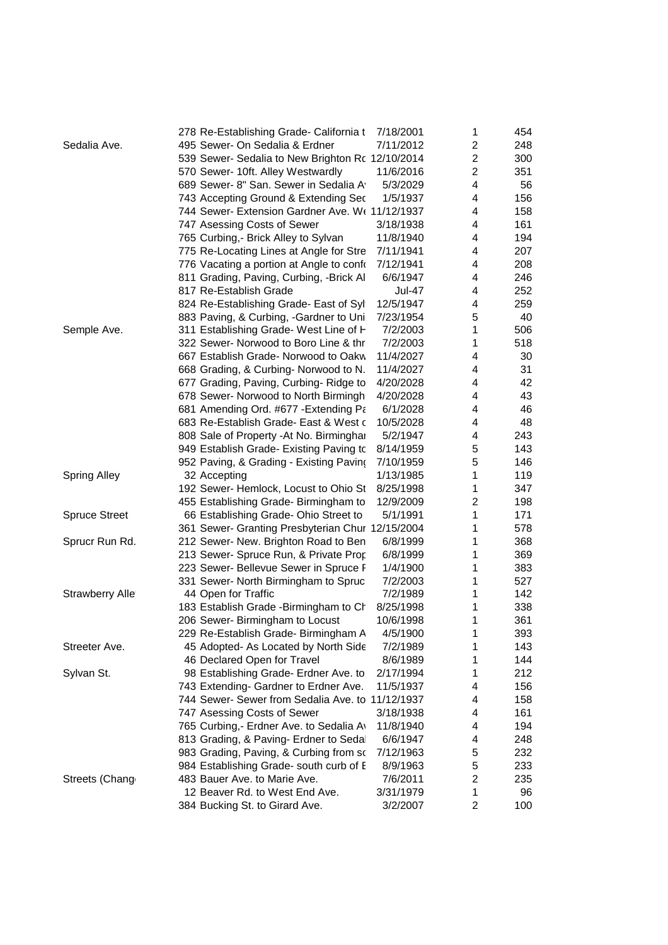|                        | 278 Re-Establishing Grade- California t                        | 7/18/2001             | 1              | 454       |
|------------------------|----------------------------------------------------------------|-----------------------|----------------|-----------|
| Sedalia Ave.           | 495 Sewer- On Sedalia & Erdner                                 | 7/11/2012             | 2              | 248       |
|                        | 539 Sewer- Sedalia to New Brighton Rc 12/10/2014               |                       | 2              | 300       |
|                        | 570 Sewer- 10ft. Alley Westwardly                              | 11/6/2016             | 2              | 351       |
|                        | 689 Sewer- 8" San. Sewer in Sedalia A                          | 5/3/2029              | 4              | 56        |
|                        | 743 Accepting Ground & Extending Sec                           | 1/5/1937              | 4              | 156       |
|                        | 744 Sewer- Extension Gardner Ave. We 11/12/1937                |                       | 4              | 158       |
|                        | 747 Asessing Costs of Sewer                                    | 3/18/1938             | 4              | 161       |
|                        | 765 Curbing, Brick Alley to Sylvan                             | 11/8/1940             | 4              | 194       |
|                        | 775 Re-Locating Lines at Angle for Stre                        | 7/11/1941             | 4              | 207       |
|                        | 776 Vacating a portion at Angle to confo                       | 7/12/1941             | 4              | 208       |
|                        | 811 Grading, Paving, Curbing, -Brick Al                        | 6/6/1947              | 4              | 246       |
|                        | 817 Re-Establish Grade                                         | <b>Jul-47</b>         | 4              | 252       |
|                        | 824 Re-Establishing Grade- East of Syl                         | 12/5/1947             | 4              | 259       |
|                        | 883 Paving, & Curbing, -Gardner to Uni-                        | 7/23/1954             | 5              | 40        |
| Semple Ave.            | 311 Establishing Grade-West Line of H                          | 7/2/2003              | 1              | 506       |
|                        | 322 Sewer- Norwood to Boro Line & thr                          | 7/2/2003              | 1              | 518       |
|                        | 667 Establish Grade-Norwood to Oakw                            | 11/4/2027             | 4              | 30        |
|                        | 668 Grading, & Curbing-Norwood to N.                           | 11/4/2027             | 4              | 31        |
|                        | 677 Grading, Paving, Curbing-Ridge to                          | 4/20/2028             | 4              | 42        |
|                        | 678 Sewer- Norwood to North Birmingh                           | 4/20/2028             | 4              | 43        |
|                        | 681 Amending Ord. #677 - Extending Pa                          | 6/1/2028              | 4              | 46        |
|                        | 683 Re-Establish Grade- East & West c                          | 10/5/2028             | 4              | 48        |
|                        | 808 Sale of Property - At No. Birminghar                       | 5/2/1947              | 4              | 243       |
|                        | 949 Establish Grade- Existing Paving to                        | 8/14/1959             | 5              | 143       |
|                        | 952 Paving, & Grading - Existing Paving                        | 7/10/1959             | 5              | 146       |
| <b>Spring Alley</b>    | 32 Accepting                                                   | 1/13/1985             | 1              | 119       |
|                        | 192 Sewer- Hemlock, Locust to Ohio St                          | 8/25/1998             | 1              | 347       |
|                        | 455 Establishing Grade- Birmingham to                          | 12/9/2009             | 2              | 198       |
| <b>Spruce Street</b>   | 66 Establishing Grade- Ohio Street to                          | 5/1/1991              | 1              | 171       |
|                        | 361 Sewer- Granting Presbyterian Chur 12/15/2004               |                       | 1              | 578       |
| Sprucr Run Rd.         | 212 Sewer- New. Brighton Road to Ben                           | 6/8/1999              | 1              | 368       |
|                        | 213 Sewer- Spruce Run, & Private Prop                          | 6/8/1999              | 1              | 369       |
|                        | 223 Sewer- Bellevue Sewer in Spruce F                          | 1/4/1900              | 1              | 383       |
|                        | 331 Sewer- North Birmingham to Spruc-                          | 7/2/2003              | 1              | 527       |
| <b>Strawberry Alle</b> | 44 Open for Traffic                                            | 7/2/1989              | 1              | 142       |
|                        | 183 Establish Grade - Birmingham to Ch                         | 8/25/1998             | 1              | 338       |
|                        | 206 Sewer-Birmingham to Locust                                 | 10/6/1998             | 1              | 361       |
|                        | 229 Re-Establish Grade- Birmingham A                           | 4/5/1900              | 1              | 393       |
| Streeter Ave.          | 45 Adopted- As Located by North Side                           | 7/2/1989              |                | 143       |
|                        | 46 Declared Open for Travel                                    | 8/6/1989              |                | 144       |
| Sylvan St.             | 98 Establishing Grade- Erdner Ave. to                          | 2/17/1994             |                | 212       |
|                        | 743 Extending- Gardner to Erdner Ave.                          | 11/5/1937             | 4              | 156       |
|                        | 744 Sewer- Sewer from Sedalia Ave. to 11/12/1937               |                       | 4              | 158       |
|                        | 747 Asessing Costs of Sewer                                    | 3/18/1938             | 4              | 161       |
|                        | 765 Curbing,- Erdner Ave. to Sedalia Av                        | 11/8/1940             | 4              | 194       |
|                        | 813 Grading, & Paving- Erdner to Sedal                         |                       |                | 248       |
|                        |                                                                | 6/6/1947<br>7/12/1963 | 4              | 232       |
|                        | 983 Grading, Paving, & Curbing from sc                         |                       | 5              | 233       |
|                        | 984 Establishing Grade- south curb of E                        | 8/9/1963              | 5              |           |
| Streets (Chang         | 483 Bauer Ave. to Marie Ave.<br>12 Beaver Rd. to West End Ave. | 7/6/2011              | 2<br>1         | 235<br>96 |
|                        |                                                                | 3/31/1979             |                |           |
|                        | 384 Bucking St. to Girard Ave.                                 | 3/2/2007              | $\overline{2}$ | 100       |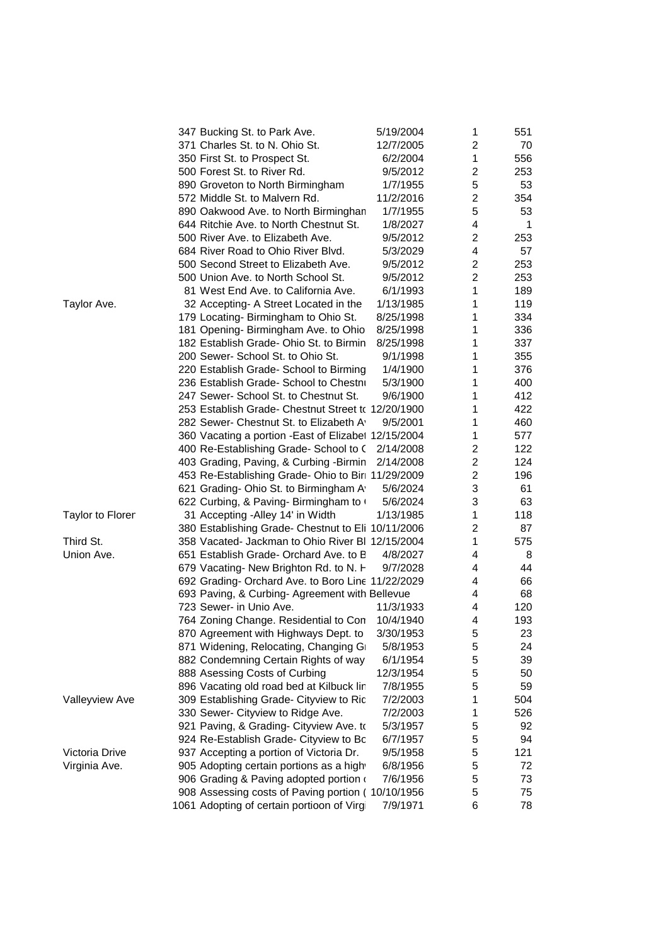|                         | 347 Bucking St. to Park Ave.                         | 5/19/2004 | 1              | 551 |  |
|-------------------------|------------------------------------------------------|-----------|----------------|-----|--|
|                         | 371 Charles St. to N. Ohio St.                       | 12/7/2005 | $\overline{c}$ | 70  |  |
|                         | 350 First St. to Prospect St.                        | 6/2/2004  | 1              | 556 |  |
|                         | 500 Forest St. to River Rd.                          | 9/5/2012  | $\overline{c}$ | 253 |  |
|                         | 890 Groveton to North Birmingham                     | 1/7/1955  | 5              | 53  |  |
|                         | 572 Middle St. to Malvern Rd.                        | 11/2/2016 | $\overline{c}$ | 354 |  |
|                         | 890 Oakwood Ave. to North Birminghan                 | 1/7/1955  | 5              | 53  |  |
|                         | 644 Ritchie Ave. to North Chestnut St.               | 1/8/2027  | 4              | 1   |  |
|                         | 500 River Ave. to Elizabeth Ave.                     | 9/5/2012  | $\overline{c}$ | 253 |  |
|                         | 684 River Road to Ohio River Blvd.                   | 5/3/2029  | 4              | 57  |  |
|                         | 500 Second Street to Elizabeth Ave.                  | 9/5/2012  | $\overline{c}$ | 253 |  |
|                         | 500 Union Ave. to North School St.                   | 9/5/2012  | $\overline{c}$ | 253 |  |
|                         | 81 West End Ave. to California Ave.                  | 6/1/1993  | 1              | 189 |  |
| Taylor Ave.             | 32 Accepting- A Street Located in the                | 1/13/1985 | 1              | 119 |  |
|                         | 179 Locating- Birmingham to Ohio St.                 | 8/25/1998 | 1              | 334 |  |
|                         | 181 Opening-Birmingham Ave. to Ohio                  | 8/25/1998 | 1              | 336 |  |
|                         | 182 Establish Grade- Ohio St. to Birmin              | 8/25/1998 | 1              | 337 |  |
|                         | 200 Sewer- School St. to Ohio St.                    | 9/1/1998  | 1              | 355 |  |
|                         | 220 Establish Grade- School to Birming               | 1/4/1900  | 1              | 376 |  |
|                         | 236 Establish Grade-School to Chestnu                | 5/3/1900  | 1              | 400 |  |
|                         | 247 Sewer- School St. to Chestnut St.                | 9/6/1900  | 1              | 412 |  |
|                         | 253 Establish Grade- Chestnut Street to 12/20/1900   |           | 1              | 422 |  |
|                         | 282 Sewer- Chestnut St. to Elizabeth Av              | 9/5/2001  | 1              | 460 |  |
|                         | 360 Vacating a portion - East of Elizabet 12/15/2004 |           | 1              | 577 |  |
|                         | 400 Re-Establishing Grade- School to C               | 2/14/2008 | $\overline{c}$ | 122 |  |
|                         | 403 Grading, Paving, & Curbing - Birmin              | 2/14/2008 | $\overline{2}$ | 124 |  |
|                         | 453 Re-Establishing Grade- Ohio to Biri 11/29/2009   |           | $\overline{2}$ | 196 |  |
|                         | 621 Grading- Ohio St. to Birmingham A                | 5/6/2024  | 3              | 61  |  |
|                         | 622 Curbing, & Paving- Birmingham to (               | 5/6/2024  | 3              | 63  |  |
| <b>Taylor to Florer</b> | 31 Accepting - Alley 14' in Width                    | 1/13/1985 | 1              | 118 |  |
|                         | 380 Establishing Grade- Chestnut to Eli 10/11/2006   |           | $\overline{c}$ | 87  |  |
| Third St.               | 358 Vacated- Jackman to Ohio River BI 12/15/2004     |           | 1              | 575 |  |
| Union Ave.              | 651 Establish Grade- Orchard Ave. to B               | 4/8/2027  | 4              | 8   |  |
|                         | 679 Vacating- New Brighton Rd. to N. H               | 9/7/2028  | 4              | 44  |  |
|                         | 692 Grading- Orchard Ave. to Boro Line 11/22/2029    |           | 4              | 66  |  |
|                         | 693 Paving, & Curbing- Agreement with Bellevue       |           | 4              | 68  |  |
|                         | 723 Sewer- in Unio Ave.                              | 11/3/1933 | 4              | 120 |  |
|                         | 764 Zoning Change. Residential to Con                | 10/4/1940 | 4              | 193 |  |
|                         | 870 Agreement with Highways Dept. to                 | 3/30/1953 | 5              | 23  |  |
|                         | 871 Widening, Relocating, Changing G                 | 5/8/1953  | 5              | 24  |  |
|                         | 882 Condemning Certain Rights of way                 | 6/1/1954  | 5              | 39  |  |
|                         | 888 Asessing Costs of Curbing                        | 12/3/1954 | 5              | 50  |  |
|                         | 896 Vacating old road bed at Kilbuck lin             | 7/8/1955  | 5              | 59  |  |
| Valleyview Ave          | 309 Establishing Grade- Cityview to Rid              | 7/2/2003  | 1              | 504 |  |
|                         | 330 Sewer- Cityview to Ridge Ave.                    | 7/2/2003  | 1              | 526 |  |
|                         | 921 Paving, & Grading- Cityview Ave. to              | 5/3/1957  | 5              | 92  |  |
|                         | 924 Re-Establish Grade- Cityview to Bo               | 6/7/1957  | 5              | 94  |  |
| Victoria Drive          | 937 Accepting a portion of Victoria Dr.              | 9/5/1958  | 5              | 121 |  |
| Virginia Ave.           | 905 Adopting certain portions as a high              | 6/8/1956  | 5              | 72  |  |
|                         | 906 Grading & Paving adopted portion o               | 7/6/1956  | 5              | 73  |  |
|                         | 908 Assessing costs of Paving portion (10/10/1956    |           | 5              | 75  |  |
|                         | 1061 Adopting of certain portioon of Virgi           | 7/9/1971  | 6              | 78  |  |
|                         |                                                      |           |                |     |  |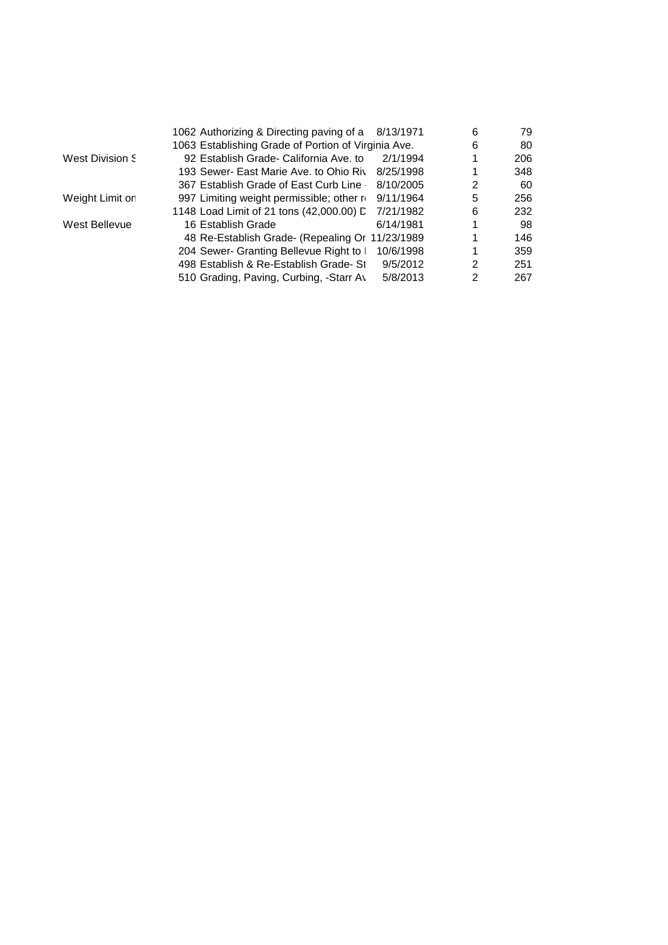|                 | 1062 Authorizing & Directing paving of a            | 8/13/1971 | 6 | 79  |
|-----------------|-----------------------------------------------------|-----------|---|-----|
|                 | 1063 Establishing Grade of Portion of Virginia Ave. |           | 6 | 80  |
| West Division S | 92 Establish Grade-California Ave. to               | 2/1/1994  |   | 206 |
|                 | 193 Sewer- East Marie Ave, to Ohio Riv              | 8/25/1998 |   | 348 |
|                 | 367 Establish Grade of East Curb Line               | 8/10/2005 | 2 | 60  |
| Weight Limit or | 997 Limiting weight permissible; other re-          | 9/11/1964 | 5 | 256 |
|                 | 1148 Load Limit of 21 tons (42,000.00) D            | 7/21/1982 | 6 | 232 |
| West Bellevue   | 16 Establish Grade                                  | 6/14/1981 |   | 98  |
|                 | 48 Re-Establish Grade- (Repealing Or 11/23/1989     |           |   | 146 |
|                 | 204 Sewer- Granting Bellevue Right to I             | 10/6/1998 |   | 359 |
|                 | 498 Establish & Re-Establish Grade-St               | 9/5/2012  | 2 | 251 |
|                 | 510 Grading, Paving, Curbing, -Starr Av             | 5/8/2013  | 2 | 267 |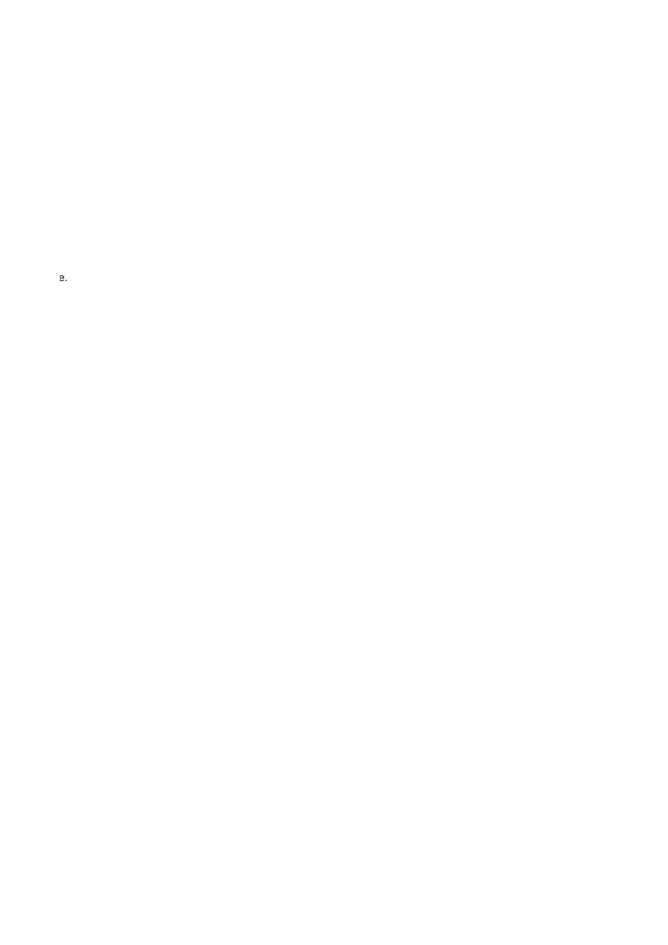Amending Ord. #746 -Zoning on Blvd. Res. To Comm. Elizabeth Ave.to Home Ave.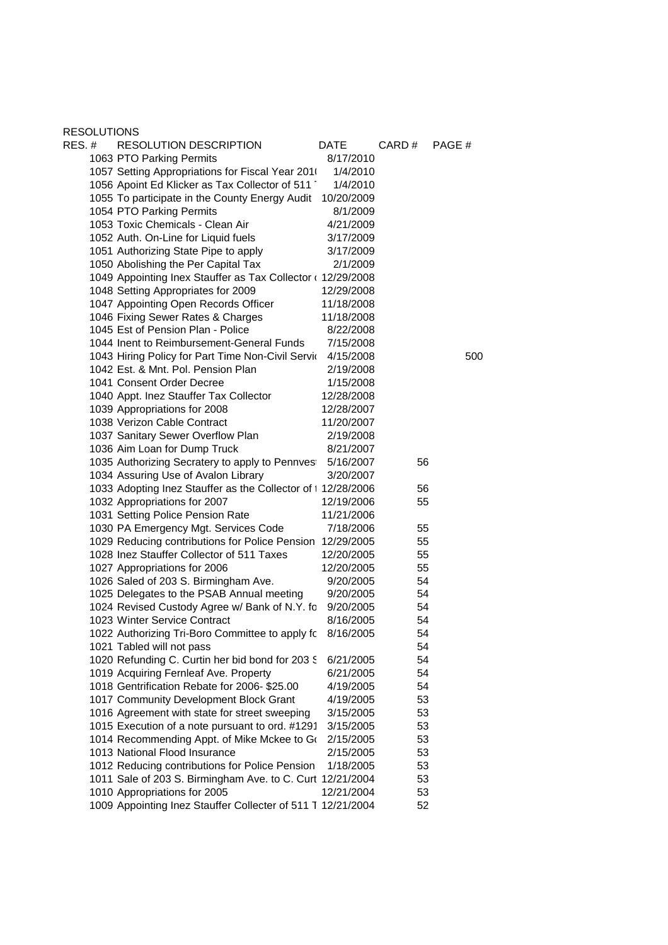| <b>RESOLUTIONS</b> |                                                              |             |       |       |
|--------------------|--------------------------------------------------------------|-------------|-------|-------|
| RES.#              | <b>RESOLUTION DESCRIPTION</b>                                | <b>DATE</b> | CARD# | PAGE# |
|                    | 1063 PTO Parking Permits                                     | 8/17/2010   |       |       |
|                    | 1057 Setting Appropriations for Fiscal Year 2010             | 1/4/2010    |       |       |
|                    | 1056 Apoint Ed Klicker as Tax Collector of 511               | 1/4/2010    |       |       |
|                    | 1055 To participate in the County Energy Audit               | 10/20/2009  |       |       |
|                    | 1054 PTO Parking Permits                                     | 8/1/2009    |       |       |
|                    | 1053 Toxic Chemicals - Clean Air                             | 4/21/2009   |       |       |
|                    | 1052 Auth. On-Line for Liquid fuels                          | 3/17/2009   |       |       |
|                    | 1051 Authorizing State Pipe to apply                         | 3/17/2009   |       |       |
|                    | 1050 Abolishing the Per Capital Tax                          | 2/1/2009    |       |       |
|                    | 1049 Appointing Inex Stauffer as Tax Collector (12/29/2008   |             |       |       |
|                    | 1048 Setting Appropriates for 2009                           | 12/29/2008  |       |       |
|                    | 1047 Appointing Open Records Officer                         | 11/18/2008  |       |       |
|                    | 1046 Fixing Sewer Rates & Charges                            | 11/18/2008  |       |       |
|                    | 1045 Est of Pension Plan - Police                            | 8/22/2008   |       |       |
|                    | 1044 Inent to Reimbursement-General Funds                    | 7/15/2008   |       |       |
|                    | 1043 Hiring Policy for Part Time Non-Civil Servic 4/15/2008  |             |       | 500   |
|                    | 1042 Est. & Mnt. Pol. Pension Plan                           | 2/19/2008   |       |       |
|                    | 1041 Consent Order Decree                                    | 1/15/2008   |       |       |
|                    | 1040 Appt. Inez Stauffer Tax Collector                       | 12/28/2008  |       |       |
|                    | 1039 Appropriations for 2008                                 | 12/28/2007  |       |       |
|                    | 1038 Verizon Cable Contract                                  | 11/20/2007  |       |       |
|                    | 1037 Sanitary Sewer Overflow Plan                            | 2/19/2008   |       |       |
|                    | 1036 Aim Loan for Dump Truck                                 | 8/21/2007   |       |       |
|                    | 1035 Authorizing Secratery to apply to Pennves 5/16/2007     |             | 56    |       |
|                    | 1034 Assuring Use of Avalon Library                          | 3/20/2007   |       |       |
|                    | 1033 Adopting Inez Stauffer as the Collector of 1 12/28/2006 |             | 56    |       |
|                    | 1032 Appropriations for 2007                                 | 12/19/2006  | 55    |       |
|                    | 1031 Setting Police Pension Rate                             | 11/21/2006  |       |       |
|                    | 1030 PA Emergency Mgt. Services Code                         | 7/18/2006   | 55    |       |
|                    | 1029 Reducing contributions for Police Pension 12/29/2005    |             | 55    |       |
|                    | 1028 Inez Stauffer Collector of 511 Taxes                    | 12/20/2005  | 55    |       |
|                    | 1027 Appropriations for 2006                                 | 12/20/2005  | 55    |       |
|                    | 1026 Saled of 203 S. Birmingham Ave.                         | 9/20/2005   | 54    |       |
|                    | 1025 Delegates to the PSAB Annual meeting                    | 9/20/2005   | 54    |       |
|                    | 1024 Revised Custody Agree w/ Bank of N.Y. fo                | 9/20/2005   | 54    |       |
|                    | 1023 Winter Service Contract                                 | 8/16/2005   | 54    |       |
|                    | 1022 Authorizing Tri-Boro Committee to apply fc              | 8/16/2005   | 54    |       |
|                    | 1021 Tabled will not pass                                    |             | 54    |       |
|                    | 1020 Refunding C. Curtin her bid bond for 203 S              | 6/21/2005   | 54    |       |
|                    | 1019 Acquiring Fernleaf Ave. Property                        | 6/21/2005   | 54    |       |
|                    | 1018 Gentrification Rebate for 2006-\$25.00                  | 4/19/2005   | 54    |       |
|                    | 1017 Community Development Block Grant                       | 4/19/2005   | 53    |       |
|                    | 1016 Agreement with state for street sweeping                | 3/15/2005   | 53    |       |
|                    | 1015 Execution of a note pursuant to ord. #1291              | 3/15/2005   | 53    |       |
|                    | 1014 Recommending Appt. of Mike Mckee to Go                  | 2/15/2005   | 53    |       |
|                    | 1013 National Flood Insurance                                | 2/15/2005   | 53    |       |
|                    | 1012 Reducing contributions for Police Pension               | 1/18/2005   | 53    |       |
|                    | 1011 Sale of 203 S. Birmingham Ave. to C. Curt 12/21/2004    |             | 53    |       |
|                    | 1010 Appropriations for 2005                                 | 12/21/2004  | 53    |       |
|                    | 1009 Appointing Inez Stauffer Collecter of 511 T 12/21/2004  |             | 52    |       |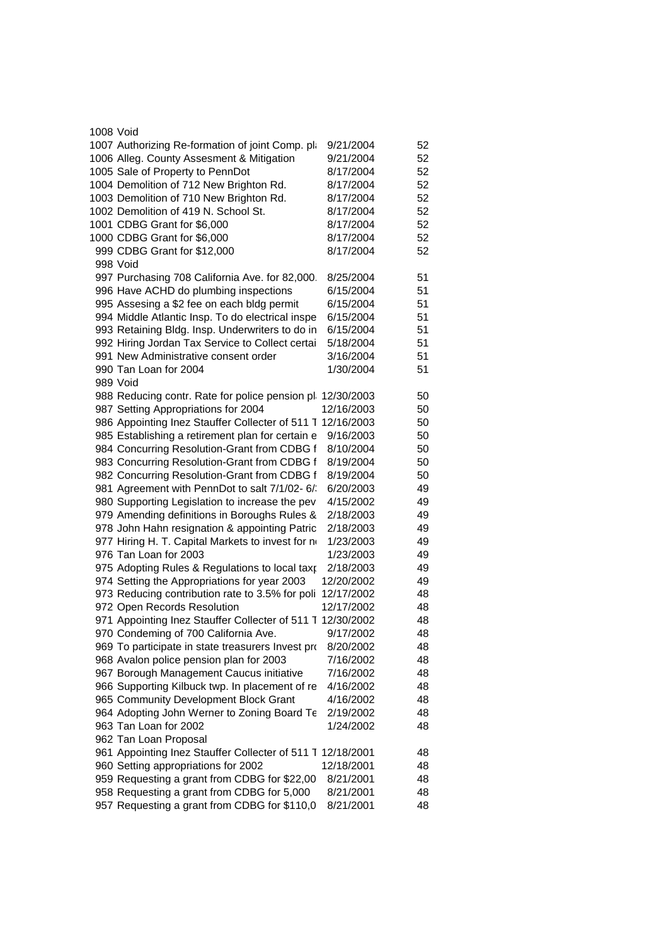| 1008 Void |                                                            |            |    |  |
|-----------|------------------------------------------------------------|------------|----|--|
|           | 1007 Authorizing Re-formation of joint Comp. pla           | 9/21/2004  | 52 |  |
|           | 1006 Alleg. County Assesment & Mitigation                  | 9/21/2004  | 52 |  |
|           | 1005 Sale of Property to PennDot                           | 8/17/2004  | 52 |  |
|           | 1004 Demolition of 712 New Brighton Rd.                    | 8/17/2004  | 52 |  |
|           | 1003 Demolition of 710 New Brighton Rd.                    | 8/17/2004  | 52 |  |
|           | 1002 Demolition of 419 N. School St.                       | 8/17/2004  | 52 |  |
|           | 1001 CDBG Grant for \$6,000                                | 8/17/2004  | 52 |  |
|           | 1000 CDBG Grant for \$6,000                                | 8/17/2004  | 52 |  |
|           | 999 CDBG Grant for \$12,000                                | 8/17/2004  | 52 |  |
|           | 998 Void                                                   |            |    |  |
|           | 997 Purchasing 708 California Ave. for 82,000.             | 8/25/2004  | 51 |  |
|           | 996 Have ACHD do plumbing inspections                      | 6/15/2004  | 51 |  |
|           | 995 Assesing a \$2 fee on each bldg permit                 | 6/15/2004  | 51 |  |
|           | 994 Middle Atlantic Insp. To do electrical inspe           | 6/15/2004  | 51 |  |
|           | 993 Retaining Bldg. Insp. Underwriters to do in            | 6/15/2004  | 51 |  |
|           | 992 Hiring Jordan Tax Service to Collect certai            | 5/18/2004  | 51 |  |
|           | 991 New Administrative consent order                       | 3/16/2004  | 51 |  |
|           |                                                            |            | 51 |  |
|           | 990 Tan Loan for 2004                                      | 1/30/2004  |    |  |
|           | 989 Void                                                   |            |    |  |
|           | 988 Reducing contr. Rate for police pension pl. 12/30/2003 |            | 50 |  |
|           | 987 Setting Appropriations for 2004                        | 12/16/2003 | 50 |  |
|           | 986 Appointing Inez Stauffer Collecter of 511 T 12/16/2003 |            | 50 |  |
|           | 985 Establishing a retirement plan for certain e 9/16/2003 |            | 50 |  |
|           | 984 Concurring Resolution-Grant from CDBG f                | 8/10/2004  | 50 |  |
|           | 983 Concurring Resolution-Grant from CDBG f                | 8/19/2004  | 50 |  |
|           | 982 Concurring Resolution-Grant from CDBG f                | 8/19/2004  | 50 |  |
|           | 981 Agreement with PennDot to salt 7/1/02-6/.              | 6/20/2003  | 49 |  |
|           | 980 Supporting Legislation to increase the pev             | 4/15/2002  | 49 |  |
|           | 979 Amending definitions in Boroughs Rules &               | 2/18/2003  | 49 |  |
|           | 978 John Hahn resignation & appointing Patric              | 2/18/2003  | 49 |  |
|           | 977 Hiring H. T. Capital Markets to invest for no          | 1/23/2003  | 49 |  |
|           | 976 Tan Loan for 2003                                      | 1/23/2003  | 49 |  |
|           | 975 Adopting Rules & Regulations to local taxp             | 2/18/2003  | 49 |  |
|           | 974 Setting the Appropriations for year 2003               | 12/20/2002 | 49 |  |
|           | 973 Reducing contribution rate to 3.5% for poli 12/17/2002 |            | 48 |  |
|           | 972 Open Records Resolution                                | 12/17/2002 | 48 |  |
|           | 971 Appointing Inez Stauffer Collecter of 511 T 12/30/2002 |            | 48 |  |
|           | 970 Condeming of 700 California Ave.                       | 9/17/2002  | 48 |  |
|           | 969 To participate in state treasurers Invest pro          | 8/20/2002  | 48 |  |
|           | 968 Avalon police pension plan for 2003                    | 7/16/2002  | 48 |  |
|           | 967 Borough Management Caucus initiative                   | 7/16/2002  | 48 |  |
|           | 966 Supporting Kilbuck twp. In placement of re             | 4/16/2002  | 48 |  |
|           | 965 Community Development Block Grant                      | 4/16/2002  | 48 |  |
|           | 964 Adopting John Werner to Zoning Board Te                | 2/19/2002  | 48 |  |
|           | 963 Tan Loan for 2002                                      | 1/24/2002  | 48 |  |
|           | 962 Tan Loan Proposal                                      |            |    |  |
|           | 961 Appointing Inez Stauffer Collecter of 511 T 12/18/2001 |            | 48 |  |
|           | 960 Setting appropriations for 2002                        | 12/18/2001 | 48 |  |
|           | 959 Requesting a grant from CDBG for \$22,00               | 8/21/2001  | 48 |  |
|           | 958 Requesting a grant from CDBG for 5,000                 | 8/21/2001  | 48 |  |
|           | 957 Requesting a grant from CDBG for \$110,0               | 8/21/2001  | 48 |  |
|           |                                                            |            |    |  |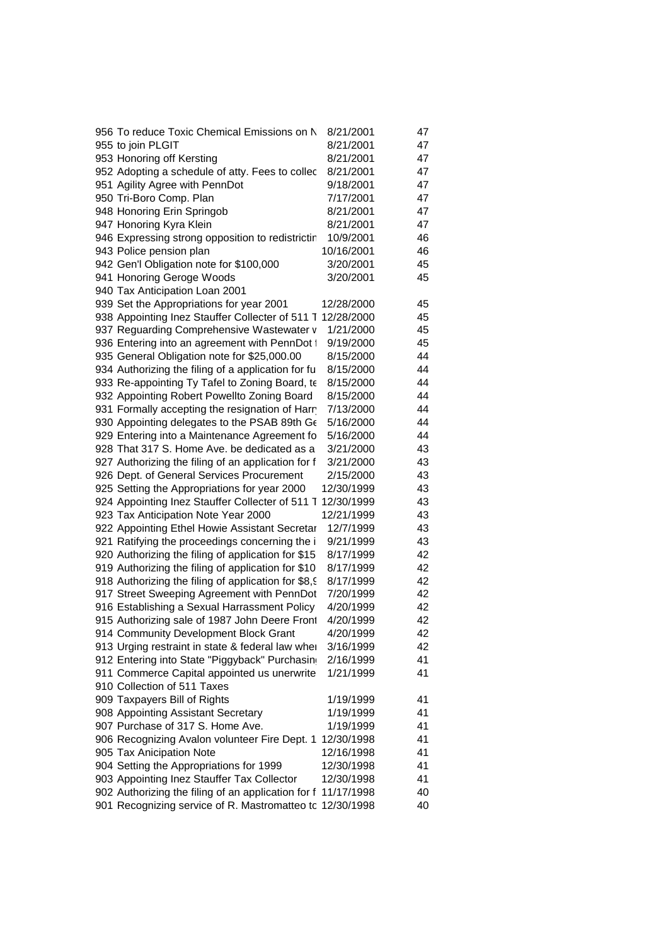| 956 To reduce Toxic Chemical Emissions on N<br>8/21/2001<br>47<br>955 to join PLGIT<br>8/21/2001<br>47<br>953 Honoring off Kersting<br>8/21/2001<br>47<br>952 Adopting a schedule of atty. Fees to collec<br>8/21/2001<br>47<br>951 Agility Agree with PennDot<br>9/18/2001<br>47<br>950 Tri-Boro Comp. Plan<br>7/17/2001<br>47<br>948 Honoring Erin Springob<br>8/21/2001<br>47<br>947 Honoring Kyra Klein<br>8/21/2001<br>47<br>946 Expressing strong opposition to redistrictin<br>10/9/2001<br>46<br>943 Police pension plan<br>10/16/2001<br>46<br>942 Gen'l Obligation note for \$100,000<br>3/20/2001<br>45<br>941 Honoring Geroge Woods<br>3/20/2001<br>45<br>940 Tax Anticipation Loan 2001<br>939 Set the Appropriations for year 2001<br>45<br>12/28/2000<br>938 Appointing Inez Stauffer Collecter of 511 T 12/28/2000<br>45<br>937 Reguarding Comprehensive Wastewater v<br>45<br>1/21/2000<br>936 Entering into an agreement with PennDot 1<br>9/19/2000<br>45<br>935 General Obligation note for \$25,000.00<br>8/15/2000<br>44<br>934 Authorizing the filing of a application for full<br>44<br>8/15/2000<br>933 Re-appointing Ty Tafel to Zoning Board, te<br>8/15/2000<br>44<br>932 Appointing Robert Powellto Zoning Board<br>8/15/2000<br>44<br>931 Formally accepting the resignation of Harr<br>7/13/2000<br>44<br>930 Appointing delegates to the PSAB 89th Ge<br>44<br>5/16/2000<br>929 Entering into a Maintenance Agreement fo<br>5/16/2000<br>44<br>928 That 317 S. Home Ave. be dedicated as a<br>43<br>3/21/2000<br>43<br>927 Authorizing the filing of an application for f<br>3/21/2000<br>926 Dept. of General Services Procurement<br>2/15/2000<br>43<br>925 Setting the Appropriations for year 2000<br>12/30/1999<br>43<br>924 Appointing Inez Stauffer Collecter of 511 T 12/30/1999<br>43<br>923 Tax Anticipation Note Year 2000<br>12/21/1999<br>43<br>922 Appointing Ethel Howie Assistant Secretar<br>12/7/1999<br>43<br>921 Ratifying the proceedings concerning the i<br>9/21/1999<br>43<br>920 Authorizing the filing of application for \$15<br>42<br>8/17/1999<br>919 Authorizing the filing of application for \$10<br>42<br>8/17/1999<br>918 Authorizing the filing of application for \$8,9<br>42<br>8/17/1999<br>917 Street Sweeping Agreement with PennDot<br>42<br>7/20/1999<br>42<br>916 Establishing a Sexual Harrassment Policy<br>4/20/1999<br>42<br>915 Authorizing sale of 1987 John Deere Front<br>4/20/1999<br>914 Community Development Block Grant<br>42<br>4/20/1999<br>913 Urging restraint in state & federal law wher<br>42<br>3/16/1999<br>912 Entering into State "Piggyback" Purchasing<br>2/16/1999<br>41<br>911 Commerce Capital appointed us unerwrite<br>1/21/1999<br>41<br>910 Collection of 511 Taxes<br>909 Taxpayers Bill of Rights<br>1/19/1999<br>41<br>908 Appointing Assistant Secretary<br>41<br>1/19/1999<br>907 Purchase of 317 S. Home Ave.<br>41<br>1/19/1999<br>41<br>906 Recognizing Avalon volunteer Fire Dept. 1 12/30/1998<br>905 Tax Anicipation Note<br>12/16/1998<br>41<br>904 Setting the Appropriations for 1999<br>41<br>12/30/1998<br>903 Appointing Inez Stauffer Tax Collector<br>41<br>12/30/1998<br>902 Authorizing the filing of an application for f 11/17/1998<br>40<br>901 Recognizing service of R. Mastromatteo to 12/30/1998<br>40 |
|------------------------------------------------------------------------------------------------------------------------------------------------------------------------------------------------------------------------------------------------------------------------------------------------------------------------------------------------------------------------------------------------------------------------------------------------------------------------------------------------------------------------------------------------------------------------------------------------------------------------------------------------------------------------------------------------------------------------------------------------------------------------------------------------------------------------------------------------------------------------------------------------------------------------------------------------------------------------------------------------------------------------------------------------------------------------------------------------------------------------------------------------------------------------------------------------------------------------------------------------------------------------------------------------------------------------------------------------------------------------------------------------------------------------------------------------------------------------------------------------------------------------------------------------------------------------------------------------------------------------------------------------------------------------------------------------------------------------------------------------------------------------------------------------------------------------------------------------------------------------------------------------------------------------------------------------------------------------------------------------------------------------------------------------------------------------------------------------------------------------------------------------------------------------------------------------------------------------------------------------------------------------------------------------------------------------------------------------------------------------------------------------------------------------------------------------------------------------------------------------------------------------------------------------------------------------------------------------------------------------------------------------------------------------------------------------------------------------------------------------------------------------------------------------------------------------------------------------------------------------------------------------------------------------------------------------------------------------------------------------------------------------------------------------------------------------------------------------------------------------------------------------------------------------------------------------------------------------------------------------------------------------------------------------------------------------------------------------|
|                                                                                                                                                                                                                                                                                                                                                                                                                                                                                                                                                                                                                                                                                                                                                                                                                                                                                                                                                                                                                                                                                                                                                                                                                                                                                                                                                                                                                                                                                                                                                                                                                                                                                                                                                                                                                                                                                                                                                                                                                                                                                                                                                                                                                                                                                                                                                                                                                                                                                                                                                                                                                                                                                                                                                                                                                                                                                                                                                                                                                                                                                                                                                                                                                                                                                                                                                |
|                                                                                                                                                                                                                                                                                                                                                                                                                                                                                                                                                                                                                                                                                                                                                                                                                                                                                                                                                                                                                                                                                                                                                                                                                                                                                                                                                                                                                                                                                                                                                                                                                                                                                                                                                                                                                                                                                                                                                                                                                                                                                                                                                                                                                                                                                                                                                                                                                                                                                                                                                                                                                                                                                                                                                                                                                                                                                                                                                                                                                                                                                                                                                                                                                                                                                                                                                |
|                                                                                                                                                                                                                                                                                                                                                                                                                                                                                                                                                                                                                                                                                                                                                                                                                                                                                                                                                                                                                                                                                                                                                                                                                                                                                                                                                                                                                                                                                                                                                                                                                                                                                                                                                                                                                                                                                                                                                                                                                                                                                                                                                                                                                                                                                                                                                                                                                                                                                                                                                                                                                                                                                                                                                                                                                                                                                                                                                                                                                                                                                                                                                                                                                                                                                                                                                |
|                                                                                                                                                                                                                                                                                                                                                                                                                                                                                                                                                                                                                                                                                                                                                                                                                                                                                                                                                                                                                                                                                                                                                                                                                                                                                                                                                                                                                                                                                                                                                                                                                                                                                                                                                                                                                                                                                                                                                                                                                                                                                                                                                                                                                                                                                                                                                                                                                                                                                                                                                                                                                                                                                                                                                                                                                                                                                                                                                                                                                                                                                                                                                                                                                                                                                                                                                |
|                                                                                                                                                                                                                                                                                                                                                                                                                                                                                                                                                                                                                                                                                                                                                                                                                                                                                                                                                                                                                                                                                                                                                                                                                                                                                                                                                                                                                                                                                                                                                                                                                                                                                                                                                                                                                                                                                                                                                                                                                                                                                                                                                                                                                                                                                                                                                                                                                                                                                                                                                                                                                                                                                                                                                                                                                                                                                                                                                                                                                                                                                                                                                                                                                                                                                                                                                |
|                                                                                                                                                                                                                                                                                                                                                                                                                                                                                                                                                                                                                                                                                                                                                                                                                                                                                                                                                                                                                                                                                                                                                                                                                                                                                                                                                                                                                                                                                                                                                                                                                                                                                                                                                                                                                                                                                                                                                                                                                                                                                                                                                                                                                                                                                                                                                                                                                                                                                                                                                                                                                                                                                                                                                                                                                                                                                                                                                                                                                                                                                                                                                                                                                                                                                                                                                |
|                                                                                                                                                                                                                                                                                                                                                                                                                                                                                                                                                                                                                                                                                                                                                                                                                                                                                                                                                                                                                                                                                                                                                                                                                                                                                                                                                                                                                                                                                                                                                                                                                                                                                                                                                                                                                                                                                                                                                                                                                                                                                                                                                                                                                                                                                                                                                                                                                                                                                                                                                                                                                                                                                                                                                                                                                                                                                                                                                                                                                                                                                                                                                                                                                                                                                                                                                |
|                                                                                                                                                                                                                                                                                                                                                                                                                                                                                                                                                                                                                                                                                                                                                                                                                                                                                                                                                                                                                                                                                                                                                                                                                                                                                                                                                                                                                                                                                                                                                                                                                                                                                                                                                                                                                                                                                                                                                                                                                                                                                                                                                                                                                                                                                                                                                                                                                                                                                                                                                                                                                                                                                                                                                                                                                                                                                                                                                                                                                                                                                                                                                                                                                                                                                                                                                |
|                                                                                                                                                                                                                                                                                                                                                                                                                                                                                                                                                                                                                                                                                                                                                                                                                                                                                                                                                                                                                                                                                                                                                                                                                                                                                                                                                                                                                                                                                                                                                                                                                                                                                                                                                                                                                                                                                                                                                                                                                                                                                                                                                                                                                                                                                                                                                                                                                                                                                                                                                                                                                                                                                                                                                                                                                                                                                                                                                                                                                                                                                                                                                                                                                                                                                                                                                |
|                                                                                                                                                                                                                                                                                                                                                                                                                                                                                                                                                                                                                                                                                                                                                                                                                                                                                                                                                                                                                                                                                                                                                                                                                                                                                                                                                                                                                                                                                                                                                                                                                                                                                                                                                                                                                                                                                                                                                                                                                                                                                                                                                                                                                                                                                                                                                                                                                                                                                                                                                                                                                                                                                                                                                                                                                                                                                                                                                                                                                                                                                                                                                                                                                                                                                                                                                |
|                                                                                                                                                                                                                                                                                                                                                                                                                                                                                                                                                                                                                                                                                                                                                                                                                                                                                                                                                                                                                                                                                                                                                                                                                                                                                                                                                                                                                                                                                                                                                                                                                                                                                                                                                                                                                                                                                                                                                                                                                                                                                                                                                                                                                                                                                                                                                                                                                                                                                                                                                                                                                                                                                                                                                                                                                                                                                                                                                                                                                                                                                                                                                                                                                                                                                                                                                |
|                                                                                                                                                                                                                                                                                                                                                                                                                                                                                                                                                                                                                                                                                                                                                                                                                                                                                                                                                                                                                                                                                                                                                                                                                                                                                                                                                                                                                                                                                                                                                                                                                                                                                                                                                                                                                                                                                                                                                                                                                                                                                                                                                                                                                                                                                                                                                                                                                                                                                                                                                                                                                                                                                                                                                                                                                                                                                                                                                                                                                                                                                                                                                                                                                                                                                                                                                |
|                                                                                                                                                                                                                                                                                                                                                                                                                                                                                                                                                                                                                                                                                                                                                                                                                                                                                                                                                                                                                                                                                                                                                                                                                                                                                                                                                                                                                                                                                                                                                                                                                                                                                                                                                                                                                                                                                                                                                                                                                                                                                                                                                                                                                                                                                                                                                                                                                                                                                                                                                                                                                                                                                                                                                                                                                                                                                                                                                                                                                                                                                                                                                                                                                                                                                                                                                |
|                                                                                                                                                                                                                                                                                                                                                                                                                                                                                                                                                                                                                                                                                                                                                                                                                                                                                                                                                                                                                                                                                                                                                                                                                                                                                                                                                                                                                                                                                                                                                                                                                                                                                                                                                                                                                                                                                                                                                                                                                                                                                                                                                                                                                                                                                                                                                                                                                                                                                                                                                                                                                                                                                                                                                                                                                                                                                                                                                                                                                                                                                                                                                                                                                                                                                                                                                |
|                                                                                                                                                                                                                                                                                                                                                                                                                                                                                                                                                                                                                                                                                                                                                                                                                                                                                                                                                                                                                                                                                                                                                                                                                                                                                                                                                                                                                                                                                                                                                                                                                                                                                                                                                                                                                                                                                                                                                                                                                                                                                                                                                                                                                                                                                                                                                                                                                                                                                                                                                                                                                                                                                                                                                                                                                                                                                                                                                                                                                                                                                                                                                                                                                                                                                                                                                |
|                                                                                                                                                                                                                                                                                                                                                                                                                                                                                                                                                                                                                                                                                                                                                                                                                                                                                                                                                                                                                                                                                                                                                                                                                                                                                                                                                                                                                                                                                                                                                                                                                                                                                                                                                                                                                                                                                                                                                                                                                                                                                                                                                                                                                                                                                                                                                                                                                                                                                                                                                                                                                                                                                                                                                                                                                                                                                                                                                                                                                                                                                                                                                                                                                                                                                                                                                |
|                                                                                                                                                                                                                                                                                                                                                                                                                                                                                                                                                                                                                                                                                                                                                                                                                                                                                                                                                                                                                                                                                                                                                                                                                                                                                                                                                                                                                                                                                                                                                                                                                                                                                                                                                                                                                                                                                                                                                                                                                                                                                                                                                                                                                                                                                                                                                                                                                                                                                                                                                                                                                                                                                                                                                                                                                                                                                                                                                                                                                                                                                                                                                                                                                                                                                                                                                |
|                                                                                                                                                                                                                                                                                                                                                                                                                                                                                                                                                                                                                                                                                                                                                                                                                                                                                                                                                                                                                                                                                                                                                                                                                                                                                                                                                                                                                                                                                                                                                                                                                                                                                                                                                                                                                                                                                                                                                                                                                                                                                                                                                                                                                                                                                                                                                                                                                                                                                                                                                                                                                                                                                                                                                                                                                                                                                                                                                                                                                                                                                                                                                                                                                                                                                                                                                |
|                                                                                                                                                                                                                                                                                                                                                                                                                                                                                                                                                                                                                                                                                                                                                                                                                                                                                                                                                                                                                                                                                                                                                                                                                                                                                                                                                                                                                                                                                                                                                                                                                                                                                                                                                                                                                                                                                                                                                                                                                                                                                                                                                                                                                                                                                                                                                                                                                                                                                                                                                                                                                                                                                                                                                                                                                                                                                                                                                                                                                                                                                                                                                                                                                                                                                                                                                |
|                                                                                                                                                                                                                                                                                                                                                                                                                                                                                                                                                                                                                                                                                                                                                                                                                                                                                                                                                                                                                                                                                                                                                                                                                                                                                                                                                                                                                                                                                                                                                                                                                                                                                                                                                                                                                                                                                                                                                                                                                                                                                                                                                                                                                                                                                                                                                                                                                                                                                                                                                                                                                                                                                                                                                                                                                                                                                                                                                                                                                                                                                                                                                                                                                                                                                                                                                |
|                                                                                                                                                                                                                                                                                                                                                                                                                                                                                                                                                                                                                                                                                                                                                                                                                                                                                                                                                                                                                                                                                                                                                                                                                                                                                                                                                                                                                                                                                                                                                                                                                                                                                                                                                                                                                                                                                                                                                                                                                                                                                                                                                                                                                                                                                                                                                                                                                                                                                                                                                                                                                                                                                                                                                                                                                                                                                                                                                                                                                                                                                                                                                                                                                                                                                                                                                |
|                                                                                                                                                                                                                                                                                                                                                                                                                                                                                                                                                                                                                                                                                                                                                                                                                                                                                                                                                                                                                                                                                                                                                                                                                                                                                                                                                                                                                                                                                                                                                                                                                                                                                                                                                                                                                                                                                                                                                                                                                                                                                                                                                                                                                                                                                                                                                                                                                                                                                                                                                                                                                                                                                                                                                                                                                                                                                                                                                                                                                                                                                                                                                                                                                                                                                                                                                |
|                                                                                                                                                                                                                                                                                                                                                                                                                                                                                                                                                                                                                                                                                                                                                                                                                                                                                                                                                                                                                                                                                                                                                                                                                                                                                                                                                                                                                                                                                                                                                                                                                                                                                                                                                                                                                                                                                                                                                                                                                                                                                                                                                                                                                                                                                                                                                                                                                                                                                                                                                                                                                                                                                                                                                                                                                                                                                                                                                                                                                                                                                                                                                                                                                                                                                                                                                |
|                                                                                                                                                                                                                                                                                                                                                                                                                                                                                                                                                                                                                                                                                                                                                                                                                                                                                                                                                                                                                                                                                                                                                                                                                                                                                                                                                                                                                                                                                                                                                                                                                                                                                                                                                                                                                                                                                                                                                                                                                                                                                                                                                                                                                                                                                                                                                                                                                                                                                                                                                                                                                                                                                                                                                                                                                                                                                                                                                                                                                                                                                                                                                                                                                                                                                                                                                |
|                                                                                                                                                                                                                                                                                                                                                                                                                                                                                                                                                                                                                                                                                                                                                                                                                                                                                                                                                                                                                                                                                                                                                                                                                                                                                                                                                                                                                                                                                                                                                                                                                                                                                                                                                                                                                                                                                                                                                                                                                                                                                                                                                                                                                                                                                                                                                                                                                                                                                                                                                                                                                                                                                                                                                                                                                                                                                                                                                                                                                                                                                                                                                                                                                                                                                                                                                |
|                                                                                                                                                                                                                                                                                                                                                                                                                                                                                                                                                                                                                                                                                                                                                                                                                                                                                                                                                                                                                                                                                                                                                                                                                                                                                                                                                                                                                                                                                                                                                                                                                                                                                                                                                                                                                                                                                                                                                                                                                                                                                                                                                                                                                                                                                                                                                                                                                                                                                                                                                                                                                                                                                                                                                                                                                                                                                                                                                                                                                                                                                                                                                                                                                                                                                                                                                |
|                                                                                                                                                                                                                                                                                                                                                                                                                                                                                                                                                                                                                                                                                                                                                                                                                                                                                                                                                                                                                                                                                                                                                                                                                                                                                                                                                                                                                                                                                                                                                                                                                                                                                                                                                                                                                                                                                                                                                                                                                                                                                                                                                                                                                                                                                                                                                                                                                                                                                                                                                                                                                                                                                                                                                                                                                                                                                                                                                                                                                                                                                                                                                                                                                                                                                                                                                |
|                                                                                                                                                                                                                                                                                                                                                                                                                                                                                                                                                                                                                                                                                                                                                                                                                                                                                                                                                                                                                                                                                                                                                                                                                                                                                                                                                                                                                                                                                                                                                                                                                                                                                                                                                                                                                                                                                                                                                                                                                                                                                                                                                                                                                                                                                                                                                                                                                                                                                                                                                                                                                                                                                                                                                                                                                                                                                                                                                                                                                                                                                                                                                                                                                                                                                                                                                |
|                                                                                                                                                                                                                                                                                                                                                                                                                                                                                                                                                                                                                                                                                                                                                                                                                                                                                                                                                                                                                                                                                                                                                                                                                                                                                                                                                                                                                                                                                                                                                                                                                                                                                                                                                                                                                                                                                                                                                                                                                                                                                                                                                                                                                                                                                                                                                                                                                                                                                                                                                                                                                                                                                                                                                                                                                                                                                                                                                                                                                                                                                                                                                                                                                                                                                                                                                |
|                                                                                                                                                                                                                                                                                                                                                                                                                                                                                                                                                                                                                                                                                                                                                                                                                                                                                                                                                                                                                                                                                                                                                                                                                                                                                                                                                                                                                                                                                                                                                                                                                                                                                                                                                                                                                                                                                                                                                                                                                                                                                                                                                                                                                                                                                                                                                                                                                                                                                                                                                                                                                                                                                                                                                                                                                                                                                                                                                                                                                                                                                                                                                                                                                                                                                                                                                |
|                                                                                                                                                                                                                                                                                                                                                                                                                                                                                                                                                                                                                                                                                                                                                                                                                                                                                                                                                                                                                                                                                                                                                                                                                                                                                                                                                                                                                                                                                                                                                                                                                                                                                                                                                                                                                                                                                                                                                                                                                                                                                                                                                                                                                                                                                                                                                                                                                                                                                                                                                                                                                                                                                                                                                                                                                                                                                                                                                                                                                                                                                                                                                                                                                                                                                                                                                |
|                                                                                                                                                                                                                                                                                                                                                                                                                                                                                                                                                                                                                                                                                                                                                                                                                                                                                                                                                                                                                                                                                                                                                                                                                                                                                                                                                                                                                                                                                                                                                                                                                                                                                                                                                                                                                                                                                                                                                                                                                                                                                                                                                                                                                                                                                                                                                                                                                                                                                                                                                                                                                                                                                                                                                                                                                                                                                                                                                                                                                                                                                                                                                                                                                                                                                                                                                |
|                                                                                                                                                                                                                                                                                                                                                                                                                                                                                                                                                                                                                                                                                                                                                                                                                                                                                                                                                                                                                                                                                                                                                                                                                                                                                                                                                                                                                                                                                                                                                                                                                                                                                                                                                                                                                                                                                                                                                                                                                                                                                                                                                                                                                                                                                                                                                                                                                                                                                                                                                                                                                                                                                                                                                                                                                                                                                                                                                                                                                                                                                                                                                                                                                                                                                                                                                |
|                                                                                                                                                                                                                                                                                                                                                                                                                                                                                                                                                                                                                                                                                                                                                                                                                                                                                                                                                                                                                                                                                                                                                                                                                                                                                                                                                                                                                                                                                                                                                                                                                                                                                                                                                                                                                                                                                                                                                                                                                                                                                                                                                                                                                                                                                                                                                                                                                                                                                                                                                                                                                                                                                                                                                                                                                                                                                                                                                                                                                                                                                                                                                                                                                                                                                                                                                |
|                                                                                                                                                                                                                                                                                                                                                                                                                                                                                                                                                                                                                                                                                                                                                                                                                                                                                                                                                                                                                                                                                                                                                                                                                                                                                                                                                                                                                                                                                                                                                                                                                                                                                                                                                                                                                                                                                                                                                                                                                                                                                                                                                                                                                                                                                                                                                                                                                                                                                                                                                                                                                                                                                                                                                                                                                                                                                                                                                                                                                                                                                                                                                                                                                                                                                                                                                |
|                                                                                                                                                                                                                                                                                                                                                                                                                                                                                                                                                                                                                                                                                                                                                                                                                                                                                                                                                                                                                                                                                                                                                                                                                                                                                                                                                                                                                                                                                                                                                                                                                                                                                                                                                                                                                                                                                                                                                                                                                                                                                                                                                                                                                                                                                                                                                                                                                                                                                                                                                                                                                                                                                                                                                                                                                                                                                                                                                                                                                                                                                                                                                                                                                                                                                                                                                |
|                                                                                                                                                                                                                                                                                                                                                                                                                                                                                                                                                                                                                                                                                                                                                                                                                                                                                                                                                                                                                                                                                                                                                                                                                                                                                                                                                                                                                                                                                                                                                                                                                                                                                                                                                                                                                                                                                                                                                                                                                                                                                                                                                                                                                                                                                                                                                                                                                                                                                                                                                                                                                                                                                                                                                                                                                                                                                                                                                                                                                                                                                                                                                                                                                                                                                                                                                |
|                                                                                                                                                                                                                                                                                                                                                                                                                                                                                                                                                                                                                                                                                                                                                                                                                                                                                                                                                                                                                                                                                                                                                                                                                                                                                                                                                                                                                                                                                                                                                                                                                                                                                                                                                                                                                                                                                                                                                                                                                                                                                                                                                                                                                                                                                                                                                                                                                                                                                                                                                                                                                                                                                                                                                                                                                                                                                                                                                                                                                                                                                                                                                                                                                                                                                                                                                |
|                                                                                                                                                                                                                                                                                                                                                                                                                                                                                                                                                                                                                                                                                                                                                                                                                                                                                                                                                                                                                                                                                                                                                                                                                                                                                                                                                                                                                                                                                                                                                                                                                                                                                                                                                                                                                                                                                                                                                                                                                                                                                                                                                                                                                                                                                                                                                                                                                                                                                                                                                                                                                                                                                                                                                                                                                                                                                                                                                                                                                                                                                                                                                                                                                                                                                                                                                |
|                                                                                                                                                                                                                                                                                                                                                                                                                                                                                                                                                                                                                                                                                                                                                                                                                                                                                                                                                                                                                                                                                                                                                                                                                                                                                                                                                                                                                                                                                                                                                                                                                                                                                                                                                                                                                                                                                                                                                                                                                                                                                                                                                                                                                                                                                                                                                                                                                                                                                                                                                                                                                                                                                                                                                                                                                                                                                                                                                                                                                                                                                                                                                                                                                                                                                                                                                |
|                                                                                                                                                                                                                                                                                                                                                                                                                                                                                                                                                                                                                                                                                                                                                                                                                                                                                                                                                                                                                                                                                                                                                                                                                                                                                                                                                                                                                                                                                                                                                                                                                                                                                                                                                                                                                                                                                                                                                                                                                                                                                                                                                                                                                                                                                                                                                                                                                                                                                                                                                                                                                                                                                                                                                                                                                                                                                                                                                                                                                                                                                                                                                                                                                                                                                                                                                |
|                                                                                                                                                                                                                                                                                                                                                                                                                                                                                                                                                                                                                                                                                                                                                                                                                                                                                                                                                                                                                                                                                                                                                                                                                                                                                                                                                                                                                                                                                                                                                                                                                                                                                                                                                                                                                                                                                                                                                                                                                                                                                                                                                                                                                                                                                                                                                                                                                                                                                                                                                                                                                                                                                                                                                                                                                                                                                                                                                                                                                                                                                                                                                                                                                                                                                                                                                |
|                                                                                                                                                                                                                                                                                                                                                                                                                                                                                                                                                                                                                                                                                                                                                                                                                                                                                                                                                                                                                                                                                                                                                                                                                                                                                                                                                                                                                                                                                                                                                                                                                                                                                                                                                                                                                                                                                                                                                                                                                                                                                                                                                                                                                                                                                                                                                                                                                                                                                                                                                                                                                                                                                                                                                                                                                                                                                                                                                                                                                                                                                                                                                                                                                                                                                                                                                |
|                                                                                                                                                                                                                                                                                                                                                                                                                                                                                                                                                                                                                                                                                                                                                                                                                                                                                                                                                                                                                                                                                                                                                                                                                                                                                                                                                                                                                                                                                                                                                                                                                                                                                                                                                                                                                                                                                                                                                                                                                                                                                                                                                                                                                                                                                                                                                                                                                                                                                                                                                                                                                                                                                                                                                                                                                                                                                                                                                                                                                                                                                                                                                                                                                                                                                                                                                |
|                                                                                                                                                                                                                                                                                                                                                                                                                                                                                                                                                                                                                                                                                                                                                                                                                                                                                                                                                                                                                                                                                                                                                                                                                                                                                                                                                                                                                                                                                                                                                                                                                                                                                                                                                                                                                                                                                                                                                                                                                                                                                                                                                                                                                                                                                                                                                                                                                                                                                                                                                                                                                                                                                                                                                                                                                                                                                                                                                                                                                                                                                                                                                                                                                                                                                                                                                |
|                                                                                                                                                                                                                                                                                                                                                                                                                                                                                                                                                                                                                                                                                                                                                                                                                                                                                                                                                                                                                                                                                                                                                                                                                                                                                                                                                                                                                                                                                                                                                                                                                                                                                                                                                                                                                                                                                                                                                                                                                                                                                                                                                                                                                                                                                                                                                                                                                                                                                                                                                                                                                                                                                                                                                                                                                                                                                                                                                                                                                                                                                                                                                                                                                                                                                                                                                |
|                                                                                                                                                                                                                                                                                                                                                                                                                                                                                                                                                                                                                                                                                                                                                                                                                                                                                                                                                                                                                                                                                                                                                                                                                                                                                                                                                                                                                                                                                                                                                                                                                                                                                                                                                                                                                                                                                                                                                                                                                                                                                                                                                                                                                                                                                                                                                                                                                                                                                                                                                                                                                                                                                                                                                                                                                                                                                                                                                                                                                                                                                                                                                                                                                                                                                                                                                |
|                                                                                                                                                                                                                                                                                                                                                                                                                                                                                                                                                                                                                                                                                                                                                                                                                                                                                                                                                                                                                                                                                                                                                                                                                                                                                                                                                                                                                                                                                                                                                                                                                                                                                                                                                                                                                                                                                                                                                                                                                                                                                                                                                                                                                                                                                                                                                                                                                                                                                                                                                                                                                                                                                                                                                                                                                                                                                                                                                                                                                                                                                                                                                                                                                                                                                                                                                |
|                                                                                                                                                                                                                                                                                                                                                                                                                                                                                                                                                                                                                                                                                                                                                                                                                                                                                                                                                                                                                                                                                                                                                                                                                                                                                                                                                                                                                                                                                                                                                                                                                                                                                                                                                                                                                                                                                                                                                                                                                                                                                                                                                                                                                                                                                                                                                                                                                                                                                                                                                                                                                                                                                                                                                                                                                                                                                                                                                                                                                                                                                                                                                                                                                                                                                                                                                |
|                                                                                                                                                                                                                                                                                                                                                                                                                                                                                                                                                                                                                                                                                                                                                                                                                                                                                                                                                                                                                                                                                                                                                                                                                                                                                                                                                                                                                                                                                                                                                                                                                                                                                                                                                                                                                                                                                                                                                                                                                                                                                                                                                                                                                                                                                                                                                                                                                                                                                                                                                                                                                                                                                                                                                                                                                                                                                                                                                                                                                                                                                                                                                                                                                                                                                                                                                |
|                                                                                                                                                                                                                                                                                                                                                                                                                                                                                                                                                                                                                                                                                                                                                                                                                                                                                                                                                                                                                                                                                                                                                                                                                                                                                                                                                                                                                                                                                                                                                                                                                                                                                                                                                                                                                                                                                                                                                                                                                                                                                                                                                                                                                                                                                                                                                                                                                                                                                                                                                                                                                                                                                                                                                                                                                                                                                                                                                                                                                                                                                                                                                                                                                                                                                                                                                |
|                                                                                                                                                                                                                                                                                                                                                                                                                                                                                                                                                                                                                                                                                                                                                                                                                                                                                                                                                                                                                                                                                                                                                                                                                                                                                                                                                                                                                                                                                                                                                                                                                                                                                                                                                                                                                                                                                                                                                                                                                                                                                                                                                                                                                                                                                                                                                                                                                                                                                                                                                                                                                                                                                                                                                                                                                                                                                                                                                                                                                                                                                                                                                                                                                                                                                                                                                |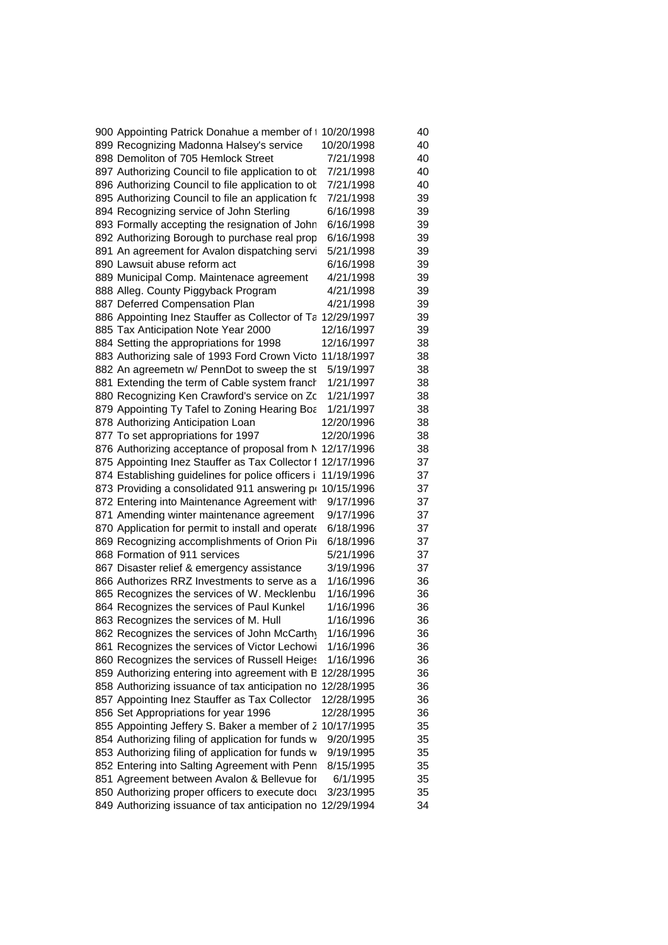| 900 Appointing Patrick Donahue a member of 110/20/1998         | 40             |
|----------------------------------------------------------------|----------------|
| 899 Recognizing Madonna Halsey's service<br>10/20/1998         | 40             |
| 898 Demoliton of 705 Hemlock Street<br>7/21/1998               | 40             |
| 897 Authorizing Council to file application to ob<br>7/21/1998 | 40             |
| 7/21/1998<br>896 Authorizing Council to file application to ob | 40             |
| 895 Authorizing Council to file an application fc<br>7/21/1998 | 39             |
| 894 Recognizing service of John Sterling<br>6/16/1998          | 39             |
| 893 Formally accepting the resignation of John<br>6/16/1998    | 39             |
| 892 Authorizing Borough to purchase real prop<br>6/16/1998     | 39             |
| 891 An agreement for Avalon dispatching servi<br>5/21/1998     | 39             |
| 890 Lawsuit abuse reform act<br>6/16/1998                      | 39             |
| 4/21/1998<br>889 Municipal Comp. Maintenace agreement          | 39             |
| 888 Alleg. County Piggyback Program<br>4/21/1998               | 39             |
| 887 Deferred Compensation Plan<br>4/21/1998                    | 39             |
| 886 Appointing Inez Stauffer as Collector of Ta 12/29/1997     | 39             |
| 885 Tax Anticipation Note Year 2000<br>12/16/1997              | 39             |
| 884 Setting the appropriations for 1998<br>12/16/1997          | 38             |
| 883 Authorizing sale of 1993 Ford Crown Victo 11/18/1997       | 38             |
| 882 An agreemetn w/ PennDot to sweep the st<br>5/19/1997       | 38             |
| 881 Extending the term of Cable system franch<br>1/21/1997     | 38             |
|                                                                | 38             |
| 880 Recognizing Ken Crawford's service on Zc<br>1/21/1997      |                |
| 879 Appointing Ty Tafel to Zoning Hearing Boa<br>1/21/1997     | 38             |
| 878 Authorizing Anticipation Loan<br>12/20/1996                | 38             |
| 877 To set appropriations for 1997<br>12/20/1996               | 38             |
| 876 Authorizing acceptance of proposal from N 12/17/1996       | 38             |
| 875 Appointing Inez Stauffer as Tax Collector f 12/17/1996     | 37             |
| 874 Establishing guidelines for police officers i 11/19/1996   | 37             |
| 873 Providing a consolidated 911 answering pr 10/15/1996       | 37             |
| 872 Entering into Maintenance Agreement with 9/17/1996         | 37             |
| 871 Amending winter maintenance agreement<br>9/17/1996         | 37             |
| 870 Application for permit to install and operate<br>6/18/1996 | 37             |
| 869 Recognizing accomplishments of Orion Pir<br>6/18/1996      | 37             |
| 5/21/1996<br>868 Formation of 911 services                     | 37             |
| 867 Disaster relief & emergency assistance<br>3/19/1996        | 37             |
| 1/16/1996<br>866 Authorizes RRZ Investments to serve as a      | 36             |
| 1/16/1996<br>865 Recognizes the services of W. Mecklenbu       | 36             |
| 864 Recognizes the services of Paul Kunkel<br>1/16/1996        | 36             |
| 1/16/1996<br>863 Recognizes the services of M. Hull            | 36             |
| 862 Recognizes the services of John McCarthy<br>1/16/1996      | 36             |
| 861 Recognizes the services of Victor Lechowi<br>1/16/1996     | 36             |
| 860 Recognizes the services of Russell Heiges 1/16/1996        | 36             |
| 859 Authorizing entering into agreement with B 12/28/1995      | 36             |
| 858 Authorizing issuance of tax anticipation no 12/28/1995     | 36             |
| 857 Appointing Inez Stauffer as Tax Collector 12/28/1995       | 36             |
| 856 Set Appropriations for year 1996<br>12/28/1995             | 36             |
| 855 Appointing Jeffery S. Baker a member of Z 10/17/1995       | 35             |
| 854 Authorizing filing of application for funds w<br>9/20/1995 | 35             |
| 853 Authorizing filing of application for funds w<br>9/19/1995 | 35             |
|                                                                |                |
| 852 Entering into Salting Agreement with Penn<br>8/15/1995     | 35             |
| 851 Agreement between Avalon & Bellevue for                    | 35<br>6/1/1995 |
| 850 Authorizing proper officers to execute doct<br>3/23/1995   | 35             |
| 849 Authorizing issuance of tax anticipation no 12/29/1994     | 34             |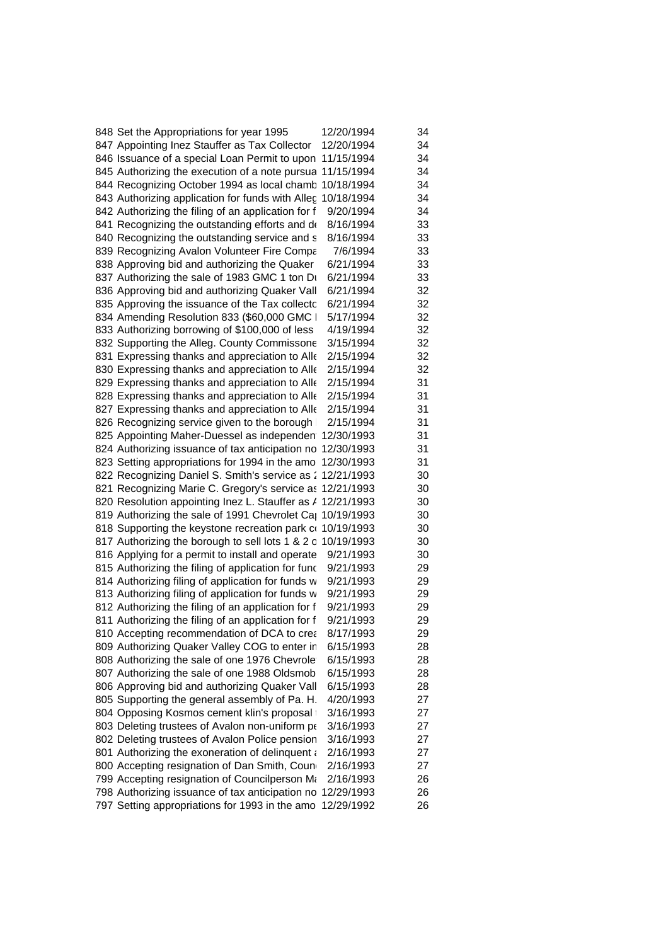| 848 Set the Appropriations for year 1995                        | 12/20/1994 | 34     |
|-----------------------------------------------------------------|------------|--------|
| 847 Appointing Inez Stauffer as Tax Collector 12/20/1994        |            | 34     |
| 846 Issuance of a special Loan Permit to upon 11/15/1994        |            | 34     |
| 845 Authorizing the execution of a note pursua 11/15/1994       |            | 34     |
| 844 Recognizing October 1994 as local chamb 10/18/1994          |            | 34     |
| 843 Authorizing application for funds with Alleg 10/18/1994     |            | 34     |
| 842 Authorizing the filing of an application for f 9/20/1994    |            | 34     |
| 841 Recognizing the outstanding efforts and de 8/16/1994        |            | 33     |
| 840 Recognizing the outstanding service and s 8/16/1994         |            | 33     |
| 839 Recognizing Avalon Volunteer Fire Compa                     | 7/6/1994   | $33\,$ |
| 838 Approving bid and authorizing the Quaker                    | 6/21/1994  | $33\,$ |
| 837 Authorizing the sale of 1983 GMC 1 ton Dt 6/21/1994         |            | 33     |
| 836 Approving bid and authorizing Quaker Vall 6/21/1994         |            | 32     |
| 835 Approving the issuance of the Tax collecto 6/21/1994        |            | 32     |
| 834 Amending Resolution 833 (\$60,000 GMC I 5/17/1994           |            | 32     |
| 833 Authorizing borrowing of \$100,000 of less                  | 4/19/1994  | 32     |
| 832 Supporting the Alleg. County Commissone 3/15/1994           |            | 32     |
| 831 Expressing thanks and appreciation to Alle 2/15/1994        |            | 32     |
| 830 Expressing thanks and appreciation to Alle 2/15/1994        |            | 32     |
| 829 Expressing thanks and appreciation to Alle 2/15/1994        |            | 31     |
| 828 Expressing thanks and appreciation to Alle 2/15/1994        |            | 31     |
| 827 Expressing thanks and appreciation to Alle 2/15/1994        |            | 31     |
| 826 Recognizing service given to the borough   2/15/1994        |            | 31     |
| 825 Appointing Maher-Duessel as independen 12/30/1993           |            | 31     |
|                                                                 |            |        |
| 824 Authorizing issuance of tax anticipation no 12/30/1993      |            | 31     |
| 823 Setting appropriations for 1994 in the amo 12/30/1993       |            | 31     |
| 822 Recognizing Daniel S. Smith's service as 2 12/21/1993       |            | 30     |
| 821 Recognizing Marie C. Gregory's service as 12/21/1993        |            | 30     |
| 820 Resolution appointing Inez L. Stauffer as $\ell$ 12/21/1993 |            | 30     |
| 819 Authorizing the sale of 1991 Chevrolet Car 10/19/1993       |            | 30     |
| 818 Supporting the keystone recreation park co 10/19/1993       |            | 30     |
| 817 Authorizing the borough to sell lots 1 & 2 o 10/19/1993     |            | 30     |
| 816 Applying for a permit to install and operate 9/21/1993      |            | 30     |
| 815 Authorizing the filing of application for func 9/21/1993    |            | 29     |
| 814 Authorizing filing of application for funds w 9/21/1993     |            | 29     |
| 813 Authorizing filing of application for funds w 9/21/1993     |            | 29     |
| 812 Authorizing the filing of an application for f              | 9/21/1993  | 29     |
| 811 Authorizing the filing of an application for f 9/21/1993    |            | 29     |
| 810 Accepting recommendation of DCA to crea 8/17/1993           |            | 29     |
| 809 Authorizing Quaker Valley COG to enter in 6/15/1993         |            | 28     |
| 808 Authorizing the sale of one 1976 Chevrole 6/15/1993         |            | 28     |
| 807 Authorizing the sale of one 1988 Oldsmobi 6/15/1993         |            | 28     |
| 806 Approving bid and authorizing Quaker Vall 6/15/1993         |            | 28     |
| 805 Supporting the general assembly of Pa. H. 4/20/1993         |            | 27     |
| 804 Opposing Kosmos cement klin's proposal + 3/16/1993          |            | 27     |
| 803 Deleting trustees of Avalon non-uniform pe 3/16/1993        |            | 27     |
| 802 Deleting trustees of Avalon Police pension 3/16/1993        |            | 27     |
| 801 Authorizing the exoneration of delinquent a 2/16/1993       |            | 27     |
|                                                                 |            |        |
| 800 Accepting resignation of Dan Smith, Coun 2/16/1993          |            | 27     |
| 799 Accepting resignation of Councilperson M: 2/16/1993         |            | 26     |
| 798 Authorizing issuance of tax anticipation no 12/29/1993      |            | 26     |
| 797 Setting appropriations for 1993 in the amo 12/29/1992       |            | 26     |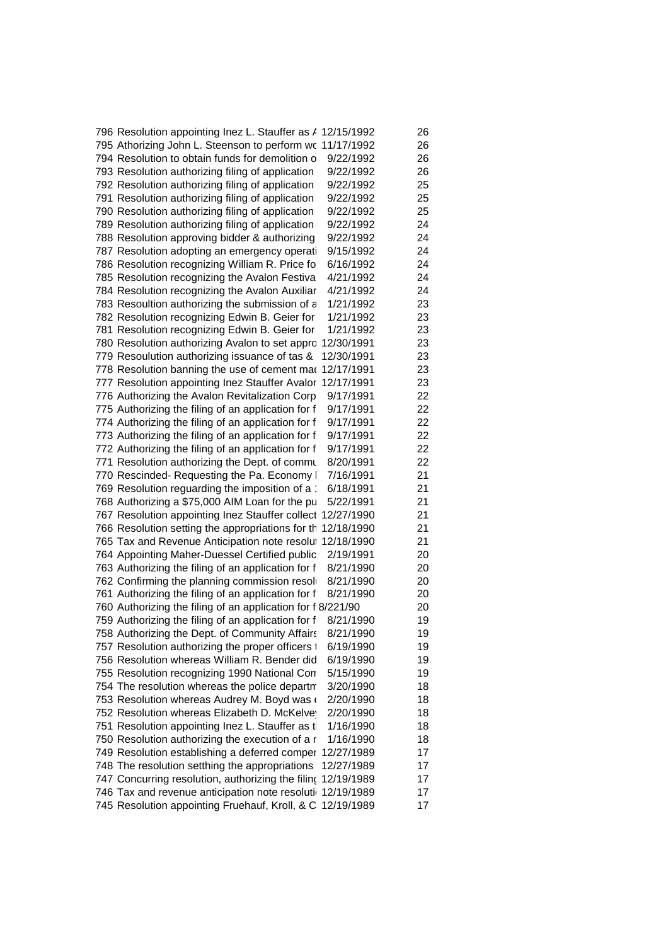| 796 Resolution appointing Inez L. Stauffer as $\ell$ 12/15/1992 | 26 |
|-----------------------------------------------------------------|----|
| 795 Athorizing John L. Steenson to perform wc 11/17/1992        | 26 |
| 794 Resolution to obtain funds for demolition o 9/22/1992       | 26 |
| 9/22/1992<br>793 Resolution authorizing filing of application   | 26 |
| 792 Resolution authorizing filing of application<br>9/22/1992   | 25 |
| 791 Resolution authorizing filing of application<br>9/22/1992   | 25 |
| 790 Resolution authorizing filing of application<br>9/22/1992   | 25 |
| 789 Resolution authorizing filing of application<br>9/22/1992   | 24 |
| 788 Resolution approving bidder & authorizing<br>9/22/1992      | 24 |
| 787 Resolution adopting an emergency operati 9/15/1992          | 24 |
| 786 Resolution recognizing William R. Price fo 6/16/1992        | 24 |
| 785 Resolution recognizing the Avalon Festival 4/21/1992        | 24 |
| 784 Resolution recognizing the Avalon Auxiliar<br>4/21/1992     | 24 |
| 783 Resoultion authorizing the submission of a 1/21/1992        | 23 |
| 782 Resolution recognizing Edwin B. Geier for<br>1/21/1992      | 23 |
| 1/21/1992                                                       | 23 |
| 781 Resolution recognizing Edwin B. Geier for                   | 23 |
| 780 Resolution authorizing Avalon to set appro 12/30/1991       |    |
| 779 Resoulution authorizing issuance of tas & 12/30/1991        | 23 |
| 778 Resolution banning the use of cement mar 12/17/1991         | 23 |
| 777 Resolution appointing Inez Stauffer Avalor 12/17/1991       | 23 |
| 776 Authorizing the Avalon Revitalization Corp 9/17/1991        | 22 |
| 775 Authorizing the filing of an application for f 9/17/1991    | 22 |
| 774 Authorizing the filing of an application for f 9/17/1991    | 22 |
| 773 Authorizing the filing of an application for f 9/17/1991    | 22 |
| 772 Authorizing the filing of an application for f 9/17/1991    | 22 |
| 771 Resolution authorizing the Dept. of commu 8/20/1991         | 22 |
| 770 Rescinded- Requesting the Pa. Economy   7/16/1991           | 21 |
| 769 Resolution reguarding the imposition of a ' 6/18/1991       | 21 |
| 768 Authorizing a \$75,000 AIM Loan for the pu 5/22/1991        | 21 |
| 767 Resolution appointing Inez Stauffer collect 12/27/1990      | 21 |
| 766 Resolution setting the appropriations for th 12/18/1990     | 21 |
| 765 Tax and Revenue Anticipation note resolul 12/18/1990        | 21 |
| 764 Appointing Maher-Duessel Certified public 2/19/1991         | 20 |
| 763 Authorizing the filing of an application for f 8/21/1990    | 20 |
| 762 Confirming the planning commission resol 8/21/1990          | 20 |
| 761 Authorizing the filing of an application for f 8/21/1990    | 20 |
| 760 Authorizing the filing of an application for f 8/221/90     | 20 |
| 759 Authorizing the filing of an application for f 8/21/1990    | 19 |
| 758 Authorizing the Dept. of Community Affairs 8/21/1990        | 19 |
| 757 Resolution authorizing the proper officers 1 6/19/1990      | 19 |
| 756 Resolution whereas William R. Bender did 6/19/1990          | 19 |
| 755 Resolution recognizing 1990 National Con 5/15/1990          | 19 |
| 754 The resolution whereas the police departm 3/20/1990         | 18 |
| 753 Resolution whereas Audrey M. Boyd was (2/20/1990            | 18 |
| 752 Resolution whereas Elizabeth D. McKelve 2/20/1990           | 18 |
| 751 Resolution appointing Inez L. Stauffer as t 1/16/1990       | 18 |
| 750 Resolution authorizing the execution of a r 1/16/1990       | 18 |
| 749 Resolution establishing a deferred comper 12/27/1989        | 17 |
| 748 The resolution setthing the appropriations 12/27/1989       | 17 |
|                                                                 | 17 |
| 747 Concurring resolution, authorizing the filing 12/19/1989    | 17 |
| 746 Tax and revenue anticipation note resoluti 12/19/1989       | 17 |
| 745 Resolution appointing Fruehauf, Kroll, & C 12/19/1989       |    |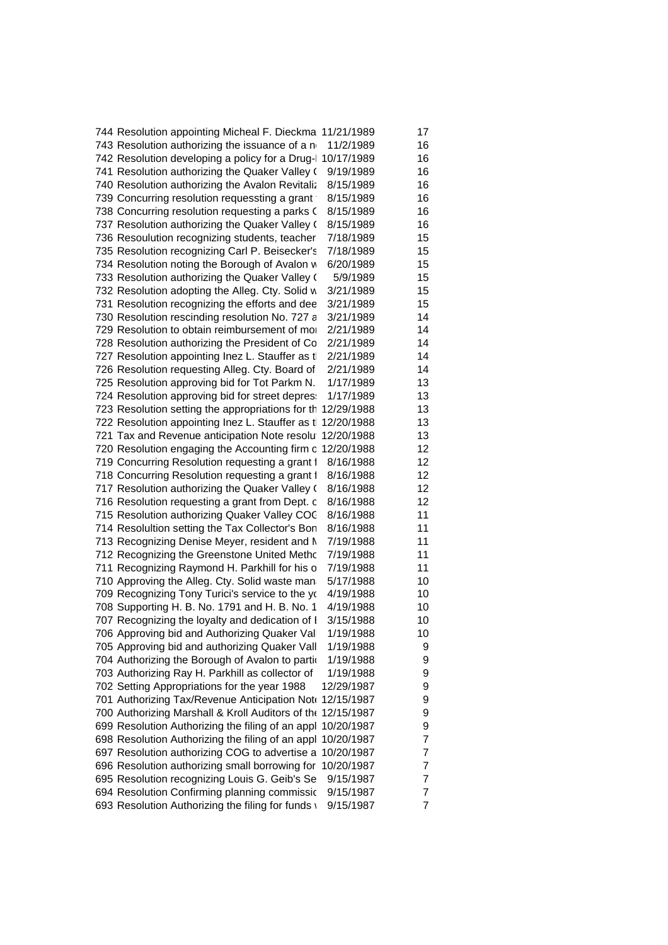| 744 Resolution appointing Micheal F. Dieckma 11/21/1989     |            | 17   |
|-------------------------------------------------------------|------------|------|
| 743 Resolution authorizing the issuance of a n 11/2/1989    |            | 16   |
| 742 Resolution developing a policy for a Drug-1 10/17/1989  |            | $16$ |
| 741 Resolution authorizing the Quaker Valley (9/19/1989     |            | 16   |
| 740 Resolution authorizing the Avalon Revitaliz 8/15/1989   |            | 16   |
| 739 Concurring resolution requessting a grant               | 8/15/1989  | 16   |
| 738 Concurring resolution requesting a parks (8/15/1989     |            | 16   |
| 737 Resolution authorizing the Quaker Valley (              | 8/15/1989  | $16$ |
| 736 Resoulution recognizing students, teacher               | 7/18/1989  | 15   |
| 735 Resolution recognizing Carl P. Beisecker's 7/18/1989    |            | 15   |
| 734 Resolution noting the Borough of Avalon w               | 6/20/1989  | 15   |
| 733 Resolution authorizing the Quaker Valley (              | 5/9/1989   | 15   |
| 732 Resolution adopting the Alleg. Cty. Solid w 3/21/1989   |            | 15   |
| 731 Resolution recognizing the efforts and dee              | 3/21/1989  | 15   |
| 730 Resolution rescinding resolution No. 727 a              | 3/21/1989  | 14   |
| 729 Resolution to obtain reimbursement of mor-              | 2/21/1989  | 14   |
| 728 Resolution authorizing the President of Co              | 2/21/1989  | 14   |
| 727 Resolution appointing Inez L. Stauffer as tl            |            | 14   |
|                                                             | 2/21/1989  |      |
| 726 Resolution requesting Alleg. Cty. Board of              | 2/21/1989  | 14   |
| 725 Resolution approving bid for Tot Parkm N.               | 1/17/1989  | 13   |
| 724 Resolution approving bid for street depres: 1/17/1989   |            | 13   |
| 723 Resolution setting the appropriations for th 12/29/1988 |            | 13   |
| 722 Resolution appointing Inez L. Stauffer as tl 12/20/1988 |            | 13   |
| 721 Tax and Revenue anticipation Note resolu 12/20/1988     |            | 13   |
| 720 Resolution engaging the Accounting firm o 12/20/1988    |            | 12   |
| 719 Concurring Resolution requesting a grant f 8/16/1988    |            | 12   |
| 718 Concurring Resolution requesting a grant f 8/16/1988    |            | 12   |
| 717 Resolution authorizing the Quaker Valley (8/16/1988     |            | 12   |
| 716 Resolution requesting a grant from Dept. c 8/16/1988    |            | 12   |
| 715 Resolution authorizing Quaker Valley COC 8/16/1988      |            | 11   |
| 714 Resolultion setting the Tax Collector's Bon             | 8/16/1988  | 11   |
| 713 Recognizing Denise Meyer, resident and N 7/19/1988      |            | 11   |
| 712 Recognizing the Greenstone United Methc 7/19/1988       |            | 11   |
| 711 Recognizing Raymond H. Parkhill for his o               | 7/19/1988  | 11   |
| 710 Approving the Alleg. Cty. Solid waste man               | 5/17/1988  | 10   |
| 709 Recognizing Tony Turici's service to the yo 4/19/1988   |            | 10   |
| 708 Supporting H. B. No. 1791 and H. B. No. 1               | 4/19/1988  | 10   |
| 707 Recognizing the loyalty and dedication of I             | 3/15/1988  | 10   |
| 706 Approving bid and Authorizing Quaker Vall               | 1/19/1988  | 10   |
| 705 Approving bid and authorizing Quaker Vall               | 1/19/1988  | -9   |
| 704 Authorizing the Borough of Avalon to partic 1/19/1988   |            | 9    |
| 703 Authorizing Ray H. Parkhill as collector of             | 1/19/1988  | 9    |
| 702 Setting Appropriations for the year 1988                | 12/29/1987 |      |
| 701 Authorizing Tax/Revenue Anticipation Note 12/15/1987    |            |      |
| 700 Authorizing Marshall & Kroll Auditors of the 12/15/1987 |            |      |
| 699 Resolution Authorizing the filing of an appl 10/20/1987 |            |      |
| 698 Resolution Authorizing the filing of an appl 10/20/1987 |            |      |
| 697 Resolution authorizing COG to advertise a 10/20/1987    |            |      |
| 696 Resolution authorizing small borrowing for 10/20/1987   |            |      |
| 695 Resolution recognizing Louis G. Geib's Se 9/15/1987     |            |      |
| 694 Resolution Confirming planning commissic 9/15/1987      |            |      |
| 693 Resolution Authorizing the filing for funds \ 9/15/1987 |            |      |
|                                                             |            |      |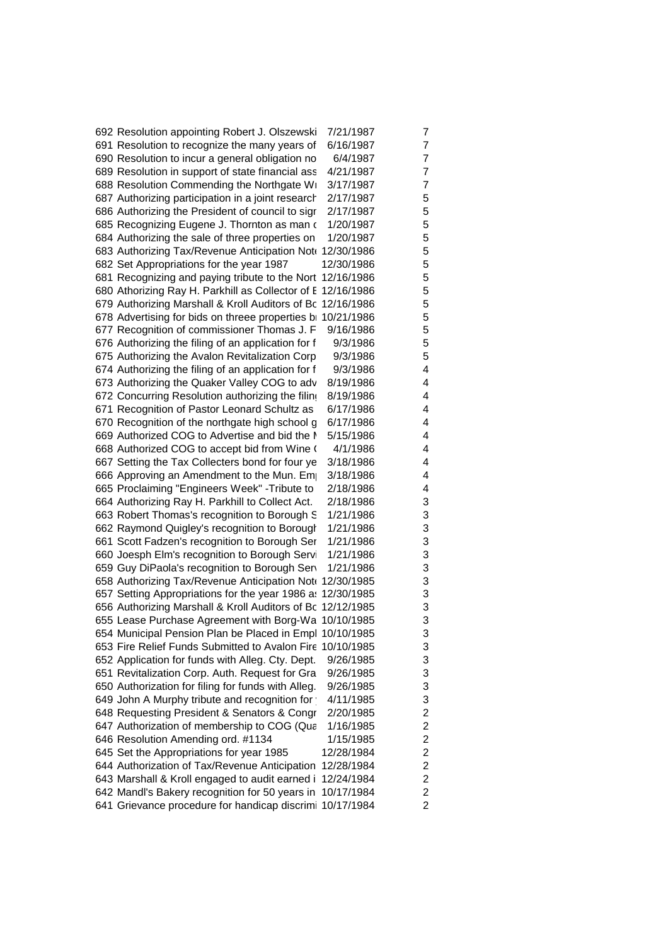| 692 Resolution appointing Robert J. Olszewski               | 7/21/1987  | 7 |  |
|-------------------------------------------------------------|------------|---|--|
| 691 Resolution to recognize the many years of               | 6/16/1987  | 7 |  |
| 690 Resolution to incur a general obligation no             | 6/4/1987   | 7 |  |
| 689 Resolution in support of state financial ass            | 4/21/1987  |   |  |
| 688 Resolution Commending the Northgate Wi                  | 3/17/1987  | 7 |  |
| 687 Authorizing participation in a joint research           | 2/17/1987  | 5 |  |
| 686 Authorizing the President of council to sigr            | 2/17/1987  | 5 |  |
| 685 Recognizing Eugene J. Thornton as man c                 | 1/20/1987  | 5 |  |
| 684 Authorizing the sale of three properties on             | 1/20/1987  | 5 |  |
| 683 Authorizing Tax/Revenue Anticipation Not 12/30/1986     |            | 5 |  |
| 682 Set Appropriations for the year 1987                    | 12/30/1986 | 5 |  |
| 681 Recognizing and paying tribute to the Nort 12/16/1986   |            | 5 |  |
| 680 Athorizing Ray H. Parkhill as Collector of E 12/16/1986 |            | 5 |  |
| 679 Authorizing Marshall & Kroll Auditors of Bc 12/16/1986  |            | 5 |  |
| 678 Advertising for bids on threee properties b: 10/21/1986 |            | 5 |  |
| 677 Recognition of commissioner Thomas J. F.                | 9/16/1986  | 5 |  |
| 676 Authorizing the filing of an application for f          | 9/3/1986   | 5 |  |
| 675 Authorizing the Avalon Revitalization Corp              | 9/3/1986   | 5 |  |
| 674 Authorizing the filing of an application for f          | 9/3/1986   | 4 |  |
| 673 Authorizing the Quaker Valley COG to adv                | 8/19/1986  | 4 |  |
| 672 Concurring Resolution authorizing the filing            | 8/19/1986  | 4 |  |
| 671 Recognition of Pastor Leonard Schultz as                | 6/17/1986  | 4 |  |
| 670 Recognition of the northgate high school g              | 6/17/1986  | 4 |  |
| 669 Authorized COG to Advertise and bid the N               | 5/15/1986  | 4 |  |
| 668 Authorized COG to accept bid from Wine (                | 4/1/1986   | 4 |  |
| 667 Setting the Tax Collecters bond for four ye             | 3/18/1986  | 4 |  |
| 666 Approving an Amendment to the Mun. Emp                  | 3/18/1986  | 4 |  |
| 665 Proclaiming "Engineers Week" - Tribute to               | 2/18/1986  | 4 |  |
| 664 Authorizing Ray H. Parkhill to Collect Act.             | 2/18/1986  | 3 |  |
| 663 Robert Thomas's recognition to Borough S                | 1/21/1986  | 3 |  |
| 662 Raymond Quigley's recognition to Borough                | 1/21/1986  | 3 |  |
| 661 Scott Fadzen's recognition to Borough Ser               | 1/21/1986  | 3 |  |
| 660 Joesph Elm's recognition to Borough Servi               | 1/21/1986  | 3 |  |
| 659 Guy DiPaola's recognition to Borough Serv               | 1/21/1986  | 3 |  |
| 658 Authorizing Tax/Revenue Anticipation Not 12/30/1985     |            | 3 |  |
| 657 Setting Appropriations for the year 1986 as 12/30/1985  |            | 3 |  |
| 656 Authorizing Marshall & Kroll Auditors of Bc 12/12/1985  |            | 3 |  |
| 655 Lease Purchase Agreement with Borg-Wa 10/10/1985        |            | 3 |  |
| 654 Municipal Pension Plan be Placed in Empl 10/10/1985     |            | 3 |  |
| 653 Fire Relief Funds Submitted to Avalon Fire 10/10/1985   |            | 3 |  |
| 652 Application for funds with Alleg. Cty. Dept.            | 9/26/1985  | 3 |  |
| 651 Revitalization Corp. Auth. Request for Gra              | 9/26/1985  | 3 |  |
| 650 Authorization for filing for funds with Alleg.          | 9/26/1985  | 3 |  |
| 649 John A Murphy tribute and recognition for               | 4/11/1985  | 3 |  |
| 648 Requesting President & Senators & Congr                 | 2/20/1985  | 2 |  |
| 647 Authorization of membership to COG (Qua                 | 1/16/1985  | 2 |  |
| 646 Resolution Amending ord. #1134                          | 1/15/1985  | 2 |  |
| 645 Set the Appropriations for year 1985                    | 12/28/1984 | 2 |  |
| 644 Authorization of Tax/Revenue Anticipation 12/28/1984    |            | 2 |  |
| 643 Marshall & Kroll engaged to audit earned i 12/24/1984   |            | 2 |  |
| 642 Mandl's Bakery recognition for 50 years in 10/17/1984   |            | 2 |  |
| 641 Grievance procedure for handicap discrimi 10/17/1984    |            | 2 |  |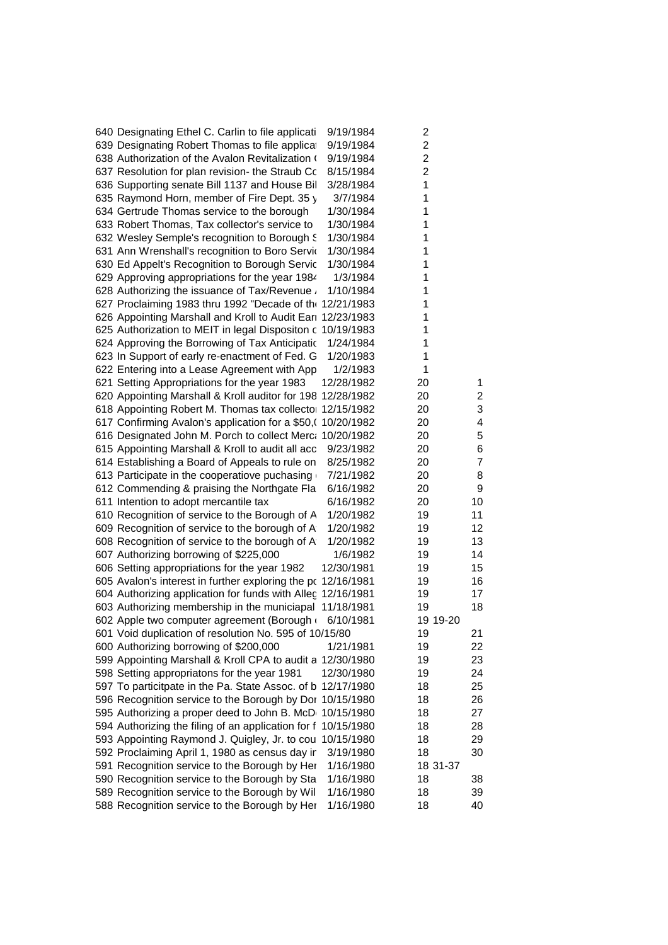| 640 Designating Ethel C. Carlin to file applicati             | 9/19/1984  | 2          |    |  |
|---------------------------------------------------------------|------------|------------|----|--|
| 639 Designating Robert Thomas to file applicat                | 9/19/1984  | 2          |    |  |
| 638 Authorization of the Avalon Revitalization (              | 9/19/1984  | 2          |    |  |
| 637 Resolution for plan revision- the Straub Cc               | 8/15/1984  | 2          |    |  |
| 636 Supporting senate Bill 1137 and House Bil                 | 3/28/1984  | 1          |    |  |
| 635 Raymond Horn, member of Fire Dept. 35 y                   | 3/7/1984   | 1          |    |  |
| 634 Gertrude Thomas service to the borough                    | 1/30/1984  |            |    |  |
| 633 Robert Thomas, Tax collector's service to                 | 1/30/1984  |            |    |  |
| 632 Wesley Semple's recognition to Borough S                  | 1/30/1984  |            |    |  |
| 631 Ann Wrenshall's recognition to Boro Servio                | 1/30/1984  |            |    |  |
| 630 Ed Appelt's Recognition to Borough Servic                 | 1/30/1984  |            |    |  |
| 629 Approving appropriations for the year 1984                | 1/3/1984   |            |    |  |
| 628 Authorizing the issuance of Tax/Revenue,                  | 1/10/1984  | 1          |    |  |
| 627 Proclaiming 1983 thru 1992 "Decade of the 12/21/1983      |            | 1          |    |  |
| 626 Appointing Marshall and Kroll to Audit Earl 12/23/1983    |            | 1          |    |  |
| 625 Authorization to MEIT in legal Dispositon c 10/19/1983    |            | 1          |    |  |
| 624 Approving the Borrowing of Tax Anticipatic                | 1/24/1984  | 1          |    |  |
| 623 In Support of early re-enactment of Fed. G                | 1/20/1983  | 1          |    |  |
| 622 Entering into a Lease Agreement with App                  | 1/2/1983   | 1          |    |  |
| 621 Setting Appropriations for the year 1983                  | 12/28/1982 | 20         | 1  |  |
| 620 Appointing Marshall & Kroll auditor for 198 12/28/1982    |            | 20         | 2  |  |
| 618 Appointing Robert M. Thomas tax collector 12/15/1982      |            | 20         | 3  |  |
| 617 Confirming Avalon's application for a \$50,(10/20/1982    |            | 20         | 4  |  |
| 616 Designated John M. Porch to collect Merc: 10/20/1982      |            | 20         | 5  |  |
| 615 Appointing Marshall & Kroll to audit all acc              | 9/23/1982  | 20         | 6  |  |
| 614 Establishing a Board of Appeals to rule on                | 8/25/1982  | 20         | 7  |  |
| 613 Participate in the cooperatiove puchasing                 | 7/21/1982  | 20         | 8  |  |
| 612 Commending & praising the Northgate Fla                   | 6/16/1982  | 20         | 9  |  |
| 611 Intention to adopt mercantile tax                         | 6/16/1982  | 20         | 10 |  |
| 610 Recognition of service to the Borough of A                | 1/20/1982  | 19         | 11 |  |
| 609 Recognition of service to the borough of A                | 1/20/1982  | 19         | 12 |  |
| 608 Recognition of service to the borough of A                | 1/20/1982  | 19         | 13 |  |
| 607 Authorizing borrowing of \$225,000                        | 1/6/1982   | 19         | 14 |  |
| 606 Setting appropriations for the year 1982                  | 12/30/1981 | 19         | 15 |  |
| 605 Avalon's interest in further exploring the pc 12/16/1981  |            | 19         | 16 |  |
| 604 Authorizing application for funds with Alleg 12/16/1981   |            | 19         | 17 |  |
| 603 Authorizing membership in the municiapal 11/18/1981       |            | 19         | 18 |  |
| 602 Apple two computer agreement (Borough (6/10/1981)         |            | 19 19 - 20 |    |  |
| 601 Void duplication of resolution No. 595 of 10/15/80        |            | 19         | 21 |  |
| 600 Authorizing borrowing of \$200,000                        | 1/21/1981  | 19         | 22 |  |
| 599 Appointing Marshall & Kroll CPA to audit a 12/30/1980     |            | 19         | 23 |  |
| 598 Setting appropriatons for the year 1981                   | 12/30/1980 | 19         | 24 |  |
| 597 To particitpate in the Pa. State Assoc. of b 12/17/1980   |            | 18         | 25 |  |
| 596 Recognition service to the Borough by Dor 10/15/1980      |            | 18         | 26 |  |
| 595 Authorizing a proper deed to John B. McD 10/15/1980       |            | 18         | 27 |  |
| 594 Authorizing the filing of an application for f 10/15/1980 |            | 18         | 28 |  |
| 593 Appointing Raymond J. Quigley, Jr. to cou 10/15/1980      |            | 18         | 29 |  |
| 592 Proclaiming April 1, 1980 as census day in                | 3/19/1980  | 18         | 30 |  |
| 591 Recognition service to the Borough by Her                 | 1/16/1980  | 18 31-37   |    |  |
| 590 Recognition service to the Borough by Sta                 | 1/16/1980  | 18         | 38 |  |
| 589 Recognition service to the Borough by Will                | 1/16/1980  | 18         | 39 |  |
| 588 Recognition service to the Borough by Her                 | 1/16/1980  | 18         | 40 |  |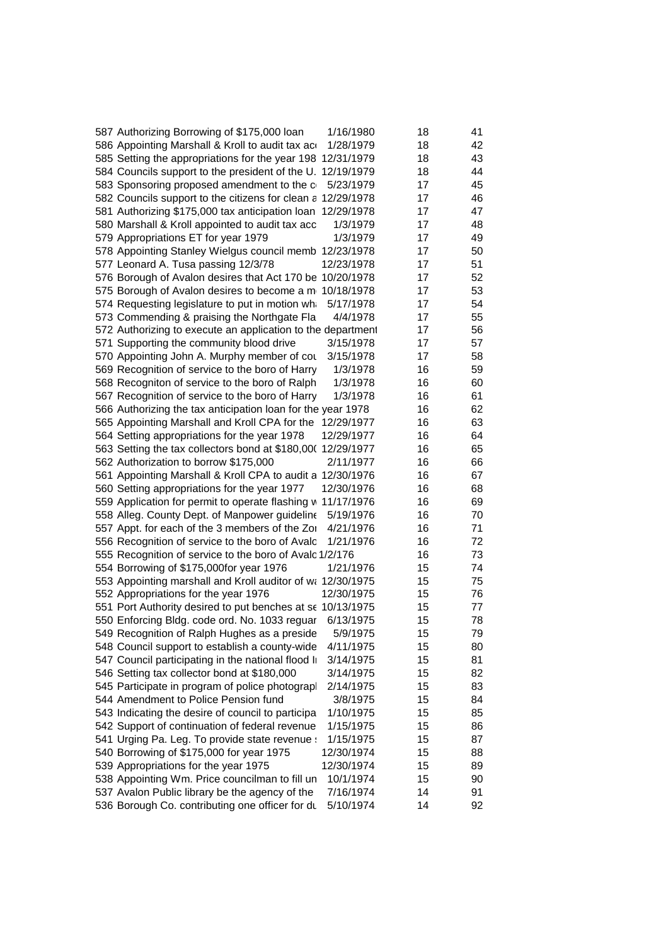| 587 Authorizing Borrowing of \$175,000 loan<br>1/16/1980        | 18 | 41 |  |
|-----------------------------------------------------------------|----|----|--|
| 586 Appointing Marshall & Kroll to audit tax ac 1/28/1979       | 18 | 42 |  |
| 585 Setting the appropriations for the year 198 12/31/1979      | 18 | 43 |  |
| 584 Councils support to the president of the U. 12/19/1979      | 18 | 44 |  |
| 583 Sponsoring proposed amendment to the c 5/23/1979            | 17 | 45 |  |
| 582 Councils support to the citizens for clean a 12/29/1978     | 17 | 46 |  |
| 581 Authorizing \$175,000 tax anticipation loan 12/29/1978      | 17 | 47 |  |
| 1/3/1979<br>580 Marshall & Kroll appointed to audit tax acc     | 17 | 48 |  |
| 1/3/1979<br>579 Appropriations ET for year 1979                 | 17 | 49 |  |
| 578 Appointing Stanley Wielgus council memb 12/23/1978          | 17 | 50 |  |
| 12/23/1978<br>577 Leonard A. Tusa passing 12/3/78               | 17 | 51 |  |
| 576 Borough of Avalon desires that Act 170 be 10/20/1978        | 17 | 52 |  |
| 575 Borough of Avalon desires to become a m 10/18/1978          | 17 | 53 |  |
|                                                                 |    |    |  |
| 574 Requesting legislature to put in motion wh: 5/17/1978       | 17 | 54 |  |
| 573 Commending & praising the Northgate Fla<br>4/4/1978         | 17 | 55 |  |
| 572 Authorizing to execute an application to the department     | 17 | 56 |  |
| 571 Supporting the community blood drive<br>3/15/1978           | 17 | 57 |  |
| 570 Appointing John A. Murphy member of cou<br>3/15/1978        | 17 | 58 |  |
| 569 Recognition of service to the boro of Harry<br>1/3/1978     | 16 | 59 |  |
| 1/3/1978<br>568 Recogniton of service to the boro of Ralph      | 16 | 60 |  |
| 567 Recognition of service to the boro of Harry<br>1/3/1978     | 16 | 61 |  |
| 566 Authorizing the tax anticipation loan for the year 1978     | 16 | 62 |  |
| 565 Appointing Marshall and Kroll CPA for the 12/29/1977        | 16 | 63 |  |
| 564 Setting appropriations for the year 1978<br>12/29/1977      | 16 | 64 |  |
| 563 Setting the tax collectors bond at \$180,00(12/29/1977      | 16 | 65 |  |
| 2/11/1977<br>562 Authorization to borrow \$175,000              | 16 | 66 |  |
| 561 Appointing Marshall & Kroll CPA to audit a 12/30/1976       | 16 | 67 |  |
| 560 Setting appropriations for the year 1977<br>12/30/1976      | 16 | 68 |  |
| 559 Application for permit to operate flashing w 11/17/1976     | 16 | 69 |  |
| 558 Alleg. County Dept. of Manpower guideline 5/19/1976         | 16 | 70 |  |
| 557 Appt. for each of the 3 members of the Zor<br>4/21/1976     | 16 | 71 |  |
| 556 Recognition of service to the boro of Avalo 1/21/1976       | 16 | 72 |  |
| 555 Recognition of service to the boro of Avalo 1/2/176         | 16 | 73 |  |
| 1/21/1976                                                       | 15 | 74 |  |
| 554 Borrowing of \$175,000 for year 1976                        |    |    |  |
| 553 Appointing marshall and Kroll auditor of w. 12/30/1975      | 15 | 75 |  |
| 12/30/1975<br>552 Appropriations for the year 1976              | 15 | 76 |  |
| 551 Port Authority desired to put benches at se 10/13/1975      | 15 | 77 |  |
| 550 Enforcing Bldg. code ord. No. 1033 reguar 6/13/1975         | 15 | 78 |  |
| 549 Recognition of Ralph Hughes as a preside<br>5/9/1975        | 15 | 79 |  |
| 548 Council support to establish a county-wide<br>4/11/1975     | 15 | 80 |  |
| 547 Council participating in the national flood li<br>3/14/1975 | 15 | 81 |  |
| 546 Setting tax collector bond at \$180,000<br>3/14/1975        | 15 | 82 |  |
| 2/14/1975<br>545 Participate in program of police photograpl    | 15 | 83 |  |
| 544 Amendment to Police Pension fund<br>3/8/1975                | 15 | 84 |  |
| 543 Indicating the desire of council to participa<br>1/10/1975  | 15 | 85 |  |
| 542 Support of continuation of federal revenue<br>1/15/1975     | 15 | 86 |  |
| 541 Urging Pa. Leg. To provide state revenue :<br>1/15/1975     | 15 | 87 |  |
| 540 Borrowing of \$175,000 for year 1975<br>12/30/1974          | 15 | 88 |  |
| 539 Appropriations for the year 1975<br>12/30/1974              | 15 | 89 |  |
| 538 Appointing Wm. Price councilman to fill un<br>10/1/1974     | 15 | 90 |  |
| 537 Avalon Public library be the agency of the<br>7/16/1974     | 14 | 91 |  |
| 536 Borough Co. contributing one officer for du 5/10/1974       | 14 | 92 |  |
|                                                                 |    |    |  |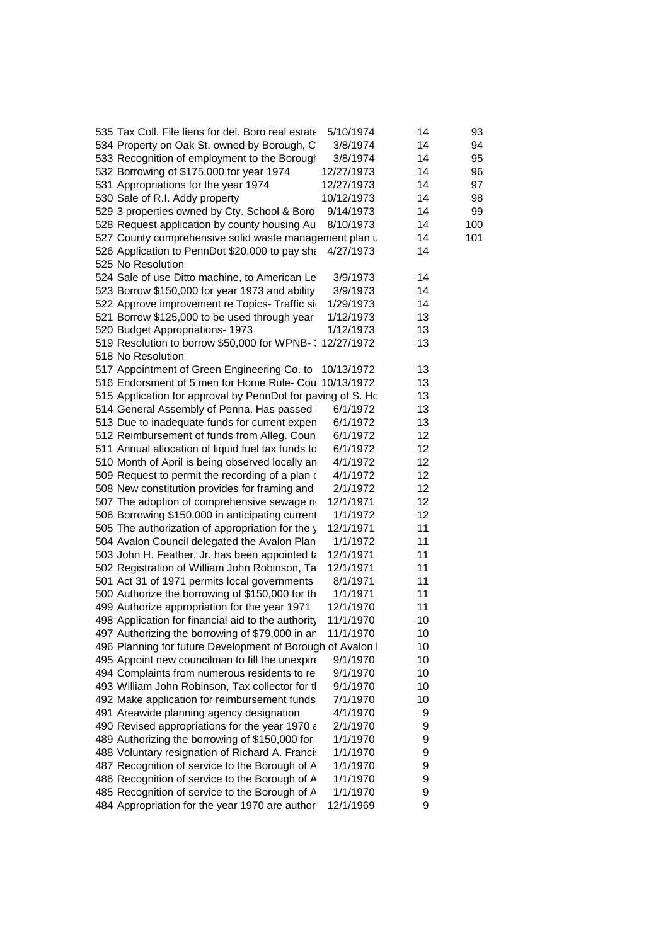| 5/10/1974                                                                                                     |          |          |  |
|---------------------------------------------------------------------------------------------------------------|----------|----------|--|
| 535 Tax Coll. File liens for del. Boro real estate<br>534 Property on Oak St. owned by Borough, C<br>3/8/1974 | 14<br>14 | 93<br>94 |  |
| 533 Recognition of employment to the Borough<br>3/8/1974                                                      | 14       | 95       |  |
| 12/27/1973                                                                                                    | 14       | 96       |  |
| 532 Borrowing of \$175,000 for year 1974<br>12/27/1973                                                        | 14       | 97       |  |
| 531 Appropriations for the year 1974                                                                          |          |          |  |
| 10/12/1973<br>530 Sale of R.I. Addy property                                                                  | 14       | 98       |  |
| 529 3 properties owned by Cty. School & Boro<br>9/14/1973                                                     | 14       | 99       |  |
| 528 Request application by county housing Au<br>8/10/1973                                                     | 14       | 100      |  |
| 527 County comprehensive solid waste management plan u                                                        | 14       | 101      |  |
| 526 Application to PennDot \$20,000 to pay sha 4/27/1973                                                      | 14       |          |  |
| 525 No Resolution                                                                                             |          |          |  |
| 524 Sale of use Ditto machine, to American Le<br>3/9/1973                                                     | 14       |          |  |
| 523 Borrow \$150,000 for year 1973 and ability<br>3/9/1973                                                    | 14       |          |  |
| 522 Approve improvement re Topics- Traffic sit 1/29/1973                                                      | 14       |          |  |
| 521 Borrow \$125,000 to be used through year<br>1/12/1973                                                     | 13       |          |  |
| 1/12/1973<br>520 Budget Appropriations- 1973                                                                  | 13       |          |  |
| 519 Resolution to borrow \$50,000 for WPNB- : 12/27/1972                                                      | 13       |          |  |
| 518 No Resolution                                                                                             |          |          |  |
| 517 Appointment of Green Engineering Co. to   10/13/1972                                                      | 13       |          |  |
| 516 Endorsment of 5 men for Home Rule- Cou 10/13/1972                                                         | 13       |          |  |
| 515 Application for approval by PennDot for paving of S. Ho                                                   | 13       |          |  |
| 514 General Assembly of Penna. Has passed I<br>6/1/1972                                                       | 13       |          |  |
| 513 Due to inadequate funds for current expen<br>6/1/1972                                                     | 13       |          |  |
| 512 Reimbursement of funds from Alleg. Count<br>6/1/1972                                                      | 12       |          |  |
| 511 Annual allocation of liquid fuel tax funds to<br>6/1/1972                                                 | 12       |          |  |
| 510 Month of April is being observed locally an<br>4/1/1972                                                   | 12       |          |  |
| 509 Request to permit the recording of a plan of<br>4/1/1972                                                  | 12       |          |  |
| 2/1/1972<br>508 New constitution provides for framing and                                                     | 12       |          |  |
| 507 The adoption of comprehensive sewage no<br>12/1/1971                                                      | 12       |          |  |
| 506 Borrowing \$150,000 in anticipating current<br>1/1/1972                                                   | 12       |          |  |
| 505 The authorization of appropriation for the y 12/1/1971                                                    | 11       |          |  |
| 1/1/1972<br>504 Avalon Council delegated the Avalon Plan                                                      | 11       |          |  |
|                                                                                                               |          |          |  |
| 12/1/1971<br>503 John H. Feather, Jr. has been appointed ta                                                   | 11       |          |  |
| 502 Registration of William John Robinson, Ta 12/1/1971                                                       | 11       |          |  |
| 501 Act 31 of 1971 permits local governments<br>8/1/1971                                                      | 11       |          |  |
| 500 Authorize the borrowing of \$150,000 for th<br>1/1/1971                                                   | 11       |          |  |
| 499 Authorize appropriation for the year 1971<br>12/1/1970                                                    | 11       |          |  |
| 11/1/1970<br>498 Application for financial aid to the authority                                               | 10       |          |  |
| 497 Authorizing the borrowing of \$79,000 in an<br>11/1/1970                                                  | 10       |          |  |
| 496 Planning for future Development of Borough of Avalon                                                      | 10       |          |  |
| 495 Appoint new councilman to fill the unexpire<br>9/1/1970                                                   | 10       |          |  |
| 494 Complaints from numerous residents to re-<br>9/1/1970                                                     | 10       |          |  |
| 493 William John Robinson, Tax collector for th<br>9/1/1970                                                   | 10       |          |  |
| 492 Make application for reimbursement funds<br>7/1/1970                                                      | 10       |          |  |
| 491 Areawide planning agency designation<br>4/1/1970                                                          | 9        |          |  |
| 490 Revised appropriations for the year 1970 a<br>2/1/1970                                                    |          |          |  |
| 489 Authorizing the borrowing of \$150,000 for<br>1/1/1970                                                    |          |          |  |
| 488 Voluntary resignation of Richard A. Francis<br>1/1/1970                                                   |          |          |  |
| 487 Recognition of service to the Borough of A<br>1/1/1970                                                    |          |          |  |
| 486 Recognition of service to the Borough of A<br>1/1/1970                                                    |          |          |  |
| 485 Recognition of service to the Borough of A<br>1/1/1970                                                    |          |          |  |
| 484 Appropriation for the year 1970 are authori<br>12/1/1969                                                  |          |          |  |
|                                                                                                               |          |          |  |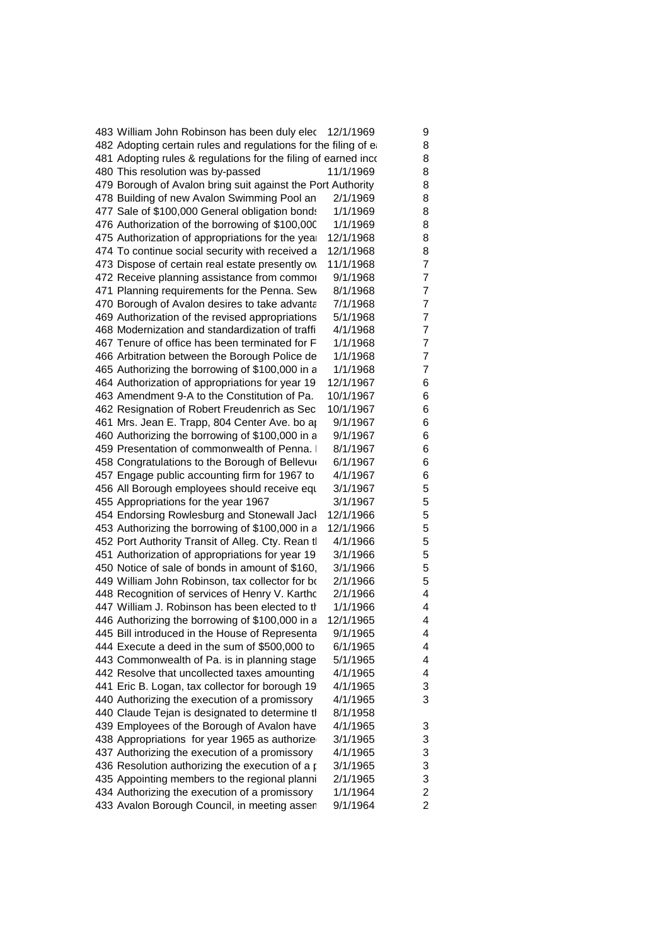| 483 William John Robinson has been duly elec 12/1/1969         |           | 9                       |
|----------------------------------------------------------------|-----------|-------------------------|
| 482 Adopting certain rules and regulations for the filing of e |           | 8                       |
| 481 Adopting rules & regulations for the filing of earned inco |           | 8                       |
| 480 This resolution was by-passed                              | 11/1/1969 | 8                       |
| 479 Borough of Avalon bring suit against the Port Authority    |           | 8                       |
| 478 Building of new Avalon Swimming Pool an                    | 2/1/1969  | 8                       |
| 477 Sale of \$100,000 General obligation bonds                 | 1/1/1969  | 8                       |
| 476 Authorization of the borrowing of \$100,000                | 1/1/1969  | 8                       |
| 475 Authorization of appropriations for the year               | 12/1/1968 | 8                       |
| 474 To continue social security with received a                | 12/1/1968 | 8                       |
| 473 Dispose of certain real estate presently ow 11/1/1968      |           |                         |
| 472 Receive planning assistance from commor                    | 9/1/1968  |                         |
| 471 Planning requirements for the Penna. Sew                   | 8/1/1968  |                         |
| 470 Borough of Avalon desires to take advanta                  | 7/1/1968  |                         |
|                                                                |           |                         |
| 469 Authorization of the revised appropriations                | 5/1/1968  |                         |
| 468 Modernization and standardization of traffi                | 4/1/1968  |                         |
| 467 Tenure of office has been terminated for F                 | 1/1/1968  |                         |
| 466 Arbitration between the Borough Police de                  | 1/1/1968  |                         |
| 465 Authorizing the borrowing of \$100,000 in a                | 1/1/1968  |                         |
| 464 Authorization of appropriations for year 19                | 12/1/1967 | 6                       |
| 463 Amendment 9-A to the Constitution of Pa.                   | 10/1/1967 | 6                       |
| 462 Resignation of Robert Freudenrich as Sec                   | 10/1/1967 | 6                       |
| 461 Mrs. Jean E. Trapp, 804 Center Ave. bo ap                  | 9/1/1967  | 6                       |
| 460 Authorizing the borrowing of \$100,000 in a                | 9/1/1967  | 6                       |
| 459 Presentation of commonwealth of Penna. I                   | 8/1/1967  | 6                       |
| 458 Congratulations to the Borough of Bellevu                  | 6/1/1967  | 6                       |
| 457 Engage public accounting firm for 1967 to                  | 4/1/1967  | 6                       |
| 456 All Borough employees should receive equ                   | 3/1/1967  | 5                       |
|                                                                |           |                         |
| 455 Appropriations for the year 1967                           | 3/1/1967  | 5                       |
| 454 Endorsing Rowlesburg and Stonewall Jack                    | 12/1/1966 | 5                       |
| 453 Authorizing the borrowing of \$100,000 in a                | 12/1/1966 | 5                       |
| 452 Port Authority Transit of Alleg. Cty. Rean tl              | 4/1/1966  | 5                       |
| 451 Authorization of appropriations for year 19                | 3/1/1966  | 5                       |
| 450 Notice of sale of bonds in amount of \$160,                | 3/1/1966  | 5                       |
| 449 William John Robinson, tax collector for bo                | 2/1/1966  | 5                       |
| 448 Recognition of services of Henry V. Kartho                 | 2/1/1966  |                         |
| 447 William J. Robinson has been elected to the                | 1/1/1966  |                         |
| 446 Authorizing the borrowing of \$100,000 in a                | 12/1/1965 | 4                       |
| 445 Bill introduced in the House of Representa                 | 9/1/1965  |                         |
| 444 Execute a deed in the sum of \$500,000 to                  | 6/1/1965  |                         |
| 443 Commonwealth of Pa. is in planning stage                   | 5/1/1965  |                         |
|                                                                |           |                         |
| 442 Resolve that uncollected taxes amounting                   | 4/1/1965  | 4                       |
| 441 Eric B. Logan, tax collector for borough 19                | 4/1/1965  | 3                       |
| 440 Authorizing the execution of a promissory                  | 4/1/1965  | 3                       |
| 440 Claude Tejan is designated to determine th                 | 8/1/1958  |                         |
| 439 Employees of the Borough of Avalon have                    | 4/1/1965  | 3                       |
| 438 Appropriations for year 1965 as authorize                  | 3/1/1965  | 3                       |
| 437 Authorizing the execution of a promissory                  | 4/1/1965  | 3                       |
| 436 Resolution authorizing the execution of a p                | 3/1/1965  | 3                       |
| 435 Appointing members to the regional planni                  | 2/1/1965  | 3                       |
| 434 Authorizing the execution of a promissory                  | 1/1/1964  | $\overline{\mathbf{c}}$ |
| 433 Avalon Borough Council, in meeting assen                   | 9/1/1964  | $\overline{2}$          |
|                                                                |           |                         |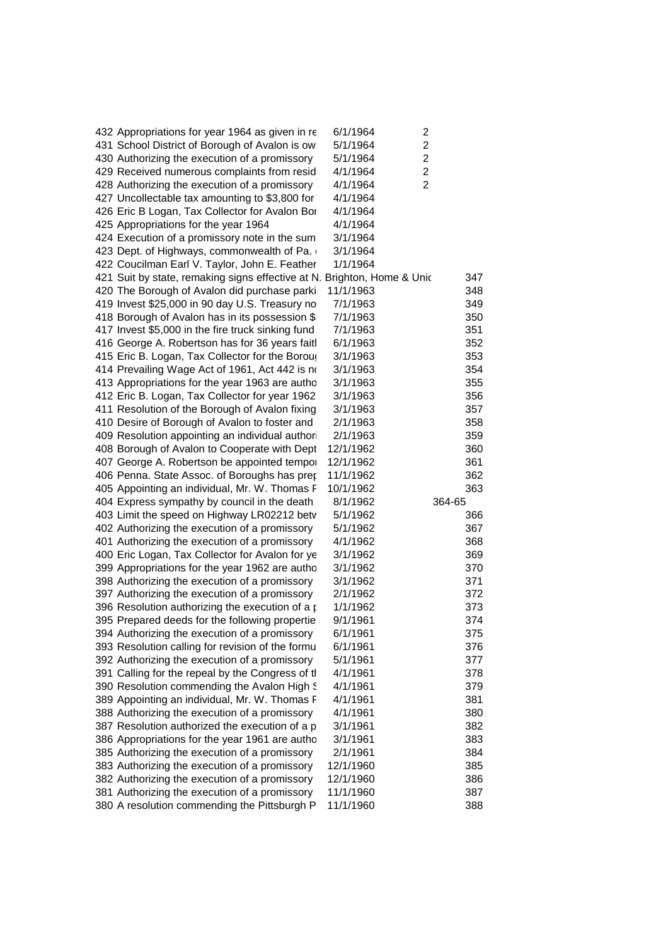| 432 Appropriations for year 1964 as given in re                         | 6/1/1964  | $\overline{c}$ |
|-------------------------------------------------------------------------|-----------|----------------|
| 431 School District of Borough of Avalon is ow                          | 5/1/1964  | $\overline{2}$ |
| 430 Authorizing the execution of a promissory                           | 5/1/1964  | $\overline{c}$ |
| 429 Received numerous complaints from resid                             | 4/1/1964  | $\overline{c}$ |
| 428 Authorizing the execution of a promissory                           | 4/1/1964  | $\overline{2}$ |
| 427 Uncollectable tax amounting to \$3,800 for                          | 4/1/1964  |                |
| 426 Eric B Logan, Tax Collector for Avalon Bor                          | 4/1/1964  |                |
| 425 Appropriations for the year 1964                                    | 4/1/1964  |                |
| 424 Execution of a promissory note in the sum                           | 3/1/1964  |                |
| 423 Dept. of Highways, commonwealth of Pa.                              | 3/1/1964  |                |
| 422 Coucilman Earl V. Taylor, John E. Feather                           | 1/1/1964  |                |
| 421 Suit by state, remaking signs effective at N. Brighton, Home & Unic |           | 347            |
| 420 The Borough of Avalon did purchase parki                            | 11/1/1963 | 348            |
| 419 Invest \$25,000 in 90 day U.S. Treasury no                          | 7/1/1963  | 349            |
| 418 Borough of Avalon has in its possession \$                          | 7/1/1963  | 350            |
| 417 Invest \$5,000 in the fire truck sinking fund                       | 7/1/1963  | 351            |
|                                                                         |           |                |
| 416 George A. Robertson has for 36 years faith                          | 6/1/1963  | 352            |
| 415 Eric B. Logan, Tax Collector for the Boroug                         | 3/1/1963  | 353            |
| 414 Prevailing Wage Act of 1961, Act 442 is no                          | 3/1/1963  | 354            |
| 413 Appropriations for the year 1963 are autho                          | 3/1/1963  | 355            |
| 412 Eric B. Logan, Tax Collector for year 1962                          | 3/1/1963  | 356            |
| 411 Resolution of the Borough of Avalon fixing                          | 3/1/1963  | 357            |
| 410 Desire of Borough of Avalon to foster and                           | 2/1/1963  | 358            |
| 409 Resolution appointing an individual authori                         | 2/1/1963  | 359            |
| 408 Borough of Avalon to Cooperate with Dept                            | 12/1/1962 | 360            |
| 407 George A. Robertson be appointed tempor                             | 12/1/1962 | 361            |
| 406 Penna. State Assoc. of Boroughs has prep                            | 11/1/1962 | 362            |
| 405 Appointing an individual, Mr. W. Thomas F                           | 10/1/1962 | 363            |
| 404 Express sympathy by council in the death                            | 8/1/1962  | 364-65         |
| 403 Limit the speed on Highway LR02212 betw                             | 5/1/1962  | 366            |
| 402 Authorizing the execution of a promissory                           | 5/1/1962  | 367            |
| 401 Authorizing the execution of a promissory                           | 4/1/1962  | 368            |
| 400 Eric Logan, Tax Collector for Avalon for ye                         | 3/1/1962  | 369            |
| 399 Appropriations for the year 1962 are autho                          | 3/1/1962  | 370            |
| 398 Authorizing the execution of a promissory                           | 3/1/1962  | 371            |
| 397 Authorizing the execution of a promissory                           | 2/1/1962  | 372            |
| 396 Resolution authorizing the execution of a p                         | 1/1/1962  | 373            |
| 395 Prepared deeds for the following propertie                          | 9/1/1961  | 374            |
| 394 Authorizing the execution of a promissory                           | 6/1/1961  | 375            |
| 393 Resolution calling for revision of the formu                        | 6/1/1961  | 376            |
| 392 Authorizing the execution of a promissory                           | 5/1/1961  | 377            |
| 391 Calling for the repeal by the Congress of th                        | 4/1/1961  | 378            |
| 390 Resolution commending the Avalon High S                             | 4/1/1961  | 379            |
| 389 Appointing an individual, Mr. W. Thomas F                           | 4/1/1961  | 381            |
| 388 Authorizing the execution of a promissory                           | 4/1/1961  | 380            |
| 387 Resolution authorized the execution of a p                          | 3/1/1961  | 382            |
| 386 Appropriations for the year 1961 are autho                          | 3/1/1961  | 383            |
| 385 Authorizing the execution of a promissory                           | 2/1/1961  | 384            |
| 383 Authorizing the execution of a promissory                           | 12/1/1960 | 385            |
| 382 Authorizing the execution of a promissory                           | 12/1/1960 | 386            |
| 381 Authorizing the execution of a promissory                           | 11/1/1960 | 387            |
|                                                                         |           | 388            |
| 380 A resolution commending the Pittsburgh P 11/1/1960                  |           |                |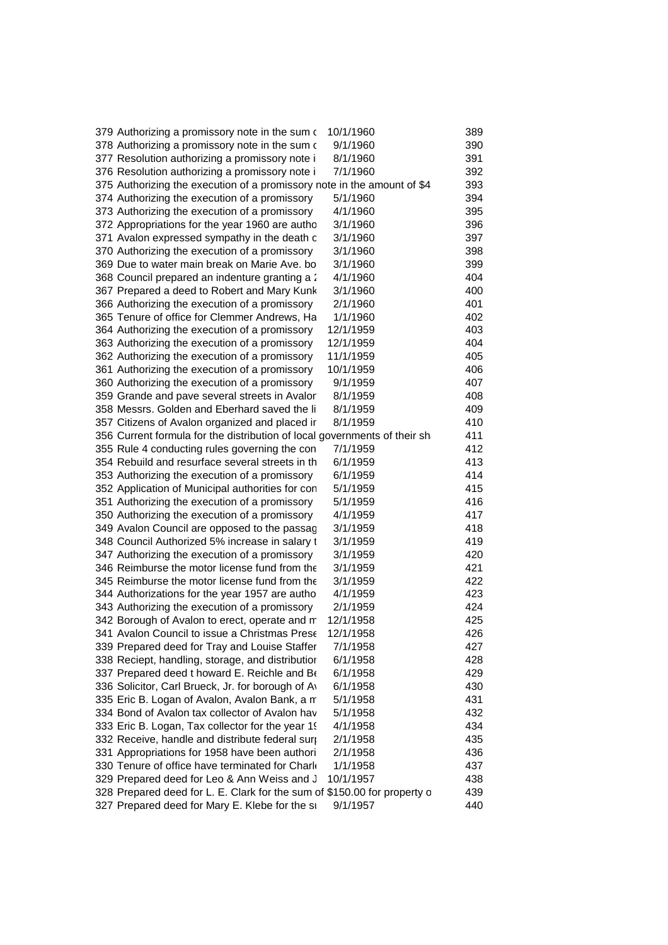| 379 Authorizing a promissory note in the sum c 10/1/1960                  | 389 |
|---------------------------------------------------------------------------|-----|
| 378 Authorizing a promissory note in the sum c<br>9/1/1960                | 390 |
| 377 Resolution authorizing a promissory note i<br>8/1/1960                | 391 |
| 376 Resolution authorizing a promissory note i<br>7/1/1960                | 392 |
| 375 Authorizing the execution of a promissory note in the amount of \$4   | 393 |
| 374 Authorizing the execution of a promissory<br>5/1/1960                 | 394 |
| 373 Authorizing the execution of a promissory<br>4/1/1960                 | 395 |
| 372 Appropriations for the year 1960 are autho<br>3/1/1960                | 396 |
| 371 Avalon expressed sympathy in the death c<br>3/1/1960                  | 397 |
| 370 Authorizing the execution of a promissory<br>3/1/1960                 | 398 |
| 369 Due to water main break on Marie Ave. bo<br>3/1/1960                  | 399 |
| 368 Council prepared an indenture granting a 2<br>4/1/1960                | 404 |
| 367 Prepared a deed to Robert and Mary Kunk<br>3/1/1960                   | 400 |
|                                                                           |     |
| 366 Authorizing the execution of a promissory<br>2/1/1960                 | 401 |
| 365 Tenure of office for Clemmer Andrews, Ha<br>1/1/1960                  | 402 |
| 364 Authorizing the execution of a promissory<br>12/1/1959                | 403 |
| 12/1/1959<br>363 Authorizing the execution of a promissory                | 404 |
| 362 Authorizing the execution of a promissory<br>11/1/1959                | 405 |
| 361 Authorizing the execution of a promissory<br>10/1/1959                | 406 |
| 360 Authorizing the execution of a promissory<br>9/1/1959                 | 407 |
| 359 Grande and pave several streets in Avalor<br>8/1/1959                 | 408 |
| 358 Messrs. Golden and Eberhard saved the li<br>8/1/1959                  | 409 |
| 357 Citizens of Avalon organized and placed ir<br>8/1/1959                | 410 |
| 356 Current formula for the distribution of local governments of their sh | 411 |
| 355 Rule 4 conducting rules governing the con<br>7/1/1959                 | 412 |
| 354 Rebuild and resurface several streets in th<br>6/1/1959               | 413 |
| 353 Authorizing the execution of a promissory<br>6/1/1959                 | 414 |
|                                                                           |     |
| 352 Application of Municipal authorities for con<br>5/1/1959              | 415 |
| 351 Authorizing the execution of a promissory<br>5/1/1959                 | 416 |
| 350 Authorizing the execution of a promissory<br>4/1/1959                 | 417 |
| 349 Avalon Council are opposed to the passag<br>3/1/1959                  | 418 |
| 348 Council Authorized 5% increase in salary t<br>3/1/1959                | 419 |
| 347 Authorizing the execution of a promissory<br>3/1/1959                 | 420 |
| 346 Reimburse the motor license fund from the<br>3/1/1959                 | 421 |
| 345 Reimburse the motor license fund from the<br>3/1/1959                 | 422 |
| 4/1/1959<br>344 Authorizations for the year 1957 are autho                | 423 |
| 2/1/1959<br>343 Authorizing the execution of a promissory                 | 424 |
| 342 Borough of Avalon to erect, operate and m<br>12/1/1958                | 425 |
| 341 Avalon Council to issue a Christmas Prese<br>12/1/1958                | 426 |
| 339 Prepared deed for Tray and Louise Staffer<br>7/1/1958                 | 427 |
| 338 Reciept, handling, storage, and distributior<br>6/1/1958              | 428 |
| 337 Prepared deed t howard E. Reichle and Be<br>6/1/1958                  | 429 |
|                                                                           |     |
| 336 Solicitor, Carl Brueck, Jr. for borough of Av<br>6/1/1958             | 430 |
| 335 Eric B. Logan of Avalon, Avalon Bank, a m<br>5/1/1958                 | 431 |
| 334 Bond of Avalon tax collector of Avalon hav<br>5/1/1958                | 432 |
| 333 Eric B. Logan, Tax collector for the year 19<br>4/1/1958              | 434 |
| 332 Receive, handle and distribute federal surr<br>2/1/1958               | 435 |
| 331 Appropriations for 1958 have been authori<br>2/1/1958                 | 436 |
| 330 Tenure of office have terminated for Charle<br>1/1/1958               | 437 |
| 329 Prepared deed for Leo & Ann Weiss and J 10/1/1957                     | 438 |
| 328 Prepared deed for L. E. Clark for the sum of \$150.00 for property o  | 439 |
| 327 Prepared deed for Mary E. Klebe for the st 9/1/1957                   | 440 |
|                                                                           |     |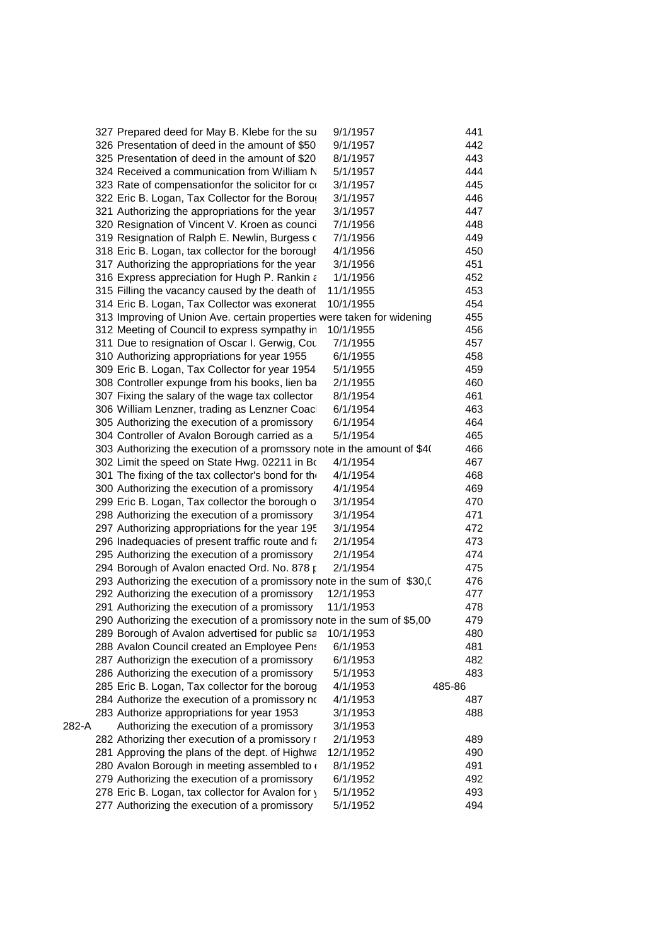|       | 327 Prepared deed for May B. Klebe for the su                           | 9/1/1957  | 441    |
|-------|-------------------------------------------------------------------------|-----------|--------|
|       | 326 Presentation of deed in the amount of \$50                          | 9/1/1957  | 442    |
|       | 325 Presentation of deed in the amount of \$20                          | 8/1/1957  | 443    |
|       | 324 Received a communication from William N                             | 5/1/1957  | 444    |
|       | 323 Rate of compensationfor the solicitor for co                        | 3/1/1957  | 445    |
|       | 322 Eric B. Logan, Tax Collector for the Boroug                         | 3/1/1957  | 446    |
|       | 321 Authorizing the appropriations for the year                         | 3/1/1957  | 447    |
|       | 320 Resignation of Vincent V. Kroen as counci                           | 7/1/1956  | 448    |
|       | 319 Resignation of Ralph E. Newlin, Burgess c                           | 7/1/1956  | 449    |
|       | 318 Eric B. Logan, tax collector for the borough                        | 4/1/1956  |        |
|       |                                                                         |           | 450    |
|       | 317 Authorizing the appropriations for the year                         | 3/1/1956  | 451    |
|       | 316 Express appreciation for Hugh P. Rankin a                           | 1/1/1956  | 452    |
|       | 315 Filling the vacancy caused by the death of                          | 11/1/1955 | 453    |
|       | 314 Eric B. Logan, Tax Collector was exonerat                           | 10/1/1955 | 454    |
|       | 313 Improving of Union Ave. certain properties were taken for widening  |           | 455    |
|       | 312 Meeting of Council to express sympathy in 10/1/1955                 |           | 456    |
|       | 311 Due to resignation of Oscar I. Gerwig, Cou                          | 7/1/1955  | 457    |
|       | 310 Authorizing appropriations for year 1955                            | 6/1/1955  | 458    |
|       | 309 Eric B. Logan, Tax Collector for year 1954                          | 5/1/1955  | 459    |
|       | 308 Controller expunge from his books, lien ba                          | 2/1/1955  | 460    |
|       | 307 Fixing the salary of the wage tax collector                         | 8/1/1954  | 461    |
|       | 306 William Lenzner, trading as Lenzner Coacl                           | 6/1/1954  | 463    |
|       | 305 Authorizing the execution of a promissory                           | 6/1/1954  | 464    |
|       |                                                                         | 5/1/1954  |        |
|       | 304 Controller of Avalon Borough carried as a                           |           | 465    |
|       | 303 Authorizing the execution of a promssory note in the amount of \$40 |           | 466    |
|       | 302 Limit the speed on State Hwg. 02211 in Bo                           | 4/1/1954  | 467    |
|       | 301 The fixing of the tax collector's bond for the                      | 4/1/1954  | 468    |
|       | 300 Authorizing the execution of a promissory                           | 4/1/1954  | 469    |
|       | 299 Eric B. Logan, Tax collector the borough o                          | 3/1/1954  | 470    |
|       | 298 Authorizing the execution of a promissory                           | 3/1/1954  | 471    |
|       | 297 Authorizing appropriations for the year 195                         | 3/1/1954  | 472    |
|       | 296 Inadequacies of present traffic route and fa                        | 2/1/1954  | 473    |
|       | 295 Authorizing the execution of a promissory                           | 2/1/1954  | 474    |
|       | 294 Borough of Avalon enacted Ord. No. 878 p                            | 2/1/1954  | 475    |
|       | 293 Authorizing the execution of a promissory note in the sum of \$30,0 |           | 476    |
|       |                                                                         |           |        |
|       | 292 Authorizing the execution of a promissory   12/1/1953               |           | 477    |
|       | 291 Authorizing the execution of a promissory   11/1/1953               |           | 478    |
|       | 290 Authorizing the execution of a promissory note in the sum of \$5,00 |           | 479    |
|       | 289 Borough of Avalon advertised for public sa                          | 10/1/1953 | 480    |
|       | 288 Avalon Council created an Employee Pens                             | 6/1/1953  | 481    |
|       | 287 Authorizign the execution of a promissory                           | 6/1/1953  | 482    |
|       | 286 Authorizing the execution of a promissory                           | 5/1/1953  | 483    |
|       | 285 Eric B. Logan, Tax collector for the boroug                         | 4/1/1953  | 485-86 |
|       | 284 Authorize the execution of a promissory no                          | 4/1/1953  | 487    |
|       | 283 Authorize appropriations for year 1953                              | 3/1/1953  | 488    |
| 282-A | Authorizing the execution of a promissory                               | 3/1/1953  |        |
|       | 282 Athorizing ther execution of a promissory r                         | 2/1/1953  | 489    |
|       |                                                                         |           |        |
|       | 281 Approving the plans of the dept. of Highwa                          | 12/1/1952 | 490    |
|       | 280 Avalon Borough in meeting assembled to $\epsilon$                   | 8/1/1952  | 491    |
|       | 279 Authorizing the execution of a promissory                           | 6/1/1952  | 492    |
|       | 278 Eric B. Logan, tax collector for Avalon for y                       | 5/1/1952  | 493    |
|       | 277 Authorizing the execution of a promissory                           | 5/1/1952  | 494    |
|       |                                                                         |           |        |